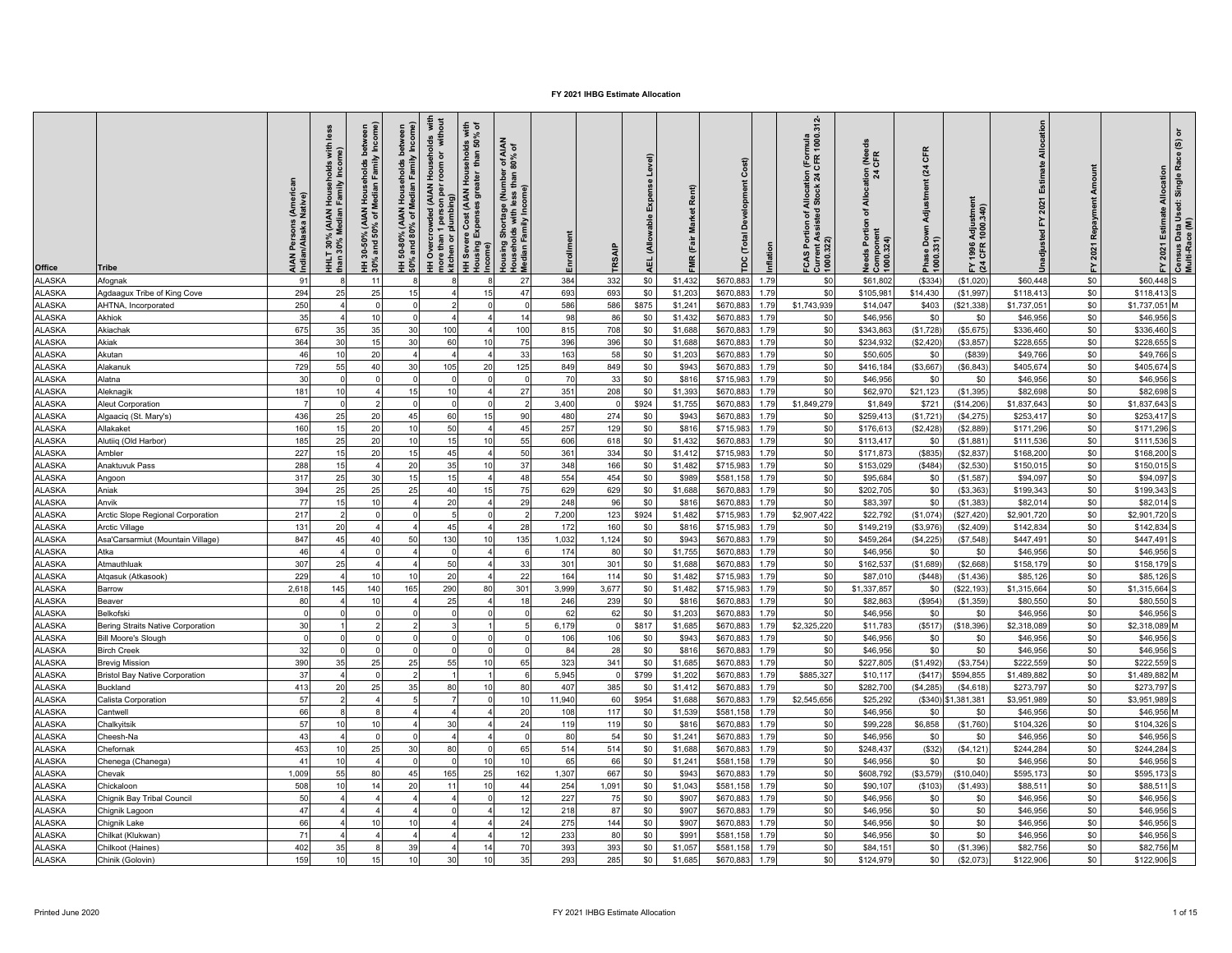| Office                         | Tribe                                 | <b>AIAN Persons (Amer</b><br>ndian/Alaska Native) | less<br>with<br>ne)<br>Households<br>HHLT 30% (AIAN H<br>han 30% Median F | Median Family Income)<br>betw<br>HH 30-50% (AIAN Households<br>30% and 50% of Median Family | HH 50-80% (AIAN Households between<br>50% and 80% of Median Family Income) | HH Overcrowded (AIAN Households  with<br>more than 1 person per room or  without<br>kitchen or plumbing) | HH Severe Cost (AIAN Households with<br>Housing Expenses greater  than 50% of<br>ncome) | Housing Shortage (Number of AIAN<br>Households with less than 80% of<br>Median Family Income) | Enrollment | RSAIP      | Level)<br>Expense<br><b>Allowable</b><br>긊 | Rent)<br><b>Market</b><br>MR (Fair | Cost)<br>ദ്<br>(Total  | milation     | FCAS Portion of Allocation (Formula<br>Current Assisted Stock 24 CFR 1000.312-<br>1000.322) | Allocation (Need<br>24 CFR<br>৳<br>eds Portion<br>Component<br>1000.324) | CFR<br>(24)<br>Adjustment<br>Phase Down .<br> 000.331) | 1996 Adjustment<br>CFR 1000.340)<br>$\sum_{i=1}^{n}$ |                        | payment<br>Re<br>2021 | Census Data Used: Single Race (S) or<br>Multi-Race (M)<br>2021 Estimate Allocation<br>≿ |
|--------------------------------|---------------------------------------|---------------------------------------------------|---------------------------------------------------------------------------|---------------------------------------------------------------------------------------------|----------------------------------------------------------------------------|----------------------------------------------------------------------------------------------------------|-----------------------------------------------------------------------------------------|-----------------------------------------------------------------------------------------------|------------|------------|--------------------------------------------|------------------------------------|------------------------|--------------|---------------------------------------------------------------------------------------------|--------------------------------------------------------------------------|--------------------------------------------------------|------------------------------------------------------|------------------------|-----------------------|-----------------------------------------------------------------------------------------|
| <b>ALASKA</b>                  | Afognak                               | 91                                                | £                                                                         | 11                                                                                          |                                                                            |                                                                                                          | 8                                                                                       | 27                                                                                            | 384        | 332        | \$0                                        | \$1,432                            | \$670,883              | 1.79         | \$0                                                                                         | \$61,802                                                                 | (\$334                                                 | (\$1,020)                                            | \$60,448               | $\$0$                 | \$60,448 S                                                                              |
| <b>ALASKA</b>                  | Agdaagux Tribe of King Cove           | 294                                               | 25                                                                        | 25                                                                                          | 15                                                                         |                                                                                                          | 15                                                                                      | 47                                                                                            | 693        | 693        | \$0                                        | \$1,203                            | \$670,883              | 1.79         | \$0                                                                                         | \$105,981                                                                | \$14,430                                               | (\$1,997)                                            | \$118,413              | \$0                   | \$118,413                                                                               |
| <b>ALASKA</b>                  | AHTNA, Incorporated                   | 250                                               | $\overline{4}$                                                            | $\mathbf 0$                                                                                 |                                                                            |                                                                                                          | $\Omega$                                                                                | $\Omega$                                                                                      | 586        | 586        | \$875                                      | \$1,241                            | \$670,88               | 1.79         | \$1,743,939                                                                                 | \$14,047                                                                 | \$403                                                  | (\$21,338)                                           | \$1,737,05             | \$0                   | \$1,737,051 M                                                                           |
| <b>ALASKA</b>                  | Akhiok                                | 35                                                |                                                                           | 10                                                                                          |                                                                            |                                                                                                          |                                                                                         | 14                                                                                            | 98         | 86         | \$0                                        | \$1,432                            | \$670.88               | 1.79         | \$0                                                                                         | \$46,956                                                                 | \$0                                                    | \$0                                                  | \$46,956               | \$0                   | \$46,956                                                                                |
| <b>ALASKA</b>                  | Akiachak                              | 675                                               | 35                                                                        | 35                                                                                          | 30                                                                         | 100                                                                                                      | $\overline{4}$                                                                          | 100                                                                                           | 815        | 708        | \$0                                        | \$1,688                            | \$670,883              | 1.79         | \$0                                                                                         | \$343,863                                                                | (\$1,728                                               | (\$5,675                                             | \$336,46               | \$0                   | \$336,460                                                                               |
| <b>ALASKA</b>                  | Akiak                                 | 364                                               | 30                                                                        | 15                                                                                          | 30                                                                         | 60                                                                                                       | 10                                                                                      | 75                                                                                            | 396        | 396        | \$0                                        | \$1,688                            | \$670,88               | 1.79         | \$0                                                                                         | \$234,932                                                                | (\$2,420                                               | \$3,857                                              | \$228,65               | \$0                   | \$228,655                                                                               |
| <b>ALASKA</b>                  | Akutan                                | 46                                                | 10                                                                        | 20                                                                                          |                                                                            |                                                                                                          |                                                                                         | 33                                                                                            | 163        | 58         | \$0                                        | \$1,203                            | \$670,883              | 1.79         | \$0                                                                                         | \$50,605                                                                 | \$0                                                    | (\$839)                                              | \$49,766               | \$0                   | \$49,766                                                                                |
| <b>ALASKA</b>                  | Alakanuk                              | 729                                               | 55                                                                        | 40                                                                                          | 30                                                                         | 105                                                                                                      | 20                                                                                      | 125                                                                                           | 849        | 849        | \$0                                        | \$943                              | \$670,883              | 1.79         | \$0                                                                                         | \$416,18                                                                 | (\$3,667                                               | (\$6,843)                                            | \$405,674              | \$0                   | \$405,674                                                                               |
| <b>ALASKA</b>                  | Alatna                                | 30                                                | $\Omega$                                                                  | $\Omega$                                                                                    |                                                                            | $\Omega$                                                                                                 | $\Omega$                                                                                |                                                                                               | 70         | 33         | \$0                                        | \$816                              | \$715,983              | 1.79         | \$0                                                                                         | \$46,956                                                                 | \$0                                                    | \$0                                                  | \$46,956               | \$0                   | \$46,956                                                                                |
| <b>ALASKA</b>                  | Aleknagik                             | 181                                               | 10                                                                        | $\overline{a}$                                                                              | 15                                                                         | 10                                                                                                       | $\overline{4}$                                                                          | 27                                                                                            | 351        | 208        | \$0                                        | \$1,393                            | \$670,883              | 1.79         | \$0                                                                                         | \$62,970                                                                 | \$21,123                                               | (\$1,395)                                            | \$82,698               | \$0                   | \$82,698                                                                                |
| <b>ALASKA</b>                  | Aleut Corporation                     |                                                   |                                                                           |                                                                                             |                                                                            | $\Omega$                                                                                                 | $\Omega$                                                                                |                                                                                               | 3,400      |            | \$924                                      | \$1,755                            | \$670,883              | 1.79         | \$1,849,279                                                                                 | \$1,849                                                                  | \$721                                                  | (\$14,206)                                           | \$1,837,643            | \$0                   | \$1,837,643                                                                             |
| <b>ALASKA</b>                  | Algaaciq (St. Mary's)                 | 436                                               | 25                                                                        | 20                                                                                          | 45                                                                         | 60                                                                                                       | 15                                                                                      | 90                                                                                            | 480        | 274        | \$0                                        | \$943                              | \$670,883              | 1.79         | \$0                                                                                         | \$259,413                                                                | (\$1,721                                               | (\$4,275                                             | \$253,41               | \$0                   | \$253.417                                                                               |
| <b>ALASKA</b>                  | Allakaket                             | 160                                               | 15                                                                        | 20                                                                                          | 10                                                                         | 50                                                                                                       |                                                                                         | 45                                                                                            | 257        | 129        | \$0                                        | \$816                              | \$715,98               | 1.79         | \$0                                                                                         | \$176,613                                                                | (\$2,428)                                              | (\$2,889)                                            | \$171,29               | \$0                   | \$171,296                                                                               |
| ALASKA                         | Alutiiq (Old Harbor)                  | 185                                               | 25                                                                        | 20                                                                                          | 10                                                                         | 15                                                                                                       | 10                                                                                      | 55                                                                                            | 606        | 618        | \$0                                        | \$1,432                            | \$670,883              | 1.79         | \$0                                                                                         | \$113,41                                                                 | \$0                                                    | (\$1,881                                             | \$111,53               | \$0                   | \$111,536                                                                               |
| <b>ALASKA</b>                  | Ambler                                | 227                                               | 15                                                                        | 20                                                                                          | 15                                                                         | 45                                                                                                       |                                                                                         | 50                                                                                            | 361        | 334        | \$0                                        | \$1,412                            | \$715,983              | 1.79         | \$0                                                                                         | \$171,87                                                                 | (\$835                                                 | (\$2,837                                             | \$168,200              | \$0                   | \$168,200                                                                               |
| <b>ALASKA</b>                  | Anaktuvuk Pass                        | 288                                               | 15                                                                        | $\overline{a}$                                                                              | 20                                                                         | 35                                                                                                       | 10                                                                                      | 37                                                                                            | 348        | 166        | \$0                                        | \$1,482                            | \$715,983              | 1.79         | \$0                                                                                         | \$153,029                                                                | (\$484)                                                | (\$2,530)                                            | \$150,015              | \$0                   | \$150,015                                                                               |
| <b>ALASKA</b>                  | Angoon                                | 317                                               | 25                                                                        | 30                                                                                          | 15                                                                         | 15                                                                                                       | $\overline{A}$                                                                          | 48                                                                                            | 554        | 454        | \$0                                        | \$989                              | \$581,158              | 1.79         | \$0                                                                                         | \$95,684                                                                 | \$0                                                    | (\$1,587)                                            | \$94,097               | \$0                   | \$94,097                                                                                |
| <b>ALASKA</b>                  | Aniak                                 | 394                                               | 25                                                                        | 25                                                                                          | 25                                                                         | 40                                                                                                       | 15                                                                                      | 75                                                                                            | 629        | 629        | \$0                                        | \$1,688                            | \$670,883              | 1.79         | \$0                                                                                         | \$202,705                                                                | \$0                                                    | ( \$3,363)                                           | \$199,34               | \$0                   | \$199,343                                                                               |
| <b>ALASKA</b>                  | Anvik                                 | 77                                                | 15                                                                        | 10                                                                                          |                                                                            | 20                                                                                                       | $\overline{a}$                                                                          | 29                                                                                            | 248        | 96         | \$0                                        | \$816                              | \$670,88               | 1.79         | \$0                                                                                         | \$83,397                                                                 | \$0                                                    | (\$1,383]                                            | \$82,014               | \$0                   | \$82,014                                                                                |
| <b>ALASKA</b>                  | Arctic Slope Regional Corporation     | 217                                               |                                                                           |                                                                                             |                                                                            |                                                                                                          | $\Omega$                                                                                |                                                                                               | 7.200      | 123        | \$924                                      | \$1,482                            | \$715,983              | 1.79         | \$2,907,422                                                                                 | \$22,792                                                                 | (S1.074)                                               | (\$27,420)                                           | \$2,901.720            | \$0                   | \$2,901,720                                                                             |
| <b>ALASKA</b>                  | <b>Arctic Village</b>                 | 131                                               | 20                                                                        |                                                                                             |                                                                            | 45                                                                                                       | $\overline{4}$                                                                          | 28                                                                                            | 172        | 160        | \$0                                        | \$816                              | \$715,983              | 1.79         | \$0                                                                                         | \$149,219                                                                | (\$3,976                                               | (\$2,409)                                            | \$142,83               | \$0                   | \$142,834                                                                               |
| <b>ALASKA</b>                  | Asa'Carsarmiut (Mountain Village)     | 847<br>46                                         | 45                                                                        | 40                                                                                          | 50                                                                         | 130<br>$\Omega$                                                                                          | 10                                                                                      | 135                                                                                           | 1,032      | 1,124      | \$0                                        | \$943                              | \$670,88               | 1.79         | \$0<br>\$0                                                                                  | \$459,26                                                                 | (\$4,225                                               | (\$7,548)                                            | \$447,49               | \$0                   | \$447,491                                                                               |
| <b>ALASKA</b>                  | Atka                                  |                                                   |                                                                           | $\overline{a}$                                                                              |                                                                            |                                                                                                          | $\overline{a}$                                                                          |                                                                                               | 174        | 80         | \$0                                        | \$1,755                            | \$670,883              | 1.79         |                                                                                             | \$46,956                                                                 | \$0                                                    | \$0                                                  | \$46,956               | \$0                   | \$46,956                                                                                |
| <b>ALASKA</b>                  | Atmauthluak                           | 307<br>229                                        | 25                                                                        | 10                                                                                          | 10                                                                         | 50<br>20                                                                                                 | $\boldsymbol{\Lambda}$                                                                  | 33<br>22                                                                                      | 301<br>164 | 301<br>114 | \$0                                        | \$1,688<br>\$1,482                 | \$670,883              | 1.79<br>1.79 | \$0<br>\$0                                                                                  | \$162,53                                                                 | (\$1,689)                                              | (\$2,668)                                            | \$158,179              | \$0<br>\$0            | \$158,179                                                                               |
| <b>ALASKA</b><br><b>ALASKA</b> | Atqasuk (Atkasook)<br>Barrow          | 2,618                                             | 145                                                                       | 140                                                                                         | 165                                                                        | 290                                                                                                      | 80                                                                                      |                                                                                               | 3,999      | 3,677      | \$0                                        |                                    | \$715,983<br>\$715,983 | 1.79         | \$0                                                                                         | \$87,010                                                                 | (\$448)                                                | (\$1,436)                                            | \$85,126               |                       | \$85,126<br>\$1,315,664                                                                 |
| <b>ALASKA</b>                  |                                       | 80                                                |                                                                           | 10                                                                                          |                                                                            | 25                                                                                                       |                                                                                         | 301<br>18                                                                                     |            | 239        | \$0<br>\$0                                 | \$1,482                            | \$670,883              | 1.79         | \$0                                                                                         | \$1,337,857<br>\$82,863                                                  | \$0<br>(\$954)                                         | (\$22, 193)                                          | \$1,315,664<br>\$80,55 | \$0<br>\$0            | \$80,550                                                                                |
| <b>ALASKA</b>                  | Beaver<br>Belkofski                   | $\Omega$                                          |                                                                           |                                                                                             |                                                                            |                                                                                                          | $\Omega$                                                                                |                                                                                               | 246<br>62  | 62         | \$0                                        | \$816<br>\$1,203                   | \$670,883              | 1.79         | \$0                                                                                         | \$46,956                                                                 | \$0                                                    | (\$1,359)<br>\$0                                     | \$46,95                | \$0                   | \$46,956                                                                                |
| <b>ALASKA</b>                  | Bering Straits Native Corporation     | 30                                                |                                                                           |                                                                                             |                                                                            |                                                                                                          |                                                                                         |                                                                                               | 6,179      |            | \$817                                      | \$1,685                            | \$670,88               | 1.79         | \$2,325,220                                                                                 | \$11,783                                                                 | (\$517                                                 | (\$18,396)                                           | \$2,318,08             | \$0                   | \$2,318,089                                                                             |
| <b>ALASKA</b>                  | Bill Moore's Slough                   |                                                   |                                                                           |                                                                                             |                                                                            |                                                                                                          | $\Omega$                                                                                |                                                                                               | 106        | 106        | \$0                                        | \$943                              | \$670,883              | 1.79         | \$0                                                                                         | \$46,956                                                                 | \$0                                                    | \$0                                                  | \$46,95                | \$0                   | \$46,956                                                                                |
| <b>ALASKA</b>                  | <b>Birch Creek</b>                    | 32                                                |                                                                           |                                                                                             |                                                                            |                                                                                                          | $\Omega$                                                                                |                                                                                               | 84         | 28         | \$0                                        | \$816                              | \$670,883              | 1.79         | \$0                                                                                         | \$46,956                                                                 | \$0                                                    | \$0                                                  | \$46,956               | \$0                   | \$46,956                                                                                |
| <b>ALASKA</b>                  | <b>Brevig Mission</b>                 | 390                                               | 35                                                                        | 25                                                                                          | 25                                                                         | 55                                                                                                       | 10                                                                                      | 65                                                                                            | 323        | 341        | \$0                                        | \$1,685                            | \$670,883              | 1.79         | \$0                                                                                         | \$227,805                                                                | (\$1,492)                                              | (\$3,754)                                            | \$222,559              | \$0                   | \$222,559                                                                               |
| <b>ALASKA</b>                  | <b>Bristol Bay Native Corporation</b> | 37                                                | $\overline{A}$                                                            | $\Omega$                                                                                    |                                                                            |                                                                                                          |                                                                                         |                                                                                               | 5,945      |            | \$799                                      | \$1,202                            | \$670,88               | 1.79         | \$885,327                                                                                   | \$10,117                                                                 | (S417)                                                 | \$594,855                                            | \$1,489,88             | $\$0$                 | \$1,489,882 M                                                                           |
| <b>ALASKA</b>                  | <b>Buckland</b>                       | 413                                               | 20                                                                        | 25                                                                                          | 35                                                                         | 80                                                                                                       | 10                                                                                      | 80                                                                                            | 407        | 385        | \$0                                        | \$1,412                            | \$670,883              | 1.79         | \$0                                                                                         | \$282,700                                                                | (\$4,285                                               | (S4, 618)                                            | \$273,797              | \$0                   | \$273,797 S                                                                             |
| <b>ALASKA</b>                  | Calista Corporation                   | 57                                                | $\mathcal{P}$                                                             | $\overline{a}$                                                                              |                                                                            |                                                                                                          | $\Omega$                                                                                | 10                                                                                            | 11,940     | 60         | \$954                                      | \$1,688                            | \$670,883              | 1.79         | \$2,545,656                                                                                 | \$25,292                                                                 | (\$340                                                 | ,381,381                                             | \$3,951,98             | \$0                   | \$3,951,989                                                                             |
| <b>ALASKA</b>                  | Cantwell                              | 66                                                |                                                                           |                                                                                             |                                                                            |                                                                                                          |                                                                                         | 20                                                                                            | 108        | 117        | \$0                                        | \$1,539                            | \$581.158              | 1.79         | \$0                                                                                         | \$46,956                                                                 | \$0                                                    | \$0                                                  | \$46,956               | \$0                   | \$46,956 M                                                                              |
| <b>ALASKA</b>                  | Chalkyitsik                           | 57                                                | 10                                                                        | 10                                                                                          |                                                                            | 30                                                                                                       |                                                                                         | 24                                                                                            | 119        | 119        | \$0                                        | \$816                              | \$670,883              | 1.79         | \$0                                                                                         | \$99,228                                                                 | \$6,858                                                | (\$1,760)                                            | \$104,32               | \$0                   | \$104,326                                                                               |
| <b>ALASKA</b>                  | Cheesh-Na                             | 43                                                |                                                                           |                                                                                             |                                                                            |                                                                                                          |                                                                                         |                                                                                               | 80         | 54         | \$0                                        | \$1,241                            | \$670,88               | 1.79         | \$0                                                                                         | \$46,956                                                                 | \$0                                                    | \$0                                                  | \$46,95                | \$0                   | \$46,956                                                                                |
| <b>ALASKA</b>                  | Chefornak                             | 453                                               | 10                                                                        | 25                                                                                          | 30                                                                         | 80                                                                                                       | $\Omega$                                                                                | 65                                                                                            | 514        | 514        | \$0                                        | \$1,688                            | \$670,883              | 1.79         | \$0                                                                                         | \$248,437                                                                | (\$32)                                                 | (S4, 121)                                            | \$244,284              | \$0                   | \$244,284                                                                               |
| <b>ALASKA</b>                  | Chenega (Chanega)                     | 41                                                | 10                                                                        | $\overline{a}$                                                                              |                                                                            | $\Omega$                                                                                                 | 10                                                                                      | 10                                                                                            | 65         | 66         | \$0                                        | \$1,241                            | \$581,158              | 1.79         | \$0                                                                                         | \$46,956                                                                 | \$0                                                    | \$0                                                  | \$46,956               | \$0                   | \$46,956                                                                                |
| <b>ALASKA</b>                  | Chevak                                | 1.009                                             | 55                                                                        | 80                                                                                          | 45                                                                         | 165                                                                                                      | 25                                                                                      | 162                                                                                           | 1,307      | 667        | \$0                                        | \$943                              | \$670,883              | 1.79         | \$0                                                                                         | \$608,792                                                                | (\$3,579                                               | (\$10,040)                                           | \$595,173              | \$0                   | \$595,173                                                                               |
| <b>ALASKA</b>                  | Chickaloon                            | 508                                               | 10                                                                        | 14                                                                                          | 20                                                                         | 11                                                                                                       | 10                                                                                      | 44                                                                                            | 254        | 1,091      | \$0                                        | \$1,043                            | \$581,158              | 1.79         | \$0                                                                                         | \$90,107                                                                 | (\$103                                                 | (\$1,493)                                            | \$88,51                | \$0                   | \$88,511                                                                                |
| <b>ALASKA</b>                  | Chignik Bay Tribal Council            | 50                                                |                                                                           |                                                                                             |                                                                            |                                                                                                          | $\Omega$                                                                                | 12                                                                                            | 227        | 75         | \$0                                        | \$907                              | \$670,883              | 1.79         | \$0                                                                                         | \$46,956                                                                 | \$0                                                    | \$0                                                  | \$46,956               | \$0                   | \$46,956                                                                                |
| <b>ALASKA</b>                  | Chignik Lagoon                        | 47                                                |                                                                           |                                                                                             |                                                                            |                                                                                                          |                                                                                         | 12                                                                                            | 218        | 87         | \$0                                        | \$907                              | \$670,883              | 1.79         | \$0                                                                                         | \$46,956                                                                 | \$0                                                    | \$0                                                  | \$46,956               | \$0                   | \$46,956                                                                                |
| <b>ALASKA</b>                  | Chignik Lake                          | 66                                                |                                                                           | 10                                                                                          | 10                                                                         |                                                                                                          |                                                                                         | 24                                                                                            | 275        | 144        | \$0                                        | \$907                              | \$670,88               | 1.79         | \$0                                                                                         | \$46,956                                                                 | \$0                                                    | \$0                                                  | \$46,95                | \$0                   | \$46,956                                                                                |
| ALASKA                         | Chilkat (Klukwan)                     | 71                                                |                                                                           |                                                                                             |                                                                            |                                                                                                          |                                                                                         | 12                                                                                            | 233        | 80         | \$0                                        | \$99 <sup>-</sup>                  | \$581,158              | 1.79         | \$0                                                                                         | \$46,956                                                                 | \$0                                                    | \$0                                                  | \$46,95                | \$0                   | \$46,956                                                                                |
| <b>ALASKA</b>                  | Chilkoot (Haines)                     | 402                                               | 35                                                                        |                                                                                             | 39                                                                         |                                                                                                          | 14                                                                                      | 70                                                                                            | 393        | 393        | \$0                                        | \$1,057                            | \$581,15               | 1.79         | \$0                                                                                         | \$84,15                                                                  | \$0                                                    | (\$1,396)                                            | \$82,756               | \$0                   | \$82,756 M                                                                              |
| <b>ALASKA</b>                  | Chinik (Golovin)                      | 159                                               | 10                                                                        | 15                                                                                          | 10                                                                         | 30                                                                                                       | 10                                                                                      | 35                                                                                            | 293        | 285        | \$0                                        | \$1,685                            | \$670,883              | 1.79         | \$0                                                                                         | \$124,979                                                                | \$0                                                    | (\$2,073)                                            | \$122,906              | \$0                   | \$122,906 S                                                                             |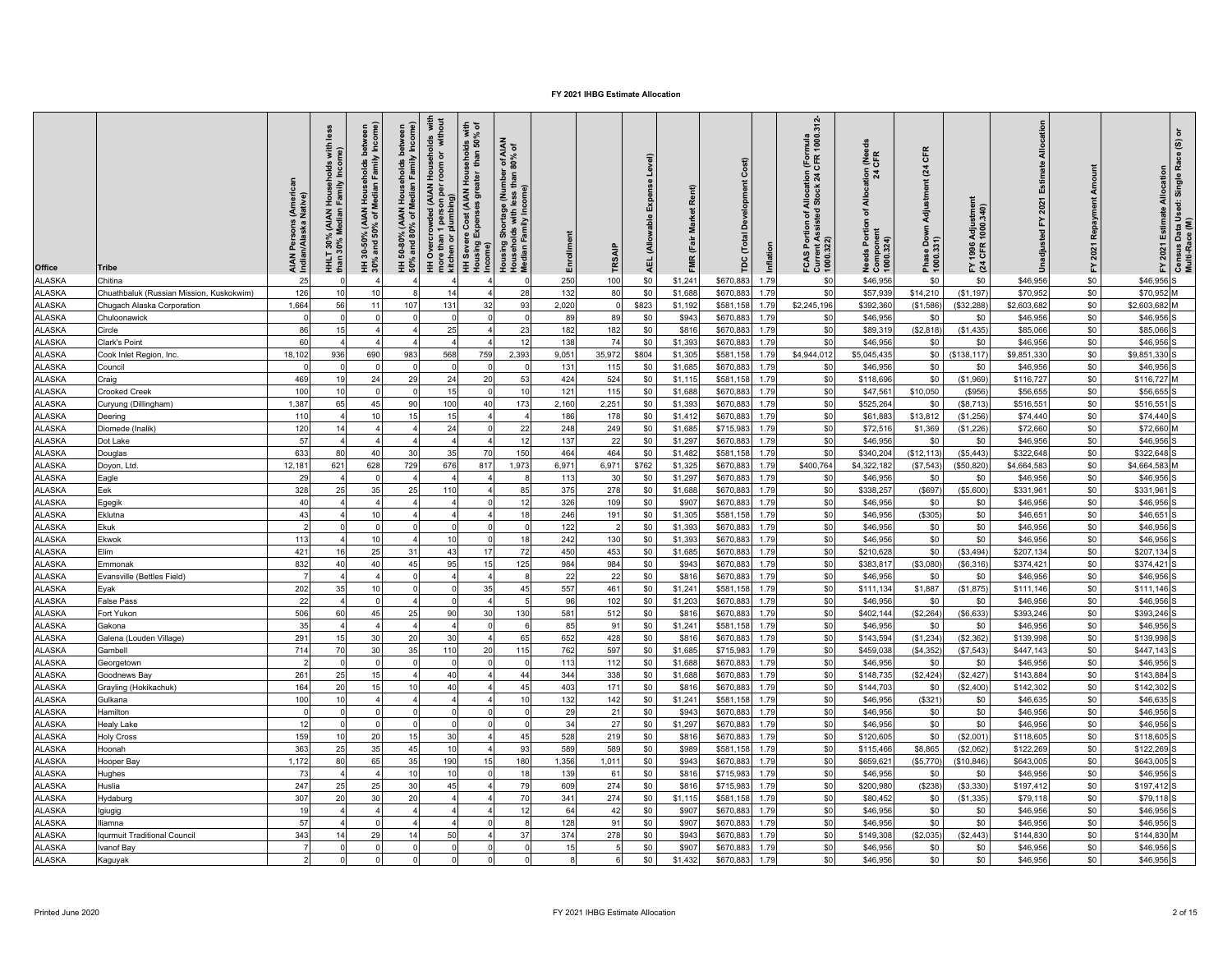| Office                         | Tribe                                    | s (Americ<br>Native)<br><b>AIAN Persons</b><br>Indian/Alaska I | less<br>HHLT 30% (AIAN Households with<br>than 30% Median Family Income) | Median Family Income)<br>betw<br>Households<br>HH 30-50% (AIAN<br>30% and 50% of M | HH 50-80% (AIAN Households between<br>50% and 80% of Median Family Income) | I Households with<br>room or without<br>HH Overcrowded (AIAN H<br>more than 1 person per r<br>kitchen or plumbing) | HH Severe Cost (AIAN Households with<br>Housing Expenses greater  than 50% of | Housing Shortage (Number of AIAN<br>Households with less than 80% of<br>Median Family Income) | Enrollment | TRSAIP         | Level)<br>Exper<br>(Allowable<br>AEL. | Rent)<br>FMR (Fair Market | Cost)<br>å<br>(Total<br>pc | Inflation    | FCAS Portion of Allocation (Formula<br>Current Assisted Stock 24 CFR 1000.312-<br>1000.322) | Allocation (Needs<br>24 CFR<br>ð<br><b>Needs Portion</b><br>Component<br>1000.324) | CFR<br>$\overline{a}$<br>Adjustment<br>Phase Down .<br>1000.331) | 1996 Adjustment<br>  CFR 1000.340)<br>도 잦 | Allocation            | Repayment<br>2021<br>놊 | Census Data Used: Single Race (S) or<br>Multi-Race (M)<br>FY 2021 Estimate Allocation |
|--------------------------------|------------------------------------------|----------------------------------------------------------------|--------------------------------------------------------------------------|------------------------------------------------------------------------------------|----------------------------------------------------------------------------|--------------------------------------------------------------------------------------------------------------------|-------------------------------------------------------------------------------|-----------------------------------------------------------------------------------------------|------------|----------------|---------------------------------------|---------------------------|----------------------------|--------------|---------------------------------------------------------------------------------------------|------------------------------------------------------------------------------------|------------------------------------------------------------------|-------------------------------------------|-----------------------|------------------------|---------------------------------------------------------------------------------------|
| <b>ALASKA</b>                  | Chitina                                  | 25                                                             |                                                                          |                                                                                    |                                                                            |                                                                                                                    |                                                                               |                                                                                               | 250        | 100            | \$0                                   | \$1,241                   | \$670,883                  | 1.79         | \$0                                                                                         | \$46,956                                                                           | \$0                                                              | \$0                                       | \$46,956              | \$0                    | \$46,956 S                                                                            |
| <b>ALASKA</b>                  | Chuathbaluk (Russian Mission, Kuskokwim) | 126                                                            | 10                                                                       | 10                                                                                 |                                                                            | 14                                                                                                                 |                                                                               | 28                                                                                            | 132        | 80             | \$0                                   | \$1,688                   | \$670,883                  | 1.79         | \$0                                                                                         | \$57,939                                                                           | \$14,210                                                         | (\$1,197)                                 | \$70,952              | \$0                    | \$70,952 M                                                                            |
| <b>ALASKA</b>                  | Chugach Alaska Corporation               | 1.664                                                          | 56                                                                       | 11                                                                                 | 107                                                                        | 131                                                                                                                | 32                                                                            | 93                                                                                            | 2.020      | $\Omega$       | \$823                                 | \$1,192                   | \$581.158                  | 1.79         | \$2,245,196                                                                                 | \$392,36                                                                           | (S1.586)                                                         | \$32,288                                  | \$2,603,682           | \$0                    | \$2,603,682 M                                                                         |
| <b>ALASKA</b>                  | Chuloonawick                             |                                                                |                                                                          |                                                                                    |                                                                            |                                                                                                                    |                                                                               |                                                                                               | 89         | 89             | \$0                                   | \$943                     | \$670,88                   | 1.79         | \$0                                                                                         | \$46,956                                                                           | \$0                                                              | \$0                                       | \$46,95               | \$0                    | \$46,956                                                                              |
| ALASKA                         | Circle                                   | 86                                                             | 15                                                                       |                                                                                    |                                                                            | 25                                                                                                                 |                                                                               | 23                                                                                            | 182        | 182            | \$0                                   | \$816                     | \$670,883                  | 1.79         | \$0                                                                                         | \$89,31                                                                            | (\$2,818)                                                        | (\$1,435)                                 | \$85,06               | \$0                    | \$85,066                                                                              |
| <b>ALASKA</b>                  | Clark's Point                            | 60                                                             |                                                                          |                                                                                    |                                                                            |                                                                                                                    |                                                                               | 12                                                                                            | 138        | 74             | \$0                                   | \$1,393                   | \$670,88                   | 1.79         | \$0                                                                                         | \$46,95                                                                            | \$0                                                              | \$0                                       | \$46,956              | \$0                    | \$46,956                                                                              |
| ALASKA                         | Cook Inlet Region, Inc.                  | 18,102                                                         | 936                                                                      | 690                                                                                | 983                                                                        | 568                                                                                                                | 759                                                                           | 2,393                                                                                         | 9,051      | 35,972         | \$804                                 | \$1,305                   | \$581,158                  | 1.79         | \$4,944,012                                                                                 | \$5,045,435                                                                        | \$0                                                              | (\$138, 117)                              | \$9,851,330           | \$0                    | \$9,851,330                                                                           |
| ALASKA                         | Council                                  | $\Omega$                                                       | $\Omega$                                                                 | $\sqrt{ }$                                                                         |                                                                            |                                                                                                                    | $\Omega$                                                                      |                                                                                               | 131        | 115            | \$0                                   | \$1,685                   | \$670,88                   | 1.79         | \$0                                                                                         | \$46,956                                                                           | \$0                                                              | \$0                                       | \$46,95               | \$0                    | \$46,956                                                                              |
| <b>ALASKA</b>                  | Craig                                    | 469                                                            | 19                                                                       | 24                                                                                 | 29                                                                         | 24                                                                                                                 | 20                                                                            | 53                                                                                            | 424        | 524            | \$0                                   | \$1,115                   | \$581,158                  | 1.79         | \$0                                                                                         | \$118,696                                                                          | \$0                                                              | (\$1,969)                                 | \$116,72              | \$0                    | \$116,727 M                                                                           |
| <b>ALASKA</b>                  | <b>Crooked Creek</b>                     | 100                                                            | 10                                                                       | $\mathfrak{g}$                                                                     | $\Omega$                                                                   | 15                                                                                                                 | $\Omega$                                                                      | 10                                                                                            | 121        | 115            | \$0                                   | \$1,688                   | \$670,88                   | 1.79         | \$0                                                                                         | \$47,56                                                                            | \$10,050                                                         | (\$956)                                   | \$56,65               | \$0                    | \$56,655                                                                              |
| <b>ALASKA</b>                  | Curyung (Dillingham)                     | 1.387                                                          | 65                                                                       | 45                                                                                 | 90                                                                         | 100                                                                                                                | 40                                                                            | 173                                                                                           | 2.160      | 2,251          | \$0                                   | \$1,393                   | \$670,883                  | 1.79         | \$0                                                                                         | \$525,264                                                                          | \$0                                                              | (S8.713)                                  | \$516,55              | \$0<br>\$0             | \$516.551                                                                             |
| <b>ALASKA</b>                  | Deering                                  | 110                                                            | $\overline{4}$                                                           | 10                                                                                 | 15                                                                         | 15                                                                                                                 |                                                                               |                                                                                               | 186        | 178            | \$0                                   | \$1,412                   | \$670,88                   | 1.79         | \$0                                                                                         | \$61,883                                                                           | \$13,812                                                         | (\$1,256)                                 | \$74,440              |                        | \$74,440                                                                              |
| ALASKA                         | Diomede (Inalik)                         | 120<br>57                                                      | 14                                                                       |                                                                                    |                                                                            | 24                                                                                                                 |                                                                               | 22                                                                                            | 248        | 249            | \$0                                   | \$1,685                   | \$715,98                   | 1.79         | \$0<br>\$0                                                                                  | \$72,51                                                                            | \$1,369                                                          | (\$1,226)                                 | \$72,66               | \$0                    | \$72,660 <sup>N</sup>                                                                 |
| <b>ALASKA</b><br><b>ALASKA</b> | Dot Lake                                 | 633                                                            | 80                                                                       | 40                                                                                 | 30                                                                         | 35                                                                                                                 | 70                                                                            | 12<br>150                                                                                     | 137<br>464 | 22<br>464      | \$0                                   | \$1,297<br>\$1,482        | \$670,883<br>\$581,158     | 1.79<br>1.79 | \$0                                                                                         | \$46,956                                                                           | \$0<br>(\$12, 113)                                               | \$0<br>(\$5,443)                          | \$46,956<br>\$322,648 | \$0<br>\$0             | \$46,956<br>\$322,648                                                                 |
| <b>ALASKA</b>                  | Douglas                                  | 12,181                                                         | 621                                                                      | 628                                                                                | 729                                                                        | 676                                                                                                                | 817                                                                           | 1,973                                                                                         | 6,971      | 6,971          | \$0<br>\$762                          | \$1,325                   | \$670,883                  | 1.79         | \$400,764                                                                                   | \$340,20<br>\$4,322,182                                                            | (\$7,543)                                                        | (\$50, 820)                               | \$4,664,58            | \$0                    | \$4,664,583                                                                           |
| <b>ALASKA</b>                  | Doyon, Ltd.                              | 29                                                             | $\overline{4}$                                                           | $\mathfrak{g}$                                                                     |                                                                            |                                                                                                                    |                                                                               |                                                                                               | 113        | 30             | \$0                                   | \$1,297                   | \$670,88                   | 1.79         | \$0                                                                                         | \$46,95                                                                            | \$0                                                              | \$0                                       | \$46,95               | \$0                    | \$46,956                                                                              |
| <b>ALASKA</b>                  | Eagle<br>Eek                             | 328                                                            | 25                                                                       | 35                                                                                 | 25                                                                         | 110                                                                                                                |                                                                               | 85                                                                                            | 375        | 278            | \$0                                   | \$1,688                   | \$670,883                  | 1.79         | \$0                                                                                         | \$338,257                                                                          | (\$697                                                           | (\$5,600)                                 | \$331,96              | \$0                    | \$331.961                                                                             |
| <b>ALASKA</b>                  | Egegik                                   | 40                                                             | $\overline{a}$                                                           |                                                                                    |                                                                            |                                                                                                                    | $\Omega$                                                                      | 12                                                                                            | 326        | 109            | \$0                                   | \$907                     | \$670,88                   | 1.79         | \$0                                                                                         | \$46,956                                                                           | \$0                                                              | \$0                                       | \$46,95               | \$0                    | \$46,956                                                                              |
| <b>ALASKA</b>                  | Eklutna                                  | 43                                                             |                                                                          | 10                                                                                 |                                                                            |                                                                                                                    |                                                                               | 18                                                                                            | 246        | 191            | \$0                                   | \$1,305                   | \$581,158                  | 1.79         | \$0                                                                                         | \$46,956                                                                           | (\$305)                                                          | \$0                                       | \$46,65               | \$0                    | \$46,65                                                                               |
| <b>ALASKA</b>                  | Ekuk                                     | $\overline{2}$                                                 |                                                                          |                                                                                    |                                                                            |                                                                                                                    |                                                                               |                                                                                               | 122        | $\overline{2}$ | \$0                                   | \$1,393                   | \$670,88                   | 1.79         | \$0                                                                                         | \$46,956                                                                           | \$0                                                              | \$0                                       | \$46,95               | \$0                    | \$46,956                                                                              |
| <b>ALASKA</b>                  | Ekwok                                    | 113                                                            |                                                                          | 10                                                                                 |                                                                            | 10                                                                                                                 | C                                                                             | 18                                                                                            | 242        | 130            | \$0                                   | \$1,393                   | \$670,88                   | 1.79         | \$0                                                                                         | \$46,956                                                                           | \$0                                                              | \$0                                       | \$46,95               | \$0                    | \$46,956                                                                              |
| <b>ALASKA</b>                  | Elim                                     | 421                                                            | 16                                                                       | 25                                                                                 | 31                                                                         | 43                                                                                                                 | 17                                                                            | 72                                                                                            | 450        | 453            | \$0                                   | \$1,685                   | \$670,883                  | 1.79         | \$0                                                                                         | \$210,628                                                                          | \$0                                                              | (\$3,494)                                 | \$207,134             | \$0                    | \$207,134                                                                             |
| ALASKA                         | Emmonak                                  | 832                                                            | 40                                                                       | 40                                                                                 | 45                                                                         | 95                                                                                                                 | 15                                                                            | 125                                                                                           | 984        | 984            | \$0                                   | \$943                     | \$670,88                   | 1.79         | \$0                                                                                         | \$383,81                                                                           | (\$3,080)                                                        | (\$6,316)                                 | \$374,42              | \$0                    | \$374,421                                                                             |
| <b>ALASKA</b>                  | Evansville (Bettles Field)               | $\overline{7}$                                                 | $\overline{a}$                                                           |                                                                                    | $\Omega$                                                                   |                                                                                                                    |                                                                               |                                                                                               | 22         | 22             | \$0                                   | \$816                     | \$670,883                  | 1.79         | \$0                                                                                         | \$46,956                                                                           | \$0                                                              | \$0                                       | \$46,956              | \$0                    | \$46,956                                                                              |
| <b>ALASKA</b>                  | Eyak                                     | 202                                                            | 35                                                                       | 10                                                                                 | $\Omega$                                                                   |                                                                                                                    | 35                                                                            | 45                                                                                            | 557        | 461            | \$0                                   | \$1,241                   | \$581,158                  | 1.79         | \$0                                                                                         | \$111,134                                                                          | \$1,887                                                          | (\$1,875)                                 | \$111,146             | \$0                    | \$111,146 S                                                                           |
| <b>ALASKA</b>                  | False Pass                               | 22                                                             |                                                                          |                                                                                    |                                                                            |                                                                                                                    |                                                                               |                                                                                               | 96         | 102            | \$0                                   | \$1,203                   | \$670,883                  | 1.79         | \$0                                                                                         | \$46,956                                                                           | \$0                                                              | \$0                                       | \$46,956              | \$0                    | \$46,956 S                                                                            |
| <b>ALASKA</b>                  | Fort Yukon                               | 506                                                            | 60                                                                       | 45                                                                                 | 25                                                                         | 90                                                                                                                 | 30                                                                            | 130                                                                                           | 581        | 512            | \$0                                   | \$816                     | \$670,883                  | 1.79         | \$0                                                                                         | \$402,14                                                                           | (\$2,264)                                                        | (S6, 633)                                 | \$393,24              | \$0                    | \$393,246                                                                             |
| <b>ALASKA</b>                  | Gakona                                   | 35                                                             |                                                                          |                                                                                    |                                                                            |                                                                                                                    |                                                                               |                                                                                               | 85         | 91             | \$0                                   | \$1,241                   | \$581,158                  | 1.79         | \$0                                                                                         | \$46,95                                                                            | \$0                                                              | \$0                                       | \$46,95               | \$0                    | \$46,956                                                                              |
| ALASKA                         | Galena (Louden Village)                  | 291                                                            | 15                                                                       | 30                                                                                 | 20                                                                         | 30                                                                                                                 |                                                                               | 65                                                                                            | 652        | 428            | \$0                                   | \$816                     | \$670,883                  | 1.79         | \$0                                                                                         | \$143,594                                                                          | (\$1,234)                                                        | (\$2,362)                                 | \$139,998             | \$0                    | \$139,998                                                                             |
| ALASKA                         | Gambell                                  | 714                                                            | 70                                                                       | 30                                                                                 | 35                                                                         | 110                                                                                                                | 20                                                                            | 115                                                                                           | 762        | 597            | \$0                                   | \$1,685                   | \$715,983                  | 1.79         | \$0                                                                                         | \$459,03                                                                           | (\$4,352                                                         | (\$7,543]                                 | \$447,143             | \$0                    | \$447,143                                                                             |
| ALASKA                         | Georgetown                               | $\mathcal{P}$                                                  | $\Omega$                                                                 | $\sqrt{2}$                                                                         | $\Omega$                                                                   | $\Omega$                                                                                                           | C                                                                             |                                                                                               | 113        | 112            | \$0                                   | \$1,688                   | \$670,883                  | 1.79         | \$0                                                                                         | \$46,956                                                                           | \$0                                                              | \$0                                       | \$46,956              | \$0                    | \$46,956                                                                              |
| ALASKA                         | Goodnews Bay                             | 261                                                            | 25                                                                       | 15                                                                                 |                                                                            | 40                                                                                                                 |                                                                               | 44                                                                                            | 344        | 338            | \$0                                   | \$1,688                   | \$670,88                   | 1.79         | \$0                                                                                         | \$148,73                                                                           | (\$2,424)                                                        | (\$2,427)                                 | \$143,88              | \$0                    | \$143,884                                                                             |
| <b>ALASKA</b>                  | Grayling (Hokikachuk)                    | 164                                                            | 20                                                                       | 15                                                                                 | 10                                                                         | 40                                                                                                                 |                                                                               | 45                                                                                            | 403        | 171            | \$0                                   | \$816                     | \$670,883                  | 1.79         | \$0                                                                                         | \$144,703                                                                          | \$0                                                              | (\$2,400)                                 | \$142,302             | \$0                    | \$142,302                                                                             |
| <b>ALASKA</b>                  | Gulkana                                  | 100                                                            | 10                                                                       |                                                                                    |                                                                            |                                                                                                                    |                                                                               | 10                                                                                            | 132        | 142            | \$0                                   | \$1,241                   | \$581,158                  | 1.79         | \$0                                                                                         | \$46,956                                                                           | (\$321                                                           | \$0                                       | \$46,63               | \$0                    | \$46,635                                                                              |
| <b>ALASKA</b>                  | <b>Hamilton</b>                          |                                                                |                                                                          |                                                                                    |                                                                            |                                                                                                                    |                                                                               |                                                                                               | 29         | 21             | \$0                                   | \$943                     | \$670,883                  | 1.79         | \$0                                                                                         | \$46,956                                                                           | \$0                                                              | \$0                                       | \$46,95               | \$0                    | \$46,956                                                                              |
| <b>ALASKA</b>                  | <b>Healy Lake</b>                        | 12                                                             |                                                                          |                                                                                    | $\Omega$                                                                   |                                                                                                                    |                                                                               |                                                                                               | 34         | 27             | \$0                                   | \$1,297                   | \$670,883                  | 1.79         | \$0                                                                                         | \$46,956                                                                           | \$0                                                              | \$0                                       | \$46,95               | \$0                    | \$46,956                                                                              |
| ALASKA                         | Holy Cross                               | 159                                                            | 10                                                                       | 20                                                                                 | 15                                                                         | 3 <sub>C</sub>                                                                                                     |                                                                               | 45                                                                                            | 528        | 219            | \$0                                   | \$816                     | \$670,88                   | 1.79         | \$0                                                                                         | \$120,605                                                                          | \$0                                                              | (\$2,001                                  | \$118,60              | \$0                    | \$118,605                                                                             |
| <b>ALASKA</b>                  | Hoonah                                   | 363                                                            | 25                                                                       | 35                                                                                 | 45                                                                         | 10                                                                                                                 |                                                                               | 93                                                                                            | 589        | 589            | \$0                                   | \$989                     | \$581,158                  | 1.79         | \$0                                                                                         | \$115,466                                                                          | \$8,865                                                          | (\$2,062)                                 | \$122,269             | \$0                    | \$122,269                                                                             |
| <b>ALASKA</b>                  | Hooper Bay                               | 1,172                                                          | 80                                                                       | 65                                                                                 | 35                                                                         | 190                                                                                                                | 15                                                                            | 180                                                                                           | 1,356      | 1,011          | \$0                                   | \$943                     | \$670,88                   | 1.79         | \$0                                                                                         | \$659,62                                                                           | (\$5,770                                                         | (\$10,846)                                | \$643,00              | \$0                    | \$643,005                                                                             |
| <b>ALASKA</b>                  | Hughes                                   | 73                                                             | $\overline{a}$                                                           |                                                                                    | 10                                                                         | 10                                                                                                                 |                                                                               | 18                                                                                            | 139        | 61             | \$0                                   | \$816                     | \$715,983                  | 1.79         | \$0                                                                                         | \$46,956                                                                           | \$0                                                              | \$0                                       | \$46,95               | \$0                    | \$46,956                                                                              |
| <b>ALASKA</b>                  | Huslia                                   | 247                                                            | 25                                                                       | 25                                                                                 | 30                                                                         | 45                                                                                                                 |                                                                               | 79                                                                                            | 609        | 274            | \$0                                   | \$816                     | \$715,98                   | 1.79         | \$0                                                                                         | \$200,980                                                                          | (S238)                                                           | (\$3,330)                                 | \$197,41              | \$0                    | \$197,412                                                                             |
| <b>ALASKA</b>                  | lydaburg                                 | 307                                                            | 20                                                                       | 30                                                                                 | 20                                                                         |                                                                                                                    |                                                                               | 70                                                                                            | 341        | 274            | \$0                                   | \$1,115                   | \$581,158                  | 1.79         | \$0                                                                                         | \$80,452                                                                           | \$0                                                              | (\$1,335)                                 | \$79,118              | \$0                    | \$79,118 <sub>5</sub>                                                                 |
| <b>ALASKA</b>                  | giugig                                   | 19                                                             | $\overline{a}$                                                           |                                                                                    |                                                                            |                                                                                                                    |                                                                               | 12                                                                                            | 64         | 42             | \$0                                   | \$907                     | \$670.88                   | 1.79         | \$0                                                                                         | \$46,956                                                                           | \$0                                                              | \$0                                       | \$46,95               | \$0                    | \$46,956                                                                              |
| <b>ALASKA</b>                  | liamna                                   | 57                                                             |                                                                          |                                                                                    |                                                                            |                                                                                                                    |                                                                               |                                                                                               | 128        | 91             | \$0                                   | \$907                     | \$670,88                   | 1.79         | \$0                                                                                         | \$46,956                                                                           | \$0                                                              | \$0                                       | \$46,95               | \$0                    | \$46,956                                                                              |
| ALASKA                         | qurmuit Traditional Council              | 343                                                            | 14                                                                       | 29                                                                                 | 14                                                                         | 50                                                                                                                 |                                                                               | 37                                                                                            | 374        | 278            | \$0                                   | \$943                     | \$670,88                   | 1.79         | \$0                                                                                         | \$149,30                                                                           | (\$2,035)                                                        | (\$2,443)                                 | \$144,83              | \$0                    | \$144,830                                                                             |
| <b>ALASKA</b>                  | Ivanof Bay                               |                                                                |                                                                          |                                                                                    |                                                                            |                                                                                                                    |                                                                               |                                                                                               | 15         |                | \$0                                   | \$907                     | \$670,88                   | 1.79         | \$0                                                                                         | \$46,95                                                                            | \$0                                                              | \$0                                       | \$46,956              | \$0                    | \$46,956                                                                              |
| <b>ALASKA</b>                  | Kaguyak                                  | $\overline{2}$                                                 |                                                                          |                                                                                    |                                                                            |                                                                                                                    |                                                                               |                                                                                               | 8          | 6              | \$0                                   | \$1,432                   | \$670,883                  | 1.79         | \$0                                                                                         | \$46,956                                                                           | \$0                                                              | \$0                                       | \$46,956              | \$0                    | \$46,956                                                                              |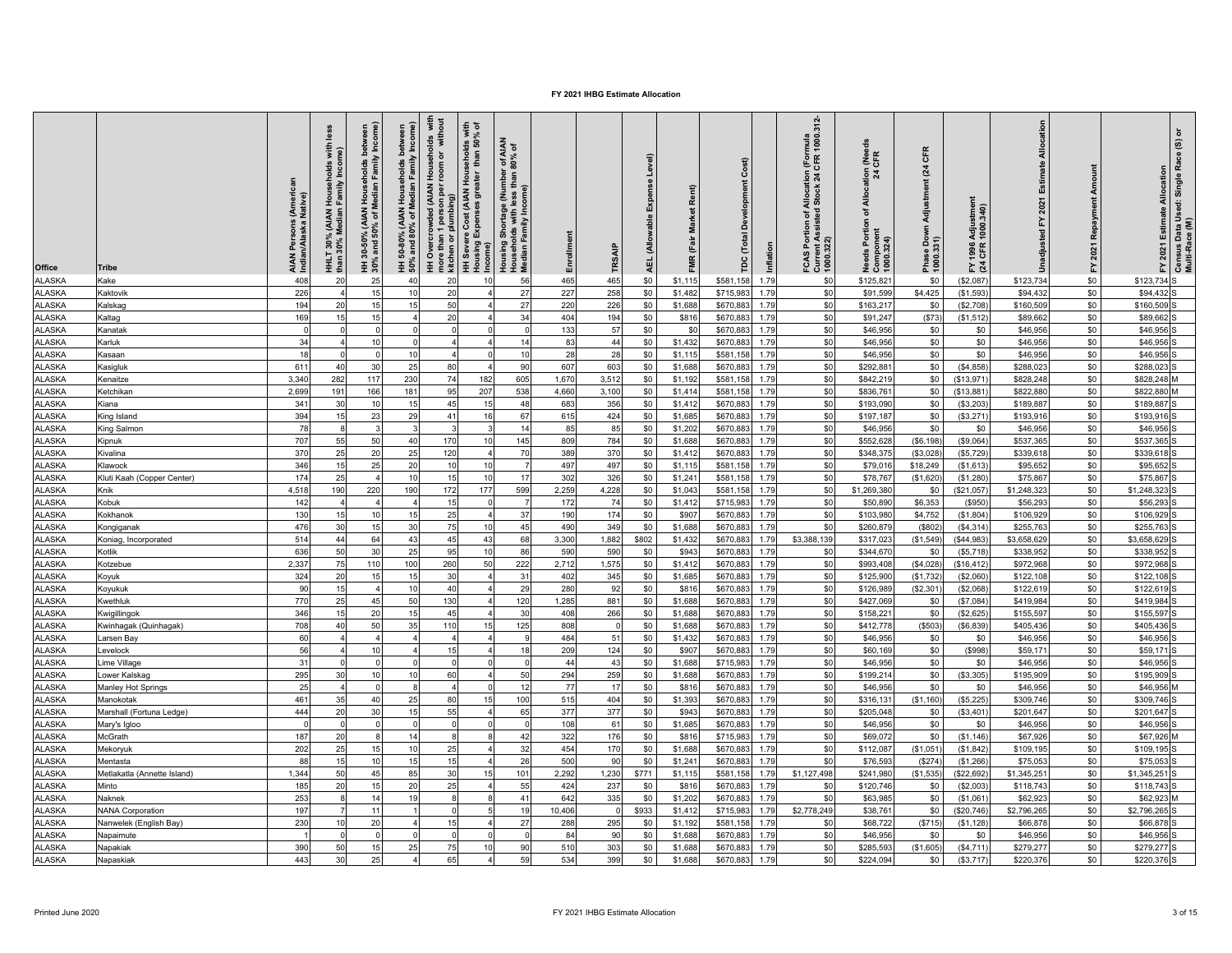| <b>Office</b> | <b>Tribe</b>                | i (Americ<br>Native)<br>AIAN Persons<br>Indian/Alaska l | less<br>with<br>Househ<br>Family<br>HHLT 30% (AIAN<br>than 30% Median | HH 30-50% (AIAN Households between<br>30% and 50% of Median Family Income) | HH 50-80% (AIAN Households between<br>50% and 80% of Median Family Income) | HH Overcrowded (AIAN Households  with<br>more than 1 person per room or  without<br>kitchen or plumbing) | HH Severe Cost (AIAN Households with<br>Housing Expenses greater  than 50% of<br>Income) | Housing Shortage (Number of AIAN<br>Households with less than 80% of<br>Median Family Income) | Enrollment   | TRSAIP       | Expense Level)<br>(Allowable<br><b>AEL</b> | FMR (Fair Market Rent) | Cost)<br>Develop<br>(Total<br>ГPC | Inflation | FCAS Portion of Allocation (Formula<br>Current Assisted Stock 24 CFR 1000.312-<br>1000.322) | Allocation (Needs<br>24 CFR<br>ð<br>eds Portion<br>Needs Portic<br>Component<br>1000.324) | CFR<br>$\overline{a}$<br>Adjustment<br>Down<br>Phase Dov<br>1000.331) | 1996 Adjustment<br>· CFR 1000.340)<br>도 전 | Allocation<br>Estimate<br>2021<br>놊<br>nadjusted | Repayment<br>2021<br>$\mathbf{\tilde{r}}$ | FY 2021 Estimate Allocation | Census Data Used: Single Race (S) or<br>Multi-Race (M) |
|---------------|-----------------------------|---------------------------------------------------------|-----------------------------------------------------------------------|----------------------------------------------------------------------------|----------------------------------------------------------------------------|----------------------------------------------------------------------------------------------------------|------------------------------------------------------------------------------------------|-----------------------------------------------------------------------------------------------|--------------|--------------|--------------------------------------------|------------------------|-----------------------------------|-----------|---------------------------------------------------------------------------------------------|-------------------------------------------------------------------------------------------|-----------------------------------------------------------------------|-------------------------------------------|--------------------------------------------------|-------------------------------------------|-----------------------------|--------------------------------------------------------|
| <b>ALASKA</b> | Kake                        | 408                                                     | 20                                                                    | 25                                                                         | 40                                                                         | 20                                                                                                       | 10                                                                                       | 56                                                                                            | 465          | 465          | \$0                                        | \$1,115                | \$581,158                         | 1.79      | \$0                                                                                         | \$125,82                                                                                  | \$0                                                                   | (\$2,087                                  | \$123,734                                        | \$0                                       | \$123,734 S                 |                                                        |
| <b>ALASKA</b> | Kaktovik                    | 226                                                     |                                                                       | 15                                                                         | 10                                                                         | 20                                                                                                       |                                                                                          | 27                                                                                            | 227          | 258          | \$0                                        | \$1,482                | \$715,983                         | 1.79      | \$0                                                                                         | \$91,599                                                                                  | \$4,425                                                               | (\$1,593]                                 | \$94,432                                         | \$0                                       | \$94,432                    |                                                        |
| <b>ALASKA</b> | Kalskag                     | 194                                                     | 20                                                                    | 15                                                                         | 15                                                                         | 50                                                                                                       |                                                                                          | 27                                                                                            | 220          | 226          | \$0                                        | \$1,688                | \$670,883                         | 1.79      | \$0                                                                                         | \$163,21                                                                                  | \$0                                                                   | (\$2,708)                                 | \$160,509                                        | \$0                                       | \$160,509                   |                                                        |
| <b>ALASKA</b> | Kaltag                      | 169                                                     |                                                                       | 15                                                                         |                                                                            | 20                                                                                                       |                                                                                          | 34                                                                                            | 404          | 194          | \$0                                        | \$816                  | \$670,88                          | 1.79      | \$0                                                                                         | \$91,247                                                                                  | (S73)                                                                 | (\$1,512                                  | \$89,66                                          | \$0                                       | \$89,662                    |                                                        |
| <b>ALASKA</b> | Kanatak                     | - 0                                                     |                                                                       | $^{\circ}$                                                                 |                                                                            | $\mathbf 0$                                                                                              | O                                                                                        |                                                                                               | 133          | 57           | \$0                                        | \$0                    | \$670,883                         | 1.79      | \$0                                                                                         | \$46,956                                                                                  | \$0                                                                   | \$0                                       | \$46,956                                         | \$0                                       | \$46,956                    |                                                        |
| <b>ALASKA</b> | Karluk                      | 34                                                      |                                                                       | 10                                                                         |                                                                            |                                                                                                          |                                                                                          | 14                                                                                            | 83           | 44           | \$0                                        | \$1,432                | \$670,883                         | 1.79      | \$0                                                                                         | \$46,956                                                                                  | \$0                                                                   | \$0                                       | \$46,956                                         | \$0                                       | \$46,956                    |                                                        |
| <b>ALASKA</b> | Kasaan                      | 18                                                      |                                                                       | $\Omega$                                                                   | 10                                                                         |                                                                                                          | $\Omega$                                                                                 | 10                                                                                            | 28           | 28           | \$0                                        | \$1,115                | \$581,158                         | 1.79      | \$0                                                                                         | \$46,956                                                                                  | \$0                                                                   | \$0                                       | \$46,956                                         | \$0                                       | \$46,956                    |                                                        |
| <b>ALASKA</b> | Kasigluk                    | 611                                                     | 40                                                                    | 30                                                                         | 25                                                                         | 80                                                                                                       | $\overline{a}$                                                                           | 90                                                                                            | 607          | 603          | \$0                                        | \$1,688                | \$670,88                          | 1.79      | \$0                                                                                         | \$292,88                                                                                  | \$0                                                                   | (\$4,858)                                 | \$288,02                                         | \$0                                       | \$288,023                   |                                                        |
| <b>ALASKA</b> | Kenaitze                    | 3.340                                                   | 282                                                                   | 117                                                                        | 230                                                                        | 74                                                                                                       | 182                                                                                      | 605                                                                                           | 1,670        | 3,512        | \$0                                        | \$1,192                | \$581,158                         | 1.79      | \$0                                                                                         | \$842,219                                                                                 | \$0                                                                   | (\$13,971                                 | \$828,248                                        | \$0                                       | \$828,248                   |                                                        |
| ALASKA        | Ketchikan                   | 2,699                                                   | 191                                                                   | 166                                                                        | 181                                                                        | 95                                                                                                       | 207                                                                                      | 538                                                                                           | 4,660        | 3,100        | \$0                                        | \$1,414                | \$581,158                         | 1.79      | \$0                                                                                         | \$836,76                                                                                  | \$0                                                                   | (\$13,881                                 | \$822,880                                        | \$0                                       | \$822,880                   |                                                        |
| <b>ALASKA</b> | Kiana                       | 341                                                     | 30                                                                    | 10                                                                         | 15                                                                         | 45                                                                                                       | 15                                                                                       | 48                                                                                            | 683          | 356          | \$0                                        | \$1,412                | \$670,883                         | 1.79      | \$0                                                                                         | \$193,090                                                                                 | \$0                                                                   | (\$3,203                                  | \$189,887                                        | \$0                                       | \$189,887                   |                                                        |
| <b>ALASKA</b> | King Island                 | 394                                                     | 15                                                                    | 23                                                                         | 29                                                                         | 41                                                                                                       | 16                                                                                       | 67                                                                                            | 615          | 424          | \$0                                        | \$1,685                | \$670,883                         | 1.79      | \$0                                                                                         | \$197,187                                                                                 | \$0                                                                   | (\$3,271                                  | \$193,916                                        | \$0                                       | \$193,916                   |                                                        |
| <b>ALASKA</b> | King Salmon                 | 78                                                      |                                                                       |                                                                            |                                                                            |                                                                                                          |                                                                                          | 14                                                                                            | 85           | 85           | \$0                                        | \$1,202                | \$670,88                          | 1.79      | \$0                                                                                         | \$46,956                                                                                  | \$0                                                                   | \$0                                       | \$46,95                                          | \$0                                       | \$46,956                    |                                                        |
| <b>ALASKA</b> | Kipnuk                      | 707                                                     | 55                                                                    | 50                                                                         | 40                                                                         | 170                                                                                                      | 10                                                                                       | 145                                                                                           | 809          | 784          | \$0                                        | \$1,688                | \$670,883                         | 1.79      | \$0                                                                                         | \$552,628                                                                                 | (\$6,198)                                                             | (\$9,064)                                 | \$537,365                                        | \$0                                       | \$537,365                   |                                                        |
| <b>ALASKA</b> | Kivalina                    | 370                                                     | 25                                                                    | 20                                                                         | 25                                                                         | 120                                                                                                      | $\overline{a}$                                                                           | 70                                                                                            | 389          | 370          | \$0                                        | \$1,412                | \$670,883                         | 1.79      | \$0                                                                                         | \$348,375                                                                                 | (\$3,028)                                                             | (\$5,729                                  | \$339,618                                        | \$0                                       | \$339,618                   |                                                        |
| <b>ALASKA</b> | Klawock                     | 346                                                     | 15                                                                    | 25                                                                         | 20                                                                         | 10                                                                                                       | 10                                                                                       |                                                                                               | 497          | 497          | \$0                                        | \$1,115                | \$581,158                         | 1.79      | \$0                                                                                         | \$79,016                                                                                  | \$18,249                                                              | (\$1,613                                  | \$95,65                                          | \$0                                       | \$95,652                    |                                                        |
| <b>ALASKA</b> | Kluti Kaah (Copper Center)  | 174                                                     | 25                                                                    | $\overline{4}$                                                             | 10                                                                         | 15                                                                                                       | 10                                                                                       | 17                                                                                            | 302          | 326          | \$0                                        | \$1,241                | \$581,158                         | 1.79      | \$0                                                                                         | \$78,76                                                                                   | (\$1,620                                                              | (\$1,280                                  | \$75,86                                          | \$0                                       | \$75,867                    |                                                        |
| <b>ALASKA</b> | Knik                        | 4.518                                                   | 190                                                                   | 220                                                                        | 190                                                                        | 172                                                                                                      | 177                                                                                      | 599                                                                                           | 2,259        | 4,228        | \$0                                        | \$1,043                | \$581,158                         | 1.79      | \$0                                                                                         | \$1,269,380                                                                               | \$0                                                                   | (\$21,057                                 | \$1,248,32                                       | \$0                                       | \$1,248,323                 |                                                        |
| <b>ALASKA</b> | Kobuk                       | 142                                                     |                                                                       | $\overline{a}$                                                             |                                                                            | 15                                                                                                       | $\Omega$                                                                                 |                                                                                               | 172          | 74           | \$0                                        | \$1,412                | \$715,983                         | 1.79      | \$0                                                                                         | \$50,890                                                                                  | \$6,353                                                               |                                           | \$56,29                                          | \$0                                       | \$56,293                    |                                                        |
| <b>ALASKA</b> |                             | 130                                                     |                                                                       | 10                                                                         | 15                                                                         | 25                                                                                                       |                                                                                          | 37                                                                                            | 190          | 174          | \$0                                        | \$907                  | \$670,883                         | 1.79      | \$0                                                                                         | \$103,98                                                                                  | \$4,752                                                               | (\$950<br>(\$1,804)                       | \$106,92                                         | \$0                                       | \$106,929                   |                                                        |
| <b>ALASKA</b> | Kokhanok                    | 476                                                     | 30                                                                    | 15                                                                         | 30                                                                         | 75                                                                                                       | 10                                                                                       | 45                                                                                            | 490          | 349          | \$0                                        | \$1,688                | \$670,883                         | 1.79      | \$0                                                                                         | \$260,879                                                                                 | (\$802                                                                | (\$4,314                                  | \$255,76                                         | \$0                                       | \$255,763                   |                                                        |
| <b>ALASKA</b> | Kongiganak                  | 514                                                     | 44                                                                    | 64                                                                         | 43                                                                         | 45                                                                                                       | 43                                                                                       | 68                                                                                            |              |              |                                            |                        |                                   | 1.79      | \$3,388,139                                                                                 |                                                                                           | (\$1,549)                                                             |                                           | \$3,658,62                                       | \$0                                       | \$3,658,629                 |                                                        |
| <b>ALASKA</b> | Koniag, Incorporated        | 636                                                     | 50                                                                    | 30                                                                         |                                                                            | 95                                                                                                       | 10                                                                                       | 86                                                                                            | 3,300<br>590 | 1,882<br>590 | \$802                                      | \$1,432                | \$670,883                         | 1.79      |                                                                                             | \$317,02                                                                                  |                                                                       | (\$44,983                                 |                                                  | \$0                                       | \$338,952                   |                                                        |
| <b>ALASKA</b> | Kotlik                      | 2,337                                                   | 75                                                                    | 110                                                                        | 25<br>100                                                                  | 260                                                                                                      | 50                                                                                       | 222                                                                                           | 2,712        | 1,575        | \$0<br>\$0                                 | \$943<br>\$1,412       | \$670,883<br>\$670,88             | 1.79      | \$0<br>\$0                                                                                  | \$344,670<br>\$993,40                                                                     | \$0<br>(\$4,028)                                                      | (\$5,718)<br>(\$16, 412                   | \$338,952<br>\$972,968                           | \$0                                       | \$972,968                   |                                                        |
| <b>ALASKA</b> | Kotzebue                    | 324                                                     | 20                                                                    | 15                                                                         | 15                                                                         | 30                                                                                                       |                                                                                          | 31                                                                                            | 402          | 345          | \$0                                        | \$1,685                |                                   | 1.79      | \$0                                                                                         |                                                                                           |                                                                       |                                           |                                                  | \$0                                       | \$122,108                   |                                                        |
| <b>ALASKA</b> | Koyuk                       | 90                                                      | 15                                                                    | $\overline{4}$                                                             | 10                                                                         | 40                                                                                                       |                                                                                          | 29                                                                                            | 280          | 92           | \$0                                        | \$816                  | \$670,883<br>\$670,883            | 1.79      | \$0                                                                                         | \$125,900<br>\$126,989                                                                    | (\$1,732)<br>(\$2,301                                                 | (\$2,060]                                 | \$122,108<br>\$122,619                           | \$0                                       | \$122,619                   |                                                        |
| <b>ALASKA</b> | Koyukuk<br>Kwethluk         | 770                                                     | 25                                                                    |                                                                            | 50                                                                         | 130                                                                                                      |                                                                                          | 120                                                                                           | 1,285        | 881          | \$0                                        |                        | \$670,883                         | 1.79      |                                                                                             |                                                                                           | \$0                                                                   | (\$2,068                                  | \$419,984                                        | \$0                                       | \$419,984                   |                                                        |
| <b>ALASKA</b> |                             | 346                                                     | 15                                                                    | 45<br>20                                                                   | 15                                                                         | 45                                                                                                       |                                                                                          | 30                                                                                            | 408          | 266          | \$0                                        | \$1,688<br>\$1,688     | \$670,883                         | 1.79      | \$0<br>\$0                                                                                  | \$427,069<br>\$158,22                                                                     | \$0                                                                   | (S7,084)                                  |                                                  | \$0                                       | \$155,597                   |                                                        |
| <b>ALASKA</b> | Kwigillingok                | 708                                                     | 40                                                                    | 50                                                                         | 35                                                                         | 110                                                                                                      | 15                                                                                       | 125                                                                                           | 808          |              | \$0                                        | \$1,688                | \$670,88                          | 1.79      | \$0                                                                                         | \$412,778                                                                                 | (S503)                                                                | (\$2,625<br>(S6, 839)                     | \$155,597<br>\$405,43                            | \$0                                       | \$405,436                   |                                                        |
| <b>ALASKA</b> | Kwinhagak (Quinhagak)       | 60                                                      |                                                                       | $\overline{4}$                                                             |                                                                            |                                                                                                          |                                                                                          |                                                                                               | 484          | 51           | \$0                                        | \$1,432                | \$670,883                         | 1.79      | \$0                                                                                         | \$46,956                                                                                  | \$0                                                                   | \$0                                       | \$46,956                                         | \$0                                       | \$46,956                    |                                                        |
| <b>ALASKA</b> | arsen Bay                   | 56                                                      |                                                                       | 10                                                                         |                                                                            | 15                                                                                                       | $\boldsymbol{\Lambda}$                                                                   | 18                                                                                            | 209          | 124          | \$0                                        | \$907                  | \$670,883                         | 1.79      | \$0                                                                                         | \$60,169                                                                                  | \$0                                                                   | (\$998)                                   | \$59,17                                          | \$0                                       | \$59,171                    |                                                        |
| <b>ALASKA</b> | evelock<br>Lime Village     | 31                                                      |                                                                       | $\Omega$                                                                   |                                                                            | $\mathbf 0$                                                                                              | $\Omega$                                                                                 |                                                                                               | 44           | 43           | \$0                                        | \$1,688                | \$715,983                         | 1.79      | \$0                                                                                         | \$46,956                                                                                  | \$0                                                                   | \$0                                       | \$46,956                                         | \$0                                       | \$46,956                    |                                                        |
| <b>ALASKA</b> | ower Kalskag                | 295                                                     | 30                                                                    | 10                                                                         | 10                                                                         | 60                                                                                                       | $\overline{4}$                                                                           | 50                                                                                            | 294          | 259          | \$0                                        | \$1,688                | \$670,88                          | 1.79      | \$0                                                                                         | \$199,214                                                                                 | \$0                                                                   | (\$3,305)                                 | \$195,909                                        | \$0                                       | \$195,909                   |                                                        |
| <b>ALASKA</b> | Manley Hot Springs          | 25                                                      |                                                                       | $\Omega$                                                                   | $\mathbf{a}$                                                               |                                                                                                          |                                                                                          | 12                                                                                            | 77           | 17           | \$0                                        | \$816                  | \$670,883                         | 1.79      | \$0                                                                                         | \$46,956                                                                                  | \$0                                                                   | \$0                                       | \$46,956                                         | \$0                                       | \$46,956                    |                                                        |
| ALASKA        | Manokotak                   | 461                                                     | 35                                                                    | 40                                                                         | 25                                                                         | 80                                                                                                       | 15                                                                                       | 100                                                                                           | 515          | 404          | \$0                                        | \$1,393                | \$670,88                          | 1.79      | \$0                                                                                         | \$316,13                                                                                  | (\$1,160)                                                             | (\$5,225                                  | \$309,746                                        | \$0                                       | \$309,746                   |                                                        |
| <b>ALASKA</b> | Marshall (Fortuna Ledge)    | 444                                                     | 20                                                                    | 30                                                                         | 15                                                                         | 55                                                                                                       |                                                                                          | 65                                                                                            | 377          | 377          | \$0                                        | \$943                  | \$670,883                         | 1.79      | \$0                                                                                         | \$205,048                                                                                 | \$0                                                                   | (\$3,401"                                 | \$201,647                                        | \$0                                       | \$201,647                   |                                                        |
| <b>ALASKA</b> | Mary's Igloo                |                                                         |                                                                       | $\Omega$                                                                   |                                                                            |                                                                                                          | $\Omega$                                                                                 |                                                                                               | 108          | 61           | \$0                                        | \$1,685                | \$670,883                         | 1.79      | \$0                                                                                         | \$46,956                                                                                  | \$0                                                                   | \$0                                       | \$46,956                                         | \$0                                       | \$46,956                    |                                                        |
| <b>ALASKA</b> | McGrath                     | 187                                                     | 20                                                                    |                                                                            | 14                                                                         |                                                                                                          |                                                                                          | 4 <sup>′</sup>                                                                                | 322          | 176          | \$0                                        | \$816                  | \$715,983                         | 1.79      | \$0                                                                                         | \$69,07                                                                                   | \$0                                                                   | (\$1,146)                                 | \$67,92                                          | \$0                                       | \$67,926                    |                                                        |
| <b>ALASKA</b> |                             | 202                                                     | 25                                                                    | 15                                                                         | 10                                                                         | 25                                                                                                       | $\Delta$                                                                                 | 32                                                                                            | 454          | 170          | \$0                                        | \$1,688                | \$670,883                         | 1.79      | \$0                                                                                         | \$112,087                                                                                 | (\$1,051)                                                             | (\$1,842)                                 | \$109,195                                        | \$0                                       | \$109,195                   |                                                        |
| <b>ALASKA</b> | Mekoryuk<br>Mentasta        | 88                                                      | 15                                                                    | 10                                                                         | 15                                                                         | 15                                                                                                       | $\overline{a}$                                                                           | 26                                                                                            | 500          | 90           | \$0                                        | \$1,241                | \$670,883                         | 1.79      | \$0                                                                                         | \$76,593                                                                                  | (\$274)                                                               | (\$1,266                                  | \$75,053                                         | \$0                                       | \$75,053                    |                                                        |
| <b>ALASKA</b> | Metlakatla (Annette Island) | 1,344                                                   | 50                                                                    | 45                                                                         | 85                                                                         | 30                                                                                                       | 15                                                                                       | 101                                                                                           | 2,292        | 1,230        | \$771                                      | \$1,115                | \$581,158                         | 1.79      | \$1,127,498                                                                                 | \$241,98                                                                                  | (\$1,535]                                                             | \$22,692                                  | \$1,345,25                                       | \$0                                       | \$1,345,251                 |                                                        |
| <b>ALASKA</b> | Minto                       | 185                                                     | 20                                                                    | 15                                                                         | 20                                                                         | 25                                                                                                       |                                                                                          | 55                                                                                            | 424          | 237          | \$0                                        | \$816                  | \$670,883                         | 1.79      | \$0                                                                                         | \$120,746                                                                                 | \$0                                                                   | (\$2,003                                  | \$118,743                                        | \$0                                       | \$118,743                   |                                                        |
| <b>ALASKA</b> | Naknek                      | 253                                                     |                                                                       | 14                                                                         | 19                                                                         | 8                                                                                                        |                                                                                          | 41                                                                                            | 642          | 335          | \$0                                        | \$1,202                | \$670,883                         | 1.79      | \$0                                                                                         | \$63,985                                                                                  | \$0                                                                   | (\$1,061                                  | \$62,92                                          | \$0                                       | \$62,923                    |                                                        |
| <b>ALASKA</b> |                             | 197                                                     |                                                                       | 11                                                                         |                                                                            | $\Omega$                                                                                                 |                                                                                          | 19                                                                                            | 10.406       |              | \$933                                      |                        |                                   | 1.79      |                                                                                             |                                                                                           | \$0                                                                   |                                           |                                                  | \$0                                       | \$2,796,265                 |                                                        |
| <b>ALASKA</b> | <b>NANA Corporation</b>     |                                                         |                                                                       |                                                                            |                                                                            |                                                                                                          |                                                                                          |                                                                                               |              |              |                                            | \$1,412                | \$715,983                         |           | \$2,778,249                                                                                 | \$38,76                                                                                   |                                                                       | \$20,746                                  | \$2,796,265                                      |                                           |                             |                                                        |
|               | Nanwelek (English Bay)      | 230                                                     |                                                                       | 20                                                                         |                                                                            | 15                                                                                                       |                                                                                          | $2^{\circ}$                                                                                   | 288          | 295          | \$0                                        | \$1,192                | \$581,158                         | 1.79      | \$0                                                                                         | \$68,722                                                                                  | (S715)                                                                | (S1, 128)                                 | \$66,87                                          | \$0                                       | \$66,878                    |                                                        |
| <b>ALASKA</b> | Napaimute                   |                                                         |                                                                       | $\Omega$                                                                   |                                                                            | $\mathbf 0$                                                                                              |                                                                                          |                                                                                               | 84           | 90           | \$0                                        | \$1,688                | \$670,88                          | 1.79      | \$0                                                                                         | \$46,956                                                                                  | \$0                                                                   | \$0                                       | \$46,956                                         | \$0                                       | \$46,956                    |                                                        |
| <b>ALASKA</b> | Napakiak                    | 390                                                     | 50                                                                    | 15                                                                         | 25                                                                         | 75                                                                                                       | 10                                                                                       | 90                                                                                            | 510          | 303          | \$0                                        | \$1,688                | \$670,88                          | 1.79      | \$0                                                                                         | \$285,59                                                                                  | (\$1,605                                                              | (\$4,711                                  | \$279,277                                        | \$0                                       | \$279,277                   |                                                        |
| <b>ALASKA</b> | Napaskiak                   | 443                                                     | 30                                                                    | 25                                                                         |                                                                            | 65                                                                                                       | 4                                                                                        | 59                                                                                            | 534          | 399          | \$0                                        | \$1,688                | \$670,883                         | 1.79      | \$0                                                                                         | \$224,094                                                                                 | \$0                                                                   | (\$3,717                                  | \$220,376                                        | \$0                                       | \$220,376                   |                                                        |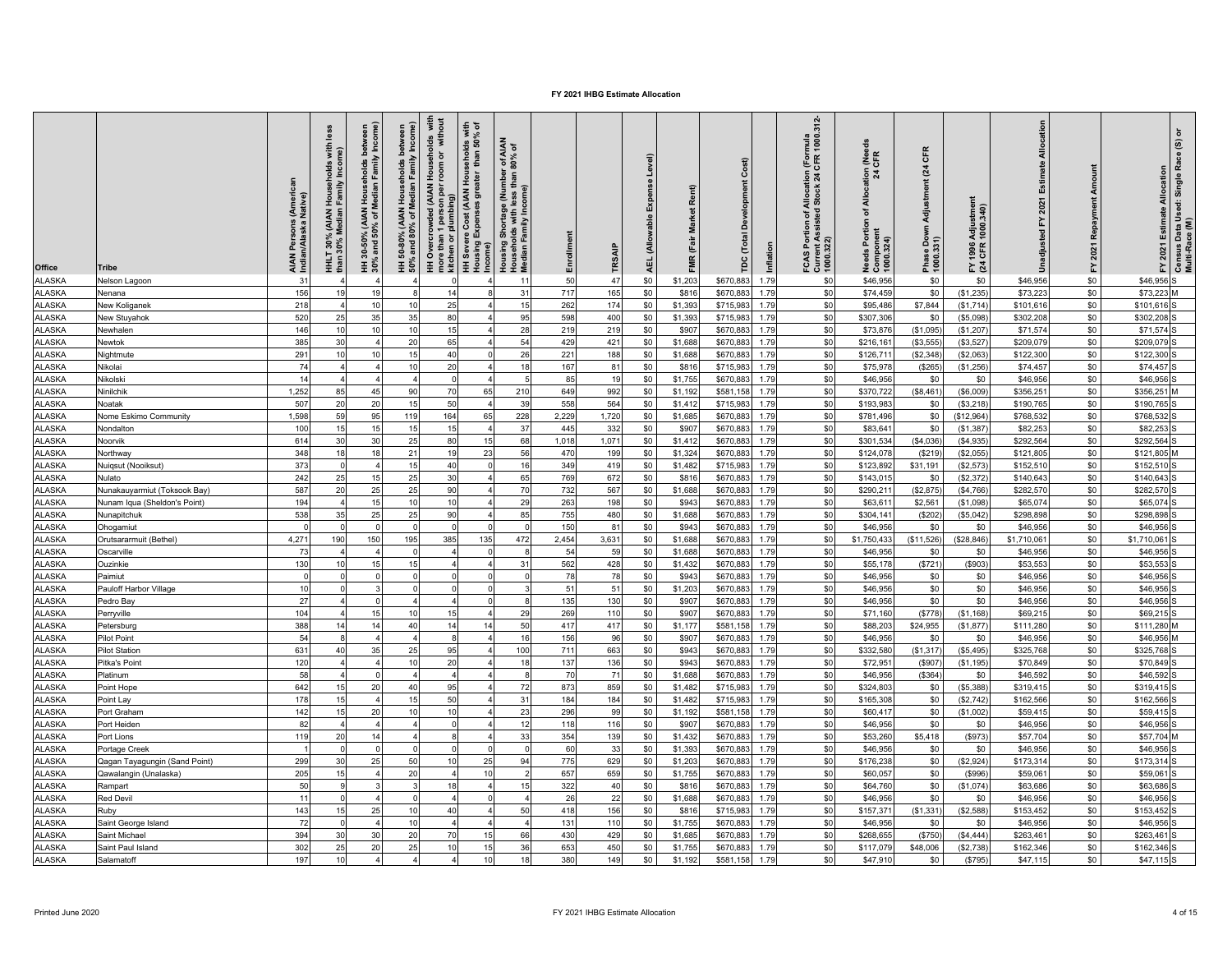| Office                         | <b>Tribe</b>                  | i (Americ<br>Native)<br>AIAN Persons<br>Indian/Alaska l | less<br>with<br>Househ<br>Family<br>HHLT 30% (AIAN<br>than 30% Median | <b>\</b> Households between<br>Median Family Income)<br>HH 30-50% (AIAN<br>30% and 50% of M | HH 50-80% (AIAN Households between<br>50% and 80% of Median Family Income) | HH Overcrowded (AIAN Households with<br>more than 1 person per room or without<br>1 person p<br>plumbing)<br>more than 1<br>kitchen or J | HH Severe Cost (AIAN Households with<br>Housing Expenses greater than 50% of<br>Income) | Shortage (Number of AIAN<br>Ids with less than 80% of<br>'amily Income)<br>Housing S<br>Househol<br>Median Fa | Enrollment | TRSAIP    | Level)<br>Expense<br>(Allowable<br><b>AEL</b> | FMR (Fair Market Rent) | Cost<br><b>Develop</b><br>Total<br>r<br>Po | Inflation    | FCAS Portion of Allocation (Formula<br>Current Assisted Stock 24 CFR 1000.312-<br>1000.322) | Allocation (Needs<br>24 CFR<br>৳<br>eds Portion<br>Component<br>1000.324) | CFR<br>$\overline{a}$<br>Adjustment<br>Down<br>Phase Dov<br>1000.331) | 1996 Adjustment<br>· CFR 1000.340)<br>도 전 | Allocation<br>Estimate<br>2021<br>놊<br>Unadjusted | Amou<br>Repayment<br>2021<br>$\mathbf{\tilde{r}}$ | FY 2021 Estimate Allocation | Census Data Used: Single Race (S) or<br>Multi-Race (M) |
|--------------------------------|-------------------------------|---------------------------------------------------------|-----------------------------------------------------------------------|---------------------------------------------------------------------------------------------|----------------------------------------------------------------------------|------------------------------------------------------------------------------------------------------------------------------------------|-----------------------------------------------------------------------------------------|---------------------------------------------------------------------------------------------------------------|------------|-----------|-----------------------------------------------|------------------------|--------------------------------------------|--------------|---------------------------------------------------------------------------------------------|---------------------------------------------------------------------------|-----------------------------------------------------------------------|-------------------------------------------|---------------------------------------------------|---------------------------------------------------|-----------------------------|--------------------------------------------------------|
| <b>ALASKA</b>                  | Nelson Lagoon                 | 31                                                      |                                                                       |                                                                                             |                                                                            |                                                                                                                                          |                                                                                         | 11                                                                                                            | 50         | 47        | \$0                                           | \$1,203                | \$670,883                                  | 1.79         | \$0                                                                                         | \$46,956                                                                  | \$0                                                                   | \$0                                       | \$46,956                                          | \$0                                               | \$46,956                    |                                                        |
| <b>ALASKA</b>                  | Nenana                        | 156                                                     | 1 <sup>c</sup>                                                        | 19                                                                                          |                                                                            | 14                                                                                                                                       |                                                                                         | 31                                                                                                            | 717        | 165       | \$0                                           | \$816                  | \$670,883                                  | 1.79         | \$0                                                                                         | \$74,459                                                                  | \$0                                                                   | (\$1,235)                                 | \$73,223                                          | \$0                                               | \$73,223                    |                                                        |
| <b>ALASKA</b>                  | New Koliganek                 | 218                                                     |                                                                       | 10                                                                                          | 10                                                                         | 25                                                                                                                                       |                                                                                         | 1!                                                                                                            | 262        | 174       | \$0                                           | \$1,393                | \$715,983                                  | 1.79         | \$0                                                                                         | \$95,486                                                                  | \$7,844                                                               | (\$1,714                                  | \$101,616                                         | \$0                                               | \$101.616                   |                                                        |
| <b>ALASKA</b>                  | New Stuyahok                  | 520                                                     | 25                                                                    | 35                                                                                          | 35                                                                         | 80                                                                                                                                       |                                                                                         | 95                                                                                                            | 598        | 400       | \$0                                           | \$1,393                | \$715,98                                   | 1.79         | \$0                                                                                         | \$307,30                                                                  | \$0                                                                   | (\$5,098)                                 | \$302,20                                          | \$0                                               | \$302,208                   |                                                        |
| <b>ALASKA</b>                  | Newhalen                      | 146                                                     | 10                                                                    | 10                                                                                          | 10                                                                         | 15                                                                                                                                       |                                                                                         | 28                                                                                                            | 219        | 219       | \$0                                           | \$907                  | \$670,883                                  | 1.79         | \$0                                                                                         | \$73,876                                                                  | (\$1,095]                                                             | (\$1,207                                  | \$71,574                                          | \$0                                               | \$71,574                    |                                                        |
| <b>ALASKA</b>                  | Newtok                        | 385                                                     | 30                                                                    |                                                                                             | 20                                                                         | 65                                                                                                                                       |                                                                                         | 54                                                                                                            | 429        | 421       | \$0                                           | \$1,688                | \$670,883                                  | 1.79         | \$0                                                                                         | \$216,16                                                                  | (\$3,555                                                              | (\$3,527                                  | \$209,079                                         | \$0                                               | \$209,079                   |                                                        |
| <b>ALASKA</b>                  | Nightmute                     | 291                                                     | 10                                                                    | 10                                                                                          | 15                                                                         | 40                                                                                                                                       | $\Omega$                                                                                | 26                                                                                                            | 221        | 188       | \$0                                           | \$1,688                | \$670,883                                  | 1.79         | \$0                                                                                         | \$126,711                                                                 | (\$2,348)                                                             | (\$2,063                                  | \$122,300                                         | \$0                                               | \$122,300                   |                                                        |
| <b>ALASKA</b>                  | Nikolai                       | 74                                                      |                                                                       | $\overline{a}$                                                                              | 10                                                                         | 20                                                                                                                                       | $\overline{a}$                                                                          | 18                                                                                                            | 167        | 81        | \$0                                           | \$816                  | \$715,98                                   | 1.79         | \$0                                                                                         | \$75,978                                                                  | (S265)                                                                | (\$1,256                                  | \$74,457                                          | \$0                                               | \$74,457                    |                                                        |
| <b>ALASKA</b>                  | Nikolski                      | 14                                                      |                                                                       | $\overline{4}$                                                                              |                                                                            | $\circ$                                                                                                                                  |                                                                                         |                                                                                                               | 85         | 19        | \$0                                           | \$1,755                | \$670,883                                  | 1.79         | \$0                                                                                         | \$46,956                                                                  | \$0                                                                   | \$0                                       | \$46,956                                          | \$0                                               | \$46,956                    |                                                        |
| <b>ALASKA</b>                  | Ninilchik                     | 1,252                                                   | 85                                                                    | 45                                                                                          | 90                                                                         | 70                                                                                                                                       | 65                                                                                      | 210                                                                                                           | 649        | 992       | \$0                                           | \$1,192                | \$581,158                                  | 1.79         | \$0                                                                                         | \$370,722                                                                 | (\$8,461                                                              | (\$6,009                                  | \$356,25                                          | \$0                                               | \$356,251                   |                                                        |
| <b>ALASKA</b>                  | Noatak                        | 507                                                     | 20                                                                    | 20                                                                                          | 15                                                                         | 50                                                                                                                                       |                                                                                         | 39                                                                                                            | 558        | 564       | \$0                                           | \$1,412                | \$715,983                                  | 1.79         | \$0                                                                                         | \$193.983                                                                 | \$0                                                                   | (\$3,218)                                 | \$190.765                                         | \$0                                               | \$190,765                   |                                                        |
| <b>ALASKA</b>                  | Nome Eskimo Community         | 1,598                                                   | 59                                                                    | 95                                                                                          | 119                                                                        | 164                                                                                                                                      | 65                                                                                      | 228                                                                                                           | 2,229      | 1,720     | \$0                                           | \$1,685                | \$670,883                                  | 1.79         | \$0                                                                                         | \$781,496                                                                 | \$0                                                                   | \$12,964                                  | \$768,532                                         | \$0                                               | \$768,532                   |                                                        |
| <b>ALASKA</b>                  | Nondalton                     | 100                                                     | 15                                                                    | 15                                                                                          | 15                                                                         | 15                                                                                                                                       |                                                                                         | 37                                                                                                            | 445        | 332       | \$0                                           | \$907                  | \$670,88                                   | 1.79         | \$0                                                                                         | \$83,64                                                                   | \$0                                                                   | (\$1,387                                  | \$82,25                                           | \$0                                               | \$82,253                    |                                                        |
| <b>ALASKA</b>                  | Noorvik                       | 614                                                     | 30                                                                    | 30                                                                                          | 25                                                                         | 80                                                                                                                                       | 15                                                                                      | 68                                                                                                            | 1,018      | 1,071     | \$0                                           | \$1,412                | \$670,883                                  | 1.79         | \$0                                                                                         | \$301,534                                                                 | (\$4,036)                                                             | (S4, 935)                                 | \$292,564                                         | \$0                                               | \$292,564                   |                                                        |
| <b>ALASKA</b>                  | Northway                      | 348                                                     | 18                                                                    | 18                                                                                          | 21                                                                         | 19                                                                                                                                       | 23                                                                                      | 56                                                                                                            | 470        | 199       | \$0                                           | \$1,324                | \$670,883                                  | 1.79         | \$0                                                                                         | \$124,078                                                                 | (\$219                                                                | (\$2,055                                  | \$121,805                                         | \$0                                               | \$121,805                   |                                                        |
| <b>ALASKA</b>                  | Nuigsut (Nooiksut)            | 373                                                     |                                                                       | $\overline{4}$                                                                              | 15                                                                         | 40                                                                                                                                       | $\Omega$                                                                                | 16                                                                                                            | 349        | 419       | \$0                                           | \$1,482                | \$715,983                                  | 1.79         | \$0                                                                                         | \$123,892                                                                 | \$31,191                                                              | (\$2,573                                  | \$152,510                                         | \$0                                               | \$152,510                   |                                                        |
| <b>ALASKA</b>                  | Nulato                        | 242                                                     | 25                                                                    | 15                                                                                          | 25                                                                         | 30                                                                                                                                       | $\overline{a}$                                                                          | 65                                                                                                            | 769        | 672       | \$0                                           | \$816                  | \$670,88                                   | 1.79         | \$0                                                                                         | \$143,01                                                                  | \$0                                                                   | (\$2,372                                  | \$140,643                                         | \$0                                               | \$140,643                   |                                                        |
| <b>ALASKA</b>                  | Nunakauyarmiut (Toksook Bay)  | 587                                                     | 20                                                                    | 25                                                                                          | 25                                                                         | 90                                                                                                                                       |                                                                                         | 70                                                                                                            | 732        | 567       | \$0                                           | \$1,688                | \$670,883                                  | 1.79         | \$0                                                                                         | \$290.21                                                                  | (\$2,875)                                                             | (\$4,766)                                 | \$282,570                                         | \$0                                               | \$282.570                   |                                                        |
| <b>ALASKA</b>                  | Nunam Iqua (Sheldon's Point)  | 194                                                     |                                                                       | 15                                                                                          | 10                                                                         | 10                                                                                                                                       |                                                                                         | 29                                                                                                            | 263        | 198       | \$0                                           | \$943                  | \$670,88                                   | 1.79         | \$0                                                                                         | \$63,61                                                                   | \$2,561                                                               | (\$1,098                                  | \$65,07                                           | \$0                                               | \$65,074                    |                                                        |
| <b>ALASKA</b>                  | Nunapitchuk                   | 538                                                     | 35                                                                    | 25                                                                                          | 25                                                                         | 90                                                                                                                                       |                                                                                         | 85                                                                                                            | 755        | 480       | \$0                                           | \$1,688                | \$670,88                                   | 1.79         | \$0                                                                                         | \$304,141                                                                 | (S202)                                                                | (\$5,042                                  | \$298,89                                          | \$0                                               | \$298,898                   |                                                        |
| <b>ALASKA</b>                  | Ohogamiut                     |                                                         |                                                                       | $\Omega$                                                                                    |                                                                            |                                                                                                                                          |                                                                                         |                                                                                                               | 150        | 81        | \$0                                           | \$943                  | \$670,883                                  | 1.79         | \$0                                                                                         | \$46,956                                                                  | \$0                                                                   | \$0                                       | \$46,956                                          | \$0                                               | \$46,956                    |                                                        |
| <b>ALASKA</b>                  | Orutsararmuit (Bethel)        | 4,271                                                   | 190                                                                   | 150                                                                                         | 195                                                                        | 385                                                                                                                                      | 135                                                                                     | 472                                                                                                           | 2,454      | 3,631     | \$0                                           | \$1,688                | \$670,883                                  | 1.79         | \$0                                                                                         | \$1,750,43                                                                | (\$11,526                                                             | \$28,846                                  | \$1,710,06                                        | \$0                                               | \$1,710,061                 |                                                        |
| <b>ALASKA</b>                  | Oscarville                    | 73                                                      |                                                                       | $\overline{4}$                                                                              |                                                                            |                                                                                                                                          | $\Omega$                                                                                |                                                                                                               | 54         | 59        | \$0                                           | \$1,688                | \$670,883                                  | 1.79         | \$0                                                                                         | \$46,956                                                                  | \$0                                                                   | \$0                                       | \$46,956                                          | \$0                                               | \$46,956                    |                                                        |
| <b>ALASKA</b>                  | Ouzinkie                      | 130                                                     | 10                                                                    | 15                                                                                          | 15                                                                         | $\overline{a}$                                                                                                                           | $\overline{a}$                                                                          | 31                                                                                                            | 562        | 428       | \$0                                           | \$1,432                | \$670,88                                   | 1.79         | \$0                                                                                         | \$55,178                                                                  | (\$721                                                                | (\$903                                    | \$53,553                                          | \$0                                               | \$53,553                    |                                                        |
| <b>ALASKA</b>                  | Paimiut                       | $\Omega$                                                |                                                                       | $\Omega$                                                                                    |                                                                            | $\Omega$                                                                                                                                 | $\Omega$                                                                                |                                                                                                               | 78         | 78        | \$0                                           | \$943                  | \$670,883                                  | 1.79         | \$0                                                                                         | \$46,956                                                                  | \$0                                                                   | \$0                                       | \$46,956                                          | \$0                                               | \$46,956                    |                                                        |
| <b>ALASKA</b>                  | Pauloff Harbor Village        | 10                                                      | $\Omega$                                                              | 3                                                                                           |                                                                            | $\Omega$                                                                                                                                 | $\Omega$                                                                                |                                                                                                               | 51         | 51        | \$0                                           | \$1,203                | \$670,883                                  | 1.79         | \$0                                                                                         | \$46,956                                                                  | \$0                                                                   | \$0                                       | \$46,956                                          | \$0                                               | \$46,956                    |                                                        |
| <b>ALASKA</b>                  | Pedro Bay                     | 27                                                      |                                                                       | $\Omega$                                                                                    |                                                                            | $\overline{4}$                                                                                                                           | $\Omega$                                                                                |                                                                                                               | 135        | 130       | \$0                                           | \$907                  | \$670,883                                  | 1.79         | \$0                                                                                         | \$46,956                                                                  | \$0                                                                   | \$0                                       | \$46,956                                          | \$0                                               | \$46.956                    |                                                        |
| <b>ALASKA</b>                  | Perryville                    | 104                                                     |                                                                       | 15                                                                                          | 10                                                                         | 15                                                                                                                                       |                                                                                         | 29                                                                                                            | 269        | 110       | \$0                                           | \$907                  | \$670,883                                  | 1.79         | \$0                                                                                         | \$71,160                                                                  | (S778)                                                                | (S1, 168)                                 | \$69,215                                          | \$0                                               | \$69,215                    |                                                        |
| ALASKA                         | Petersburg                    | 388                                                     |                                                                       | 14                                                                                          | 40                                                                         | 14                                                                                                                                       | 14                                                                                      | 5 <sub>0</sub>                                                                                                | 417        | 417       | \$0                                           | \$1,177                | \$581,158                                  | 1.79         | \$0                                                                                         | \$88,20                                                                   | \$24,955                                                              | (\$1,877                                  | \$111,280                                         | \$0                                               | \$111,280                   |                                                        |
| <b>ALASKA</b>                  | <b>Pilot Point</b>            | 54                                                      |                                                                       | 4                                                                                           |                                                                            |                                                                                                                                          | $\overline{A}$                                                                          | 16                                                                                                            | 156        | 96        | \$0                                           | \$907                  | \$670,883                                  | 1.79         | \$0                                                                                         | \$46,956                                                                  | \$0                                                                   | \$0                                       | \$46,956                                          | \$0                                               | \$46,956                    |                                                        |
| <b>ALASKA</b>                  | <b>Pilot Station</b>          | 631                                                     | 40                                                                    | 35<br>$\overline{4}$                                                                        | 25<br>10                                                                   | 95                                                                                                                                       | 4                                                                                       | 100<br>18                                                                                                     | 711        | 663       | \$0                                           | \$943                  | \$670,883                                  | 1.79         | \$0                                                                                         | \$332,580                                                                 | (\$1,317                                                              | (\$5,495)                                 | \$325,768                                         | \$0                                               | \$325,768                   |                                                        |
| <b>ALASKA</b><br><b>ALASKA</b> | Pitka's Point<br>Platinum     | 120<br>58                                               |                                                                       | $\Omega$                                                                                    |                                                                            | 20<br>$\overline{4}$                                                                                                                     | $\overline{\mathbf{A}}$                                                                 |                                                                                                               | 137<br>70  | 136<br>71 | \$0<br>\$0                                    | \$943<br>\$1,688       | \$670,883<br>\$670,88                      | 1.79<br>1.79 | \$0<br>\$0                                                                                  | \$72,95<br>\$46,95                                                        | (\$907)<br>(\$364                                                     | (S1, 195)<br>\$0                          | \$70,849<br>\$46,59                               | \$0<br>\$0                                        | \$70,849<br>\$46,592        |                                                        |
| <b>ALASKA</b>                  | Point Hope                    | 642                                                     | 15                                                                    | 20                                                                                          | 40                                                                         | 95                                                                                                                                       |                                                                                         | 72                                                                                                            | 873        | 859       | \$0                                           | \$1,482                | \$715,983                                  | 1.79         | \$0                                                                                         | \$324,803                                                                 | \$0                                                                   | (\$5,388)                                 | \$319.415                                         | \$0                                               | \$319,415                   |                                                        |
| <b>ALASKA</b>                  | Point Lay                     | 178                                                     | 15                                                                    | $\overline{4}$                                                                              | 15                                                                         | 50                                                                                                                                       |                                                                                         | 31                                                                                                            | 184        | 184       | \$0                                           | \$1,482                | \$715,98                                   | 1.79         | \$0                                                                                         | \$165,308                                                                 | \$0                                                                   | (\$2,742                                  | \$162,566                                         | \$0                                               | \$162,566                   |                                                        |
| <b>ALASKA</b>                  | Port Graham                   | 142                                                     |                                                                       | 20                                                                                          | 10                                                                         | 10                                                                                                                                       |                                                                                         | 2:                                                                                                            | 296        | 99        | \$0                                           | \$1,192                | \$581,158                                  | 1.79         | \$0                                                                                         | \$60,41                                                                   | \$0                                                                   | (\$1,002)                                 | \$59,415                                          | \$0                                               | \$59,415                    |                                                        |
| <b>ALASKA</b>                  | Port Heiden                   | 82                                                      |                                                                       | $\overline{4}$                                                                              |                                                                            |                                                                                                                                          |                                                                                         | 12                                                                                                            | 118        | 116       | \$0                                           | \$907                  | \$670,88                                   | 1.79         | \$0                                                                                         | \$46,956                                                                  | \$0                                                                   | \$0                                       | \$46,956                                          | \$0                                               | \$46,956                    |                                                        |
| <b>ALASKA</b>                  | Port Lions                    | 119                                                     | 20                                                                    | 14                                                                                          |                                                                            |                                                                                                                                          |                                                                                         | 3 <sup>′</sup>                                                                                                | 354        | 139       | \$0                                           | \$1,432                | \$670,88                                   | 1.79         | \$0                                                                                         | \$53,26                                                                   | \$5,418                                                               | (\$973                                    | \$57,70                                           | \$0                                               | \$57,704                    |                                                        |
| <b>ALASKA</b>                  | Portage Creek                 |                                                         |                                                                       | $\Omega$                                                                                    |                                                                            |                                                                                                                                          |                                                                                         |                                                                                                               | 60         | 33        | \$0                                           | \$1,393                | \$670,883                                  | 1.79         | \$0                                                                                         | \$46,956                                                                  | \$0                                                                   | \$0                                       | \$46,956                                          | \$0                                               | \$46,956                    |                                                        |
| <b>ALASKA</b>                  | Qagan Tayagungin (Sand Point) | 299                                                     | 30                                                                    | 25                                                                                          | 50                                                                         | 10                                                                                                                                       | 25                                                                                      | 94                                                                                                            | 775        | 629       | \$0                                           | \$1,203                | \$670,88                                   | 1.79         | \$0                                                                                         | \$176,238                                                                 | \$0                                                                   | (\$2,924                                  | \$173,314                                         | \$0                                               | \$173,314                   |                                                        |
| <b>ALASKA</b>                  | Qawalangin (Unalaska)         | 205                                                     | 15                                                                    | $\overline{a}$                                                                              | 20                                                                         | $\overline{4}$                                                                                                                           | 10                                                                                      |                                                                                                               | 657        | 659       | \$0                                           | \$1,755                | \$670,88                                   | 1.79         | \$0                                                                                         | \$60,057                                                                  | \$0                                                                   | (\$996)                                   | \$59,06                                           | \$0                                               | \$59,061                    |                                                        |
| <b>ALASKA</b>                  | Rampart                       | 50                                                      | $\mathbf{Q}$                                                          | 3                                                                                           |                                                                            | 18                                                                                                                                       |                                                                                         | 15                                                                                                            | 322        | 40        | \$0                                           | \$816                  | \$670,883                                  | 1.79         | \$0                                                                                         | \$64,760                                                                  | \$0                                                                   | (\$1,074                                  | \$63,686                                          | \$0                                               | \$63,686                    |                                                        |
| <b>ALASKA</b>                  | <b>Red Devil</b>              | 11                                                      |                                                                       |                                                                                             |                                                                            |                                                                                                                                          |                                                                                         |                                                                                                               | 26         | 22        | \$0                                           | \$1,688                | \$670,883                                  | 1.79         | \$0                                                                                         | \$46,956                                                                  | \$0                                                                   | \$0                                       | \$46,956                                          | \$0                                               | \$46,956                    |                                                        |
| <b>ALASKA</b>                  | Ruby                          | 143                                                     | 15                                                                    | 25                                                                                          | 10                                                                         | 40                                                                                                                                       |                                                                                         | 50                                                                                                            | 418        | 156       | \$0                                           | \$816                  | \$715,983                                  | 1.79         | \$0                                                                                         | \$157.37                                                                  | (S1.331)                                                              | \$2,588                                   | \$153.452                                         | \$0                                               | \$153,452                   |                                                        |
| <b>ALASKA</b>                  | Saint George Island           | 72                                                      |                                                                       |                                                                                             | 10                                                                         |                                                                                                                                          |                                                                                         |                                                                                                               | 131        | 110       | \$0                                           | \$1,755                | \$670,88                                   | 1.79         | \$0                                                                                         | \$46,956                                                                  | \$0                                                                   | \$0                                       | \$46,95                                           | \$0                                               | \$46,956                    |                                                        |
| <b>ALASKA</b>                  | Saint Michael                 | 394                                                     | 30                                                                    | 30                                                                                          | 20                                                                         | 70                                                                                                                                       | 15                                                                                      | 66                                                                                                            | 430        | 429       | \$0                                           | \$1,685                | \$670,88                                   | 1.79         | \$0                                                                                         | \$268,655                                                                 | (\$750)                                                               | (\$4,444)                                 | \$263,46                                          | \$0                                               | \$263,461                   |                                                        |
| <b>ALASKA</b>                  | Saint Paul Island             | 302                                                     | 25                                                                    | 20                                                                                          | 25                                                                         | 10                                                                                                                                       | 15                                                                                      | 36                                                                                                            | 653        | 450       | \$0                                           | \$1,75                 | \$670,88                                   | 1.79         | \$0                                                                                         | \$117,079                                                                 | \$48,006                                                              | \$2,738                                   | \$162,346                                         | \$0                                               | \$162,346                   |                                                        |
| <b>ALASKA</b>                  | Salamatoff                    | 197                                                     | 10                                                                    | $\overline{4}$                                                                              |                                                                            |                                                                                                                                          | 10                                                                                      | 18                                                                                                            | 380        | 149       | \$0                                           | \$1,192                | \$581,158                                  | 1.79         | \$0                                                                                         | \$47,910                                                                  | \$0                                                                   | (\$795)                                   | \$47,115                                          | \$0                                               | \$47,115                    |                                                        |
|                                |                               |                                                         |                                                                       |                                                                                             |                                                                            |                                                                                                                                          |                                                                                         |                                                                                                               |            |           |                                               |                        |                                            |              |                                                                                             |                                                                           |                                                                       |                                           |                                                   |                                                   |                             |                                                        |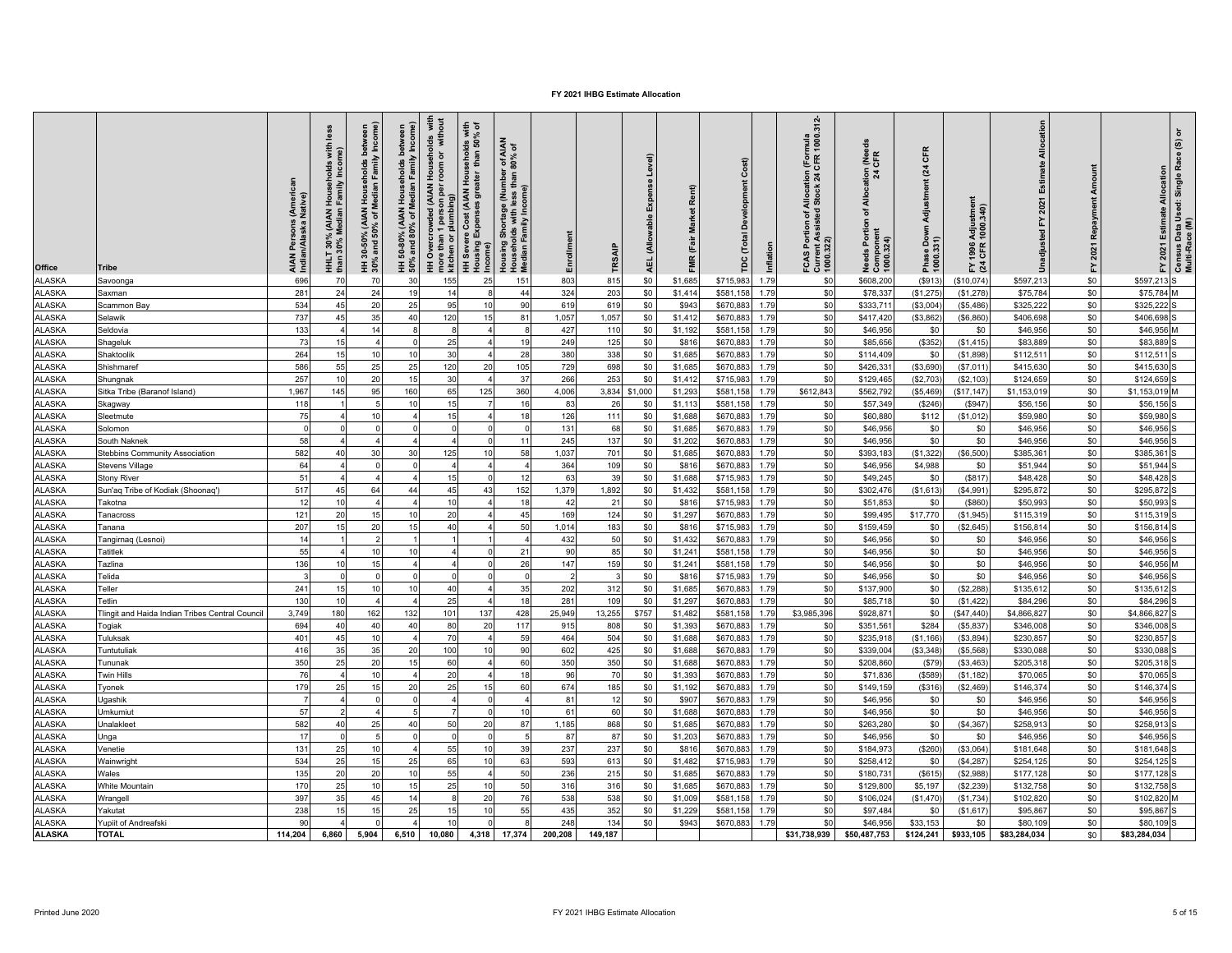| \$0<br><b>ALASKA</b><br>696<br>70<br>70<br>30<br>155<br>25<br>151<br>803<br>\$1,685<br>\$715,983<br>\$0<br>\$608,20<br>\$597,213<br>\$597,213 S<br>\$0<br>1.79<br>(S913)<br>\$10,074<br>815<br>Savoonga<br><b>ALASKA</b><br>\$0<br>281<br>24<br>24<br>14<br>44<br>324<br>203<br>\$0<br>\$581,158<br>1.79<br>\$0<br>(\$1,275)<br>\$75,784<br>\$75,784 M<br>19<br>8<br>\$1,414<br>\$78,337<br>(\$1,278)<br>Saxman<br>\$0<br><b>ALASKA</b><br>20<br>95<br>90<br>619<br>\$0<br>\$325,222<br>534<br>45<br>25<br>10<br>619<br>\$0<br>\$943<br>\$670,883<br>1.79<br>\$333,711<br>(\$3,004<br>\$325,22<br>(\$5,486<br>Scammon Bay<br><b>ALASKA</b><br>\$0<br>737<br>35<br>1,057<br>1,057<br>\$0<br>\$0<br>\$406,698<br>45<br>40<br>120<br>15<br>81<br>\$1,412<br>\$670,883<br>1.79<br>\$417,420<br>(\$3,862)<br>(\$6,860]<br>\$406,698<br>Selawik<br><b>ALASKA</b><br>\$0<br>\$0<br>133<br>14<br>427<br>\$0<br>1.79<br>\$46,956<br>110<br>\$1,192<br>\$581,158<br>\$46,95<br>\$0<br>\$0<br>\$46,95<br>Seldovia<br><b>ALASKA</b><br>\$0<br>\$0<br>(\$352)<br>\$83,889<br>73<br>25<br>249<br>125<br>\$0<br>\$816<br>\$670,883<br>1.79<br>\$85,656<br>\$83,889<br>Shageluk<br>15<br>$\overline{a}$<br>1 <sup>c</sup><br>(\$1,415)<br><b>ALASKA</b><br>\$0<br>264<br>10<br>30<br>28<br>380<br>338<br>\$0<br>\$112,511<br>10<br>\$0<br>\$1,685<br>\$670,883<br>1.79<br>\$0<br>\$112,51<br>Shaktoolik<br>\$114,409<br>(\$1,898<br><b>ALASKA</b><br>\$0<br>\$415,630<br>586<br>55<br>25<br>120<br>20<br>729<br>\$0<br>\$1,685<br>\$670,883<br>\$0<br>\$426,33<br>(\$3,690)<br>Shishmaref<br>25<br>105<br>698<br>1.79<br>(\$7,011<br>\$415,630<br><b>ALASKA</b><br>\$0<br>257<br>20<br>30<br>$3^{\circ}$<br>266<br>253<br>\$0<br>\$715,983<br>1.79<br>\$0<br>(\$2,703)<br>\$124,659<br>Shungnak<br>15<br>\$1,412<br>\$129,46<br>(\$2,103)<br>\$124,65<br><b>ALASKA</b><br>\$0<br>1,967<br>95<br>125<br>360<br>3,834<br>\$1,000<br>\$581,158<br>\$612,843<br>\$1,153,019<br>160<br>65<br>4,006<br>\$1,293<br>1.79<br>\$562,792<br>(\$5,469)<br>\$17,147<br>\$1,153,019<br>Sitka Tribe (Baranof Island)<br>145<br><b>ALASKA</b><br>\$0<br>15<br>26<br>1.79<br>\$56,156<br>118<br>10<br>83<br>\$0<br>\$1,113<br>\$581,158<br>\$0<br>\$57,349<br>(\$246)<br>(\$947<br>\$56,156<br>Skagway<br>16<br>\$0<br><b>ALASKA</b><br>\$0<br>75<br>10<br>15<br>126<br>\$0<br>\$1,688<br>\$670,883<br>1.79<br>\$60,880<br>\$112<br>\$59,980<br>\$59,980<br>Sleetmute<br>$\overline{a}$<br>18<br>111<br>(\$1,012]<br><b>ALASKA</b><br>\$0<br>$\Omega$<br>131<br>68<br>\$0<br>\$1,685<br>\$670,883<br>1.79<br>\$0<br>\$46,956<br>\$0<br>\$0<br>\$46,956<br>$\Omega$<br>\$46,956<br>Solomon<br>\$0<br><b>ALASKA</b><br>\$0<br>58<br>$\overline{4}$<br>245<br>137<br>\$0<br>1.79<br>\$0<br>\$0<br>\$46,956<br>South Naknek<br>$\Omega$<br>11<br>\$1,202<br>\$670,88<br>\$46,956<br>\$46,956<br><b>ALASKA</b><br>\$0<br>582<br>30<br>30<br>125<br>1,037<br>1.79<br>\$0<br>(\$1,322)<br>\$385,361<br>Stebbins Community Association<br>40<br>10<br>58<br>701<br>\$0<br>\$1,685<br>\$670,883<br>\$393,183<br>(\$6,500)<br>\$385,36<br>\$0<br>\$0<br><b>ALASKA</b><br>364<br>\$4,988<br>\$51,944<br>64<br>$\Omega$<br>$\boldsymbol{\Lambda}$<br>109<br>\$0<br>\$816<br>\$670,88<br>1.79<br>\$46,956<br>\$0<br>\$51,944<br><b>Stevens Village</b><br><b>ALASKA</b><br>\$0<br>51<br>15<br>63<br>39<br>\$0<br>\$0<br>\$48,428<br>Stony River<br>$\overline{a}$<br>\$0<br>\$1,688<br>\$715,983<br>1.79<br>\$49,245<br>(S817)<br>\$48,428<br>$\Omega$<br>\$0<br><b>ALASKA</b><br>517<br>64<br>45<br>1,379<br>1,892<br>\$0<br>\$295,872<br>45<br>44<br>43<br>152<br>\$0<br>\$1,432<br>\$581,158<br>1.79<br>\$302,476<br>(\$1,613<br>(\$4,991<br>\$295,87<br>Sun'aq Tribe of Kodiak (Shoonaq')<br><b>ALASKA</b><br>\$0<br>10<br>\$0<br>\$0<br>\$0<br>\$50,993<br>12<br>42<br>21<br>\$816<br>\$715,983<br>1.79<br>\$51,853<br>(\$860"<br>\$50,993<br>10<br>18<br>Takotna<br>$\boldsymbol{\Delta}$<br>4<br>\$0<br><b>ALASKA</b><br>121<br>15<br>20<br>169<br>\$0<br>\$17,770<br>20<br>10<br>45<br>124<br>\$0<br>\$1,297<br>\$670,883<br>1.79<br>\$99,495<br>(\$1,945<br>\$115,31<br>\$115,319<br>Tanacross<br>$\Delta$<br><b>ALASKA</b><br>40<br>\$0<br>207<br>20<br>50<br>1,014<br>183<br>\$0<br>\$715,983<br>\$0<br>\$156,814<br>15<br>15<br>\$816<br>1.79<br>\$159,459<br>\$0<br>(\$2,645)<br>\$156,814<br>Tanana<br>\$0<br><b>ALASKA</b><br>\$0<br>\$46,956<br>14<br>432<br>50<br>\$0<br>\$670,883<br>1.79<br>\$0<br>\$0<br>\$1,432<br>\$46,956<br>\$46,95<br>Tangirnaq (Lesnoi)<br><b>ALASKA</b><br>\$0<br>55<br>\$0<br>\$0<br>\$46,956<br>10<br>10<br>21<br>90<br>85<br>\$0<br>\$1,241<br>\$581,158<br>1.79<br>\$46,956<br>\$0<br>\$46,956<br>Tatitlek<br>$\Omega$<br><b>ALASKA</b><br>15<br>26<br>\$0<br>\$0<br>136<br>147<br>159<br>\$0<br>\$0<br>\$0<br>\$46,956<br>Tazlina<br>\$1,241<br>\$581,158<br>1.79<br>\$46,956<br>\$46,95<br><b>ALASKA</b><br>\$0<br>\$0<br>\$0<br>\$46,956<br>\$0<br>\$816<br>\$715,983<br>1.79<br>\$46,956<br>\$0<br>\$46,956<br>Telida<br>$\Omega$<br>$\Omega$<br>-3<br><b>ALASKA</b><br>\$0<br>10<br>40<br>35<br>202<br>\$0<br>\$135,612<br>241<br>10<br>312<br>\$0<br>\$1,685<br>\$670,883<br>1.79<br>\$0<br>\$137,900<br>\$135,612<br>Teller<br>(\$2,288)<br>\$0<br><b>ALASKA</b><br>25<br>\$0<br>\$0<br>\$84.296<br>130<br>18<br>281<br>109<br>\$0<br>\$1,297<br>\$670,883<br>1.79<br>\$85,718<br>(\$1,422<br>\$84,296<br>Tetlin<br>10<br><b>ALASKA</b><br>\$0<br>162<br>13,255<br>\$3,985,396<br>\$0<br>Tlingit and Haida Indian Tribes Central Council<br>3.749<br>180<br>132<br>101<br>137<br>428<br>25.949<br>\$757<br>\$1,482<br>\$581,158<br>1.79<br>\$928,87<br>(\$47,440)<br>\$4,866,827<br>\$4,866,827<br><b>ALASKA</b><br>\$0<br>40<br>694<br>40<br>40<br>80<br>20<br>117<br>915<br>\$0<br>\$1,393<br>\$670,883<br>1.79<br>\$0<br>\$351,56<br>\$284<br>\$346,008<br>\$346,008<br>Togiak<br>808<br>(\$5,837<br><b>ALASKA</b><br>\$0<br>10<br>70<br>\$0<br>\$230,857<br>401<br>45<br>59<br>464<br>504<br>\$0<br>\$1,688<br>\$670,883<br>1.79<br>\$235,918<br>(\$1, 166)<br>\$230,857<br>Tuluksak<br>(\$3,894<br>\$0<br><b>ALASKA</b><br>35<br>\$0<br>416<br>35<br>100<br>10<br>90<br>602<br>425<br>\$0<br>\$1,688<br>\$670,883<br>1.79<br>(\$3,348)<br>\$330,088<br>Tuntutuliak<br>20<br>\$339,004<br>(\$5,568<br>\$330,088<br><b>ALASKA</b><br>\$0<br>350<br>25<br>20<br>60<br>350<br>350<br>\$0<br>\$670,883<br>1.79<br>\$0<br>\$205,318<br>\$205,318<br>Tununak<br>15<br>60<br>\$1,688<br>\$208,86<br>(\$79)<br>(\$3,463)<br><b>ALASKA</b><br>10<br>\$0<br>\$0<br>76<br>20<br>96<br>70<br>\$0<br>1.79<br>\$70,065<br><b>Twin Hills</b><br>$\boldsymbol{\Lambda}$<br>18<br>\$1,393<br>\$670,88<br>\$71,83<br>(\$589)<br>(\$1, 182<br>\$70,065<br>\$0<br><b>ALASKA</b><br>179<br>15<br>20<br>25<br>185<br>\$0<br>\$146,374<br>25<br>15<br>60<br>674<br>\$0<br>\$1,192<br>\$670,883<br>1.79<br>\$149,159<br>(\$316)<br>(\$2,469)<br>\$146,374<br>Tyonek<br>\$0<br><b>ALASKA</b><br>\$0<br>\$46,956<br>Ugashik<br>$\Omega$<br>$\overline{4}$<br>$\Omega$<br>81<br>12<br>\$0<br>\$907<br>\$670,88<br>1.79<br>\$46,956<br>\$0<br>\$0<br>\$46,956<br>$\overline{7}$<br><b>ALASKA</b><br>\$0<br>\$0<br>57<br>61<br>60<br>\$0<br>\$670,883<br>1.79<br>\$0<br>\$0<br>\$46,956<br>$\overline{4}$<br>$\Omega$<br>10<br>\$1,688<br>\$46,956<br>\$46,956<br>Umkumiut<br>25<br>\$0<br><b>ALASKA</b><br>582<br>50<br>20<br>87<br>1,185<br>868<br>\$0<br>\$0<br>(\$4,367<br>\$258,913<br>40<br>40<br>\$0<br>\$1,685<br>\$670,883<br>1.79<br>\$263,280<br>\$258,91<br>Unalakleet<br><b>ALASKA</b><br>\$0<br>\$0<br>\$0<br>\$46,956<br>17<br>5<br>$\Omega$<br>87<br>87<br>\$0<br>\$1,203<br>\$670,883<br>\$46,956<br>\$0<br>\$46,956<br>$\Omega$<br>1.79<br>Unga<br>\$0<br><b>ALASKA</b><br>10<br>55<br>237<br>\$0<br>131<br>25<br>10<br>39<br>237<br>\$0<br>\$670,883<br>1.79<br>\$184,973<br>(\$260)<br>\$181,648<br>\$181,648<br>Venetie<br>\$816<br>(\$3,064<br><b>ALASKA</b><br>\$0<br>534<br>15<br>65<br>10<br>593<br>613<br>\$0<br>\$715,983<br>\$0<br>\$0<br>\$254,125<br>25<br>25<br>63<br>\$1,482<br>1.79<br>\$258,412<br>(\$4,287<br>\$254,125<br>Wainwright<br><b>ALASKA</b><br>20<br>55<br>50<br>236<br>\$0<br>\$0<br>\$177,128<br>Wales<br>135<br>20<br>10<br>215<br>\$0<br>\$1,685<br>\$670,883<br>1.79<br>\$177,12<br>$\boldsymbol{\Lambda}$<br>\$180,73<br>(\$615<br>\$2,988<br><b>ALASKA</b><br>\$0<br>\$0<br>\$132,758<br>170<br>25<br>10<br>25<br>50<br>316<br>316<br>\$0<br>\$1,685<br>\$670,883<br>\$129,800<br>\$5,197<br>(\$2,239<br>\$132,758<br>White Mountain<br>15<br>10<br>1.79<br><b>ALASKA</b><br>\$0<br>35<br>20<br>76<br>538<br>\$0<br>\$102,820<br>Wrangell<br>397<br>45<br>538<br>\$0<br>\$581,158<br>1.79<br>\$106,024<br>(\$1,470<br>\$102,82<br>\$1,009<br>(\$1,734<br><b>ALASKA</b><br>15<br>\$0<br>238<br>25<br>15<br>55<br>435<br>352<br>\$0<br>\$0<br>Yakutat<br>10<br>\$1,229<br>\$581.158<br>1.79<br>\$97,48<br>\$0<br>(\$1,617<br>\$95,867<br>\$95.867<br>15<br><b>ALASKA</b><br>248<br>\$0<br>1.79<br>\$0<br>\$80,109<br>Yupiit of Andreafski<br>90<br>10<br>134<br>\$0<br>\$943<br>\$670,883<br>\$46.95<br>\$33.153<br>\$0<br>\$80,109 | <b>Office</b> | Tribe        | : (Americ<br>Native)<br>AIAN Persons<br>Indian/Alaska N | less<br>with<br>Inco<br>Househ<br>I Family<br>HHLT 30% (AIAN H<br>than 30% Median F | HH 30-50% (AIAN Households between<br>30% and 50% of Median Family Income) | HH 50-80% (AIAN Households between<br>50% and 80% of Median Family Income)<br>betwe | HH Overcrowded (AIAN Households with<br>more than 1 person per room or without<br>more than 1 person p<br>kitchen or plumbing) | HH Severe Cost (AIAN Households with<br>Housing Expenses greater  than 50% of<br>Income) | Housing Shortage (Number of AIAN<br>Households with less than 80% of<br>Median Family Income) | Enrollment | TRSAIF  | Level)<br>Expense<br>(Allowable<br><b>AEL</b> | FMR (Fair Market Rent) | Develop<br>(Total<br>pc | Inflation | FCAS Portion of Allocation (Formula<br>Current Assisted Stock 24 CFR 1000.312-<br>1000.322) | Allocation (Needs<br>24 CFR<br>৳<br>Needs Portion of<br>Component<br>1000.324) | CFR<br>(24)<br>Adjustment<br>Phase Down<br>1000.331) | 1996 Adjustmer<br>CFR 1000.340)<br>$\geq \frac{3}{2}$ | Allocation<br>Estimate<br>2021<br>놊<br>Unadjusted | Repayment<br>2021<br>ř | FY 2021 Estimate Allocation | Census Data Used: Single Race (S) or<br>Multi-Race (M) |
|-----------------------------------------------------------------------------------------------------------------------------------------------------------------------------------------------------------------------------------------------------------------------------------------------------------------------------------------------------------------------------------------------------------------------------------------------------------------------------------------------------------------------------------------------------------------------------------------------------------------------------------------------------------------------------------------------------------------------------------------------------------------------------------------------------------------------------------------------------------------------------------------------------------------------------------------------------------------------------------------------------------------------------------------------------------------------------------------------------------------------------------------------------------------------------------------------------------------------------------------------------------------------------------------------------------------------------------------------------------------------------------------------------------------------------------------------------------------------------------------------------------------------------------------------------------------------------------------------------------------------------------------------------------------------------------------------------------------------------------------------------------------------------------------------------------------------------------------------------------------------------------------------------------------------------------------------------------------------------------------------------------------------------------------------------------------------------------------------------------------------------------------------------------------------------------------------------------------------------------------------------------------------------------------------------------------------------------------------------------------------------------------------------------------------------------------------------------------------------------------------------------------------------------------------------------------------------------------------------------------------------------------------------------------------------------------------------------------------------------------------------------------------------------------------------------------------------------------------------------------------------------------------------------------------------------------------------------------------------------------------------------------------------------------------------------------------------------------------------------------------------------------------------------------------------------------------------------------------------------------------------------------------------------------------------------------------------------------------------------------------------------------------------------------------------------------------------------------------------------------------------------------------------------------------------------------------------------------------------------------------------------------------------------------------------------------------------------------------------------------------------------------------------------------------------------------------------------------------------------------------------------------------------------------------------------------------------------------------------------------------------------------------------------------------------------------------------------------------------------------------------------------------------------------------------------------------------------------------------------------------------------------------------------------------------------------------------------------------------------------------------------------------------------------------------------------------------------------------------------------------------------------------------------------------------------------------------------------------------------------------------------------------------------------------------------------------------------------------------------------------------------------------------------------------------------------------------------------------------------------------------------------------------------------------------------------------------------------------------------------------------------------------------------------------------------------------------------------------------------------------------------------------------------------------------------------------------------------------------------------------------------------------------------------------------------------------------------------------------------------------------------------------------------------------------------------------------------------------------------------------------------------------------------------------------------------------------------------------------------------------------------------------------------------------------------------------------------------------------------------------------------------------------------------------------------------------------------------------------------------------------------------------------------------------------------------------------------------------------------------------------------------------------------------------------------------------------------------------------------------------------------------------------------------------------------------------------------------------------------------------------------------------------------------------------------------------------------------------------------------------------------------------------------------------------------------------------------------------------------------------------------------------------------------------------------------------------------------------------------------------------------------------------------------------------------------------------------------------------------------------------------------------------------------------------------------------------------------------------------------------------------------------------------------------------------------------------------------------------------------------------------------------------------------------------------------------------------------------------------------------------------------------------------------------------------------------------------------------------------------------------------------------------------------------------------------------------------------------------------------------------------------------------------------------------------------------------------------------------------------------------------------------------------------------------------------------------------------------------------------------------------------------------------------------------------------------------------------------------------------------------------------------------------------------------------------------------------------------------------------------------------------------------------------------------------------------------------------------------------------------------------------------------------------------------------------------------------------------------------------------------------------------------------------------------------------------------------------------------------------------------------------------------------------------------------------------------------------------------------------------------------------------------------------------------------------------------------------------------------------------------------------------------------------------------------------------------------------------------------------------------------------------------------------------------------------------------------------------------------------------------------------------------------------------------------------------------------------------------------------------------------------------------------------------------------------------------------------------------------------------------------------------------------------------------------------------------------------------------------------------------------------------------------------------|---------------|--------------|---------------------------------------------------------|-------------------------------------------------------------------------------------|----------------------------------------------------------------------------|-------------------------------------------------------------------------------------|--------------------------------------------------------------------------------------------------------------------------------|------------------------------------------------------------------------------------------|-----------------------------------------------------------------------------------------------|------------|---------|-----------------------------------------------|------------------------|-------------------------|-----------|---------------------------------------------------------------------------------------------|--------------------------------------------------------------------------------|------------------------------------------------------|-------------------------------------------------------|---------------------------------------------------|------------------------|-----------------------------|--------------------------------------------------------|
|                                                                                                                                                                                                                                                                                                                                                                                                                                                                                                                                                                                                                                                                                                                                                                                                                                                                                                                                                                                                                                                                                                                                                                                                                                                                                                                                                                                                                                                                                                                                                                                                                                                                                                                                                                                                                                                                                                                                                                                                                                                                                                                                                                                                                                                                                                                                                                                                                                                                                                                                                                                                                                                                                                                                                                                                                                                                                                                                                                                                                                                                                                                                                                                                                                                                                                                                                                                                                                                                                                                                                                                                                                                                                                                                                                                                                                                                                                                                                                                                                                                                                                                                                                                                                                                                                                                                                                                                                                                                                                                                                                                                                                                                                                                                                                                                                                                                                                                                                                                                                                                                                                                                                                                                                                                                                                                                                                                                                                                                                                                                                                                                                                                                                                                                                                                                                                                                                                                                                                                                                                                                                                                                                                                                                                                                                                                                                                                                                                                                                                                                                                                                                                                                                                                                                                                                                                                                                                                                                                                                                                                                                                                                                                                                                                                                                                                                                                                                                                                                                                                                                                                                                                                                                                                                                                                                                                                                                                                                                                                                                                                                                                                                                                                                                                                                                                                                                                                                                                                                                                                                                                                                                                                                                                                                                                                                                                                                                                                                                                                                                                                                                                                                                                       |               |              |                                                         |                                                                                     |                                                                            |                                                                                     |                                                                                                                                |                                                                                          |                                                                                               |            |         |                                               |                        |                         |           |                                                                                             |                                                                                |                                                      |                                                       |                                                   |                        |                             |                                                        |
|                                                                                                                                                                                                                                                                                                                                                                                                                                                                                                                                                                                                                                                                                                                                                                                                                                                                                                                                                                                                                                                                                                                                                                                                                                                                                                                                                                                                                                                                                                                                                                                                                                                                                                                                                                                                                                                                                                                                                                                                                                                                                                                                                                                                                                                                                                                                                                                                                                                                                                                                                                                                                                                                                                                                                                                                                                                                                                                                                                                                                                                                                                                                                                                                                                                                                                                                                                                                                                                                                                                                                                                                                                                                                                                                                                                                                                                                                                                                                                                                                                                                                                                                                                                                                                                                                                                                                                                                                                                                                                                                                                                                                                                                                                                                                                                                                                                                                                                                                                                                                                                                                                                                                                                                                                                                                                                                                                                                                                                                                                                                                                                                                                                                                                                                                                                                                                                                                                                                                                                                                                                                                                                                                                                                                                                                                                                                                                                                                                                                                                                                                                                                                                                                                                                                                                                                                                                                                                                                                                                                                                                                                                                                                                                                                                                                                                                                                                                                                                                                                                                                                                                                                                                                                                                                                                                                                                                                                                                                                                                                                                                                                                                                                                                                                                                                                                                                                                                                                                                                                                                                                                                                                                                                                                                                                                                                                                                                                                                                                                                                                                                                                                                                                                       |               |              |                                                         |                                                                                     |                                                                            |                                                                                     |                                                                                                                                |                                                                                          |                                                                                               |            |         |                                               |                        |                         |           |                                                                                             |                                                                                |                                                      |                                                       |                                                   |                        |                             |                                                        |
|                                                                                                                                                                                                                                                                                                                                                                                                                                                                                                                                                                                                                                                                                                                                                                                                                                                                                                                                                                                                                                                                                                                                                                                                                                                                                                                                                                                                                                                                                                                                                                                                                                                                                                                                                                                                                                                                                                                                                                                                                                                                                                                                                                                                                                                                                                                                                                                                                                                                                                                                                                                                                                                                                                                                                                                                                                                                                                                                                                                                                                                                                                                                                                                                                                                                                                                                                                                                                                                                                                                                                                                                                                                                                                                                                                                                                                                                                                                                                                                                                                                                                                                                                                                                                                                                                                                                                                                                                                                                                                                                                                                                                                                                                                                                                                                                                                                                                                                                                                                                                                                                                                                                                                                                                                                                                                                                                                                                                                                                                                                                                                                                                                                                                                                                                                                                                                                                                                                                                                                                                                                                                                                                                                                                                                                                                                                                                                                                                                                                                                                                                                                                                                                                                                                                                                                                                                                                                                                                                                                                                                                                                                                                                                                                                                                                                                                                                                                                                                                                                                                                                                                                                                                                                                                                                                                                                                                                                                                                                                                                                                                                                                                                                                                                                                                                                                                                                                                                                                                                                                                                                                                                                                                                                                                                                                                                                                                                                                                                                                                                                                                                                                                                                                       |               |              |                                                         |                                                                                     |                                                                            |                                                                                     |                                                                                                                                |                                                                                          |                                                                                               |            |         |                                               |                        |                         |           |                                                                                             |                                                                                |                                                      |                                                       |                                                   |                        |                             |                                                        |
|                                                                                                                                                                                                                                                                                                                                                                                                                                                                                                                                                                                                                                                                                                                                                                                                                                                                                                                                                                                                                                                                                                                                                                                                                                                                                                                                                                                                                                                                                                                                                                                                                                                                                                                                                                                                                                                                                                                                                                                                                                                                                                                                                                                                                                                                                                                                                                                                                                                                                                                                                                                                                                                                                                                                                                                                                                                                                                                                                                                                                                                                                                                                                                                                                                                                                                                                                                                                                                                                                                                                                                                                                                                                                                                                                                                                                                                                                                                                                                                                                                                                                                                                                                                                                                                                                                                                                                                                                                                                                                                                                                                                                                                                                                                                                                                                                                                                                                                                                                                                                                                                                                                                                                                                                                                                                                                                                                                                                                                                                                                                                                                                                                                                                                                                                                                                                                                                                                                                                                                                                                                                                                                                                                                                                                                                                                                                                                                                                                                                                                                                                                                                                                                                                                                                                                                                                                                                                                                                                                                                                                                                                                                                                                                                                                                                                                                                                                                                                                                                                                                                                                                                                                                                                                                                                                                                                                                                                                                                                                                                                                                                                                                                                                                                                                                                                                                                                                                                                                                                                                                                                                                                                                                                                                                                                                                                                                                                                                                                                                                                                                                                                                                                                                       |               |              |                                                         |                                                                                     |                                                                            |                                                                                     |                                                                                                                                |                                                                                          |                                                                                               |            |         |                                               |                        |                         |           |                                                                                             |                                                                                |                                                      |                                                       |                                                   |                        |                             |                                                        |
|                                                                                                                                                                                                                                                                                                                                                                                                                                                                                                                                                                                                                                                                                                                                                                                                                                                                                                                                                                                                                                                                                                                                                                                                                                                                                                                                                                                                                                                                                                                                                                                                                                                                                                                                                                                                                                                                                                                                                                                                                                                                                                                                                                                                                                                                                                                                                                                                                                                                                                                                                                                                                                                                                                                                                                                                                                                                                                                                                                                                                                                                                                                                                                                                                                                                                                                                                                                                                                                                                                                                                                                                                                                                                                                                                                                                                                                                                                                                                                                                                                                                                                                                                                                                                                                                                                                                                                                                                                                                                                                                                                                                                                                                                                                                                                                                                                                                                                                                                                                                                                                                                                                                                                                                                                                                                                                                                                                                                                                                                                                                                                                                                                                                                                                                                                                                                                                                                                                                                                                                                                                                                                                                                                                                                                                                                                                                                                                                                                                                                                                                                                                                                                                                                                                                                                                                                                                                                                                                                                                                                                                                                                                                                                                                                                                                                                                                                                                                                                                                                                                                                                                                                                                                                                                                                                                                                                                                                                                                                                                                                                                                                                                                                                                                                                                                                                                                                                                                                                                                                                                                                                                                                                                                                                                                                                                                                                                                                                                                                                                                                                                                                                                                                                       |               |              |                                                         |                                                                                     |                                                                            |                                                                                     |                                                                                                                                |                                                                                          |                                                                                               |            |         |                                               |                        |                         |           |                                                                                             |                                                                                |                                                      |                                                       |                                                   |                        |                             |                                                        |
|                                                                                                                                                                                                                                                                                                                                                                                                                                                                                                                                                                                                                                                                                                                                                                                                                                                                                                                                                                                                                                                                                                                                                                                                                                                                                                                                                                                                                                                                                                                                                                                                                                                                                                                                                                                                                                                                                                                                                                                                                                                                                                                                                                                                                                                                                                                                                                                                                                                                                                                                                                                                                                                                                                                                                                                                                                                                                                                                                                                                                                                                                                                                                                                                                                                                                                                                                                                                                                                                                                                                                                                                                                                                                                                                                                                                                                                                                                                                                                                                                                                                                                                                                                                                                                                                                                                                                                                                                                                                                                                                                                                                                                                                                                                                                                                                                                                                                                                                                                                                                                                                                                                                                                                                                                                                                                                                                                                                                                                                                                                                                                                                                                                                                                                                                                                                                                                                                                                                                                                                                                                                                                                                                                                                                                                                                                                                                                                                                                                                                                                                                                                                                                                                                                                                                                                                                                                                                                                                                                                                                                                                                                                                                                                                                                                                                                                                                                                                                                                                                                                                                                                                                                                                                                                                                                                                                                                                                                                                                                                                                                                                                                                                                                                                                                                                                                                                                                                                                                                                                                                                                                                                                                                                                                                                                                                                                                                                                                                                                                                                                                                                                                                                                                       |               |              |                                                         |                                                                                     |                                                                            |                                                                                     |                                                                                                                                |                                                                                          |                                                                                               |            |         |                                               |                        |                         |           |                                                                                             |                                                                                |                                                      |                                                       |                                                   |                        |                             |                                                        |
|                                                                                                                                                                                                                                                                                                                                                                                                                                                                                                                                                                                                                                                                                                                                                                                                                                                                                                                                                                                                                                                                                                                                                                                                                                                                                                                                                                                                                                                                                                                                                                                                                                                                                                                                                                                                                                                                                                                                                                                                                                                                                                                                                                                                                                                                                                                                                                                                                                                                                                                                                                                                                                                                                                                                                                                                                                                                                                                                                                                                                                                                                                                                                                                                                                                                                                                                                                                                                                                                                                                                                                                                                                                                                                                                                                                                                                                                                                                                                                                                                                                                                                                                                                                                                                                                                                                                                                                                                                                                                                                                                                                                                                                                                                                                                                                                                                                                                                                                                                                                                                                                                                                                                                                                                                                                                                                                                                                                                                                                                                                                                                                                                                                                                                                                                                                                                                                                                                                                                                                                                                                                                                                                                                                                                                                                                                                                                                                                                                                                                                                                                                                                                                                                                                                                                                                                                                                                                                                                                                                                                                                                                                                                                                                                                                                                                                                                                                                                                                                                                                                                                                                                                                                                                                                                                                                                                                                                                                                                                                                                                                                                                                                                                                                                                                                                                                                                                                                                                                                                                                                                                                                                                                                                                                                                                                                                                                                                                                                                                                                                                                                                                                                                                                       |               |              |                                                         |                                                                                     |                                                                            |                                                                                     |                                                                                                                                |                                                                                          |                                                                                               |            |         |                                               |                        |                         |           |                                                                                             |                                                                                |                                                      |                                                       |                                                   |                        |                             |                                                        |
|                                                                                                                                                                                                                                                                                                                                                                                                                                                                                                                                                                                                                                                                                                                                                                                                                                                                                                                                                                                                                                                                                                                                                                                                                                                                                                                                                                                                                                                                                                                                                                                                                                                                                                                                                                                                                                                                                                                                                                                                                                                                                                                                                                                                                                                                                                                                                                                                                                                                                                                                                                                                                                                                                                                                                                                                                                                                                                                                                                                                                                                                                                                                                                                                                                                                                                                                                                                                                                                                                                                                                                                                                                                                                                                                                                                                                                                                                                                                                                                                                                                                                                                                                                                                                                                                                                                                                                                                                                                                                                                                                                                                                                                                                                                                                                                                                                                                                                                                                                                                                                                                                                                                                                                                                                                                                                                                                                                                                                                                                                                                                                                                                                                                                                                                                                                                                                                                                                                                                                                                                                                                                                                                                                                                                                                                                                                                                                                                                                                                                                                                                                                                                                                                                                                                                                                                                                                                                                                                                                                                                                                                                                                                                                                                                                                                                                                                                                                                                                                                                                                                                                                                                                                                                                                                                                                                                                                                                                                                                                                                                                                                                                                                                                                                                                                                                                                                                                                                                                                                                                                                                                                                                                                                                                                                                                                                                                                                                                                                                                                                                                                                                                                                                                       |               |              |                                                         |                                                                                     |                                                                            |                                                                                     |                                                                                                                                |                                                                                          |                                                                                               |            |         |                                               |                        |                         |           |                                                                                             |                                                                                |                                                      |                                                       |                                                   |                        |                             |                                                        |
|                                                                                                                                                                                                                                                                                                                                                                                                                                                                                                                                                                                                                                                                                                                                                                                                                                                                                                                                                                                                                                                                                                                                                                                                                                                                                                                                                                                                                                                                                                                                                                                                                                                                                                                                                                                                                                                                                                                                                                                                                                                                                                                                                                                                                                                                                                                                                                                                                                                                                                                                                                                                                                                                                                                                                                                                                                                                                                                                                                                                                                                                                                                                                                                                                                                                                                                                                                                                                                                                                                                                                                                                                                                                                                                                                                                                                                                                                                                                                                                                                                                                                                                                                                                                                                                                                                                                                                                                                                                                                                                                                                                                                                                                                                                                                                                                                                                                                                                                                                                                                                                                                                                                                                                                                                                                                                                                                                                                                                                                                                                                                                                                                                                                                                                                                                                                                                                                                                                                                                                                                                                                                                                                                                                                                                                                                                                                                                                                                                                                                                                                                                                                                                                                                                                                                                                                                                                                                                                                                                                                                                                                                                                                                                                                                                                                                                                                                                                                                                                                                                                                                                                                                                                                                                                                                                                                                                                                                                                                                                                                                                                                                                                                                                                                                                                                                                                                                                                                                                                                                                                                                                                                                                                                                                                                                                                                                                                                                                                                                                                                                                                                                                                                                                       |               |              |                                                         |                                                                                     |                                                                            |                                                                                     |                                                                                                                                |                                                                                          |                                                                                               |            |         |                                               |                        |                         |           |                                                                                             |                                                                                |                                                      |                                                       |                                                   |                        |                             |                                                        |
|                                                                                                                                                                                                                                                                                                                                                                                                                                                                                                                                                                                                                                                                                                                                                                                                                                                                                                                                                                                                                                                                                                                                                                                                                                                                                                                                                                                                                                                                                                                                                                                                                                                                                                                                                                                                                                                                                                                                                                                                                                                                                                                                                                                                                                                                                                                                                                                                                                                                                                                                                                                                                                                                                                                                                                                                                                                                                                                                                                                                                                                                                                                                                                                                                                                                                                                                                                                                                                                                                                                                                                                                                                                                                                                                                                                                                                                                                                                                                                                                                                                                                                                                                                                                                                                                                                                                                                                                                                                                                                                                                                                                                                                                                                                                                                                                                                                                                                                                                                                                                                                                                                                                                                                                                                                                                                                                                                                                                                                                                                                                                                                                                                                                                                                                                                                                                                                                                                                                                                                                                                                                                                                                                                                                                                                                                                                                                                                                                                                                                                                                                                                                                                                                                                                                                                                                                                                                                                                                                                                                                                                                                                                                                                                                                                                                                                                                                                                                                                                                                                                                                                                                                                                                                                                                                                                                                                                                                                                                                                                                                                                                                                                                                                                                                                                                                                                                                                                                                                                                                                                                                                                                                                                                                                                                                                                                                                                                                                                                                                                                                                                                                                                                                                       |               |              |                                                         |                                                                                     |                                                                            |                                                                                     |                                                                                                                                |                                                                                          |                                                                                               |            |         |                                               |                        |                         |           |                                                                                             |                                                                                |                                                      |                                                       |                                                   |                        |                             |                                                        |
|                                                                                                                                                                                                                                                                                                                                                                                                                                                                                                                                                                                                                                                                                                                                                                                                                                                                                                                                                                                                                                                                                                                                                                                                                                                                                                                                                                                                                                                                                                                                                                                                                                                                                                                                                                                                                                                                                                                                                                                                                                                                                                                                                                                                                                                                                                                                                                                                                                                                                                                                                                                                                                                                                                                                                                                                                                                                                                                                                                                                                                                                                                                                                                                                                                                                                                                                                                                                                                                                                                                                                                                                                                                                                                                                                                                                                                                                                                                                                                                                                                                                                                                                                                                                                                                                                                                                                                                                                                                                                                                                                                                                                                                                                                                                                                                                                                                                                                                                                                                                                                                                                                                                                                                                                                                                                                                                                                                                                                                                                                                                                                                                                                                                                                                                                                                                                                                                                                                                                                                                                                                                                                                                                                                                                                                                                                                                                                                                                                                                                                                                                                                                                                                                                                                                                                                                                                                                                                                                                                                                                                                                                                                                                                                                                                                                                                                                                                                                                                                                                                                                                                                                                                                                                                                                                                                                                                                                                                                                                                                                                                                                                                                                                                                                                                                                                                                                                                                                                                                                                                                                                                                                                                                                                                                                                                                                                                                                                                                                                                                                                                                                                                                                                                       |               |              |                                                         |                                                                                     |                                                                            |                                                                                     |                                                                                                                                |                                                                                          |                                                                                               |            |         |                                               |                        |                         |           |                                                                                             |                                                                                |                                                      |                                                       |                                                   |                        |                             |                                                        |
|                                                                                                                                                                                                                                                                                                                                                                                                                                                                                                                                                                                                                                                                                                                                                                                                                                                                                                                                                                                                                                                                                                                                                                                                                                                                                                                                                                                                                                                                                                                                                                                                                                                                                                                                                                                                                                                                                                                                                                                                                                                                                                                                                                                                                                                                                                                                                                                                                                                                                                                                                                                                                                                                                                                                                                                                                                                                                                                                                                                                                                                                                                                                                                                                                                                                                                                                                                                                                                                                                                                                                                                                                                                                                                                                                                                                                                                                                                                                                                                                                                                                                                                                                                                                                                                                                                                                                                                                                                                                                                                                                                                                                                                                                                                                                                                                                                                                                                                                                                                                                                                                                                                                                                                                                                                                                                                                                                                                                                                                                                                                                                                                                                                                                                                                                                                                                                                                                                                                                                                                                                                                                                                                                                                                                                                                                                                                                                                                                                                                                                                                                                                                                                                                                                                                                                                                                                                                                                                                                                                                                                                                                                                                                                                                                                                                                                                                                                                                                                                                                                                                                                                                                                                                                                                                                                                                                                                                                                                                                                                                                                                                                                                                                                                                                                                                                                                                                                                                                                                                                                                                                                                                                                                                                                                                                                                                                                                                                                                                                                                                                                                                                                                                                                       |               |              |                                                         |                                                                                     |                                                                            |                                                                                     |                                                                                                                                |                                                                                          |                                                                                               |            |         |                                               |                        |                         |           |                                                                                             |                                                                                |                                                      |                                                       |                                                   |                        |                             |                                                        |
|                                                                                                                                                                                                                                                                                                                                                                                                                                                                                                                                                                                                                                                                                                                                                                                                                                                                                                                                                                                                                                                                                                                                                                                                                                                                                                                                                                                                                                                                                                                                                                                                                                                                                                                                                                                                                                                                                                                                                                                                                                                                                                                                                                                                                                                                                                                                                                                                                                                                                                                                                                                                                                                                                                                                                                                                                                                                                                                                                                                                                                                                                                                                                                                                                                                                                                                                                                                                                                                                                                                                                                                                                                                                                                                                                                                                                                                                                                                                                                                                                                                                                                                                                                                                                                                                                                                                                                                                                                                                                                                                                                                                                                                                                                                                                                                                                                                                                                                                                                                                                                                                                                                                                                                                                                                                                                                                                                                                                                                                                                                                                                                                                                                                                                                                                                                                                                                                                                                                                                                                                                                                                                                                                                                                                                                                                                                                                                                                                                                                                                                                                                                                                                                                                                                                                                                                                                                                                                                                                                                                                                                                                                                                                                                                                                                                                                                                                                                                                                                                                                                                                                                                                                                                                                                                                                                                                                                                                                                                                                                                                                                                                                                                                                                                                                                                                                                                                                                                                                                                                                                                                                                                                                                                                                                                                                                                                                                                                                                                                                                                                                                                                                                                                                       |               |              |                                                         |                                                                                     |                                                                            |                                                                                     |                                                                                                                                |                                                                                          |                                                                                               |            |         |                                               |                        |                         |           |                                                                                             |                                                                                |                                                      |                                                       |                                                   |                        |                             |                                                        |
|                                                                                                                                                                                                                                                                                                                                                                                                                                                                                                                                                                                                                                                                                                                                                                                                                                                                                                                                                                                                                                                                                                                                                                                                                                                                                                                                                                                                                                                                                                                                                                                                                                                                                                                                                                                                                                                                                                                                                                                                                                                                                                                                                                                                                                                                                                                                                                                                                                                                                                                                                                                                                                                                                                                                                                                                                                                                                                                                                                                                                                                                                                                                                                                                                                                                                                                                                                                                                                                                                                                                                                                                                                                                                                                                                                                                                                                                                                                                                                                                                                                                                                                                                                                                                                                                                                                                                                                                                                                                                                                                                                                                                                                                                                                                                                                                                                                                                                                                                                                                                                                                                                                                                                                                                                                                                                                                                                                                                                                                                                                                                                                                                                                                                                                                                                                                                                                                                                                                                                                                                                                                                                                                                                                                                                                                                                                                                                                                                                                                                                                                                                                                                                                                                                                                                                                                                                                                                                                                                                                                                                                                                                                                                                                                                                                                                                                                                                                                                                                                                                                                                                                                                                                                                                                                                                                                                                                                                                                                                                                                                                                                                                                                                                                                                                                                                                                                                                                                                                                                                                                                                                                                                                                                                                                                                                                                                                                                                                                                                                                                                                                                                                                                                                       |               |              |                                                         |                                                                                     |                                                                            |                                                                                     |                                                                                                                                |                                                                                          |                                                                                               |            |         |                                               |                        |                         |           |                                                                                             |                                                                                |                                                      |                                                       |                                                   |                        |                             |                                                        |
|                                                                                                                                                                                                                                                                                                                                                                                                                                                                                                                                                                                                                                                                                                                                                                                                                                                                                                                                                                                                                                                                                                                                                                                                                                                                                                                                                                                                                                                                                                                                                                                                                                                                                                                                                                                                                                                                                                                                                                                                                                                                                                                                                                                                                                                                                                                                                                                                                                                                                                                                                                                                                                                                                                                                                                                                                                                                                                                                                                                                                                                                                                                                                                                                                                                                                                                                                                                                                                                                                                                                                                                                                                                                                                                                                                                                                                                                                                                                                                                                                                                                                                                                                                                                                                                                                                                                                                                                                                                                                                                                                                                                                                                                                                                                                                                                                                                                                                                                                                                                                                                                                                                                                                                                                                                                                                                                                                                                                                                                                                                                                                                                                                                                                                                                                                                                                                                                                                                                                                                                                                                                                                                                                                                                                                                                                                                                                                                                                                                                                                                                                                                                                                                                                                                                                                                                                                                                                                                                                                                                                                                                                                                                                                                                                                                                                                                                                                                                                                                                                                                                                                                                                                                                                                                                                                                                                                                                                                                                                                                                                                                                                                                                                                                                                                                                                                                                                                                                                                                                                                                                                                                                                                                                                                                                                                                                                                                                                                                                                                                                                                                                                                                                                                       |               |              |                                                         |                                                                                     |                                                                            |                                                                                     |                                                                                                                                |                                                                                          |                                                                                               |            |         |                                               |                        |                         |           |                                                                                             |                                                                                |                                                      |                                                       |                                                   |                        |                             |                                                        |
|                                                                                                                                                                                                                                                                                                                                                                                                                                                                                                                                                                                                                                                                                                                                                                                                                                                                                                                                                                                                                                                                                                                                                                                                                                                                                                                                                                                                                                                                                                                                                                                                                                                                                                                                                                                                                                                                                                                                                                                                                                                                                                                                                                                                                                                                                                                                                                                                                                                                                                                                                                                                                                                                                                                                                                                                                                                                                                                                                                                                                                                                                                                                                                                                                                                                                                                                                                                                                                                                                                                                                                                                                                                                                                                                                                                                                                                                                                                                                                                                                                                                                                                                                                                                                                                                                                                                                                                                                                                                                                                                                                                                                                                                                                                                                                                                                                                                                                                                                                                                                                                                                                                                                                                                                                                                                                                                                                                                                                                                                                                                                                                                                                                                                                                                                                                                                                                                                                                                                                                                                                                                                                                                                                                                                                                                                                                                                                                                                                                                                                                                                                                                                                                                                                                                                                                                                                                                                                                                                                                                                                                                                                                                                                                                                                                                                                                                                                                                                                                                                                                                                                                                                                                                                                                                                                                                                                                                                                                                                                                                                                                                                                                                                                                                                                                                                                                                                                                                                                                                                                                                                                                                                                                                                                                                                                                                                                                                                                                                                                                                                                                                                                                                                                       |               |              |                                                         |                                                                                     |                                                                            |                                                                                     |                                                                                                                                |                                                                                          |                                                                                               |            |         |                                               |                        |                         |           |                                                                                             |                                                                                |                                                      |                                                       |                                                   |                        |                             |                                                        |
|                                                                                                                                                                                                                                                                                                                                                                                                                                                                                                                                                                                                                                                                                                                                                                                                                                                                                                                                                                                                                                                                                                                                                                                                                                                                                                                                                                                                                                                                                                                                                                                                                                                                                                                                                                                                                                                                                                                                                                                                                                                                                                                                                                                                                                                                                                                                                                                                                                                                                                                                                                                                                                                                                                                                                                                                                                                                                                                                                                                                                                                                                                                                                                                                                                                                                                                                                                                                                                                                                                                                                                                                                                                                                                                                                                                                                                                                                                                                                                                                                                                                                                                                                                                                                                                                                                                                                                                                                                                                                                                                                                                                                                                                                                                                                                                                                                                                                                                                                                                                                                                                                                                                                                                                                                                                                                                                                                                                                                                                                                                                                                                                                                                                                                                                                                                                                                                                                                                                                                                                                                                                                                                                                                                                                                                                                                                                                                                                                                                                                                                                                                                                                                                                                                                                                                                                                                                                                                                                                                                                                                                                                                                                                                                                                                                                                                                                                                                                                                                                                                                                                                                                                                                                                                                                                                                                                                                                                                                                                                                                                                                                                                                                                                                                                                                                                                                                                                                                                                                                                                                                                                                                                                                                                                                                                                                                                                                                                                                                                                                                                                                                                                                                                                       |               |              |                                                         |                                                                                     |                                                                            |                                                                                     |                                                                                                                                |                                                                                          |                                                                                               |            |         |                                               |                        |                         |           |                                                                                             |                                                                                |                                                      |                                                       |                                                   |                        |                             |                                                        |
|                                                                                                                                                                                                                                                                                                                                                                                                                                                                                                                                                                                                                                                                                                                                                                                                                                                                                                                                                                                                                                                                                                                                                                                                                                                                                                                                                                                                                                                                                                                                                                                                                                                                                                                                                                                                                                                                                                                                                                                                                                                                                                                                                                                                                                                                                                                                                                                                                                                                                                                                                                                                                                                                                                                                                                                                                                                                                                                                                                                                                                                                                                                                                                                                                                                                                                                                                                                                                                                                                                                                                                                                                                                                                                                                                                                                                                                                                                                                                                                                                                                                                                                                                                                                                                                                                                                                                                                                                                                                                                                                                                                                                                                                                                                                                                                                                                                                                                                                                                                                                                                                                                                                                                                                                                                                                                                                                                                                                                                                                                                                                                                                                                                                                                                                                                                                                                                                                                                                                                                                                                                                                                                                                                                                                                                                                                                                                                                                                                                                                                                                                                                                                                                                                                                                                                                                                                                                                                                                                                                                                                                                                                                                                                                                                                                                                                                                                                                                                                                                                                                                                                                                                                                                                                                                                                                                                                                                                                                                                                                                                                                                                                                                                                                                                                                                                                                                                                                                                                                                                                                                                                                                                                                                                                                                                                                                                                                                                                                                                                                                                                                                                                                                                                       |               |              |                                                         |                                                                                     |                                                                            |                                                                                     |                                                                                                                                |                                                                                          |                                                                                               |            |         |                                               |                        |                         |           |                                                                                             |                                                                                |                                                      |                                                       |                                                   |                        |                             |                                                        |
|                                                                                                                                                                                                                                                                                                                                                                                                                                                                                                                                                                                                                                                                                                                                                                                                                                                                                                                                                                                                                                                                                                                                                                                                                                                                                                                                                                                                                                                                                                                                                                                                                                                                                                                                                                                                                                                                                                                                                                                                                                                                                                                                                                                                                                                                                                                                                                                                                                                                                                                                                                                                                                                                                                                                                                                                                                                                                                                                                                                                                                                                                                                                                                                                                                                                                                                                                                                                                                                                                                                                                                                                                                                                                                                                                                                                                                                                                                                                                                                                                                                                                                                                                                                                                                                                                                                                                                                                                                                                                                                                                                                                                                                                                                                                                                                                                                                                                                                                                                                                                                                                                                                                                                                                                                                                                                                                                                                                                                                                                                                                                                                                                                                                                                                                                                                                                                                                                                                                                                                                                                                                                                                                                                                                                                                                                                                                                                                                                                                                                                                                                                                                                                                                                                                                                                                                                                                                                                                                                                                                                                                                                                                                                                                                                                                                                                                                                                                                                                                                                                                                                                                                                                                                                                                                                                                                                                                                                                                                                                                                                                                                                                                                                                                                                                                                                                                                                                                                                                                                                                                                                                                                                                                                                                                                                                                                                                                                                                                                                                                                                                                                                                                                                                       |               |              |                                                         |                                                                                     |                                                                            |                                                                                     |                                                                                                                                |                                                                                          |                                                                                               |            |         |                                               |                        |                         |           |                                                                                             |                                                                                |                                                      |                                                       |                                                   |                        |                             |                                                        |
|                                                                                                                                                                                                                                                                                                                                                                                                                                                                                                                                                                                                                                                                                                                                                                                                                                                                                                                                                                                                                                                                                                                                                                                                                                                                                                                                                                                                                                                                                                                                                                                                                                                                                                                                                                                                                                                                                                                                                                                                                                                                                                                                                                                                                                                                                                                                                                                                                                                                                                                                                                                                                                                                                                                                                                                                                                                                                                                                                                                                                                                                                                                                                                                                                                                                                                                                                                                                                                                                                                                                                                                                                                                                                                                                                                                                                                                                                                                                                                                                                                                                                                                                                                                                                                                                                                                                                                                                                                                                                                                                                                                                                                                                                                                                                                                                                                                                                                                                                                                                                                                                                                                                                                                                                                                                                                                                                                                                                                                                                                                                                                                                                                                                                                                                                                                                                                                                                                                                                                                                                                                                                                                                                                                                                                                                                                                                                                                                                                                                                                                                                                                                                                                                                                                                                                                                                                                                                                                                                                                                                                                                                                                                                                                                                                                                                                                                                                                                                                                                                                                                                                                                                                                                                                                                                                                                                                                                                                                                                                                                                                                                                                                                                                                                                                                                                                                                                                                                                                                                                                                                                                                                                                                                                                                                                                                                                                                                                                                                                                                                                                                                                                                                                                       |               |              |                                                         |                                                                                     |                                                                            |                                                                                     |                                                                                                                                |                                                                                          |                                                                                               |            |         |                                               |                        |                         |           |                                                                                             |                                                                                |                                                      |                                                       |                                                   |                        |                             |                                                        |
|                                                                                                                                                                                                                                                                                                                                                                                                                                                                                                                                                                                                                                                                                                                                                                                                                                                                                                                                                                                                                                                                                                                                                                                                                                                                                                                                                                                                                                                                                                                                                                                                                                                                                                                                                                                                                                                                                                                                                                                                                                                                                                                                                                                                                                                                                                                                                                                                                                                                                                                                                                                                                                                                                                                                                                                                                                                                                                                                                                                                                                                                                                                                                                                                                                                                                                                                                                                                                                                                                                                                                                                                                                                                                                                                                                                                                                                                                                                                                                                                                                                                                                                                                                                                                                                                                                                                                                                                                                                                                                                                                                                                                                                                                                                                                                                                                                                                                                                                                                                                                                                                                                                                                                                                                                                                                                                                                                                                                                                                                                                                                                                                                                                                                                                                                                                                                                                                                                                                                                                                                                                                                                                                                                                                                                                                                                                                                                                                                                                                                                                                                                                                                                                                                                                                                                                                                                                                                                                                                                                                                                                                                                                                                                                                                                                                                                                                                                                                                                                                                                                                                                                                                                                                                                                                                                                                                                                                                                                                                                                                                                                                                                                                                                                                                                                                                                                                                                                                                                                                                                                                                                                                                                                                                                                                                                                                                                                                                                                                                                                                                                                                                                                                                                       |               |              |                                                         |                                                                                     |                                                                            |                                                                                     |                                                                                                                                |                                                                                          |                                                                                               |            |         |                                               |                        |                         |           |                                                                                             |                                                                                |                                                      |                                                       |                                                   |                        |                             |                                                        |
|                                                                                                                                                                                                                                                                                                                                                                                                                                                                                                                                                                                                                                                                                                                                                                                                                                                                                                                                                                                                                                                                                                                                                                                                                                                                                                                                                                                                                                                                                                                                                                                                                                                                                                                                                                                                                                                                                                                                                                                                                                                                                                                                                                                                                                                                                                                                                                                                                                                                                                                                                                                                                                                                                                                                                                                                                                                                                                                                                                                                                                                                                                                                                                                                                                                                                                                                                                                                                                                                                                                                                                                                                                                                                                                                                                                                                                                                                                                                                                                                                                                                                                                                                                                                                                                                                                                                                                                                                                                                                                                                                                                                                                                                                                                                                                                                                                                                                                                                                                                                                                                                                                                                                                                                                                                                                                                                                                                                                                                                                                                                                                                                                                                                                                                                                                                                                                                                                                                                                                                                                                                                                                                                                                                                                                                                                                                                                                                                                                                                                                                                                                                                                                                                                                                                                                                                                                                                                                                                                                                                                                                                                                                                                                                                                                                                                                                                                                                                                                                                                                                                                                                                                                                                                                                                                                                                                                                                                                                                                                                                                                                                                                                                                                                                                                                                                                                                                                                                                                                                                                                                                                                                                                                                                                                                                                                                                                                                                                                                                                                                                                                                                                                                                                       |               |              |                                                         |                                                                                     |                                                                            |                                                                                     |                                                                                                                                |                                                                                          |                                                                                               |            |         |                                               |                        |                         |           |                                                                                             |                                                                                |                                                      |                                                       |                                                   |                        |                             |                                                        |
|                                                                                                                                                                                                                                                                                                                                                                                                                                                                                                                                                                                                                                                                                                                                                                                                                                                                                                                                                                                                                                                                                                                                                                                                                                                                                                                                                                                                                                                                                                                                                                                                                                                                                                                                                                                                                                                                                                                                                                                                                                                                                                                                                                                                                                                                                                                                                                                                                                                                                                                                                                                                                                                                                                                                                                                                                                                                                                                                                                                                                                                                                                                                                                                                                                                                                                                                                                                                                                                                                                                                                                                                                                                                                                                                                                                                                                                                                                                                                                                                                                                                                                                                                                                                                                                                                                                                                                                                                                                                                                                                                                                                                                                                                                                                                                                                                                                                                                                                                                                                                                                                                                                                                                                                                                                                                                                                                                                                                                                                                                                                                                                                                                                                                                                                                                                                                                                                                                                                                                                                                                                                                                                                                                                                                                                                                                                                                                                                                                                                                                                                                                                                                                                                                                                                                                                                                                                                                                                                                                                                                                                                                                                                                                                                                                                                                                                                                                                                                                                                                                                                                                                                                                                                                                                                                                                                                                                                                                                                                                                                                                                                                                                                                                                                                                                                                                                                                                                                                                                                                                                                                                                                                                                                                                                                                                                                                                                                                                                                                                                                                                                                                                                                                                       |               |              |                                                         |                                                                                     |                                                                            |                                                                                     |                                                                                                                                |                                                                                          |                                                                                               |            |         |                                               |                        |                         |           |                                                                                             |                                                                                |                                                      |                                                       |                                                   |                        |                             |                                                        |
|                                                                                                                                                                                                                                                                                                                                                                                                                                                                                                                                                                                                                                                                                                                                                                                                                                                                                                                                                                                                                                                                                                                                                                                                                                                                                                                                                                                                                                                                                                                                                                                                                                                                                                                                                                                                                                                                                                                                                                                                                                                                                                                                                                                                                                                                                                                                                                                                                                                                                                                                                                                                                                                                                                                                                                                                                                                                                                                                                                                                                                                                                                                                                                                                                                                                                                                                                                                                                                                                                                                                                                                                                                                                                                                                                                                                                                                                                                                                                                                                                                                                                                                                                                                                                                                                                                                                                                                                                                                                                                                                                                                                                                                                                                                                                                                                                                                                                                                                                                                                                                                                                                                                                                                                                                                                                                                                                                                                                                                                                                                                                                                                                                                                                                                                                                                                                                                                                                                                                                                                                                                                                                                                                                                                                                                                                                                                                                                                                                                                                                                                                                                                                                                                                                                                                                                                                                                                                                                                                                                                                                                                                                                                                                                                                                                                                                                                                                                                                                                                                                                                                                                                                                                                                                                                                                                                                                                                                                                                                                                                                                                                                                                                                                                                                                                                                                                                                                                                                                                                                                                                                                                                                                                                                                                                                                                                                                                                                                                                                                                                                                                                                                                                                                       |               |              |                                                         |                                                                                     |                                                                            |                                                                                     |                                                                                                                                |                                                                                          |                                                                                               |            |         |                                               |                        |                         |           |                                                                                             |                                                                                |                                                      |                                                       |                                                   |                        |                             |                                                        |
|                                                                                                                                                                                                                                                                                                                                                                                                                                                                                                                                                                                                                                                                                                                                                                                                                                                                                                                                                                                                                                                                                                                                                                                                                                                                                                                                                                                                                                                                                                                                                                                                                                                                                                                                                                                                                                                                                                                                                                                                                                                                                                                                                                                                                                                                                                                                                                                                                                                                                                                                                                                                                                                                                                                                                                                                                                                                                                                                                                                                                                                                                                                                                                                                                                                                                                                                                                                                                                                                                                                                                                                                                                                                                                                                                                                                                                                                                                                                                                                                                                                                                                                                                                                                                                                                                                                                                                                                                                                                                                                                                                                                                                                                                                                                                                                                                                                                                                                                                                                                                                                                                                                                                                                                                                                                                                                                                                                                                                                                                                                                                                                                                                                                                                                                                                                                                                                                                                                                                                                                                                                                                                                                                                                                                                                                                                                                                                                                                                                                                                                                                                                                                                                                                                                                                                                                                                                                                                                                                                                                                                                                                                                                                                                                                                                                                                                                                                                                                                                                                                                                                                                                                                                                                                                                                                                                                                                                                                                                                                                                                                                                                                                                                                                                                                                                                                                                                                                                                                                                                                                                                                                                                                                                                                                                                                                                                                                                                                                                                                                                                                                                                                                                                                       |               |              |                                                         |                                                                                     |                                                                            |                                                                                     |                                                                                                                                |                                                                                          |                                                                                               |            |         |                                               |                        |                         |           |                                                                                             |                                                                                |                                                      |                                                       |                                                   |                        |                             |                                                        |
|                                                                                                                                                                                                                                                                                                                                                                                                                                                                                                                                                                                                                                                                                                                                                                                                                                                                                                                                                                                                                                                                                                                                                                                                                                                                                                                                                                                                                                                                                                                                                                                                                                                                                                                                                                                                                                                                                                                                                                                                                                                                                                                                                                                                                                                                                                                                                                                                                                                                                                                                                                                                                                                                                                                                                                                                                                                                                                                                                                                                                                                                                                                                                                                                                                                                                                                                                                                                                                                                                                                                                                                                                                                                                                                                                                                                                                                                                                                                                                                                                                                                                                                                                                                                                                                                                                                                                                                                                                                                                                                                                                                                                                                                                                                                                                                                                                                                                                                                                                                                                                                                                                                                                                                                                                                                                                                                                                                                                                                                                                                                                                                                                                                                                                                                                                                                                                                                                                                                                                                                                                                                                                                                                                                                                                                                                                                                                                                                                                                                                                                                                                                                                                                                                                                                                                                                                                                                                                                                                                                                                                                                                                                                                                                                                                                                                                                                                                                                                                                                                                                                                                                                                                                                                                                                                                                                                                                                                                                                                                                                                                                                                                                                                                                                                                                                                                                                                                                                                                                                                                                                                                                                                                                                                                                                                                                                                                                                                                                                                                                                                                                                                                                                                                       |               |              |                                                         |                                                                                     |                                                                            |                                                                                     |                                                                                                                                |                                                                                          |                                                                                               |            |         |                                               |                        |                         |           |                                                                                             |                                                                                |                                                      |                                                       |                                                   |                        |                             |                                                        |
|                                                                                                                                                                                                                                                                                                                                                                                                                                                                                                                                                                                                                                                                                                                                                                                                                                                                                                                                                                                                                                                                                                                                                                                                                                                                                                                                                                                                                                                                                                                                                                                                                                                                                                                                                                                                                                                                                                                                                                                                                                                                                                                                                                                                                                                                                                                                                                                                                                                                                                                                                                                                                                                                                                                                                                                                                                                                                                                                                                                                                                                                                                                                                                                                                                                                                                                                                                                                                                                                                                                                                                                                                                                                                                                                                                                                                                                                                                                                                                                                                                                                                                                                                                                                                                                                                                                                                                                                                                                                                                                                                                                                                                                                                                                                                                                                                                                                                                                                                                                                                                                                                                                                                                                                                                                                                                                                                                                                                                                                                                                                                                                                                                                                                                                                                                                                                                                                                                                                                                                                                                                                                                                                                                                                                                                                                                                                                                                                                                                                                                                                                                                                                                                                                                                                                                                                                                                                                                                                                                                                                                                                                                                                                                                                                                                                                                                                                                                                                                                                                                                                                                                                                                                                                                                                                                                                                                                                                                                                                                                                                                                                                                                                                                                                                                                                                                                                                                                                                                                                                                                                                                                                                                                                                                                                                                                                                                                                                                                                                                                                                                                                                                                                                                       |               |              |                                                         |                                                                                     |                                                                            |                                                                                     |                                                                                                                                |                                                                                          |                                                                                               |            |         |                                               |                        |                         |           |                                                                                             |                                                                                |                                                      |                                                       |                                                   |                        |                             |                                                        |
|                                                                                                                                                                                                                                                                                                                                                                                                                                                                                                                                                                                                                                                                                                                                                                                                                                                                                                                                                                                                                                                                                                                                                                                                                                                                                                                                                                                                                                                                                                                                                                                                                                                                                                                                                                                                                                                                                                                                                                                                                                                                                                                                                                                                                                                                                                                                                                                                                                                                                                                                                                                                                                                                                                                                                                                                                                                                                                                                                                                                                                                                                                                                                                                                                                                                                                                                                                                                                                                                                                                                                                                                                                                                                                                                                                                                                                                                                                                                                                                                                                                                                                                                                                                                                                                                                                                                                                                                                                                                                                                                                                                                                                                                                                                                                                                                                                                                                                                                                                                                                                                                                                                                                                                                                                                                                                                                                                                                                                                                                                                                                                                                                                                                                                                                                                                                                                                                                                                                                                                                                                                                                                                                                                                                                                                                                                                                                                                                                                                                                                                                                                                                                                                                                                                                                                                                                                                                                                                                                                                                                                                                                                                                                                                                                                                                                                                                                                                                                                                                                                                                                                                                                                                                                                                                                                                                                                                                                                                                                                                                                                                                                                                                                                                                                                                                                                                                                                                                                                                                                                                                                                                                                                                                                                                                                                                                                                                                                                                                                                                                                                                                                                                                                                       |               |              |                                                         |                                                                                     |                                                                            |                                                                                     |                                                                                                                                |                                                                                          |                                                                                               |            |         |                                               |                        |                         |           |                                                                                             |                                                                                |                                                      |                                                       |                                                   |                        |                             |                                                        |
|                                                                                                                                                                                                                                                                                                                                                                                                                                                                                                                                                                                                                                                                                                                                                                                                                                                                                                                                                                                                                                                                                                                                                                                                                                                                                                                                                                                                                                                                                                                                                                                                                                                                                                                                                                                                                                                                                                                                                                                                                                                                                                                                                                                                                                                                                                                                                                                                                                                                                                                                                                                                                                                                                                                                                                                                                                                                                                                                                                                                                                                                                                                                                                                                                                                                                                                                                                                                                                                                                                                                                                                                                                                                                                                                                                                                                                                                                                                                                                                                                                                                                                                                                                                                                                                                                                                                                                                                                                                                                                                                                                                                                                                                                                                                                                                                                                                                                                                                                                                                                                                                                                                                                                                                                                                                                                                                                                                                                                                                                                                                                                                                                                                                                                                                                                                                                                                                                                                                                                                                                                                                                                                                                                                                                                                                                                                                                                                                                                                                                                                                                                                                                                                                                                                                                                                                                                                                                                                                                                                                                                                                                                                                                                                                                                                                                                                                                                                                                                                                                                                                                                                                                                                                                                                                                                                                                                                                                                                                                                                                                                                                                                                                                                                                                                                                                                                                                                                                                                                                                                                                                                                                                                                                                                                                                                                                                                                                                                                                                                                                                                                                                                                                                                       |               |              |                                                         |                                                                                     |                                                                            |                                                                                     |                                                                                                                                |                                                                                          |                                                                                               |            |         |                                               |                        |                         |           |                                                                                             |                                                                                |                                                      |                                                       |                                                   |                        |                             |                                                        |
|                                                                                                                                                                                                                                                                                                                                                                                                                                                                                                                                                                                                                                                                                                                                                                                                                                                                                                                                                                                                                                                                                                                                                                                                                                                                                                                                                                                                                                                                                                                                                                                                                                                                                                                                                                                                                                                                                                                                                                                                                                                                                                                                                                                                                                                                                                                                                                                                                                                                                                                                                                                                                                                                                                                                                                                                                                                                                                                                                                                                                                                                                                                                                                                                                                                                                                                                                                                                                                                                                                                                                                                                                                                                                                                                                                                                                                                                                                                                                                                                                                                                                                                                                                                                                                                                                                                                                                                                                                                                                                                                                                                                                                                                                                                                                                                                                                                                                                                                                                                                                                                                                                                                                                                                                                                                                                                                                                                                                                                                                                                                                                                                                                                                                                                                                                                                                                                                                                                                                                                                                                                                                                                                                                                                                                                                                                                                                                                                                                                                                                                                                                                                                                                                                                                                                                                                                                                                                                                                                                                                                                                                                                                                                                                                                                                                                                                                                                                                                                                                                                                                                                                                                                                                                                                                                                                                                                                                                                                                                                                                                                                                                                                                                                                                                                                                                                                                                                                                                                                                                                                                                                                                                                                                                                                                                                                                                                                                                                                                                                                                                                                                                                                                                                       |               |              |                                                         |                                                                                     |                                                                            |                                                                                     |                                                                                                                                |                                                                                          |                                                                                               |            |         |                                               |                        |                         |           |                                                                                             |                                                                                |                                                      |                                                       |                                                   |                        |                             |                                                        |
|                                                                                                                                                                                                                                                                                                                                                                                                                                                                                                                                                                                                                                                                                                                                                                                                                                                                                                                                                                                                                                                                                                                                                                                                                                                                                                                                                                                                                                                                                                                                                                                                                                                                                                                                                                                                                                                                                                                                                                                                                                                                                                                                                                                                                                                                                                                                                                                                                                                                                                                                                                                                                                                                                                                                                                                                                                                                                                                                                                                                                                                                                                                                                                                                                                                                                                                                                                                                                                                                                                                                                                                                                                                                                                                                                                                                                                                                                                                                                                                                                                                                                                                                                                                                                                                                                                                                                                                                                                                                                                                                                                                                                                                                                                                                                                                                                                                                                                                                                                                                                                                                                                                                                                                                                                                                                                                                                                                                                                                                                                                                                                                                                                                                                                                                                                                                                                                                                                                                                                                                                                                                                                                                                                                                                                                                                                                                                                                                                                                                                                                                                                                                                                                                                                                                                                                                                                                                                                                                                                                                                                                                                                                                                                                                                                                                                                                                                                                                                                                                                                                                                                                                                                                                                                                                                                                                                                                                                                                                                                                                                                                                                                                                                                                                                                                                                                                                                                                                                                                                                                                                                                                                                                                                                                                                                                                                                                                                                                                                                                                                                                                                                                                                                                       |               |              |                                                         |                                                                                     |                                                                            |                                                                                     |                                                                                                                                |                                                                                          |                                                                                               |            |         |                                               |                        |                         |           |                                                                                             |                                                                                |                                                      |                                                       |                                                   |                        |                             |                                                        |
|                                                                                                                                                                                                                                                                                                                                                                                                                                                                                                                                                                                                                                                                                                                                                                                                                                                                                                                                                                                                                                                                                                                                                                                                                                                                                                                                                                                                                                                                                                                                                                                                                                                                                                                                                                                                                                                                                                                                                                                                                                                                                                                                                                                                                                                                                                                                                                                                                                                                                                                                                                                                                                                                                                                                                                                                                                                                                                                                                                                                                                                                                                                                                                                                                                                                                                                                                                                                                                                                                                                                                                                                                                                                                                                                                                                                                                                                                                                                                                                                                                                                                                                                                                                                                                                                                                                                                                                                                                                                                                                                                                                                                                                                                                                                                                                                                                                                                                                                                                                                                                                                                                                                                                                                                                                                                                                                                                                                                                                                                                                                                                                                                                                                                                                                                                                                                                                                                                                                                                                                                                                                                                                                                                                                                                                                                                                                                                                                                                                                                                                                                                                                                                                                                                                                                                                                                                                                                                                                                                                                                                                                                                                                                                                                                                                                                                                                                                                                                                                                                                                                                                                                                                                                                                                                                                                                                                                                                                                                                                                                                                                                                                                                                                                                                                                                                                                                                                                                                                                                                                                                                                                                                                                                                                                                                                                                                                                                                                                                                                                                                                                                                                                                                                       |               |              |                                                         |                                                                                     |                                                                            |                                                                                     |                                                                                                                                |                                                                                          |                                                                                               |            |         |                                               |                        |                         |           |                                                                                             |                                                                                |                                                      |                                                       |                                                   |                        |                             |                                                        |
|                                                                                                                                                                                                                                                                                                                                                                                                                                                                                                                                                                                                                                                                                                                                                                                                                                                                                                                                                                                                                                                                                                                                                                                                                                                                                                                                                                                                                                                                                                                                                                                                                                                                                                                                                                                                                                                                                                                                                                                                                                                                                                                                                                                                                                                                                                                                                                                                                                                                                                                                                                                                                                                                                                                                                                                                                                                                                                                                                                                                                                                                                                                                                                                                                                                                                                                                                                                                                                                                                                                                                                                                                                                                                                                                                                                                                                                                                                                                                                                                                                                                                                                                                                                                                                                                                                                                                                                                                                                                                                                                                                                                                                                                                                                                                                                                                                                                                                                                                                                                                                                                                                                                                                                                                                                                                                                                                                                                                                                                                                                                                                                                                                                                                                                                                                                                                                                                                                                                                                                                                                                                                                                                                                                                                                                                                                                                                                                                                                                                                                                                                                                                                                                                                                                                                                                                                                                                                                                                                                                                                                                                                                                                                                                                                                                                                                                                                                                                                                                                                                                                                                                                                                                                                                                                                                                                                                                                                                                                                                                                                                                                                                                                                                                                                                                                                                                                                                                                                                                                                                                                                                                                                                                                                                                                                                                                                                                                                                                                                                                                                                                                                                                                                                       |               |              |                                                         |                                                                                     |                                                                            |                                                                                     |                                                                                                                                |                                                                                          |                                                                                               |            |         |                                               |                        |                         |           |                                                                                             |                                                                                |                                                      |                                                       |                                                   |                        |                             |                                                        |
|                                                                                                                                                                                                                                                                                                                                                                                                                                                                                                                                                                                                                                                                                                                                                                                                                                                                                                                                                                                                                                                                                                                                                                                                                                                                                                                                                                                                                                                                                                                                                                                                                                                                                                                                                                                                                                                                                                                                                                                                                                                                                                                                                                                                                                                                                                                                                                                                                                                                                                                                                                                                                                                                                                                                                                                                                                                                                                                                                                                                                                                                                                                                                                                                                                                                                                                                                                                                                                                                                                                                                                                                                                                                                                                                                                                                                                                                                                                                                                                                                                                                                                                                                                                                                                                                                                                                                                                                                                                                                                                                                                                                                                                                                                                                                                                                                                                                                                                                                                                                                                                                                                                                                                                                                                                                                                                                                                                                                                                                                                                                                                                                                                                                                                                                                                                                                                                                                                                                                                                                                                                                                                                                                                                                                                                                                                                                                                                                                                                                                                                                                                                                                                                                                                                                                                                                                                                                                                                                                                                                                                                                                                                                                                                                                                                                                                                                                                                                                                                                                                                                                                                                                                                                                                                                                                                                                                                                                                                                                                                                                                                                                                                                                                                                                                                                                                                                                                                                                                                                                                                                                                                                                                                                                                                                                                                                                                                                                                                                                                                                                                                                                                                                                                       |               |              |                                                         |                                                                                     |                                                                            |                                                                                     |                                                                                                                                |                                                                                          |                                                                                               |            |         |                                               |                        |                         |           |                                                                                             |                                                                                |                                                      |                                                       |                                                   |                        |                             |                                                        |
|                                                                                                                                                                                                                                                                                                                                                                                                                                                                                                                                                                                                                                                                                                                                                                                                                                                                                                                                                                                                                                                                                                                                                                                                                                                                                                                                                                                                                                                                                                                                                                                                                                                                                                                                                                                                                                                                                                                                                                                                                                                                                                                                                                                                                                                                                                                                                                                                                                                                                                                                                                                                                                                                                                                                                                                                                                                                                                                                                                                                                                                                                                                                                                                                                                                                                                                                                                                                                                                                                                                                                                                                                                                                                                                                                                                                                                                                                                                                                                                                                                                                                                                                                                                                                                                                                                                                                                                                                                                                                                                                                                                                                                                                                                                                                                                                                                                                                                                                                                                                                                                                                                                                                                                                                                                                                                                                                                                                                                                                                                                                                                                                                                                                                                                                                                                                                                                                                                                                                                                                                                                                                                                                                                                                                                                                                                                                                                                                                                                                                                                                                                                                                                                                                                                                                                                                                                                                                                                                                                                                                                                                                                                                                                                                                                                                                                                                                                                                                                                                                                                                                                                                                                                                                                                                                                                                                                                                                                                                                                                                                                                                                                                                                                                                                                                                                                                                                                                                                                                                                                                                                                                                                                                                                                                                                                                                                                                                                                                                                                                                                                                                                                                                                                       |               |              |                                                         |                                                                                     |                                                                            |                                                                                     |                                                                                                                                |                                                                                          |                                                                                               |            |         |                                               |                        |                         |           |                                                                                             |                                                                                |                                                      |                                                       |                                                   |                        |                             |                                                        |
|                                                                                                                                                                                                                                                                                                                                                                                                                                                                                                                                                                                                                                                                                                                                                                                                                                                                                                                                                                                                                                                                                                                                                                                                                                                                                                                                                                                                                                                                                                                                                                                                                                                                                                                                                                                                                                                                                                                                                                                                                                                                                                                                                                                                                                                                                                                                                                                                                                                                                                                                                                                                                                                                                                                                                                                                                                                                                                                                                                                                                                                                                                                                                                                                                                                                                                                                                                                                                                                                                                                                                                                                                                                                                                                                                                                                                                                                                                                                                                                                                                                                                                                                                                                                                                                                                                                                                                                                                                                                                                                                                                                                                                                                                                                                                                                                                                                                                                                                                                                                                                                                                                                                                                                                                                                                                                                                                                                                                                                                                                                                                                                                                                                                                                                                                                                                                                                                                                                                                                                                                                                                                                                                                                                                                                                                                                                                                                                                                                                                                                                                                                                                                                                                                                                                                                                                                                                                                                                                                                                                                                                                                                                                                                                                                                                                                                                                                                                                                                                                                                                                                                                                                                                                                                                                                                                                                                                                                                                                                                                                                                                                                                                                                                                                                                                                                                                                                                                                                                                                                                                                                                                                                                                                                                                                                                                                                                                                                                                                                                                                                                                                                                                                                                       |               |              |                                                         |                                                                                     |                                                                            |                                                                                     |                                                                                                                                |                                                                                          |                                                                                               |            |         |                                               |                        |                         |           |                                                                                             |                                                                                |                                                      |                                                       |                                                   |                        |                             |                                                        |
|                                                                                                                                                                                                                                                                                                                                                                                                                                                                                                                                                                                                                                                                                                                                                                                                                                                                                                                                                                                                                                                                                                                                                                                                                                                                                                                                                                                                                                                                                                                                                                                                                                                                                                                                                                                                                                                                                                                                                                                                                                                                                                                                                                                                                                                                                                                                                                                                                                                                                                                                                                                                                                                                                                                                                                                                                                                                                                                                                                                                                                                                                                                                                                                                                                                                                                                                                                                                                                                                                                                                                                                                                                                                                                                                                                                                                                                                                                                                                                                                                                                                                                                                                                                                                                                                                                                                                                                                                                                                                                                                                                                                                                                                                                                                                                                                                                                                                                                                                                                                                                                                                                                                                                                                                                                                                                                                                                                                                                                                                                                                                                                                                                                                                                                                                                                                                                                                                                                                                                                                                                                                                                                                                                                                                                                                                                                                                                                                                                                                                                                                                                                                                                                                                                                                                                                                                                                                                                                                                                                                                                                                                                                                                                                                                                                                                                                                                                                                                                                                                                                                                                                                                                                                                                                                                                                                                                                                                                                                                                                                                                                                                                                                                                                                                                                                                                                                                                                                                                                                                                                                                                                                                                                                                                                                                                                                                                                                                                                                                                                                                                                                                                                                                                       |               |              |                                                         |                                                                                     |                                                                            |                                                                                     |                                                                                                                                |                                                                                          |                                                                                               |            |         |                                               |                        |                         |           |                                                                                             |                                                                                |                                                      |                                                       |                                                   |                        |                             |                                                        |
|                                                                                                                                                                                                                                                                                                                                                                                                                                                                                                                                                                                                                                                                                                                                                                                                                                                                                                                                                                                                                                                                                                                                                                                                                                                                                                                                                                                                                                                                                                                                                                                                                                                                                                                                                                                                                                                                                                                                                                                                                                                                                                                                                                                                                                                                                                                                                                                                                                                                                                                                                                                                                                                                                                                                                                                                                                                                                                                                                                                                                                                                                                                                                                                                                                                                                                                                                                                                                                                                                                                                                                                                                                                                                                                                                                                                                                                                                                                                                                                                                                                                                                                                                                                                                                                                                                                                                                                                                                                                                                                                                                                                                                                                                                                                                                                                                                                                                                                                                                                                                                                                                                                                                                                                                                                                                                                                                                                                                                                                                                                                                                                                                                                                                                                                                                                                                                                                                                                                                                                                                                                                                                                                                                                                                                                                                                                                                                                                                                                                                                                                                                                                                                                                                                                                                                                                                                                                                                                                                                                                                                                                                                                                                                                                                                                                                                                                                                                                                                                                                                                                                                                                                                                                                                                                                                                                                                                                                                                                                                                                                                                                                                                                                                                                                                                                                                                                                                                                                                                                                                                                                                                                                                                                                                                                                                                                                                                                                                                                                                                                                                                                                                                                                                       |               |              |                                                         |                                                                                     |                                                                            |                                                                                     |                                                                                                                                |                                                                                          |                                                                                               |            |         |                                               |                        |                         |           |                                                                                             |                                                                                |                                                      |                                                       |                                                   |                        |                             |                                                        |
|                                                                                                                                                                                                                                                                                                                                                                                                                                                                                                                                                                                                                                                                                                                                                                                                                                                                                                                                                                                                                                                                                                                                                                                                                                                                                                                                                                                                                                                                                                                                                                                                                                                                                                                                                                                                                                                                                                                                                                                                                                                                                                                                                                                                                                                                                                                                                                                                                                                                                                                                                                                                                                                                                                                                                                                                                                                                                                                                                                                                                                                                                                                                                                                                                                                                                                                                                                                                                                                                                                                                                                                                                                                                                                                                                                                                                                                                                                                                                                                                                                                                                                                                                                                                                                                                                                                                                                                                                                                                                                                                                                                                                                                                                                                                                                                                                                                                                                                                                                                                                                                                                                                                                                                                                                                                                                                                                                                                                                                                                                                                                                                                                                                                                                                                                                                                                                                                                                                                                                                                                                                                                                                                                                                                                                                                                                                                                                                                                                                                                                                                                                                                                                                                                                                                                                                                                                                                                                                                                                                                                                                                                                                                                                                                                                                                                                                                                                                                                                                                                                                                                                                                                                                                                                                                                                                                                                                                                                                                                                                                                                                                                                                                                                                                                                                                                                                                                                                                                                                                                                                                                                                                                                                                                                                                                                                                                                                                                                                                                                                                                                                                                                                                                                       |               |              |                                                         |                                                                                     |                                                                            |                                                                                     |                                                                                                                                |                                                                                          |                                                                                               |            |         |                                               |                        |                         |           |                                                                                             |                                                                                |                                                      |                                                       |                                                   |                        |                             |                                                        |
|                                                                                                                                                                                                                                                                                                                                                                                                                                                                                                                                                                                                                                                                                                                                                                                                                                                                                                                                                                                                                                                                                                                                                                                                                                                                                                                                                                                                                                                                                                                                                                                                                                                                                                                                                                                                                                                                                                                                                                                                                                                                                                                                                                                                                                                                                                                                                                                                                                                                                                                                                                                                                                                                                                                                                                                                                                                                                                                                                                                                                                                                                                                                                                                                                                                                                                                                                                                                                                                                                                                                                                                                                                                                                                                                                                                                                                                                                                                                                                                                                                                                                                                                                                                                                                                                                                                                                                                                                                                                                                                                                                                                                                                                                                                                                                                                                                                                                                                                                                                                                                                                                                                                                                                                                                                                                                                                                                                                                                                                                                                                                                                                                                                                                                                                                                                                                                                                                                                                                                                                                                                                                                                                                                                                                                                                                                                                                                                                                                                                                                                                                                                                                                                                                                                                                                                                                                                                                                                                                                                                                                                                                                                                                                                                                                                                                                                                                                                                                                                                                                                                                                                                                                                                                                                                                                                                                                                                                                                                                                                                                                                                                                                                                                                                                                                                                                                                                                                                                                                                                                                                                                                                                                                                                                                                                                                                                                                                                                                                                                                                                                                                                                                                                                       |               |              |                                                         |                                                                                     |                                                                            |                                                                                     |                                                                                                                                |                                                                                          |                                                                                               |            |         |                                               |                        |                         |           |                                                                                             |                                                                                |                                                      |                                                       |                                                   |                        |                             |                                                        |
|                                                                                                                                                                                                                                                                                                                                                                                                                                                                                                                                                                                                                                                                                                                                                                                                                                                                                                                                                                                                                                                                                                                                                                                                                                                                                                                                                                                                                                                                                                                                                                                                                                                                                                                                                                                                                                                                                                                                                                                                                                                                                                                                                                                                                                                                                                                                                                                                                                                                                                                                                                                                                                                                                                                                                                                                                                                                                                                                                                                                                                                                                                                                                                                                                                                                                                                                                                                                                                                                                                                                                                                                                                                                                                                                                                                                                                                                                                                                                                                                                                                                                                                                                                                                                                                                                                                                                                                                                                                                                                                                                                                                                                                                                                                                                                                                                                                                                                                                                                                                                                                                                                                                                                                                                                                                                                                                                                                                                                                                                                                                                                                                                                                                                                                                                                                                                                                                                                                                                                                                                                                                                                                                                                                                                                                                                                                                                                                                                                                                                                                                                                                                                                                                                                                                                                                                                                                                                                                                                                                                                                                                                                                                                                                                                                                                                                                                                                                                                                                                                                                                                                                                                                                                                                                                                                                                                                                                                                                                                                                                                                                                                                                                                                                                                                                                                                                                                                                                                                                                                                                                                                                                                                                                                                                                                                                                                                                                                                                                                                                                                                                                                                                                                                       |               |              |                                                         |                                                                                     |                                                                            |                                                                                     |                                                                                                                                |                                                                                          |                                                                                               |            |         |                                               |                        |                         |           |                                                                                             |                                                                                |                                                      |                                                       |                                                   |                        |                             |                                                        |
|                                                                                                                                                                                                                                                                                                                                                                                                                                                                                                                                                                                                                                                                                                                                                                                                                                                                                                                                                                                                                                                                                                                                                                                                                                                                                                                                                                                                                                                                                                                                                                                                                                                                                                                                                                                                                                                                                                                                                                                                                                                                                                                                                                                                                                                                                                                                                                                                                                                                                                                                                                                                                                                                                                                                                                                                                                                                                                                                                                                                                                                                                                                                                                                                                                                                                                                                                                                                                                                                                                                                                                                                                                                                                                                                                                                                                                                                                                                                                                                                                                                                                                                                                                                                                                                                                                                                                                                                                                                                                                                                                                                                                                                                                                                                                                                                                                                                                                                                                                                                                                                                                                                                                                                                                                                                                                                                                                                                                                                                                                                                                                                                                                                                                                                                                                                                                                                                                                                                                                                                                                                                                                                                                                                                                                                                                                                                                                                                                                                                                                                                                                                                                                                                                                                                                                                                                                                                                                                                                                                                                                                                                                                                                                                                                                                                                                                                                                                                                                                                                                                                                                                                                                                                                                                                                                                                                                                                                                                                                                                                                                                                                                                                                                                                                                                                                                                                                                                                                                                                                                                                                                                                                                                                                                                                                                                                                                                                                                                                                                                                                                                                                                                                                                       |               |              |                                                         |                                                                                     |                                                                            |                                                                                     |                                                                                                                                |                                                                                          |                                                                                               |            |         |                                               |                        |                         |           |                                                                                             |                                                                                |                                                      |                                                       |                                                   |                        |                             |                                                        |
|                                                                                                                                                                                                                                                                                                                                                                                                                                                                                                                                                                                                                                                                                                                                                                                                                                                                                                                                                                                                                                                                                                                                                                                                                                                                                                                                                                                                                                                                                                                                                                                                                                                                                                                                                                                                                                                                                                                                                                                                                                                                                                                                                                                                                                                                                                                                                                                                                                                                                                                                                                                                                                                                                                                                                                                                                                                                                                                                                                                                                                                                                                                                                                                                                                                                                                                                                                                                                                                                                                                                                                                                                                                                                                                                                                                                                                                                                                                                                                                                                                                                                                                                                                                                                                                                                                                                                                                                                                                                                                                                                                                                                                                                                                                                                                                                                                                                                                                                                                                                                                                                                                                                                                                                                                                                                                                                                                                                                                                                                                                                                                                                                                                                                                                                                                                                                                                                                                                                                                                                                                                                                                                                                                                                                                                                                                                                                                                                                                                                                                                                                                                                                                                                                                                                                                                                                                                                                                                                                                                                                                                                                                                                                                                                                                                                                                                                                                                                                                                                                                                                                                                                                                                                                                                                                                                                                                                                                                                                                                                                                                                                                                                                                                                                                                                                                                                                                                                                                                                                                                                                                                                                                                                                                                                                                                                                                                                                                                                                                                                                                                                                                                                                                                       |               |              |                                                         |                                                                                     |                                                                            |                                                                                     |                                                                                                                                |                                                                                          |                                                                                               |            |         |                                               |                        |                         |           |                                                                                             |                                                                                |                                                      |                                                       |                                                   |                        |                             |                                                        |
|                                                                                                                                                                                                                                                                                                                                                                                                                                                                                                                                                                                                                                                                                                                                                                                                                                                                                                                                                                                                                                                                                                                                                                                                                                                                                                                                                                                                                                                                                                                                                                                                                                                                                                                                                                                                                                                                                                                                                                                                                                                                                                                                                                                                                                                                                                                                                                                                                                                                                                                                                                                                                                                                                                                                                                                                                                                                                                                                                                                                                                                                                                                                                                                                                                                                                                                                                                                                                                                                                                                                                                                                                                                                                                                                                                                                                                                                                                                                                                                                                                                                                                                                                                                                                                                                                                                                                                                                                                                                                                                                                                                                                                                                                                                                                                                                                                                                                                                                                                                                                                                                                                                                                                                                                                                                                                                                                                                                                                                                                                                                                                                                                                                                                                                                                                                                                                                                                                                                                                                                                                                                                                                                                                                                                                                                                                                                                                                                                                                                                                                                                                                                                                                                                                                                                                                                                                                                                                                                                                                                                                                                                                                                                                                                                                                                                                                                                                                                                                                                                                                                                                                                                                                                                                                                                                                                                                                                                                                                                                                                                                                                                                                                                                                                                                                                                                                                                                                                                                                                                                                                                                                                                                                                                                                                                                                                                                                                                                                                                                                                                                                                                                                                                                       |               |              |                                                         |                                                                                     |                                                                            |                                                                                     |                                                                                                                                |                                                                                          |                                                                                               |            |         |                                               |                        |                         |           |                                                                                             |                                                                                |                                                      |                                                       |                                                   |                        |                             |                                                        |
|                                                                                                                                                                                                                                                                                                                                                                                                                                                                                                                                                                                                                                                                                                                                                                                                                                                                                                                                                                                                                                                                                                                                                                                                                                                                                                                                                                                                                                                                                                                                                                                                                                                                                                                                                                                                                                                                                                                                                                                                                                                                                                                                                                                                                                                                                                                                                                                                                                                                                                                                                                                                                                                                                                                                                                                                                                                                                                                                                                                                                                                                                                                                                                                                                                                                                                                                                                                                                                                                                                                                                                                                                                                                                                                                                                                                                                                                                                                                                                                                                                                                                                                                                                                                                                                                                                                                                                                                                                                                                                                                                                                                                                                                                                                                                                                                                                                                                                                                                                                                                                                                                                                                                                                                                                                                                                                                                                                                                                                                                                                                                                                                                                                                                                                                                                                                                                                                                                                                                                                                                                                                                                                                                                                                                                                                                                                                                                                                                                                                                                                                                                                                                                                                                                                                                                                                                                                                                                                                                                                                                                                                                                                                                                                                                                                                                                                                                                                                                                                                                                                                                                                                                                                                                                                                                                                                                                                                                                                                                                                                                                                                                                                                                                                                                                                                                                                                                                                                                                                                                                                                                                                                                                                                                                                                                                                                                                                                                                                                                                                                                                                                                                                                                                       | <b>ALASKA</b> | <b>TOTAL</b> | 114,204                                                 | 6,860                                                                               | 5,904                                                                      | 6,510                                                                               | 10,080                                                                                                                         | 4,318                                                                                    | 17,374                                                                                        | 200,208    | 149,187 |                                               |                        |                         |           | \$31,738,939                                                                                | \$50,487,753                                                                   | \$124,241                                            | \$933,105                                             | \$83,284,034                                      | \$0                    | \$83,284,034                |                                                        |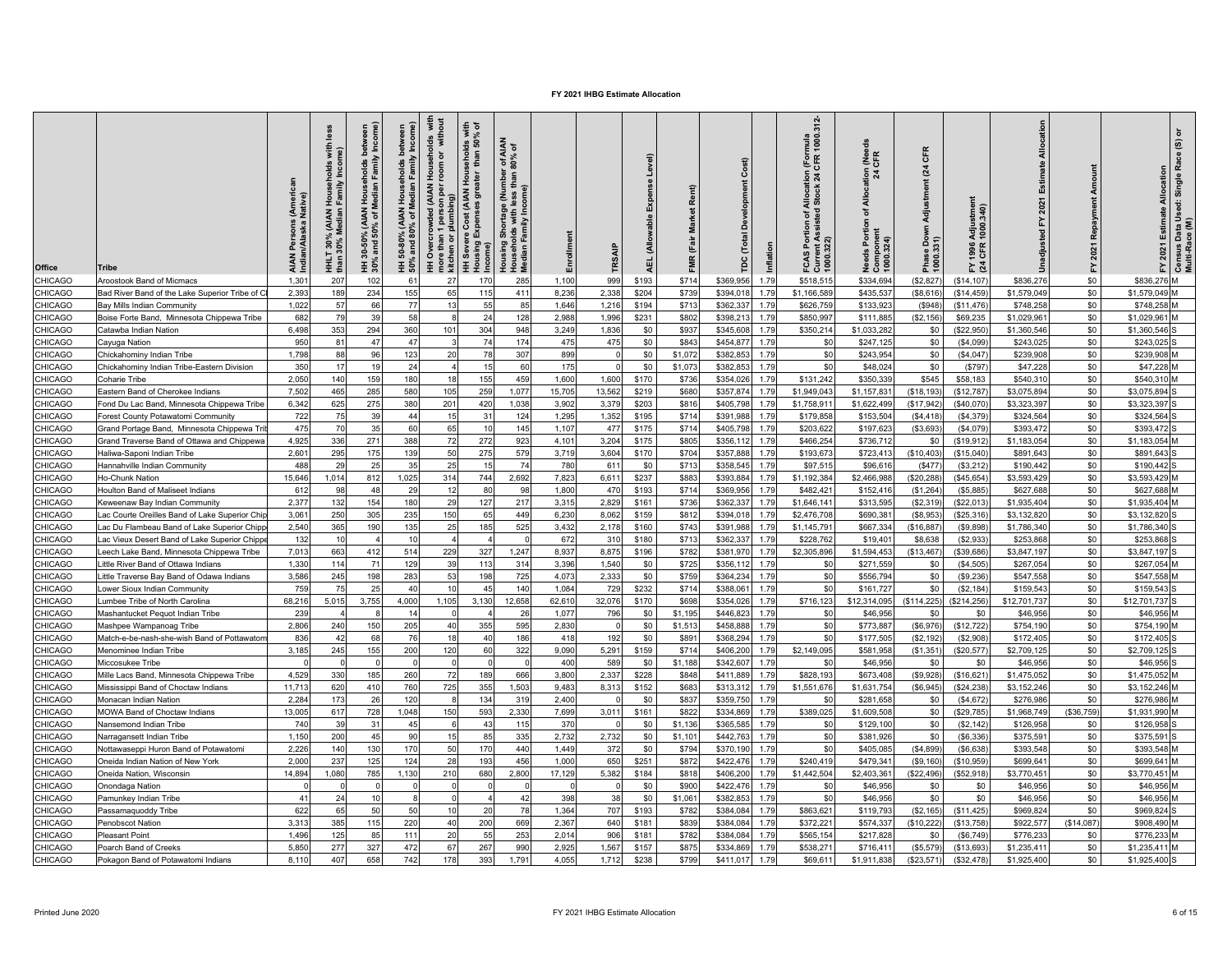| Office         | Tribe                                          | AIAN Persons (Ameri<br>Indian/Alaska Native) | less<br>with<br>me)<br>HHLT 30% (AIAN Households<br>than 30% Median Family Inco | Family Income<br>holds<br>Median I<br>(AIAN<br>৳<br>$-50\%$<br>nd 50°<br>and<br>នំ | 50% and 80% of Median Family Income) | I Households with<br>room or without<br><b>HH Overcrowded (AIAN</b><br>more than 1 person per<br>$\widehat{a}$<br>n person<br>plumbing<br>kitchen or | seholds with<br>than 50% of<br>.<br>Э<br>Cost (AIAN I<br>Exper<br>HH Severe<br>Housing Ex | r of AIAN<br>80% of<br>e (Number<br>less than 8<br>than<br>Housing Shortage (Num<br>Households with less th<br>Median Family Income) | Enrollment | TRSAIF   | Level)<br>E <sub>X me</sub><br><b>Allowable</b><br><b>AEL</b> | Rent)<br>Market<br>(Fair<br><b>FMR</b> | Ĕ<br>ě    | Inflation | 312<br>ttion (Formula<br>t 24 CFR 1000.3<br>Allocati<br>I Stock :<br>FCAS Portion of A<br>Current Assisted<br>1000.322) | <b>LER</b><br>$cation$<br>$24$<br>$\frac{1}{4}$<br>৳<br>eeds Portion<br>Compone<br>1000 324) | CFR<br>$\overline{a}$<br>Adjustment<br>Phase Down<br>1000.331) | Adjustment<br>1000.340)<br>1996.<br>CFR<br>도 죽 |             | Repayment<br>2021<br>놊 | ৽<br>Census Data Used: Single Race (S)<br>Multi-Race (M)<br>2021 Estimate Allocation<br>놊 |
|----------------|------------------------------------------------|----------------------------------------------|---------------------------------------------------------------------------------|------------------------------------------------------------------------------------|--------------------------------------|------------------------------------------------------------------------------------------------------------------------------------------------------|-------------------------------------------------------------------------------------------|--------------------------------------------------------------------------------------------------------------------------------------|------------|----------|---------------------------------------------------------------|----------------------------------------|-----------|-----------|-------------------------------------------------------------------------------------------------------------------------|----------------------------------------------------------------------------------------------|----------------------------------------------------------------|------------------------------------------------|-------------|------------------------|-------------------------------------------------------------------------------------------|
| CHICAGO        | Aroostook Band of Micmacs                      | 1,301                                        | 20 <sub>1</sub>                                                                 | 102                                                                                | 61                                   | 27                                                                                                                                                   | 170                                                                                       | 285                                                                                                                                  | 1,100      | 999      | \$193                                                         | \$714                                  | \$369,956 | 1.79      | \$518,51                                                                                                                | \$334,694                                                                                    | \$2,827                                                        | (\$14, 107                                     | \$836,276   | \$0                    | \$836,276 M                                                                               |
| CHICAGO        | Bad River Band of the Lake Superior Tribe of C | 2,393                                        | 189                                                                             | 234                                                                                | 155                                  | 65                                                                                                                                                   | 115                                                                                       | 411                                                                                                                                  | 8,236      | 2,338    | \$204                                                         | \$739                                  | \$394,018 | 1.79      | \$1,166,58                                                                                                              | \$435,53                                                                                     | (\$8,616                                                       | (\$14,459                                      | \$1,579,049 | \$0                    | \$1,579,049 M                                                                             |
| CHICAGO        | Bay Mills Indian Community                     | 1,022                                        | 57                                                                              | 66                                                                                 | 77                                   | 13                                                                                                                                                   | 55                                                                                        | 85                                                                                                                                   | 1,646      | 1,216    | \$194                                                         | \$713                                  | \$362,33  | 1.79      | \$626,759                                                                                                               | \$133,92                                                                                     | (\$948                                                         | (S11.476)                                      | \$748,25    | \$0                    | \$748,258 M                                                                               |
| CHICAGO        | Boise Forte Band, Minnesota Chippewa Tribe     | 682                                          | 79                                                                              | 39                                                                                 | 58                                   |                                                                                                                                                      | 24                                                                                        | 128                                                                                                                                  | 2,988      | 1,996    | \$231                                                         | \$802                                  | \$398,21  | 1.79      | \$850,99                                                                                                                | \$111,88                                                                                     | (\$2,156                                                       | \$69,235                                       | \$1,029,96  | \$0                    | \$1,029,961 M                                                                             |
| CHICAGO        | Catawba Indian Nation                          | 6,498                                        | 353                                                                             | 294                                                                                | 360                                  | 101                                                                                                                                                  | 304                                                                                       | 948                                                                                                                                  | 3,249      | 1,836    | \$0                                                           | \$937                                  | \$345,608 | 1.79      | \$350,214                                                                                                               | \$1,033,282                                                                                  | \$0                                                            | (\$22,950"                                     | \$1,360,546 | \$0                    | \$1,360,546 S                                                                             |
| CHICAGO        | Cayuga Nation                                  | 950                                          | 81                                                                              | 47                                                                                 | 47                                   |                                                                                                                                                      | 74                                                                                        | 174                                                                                                                                  | 475        | 475      | \$0                                                           | \$843                                  | \$454,87  | 1.79      | \$0                                                                                                                     | \$247,12                                                                                     | \$0                                                            | (\$4,099)                                      | \$243,025   | \$0                    | \$243,025 S                                                                               |
| CHICAGO        | Chickahominy Indian Tribe                      | 1.798                                        | 88                                                                              | 96                                                                                 | 123                                  | 20                                                                                                                                                   | 78                                                                                        | 307                                                                                                                                  | 899        | $\Omega$ | \$0                                                           | \$1,072                                | \$382,85  | 1.79      | \$0                                                                                                                     | \$243,954                                                                                    | \$0                                                            | (\$4,047)                                      | \$239,908   | \$0                    | \$239.908 M                                                                               |
| CHICAGO        | Chickahominy Indian Tribe-Eastern Division     | 350                                          | 17                                                                              | 19                                                                                 | 24                                   |                                                                                                                                                      | 15                                                                                        | 60                                                                                                                                   | 175        | $\Omega$ | \$0                                                           | \$1,073                                | \$382.85  | 1.79      | \$0                                                                                                                     | \$48,024                                                                                     | \$0                                                            | (\$797)                                        | \$47,22     | \$0                    | \$47,228 M                                                                                |
| CHICAGO        | Coharie Tribe                                  | 2,050                                        | 140                                                                             | 159                                                                                | 180                                  | 18                                                                                                                                                   | 155                                                                                       | 459                                                                                                                                  | 1,600      | 1,600    | \$170                                                         | \$736                                  | \$354,02  | 1.79      | \$131,242                                                                                                               | \$350,339                                                                                    | \$545                                                          | \$58,183                                       | \$540,31    | \$0                    | \$540,310 M                                                                               |
| <b>CHICAGO</b> | Eastern Band of Cherokee Indians               | 7.502                                        | 465                                                                             | 285                                                                                | 580                                  | 105                                                                                                                                                  | 259                                                                                       | 1,077                                                                                                                                | 15,705     | 13,562   | \$219                                                         | \$680                                  | \$357,874 | 1.79      | \$1,949,043                                                                                                             | \$1,157,83                                                                                   | (\$18, 193                                                     | (\$12,787                                      | \$3,075,89  | \$0                    | \$3,075,894                                                                               |
| CHICAGO        | Fond Du Lac Band, Minnesota Chippewa Tribe     | 6,342                                        | 625                                                                             | 275                                                                                | 380                                  | 201                                                                                                                                                  | 420                                                                                       | 1,038                                                                                                                                | 3,902      | 3,379    | \$203                                                         | \$816                                  | \$405,798 | 1.79      | \$1,758,91                                                                                                              | \$1,622,499                                                                                  | (\$17,942                                                      | (\$40,070)                                     | \$3,323,39  | \$0                    | \$3,323,397                                                                               |
| CHICAGO        | Forest County Potawatomi Community             | 722                                          | 75                                                                              | 39                                                                                 | 44                                   | 15                                                                                                                                                   | 31                                                                                        | 124                                                                                                                                  | 1,295      | 1,352    | \$195                                                         | \$714                                  | \$391,988 | 1.79      | \$179,858                                                                                                               | \$153,504                                                                                    | (\$4,418)                                                      | (\$4,379                                       | \$324,564   | \$0                    | \$324,564                                                                                 |
| CHICAGO        | Grand Portage Band, Minnesota Chippewa Tr      | 475                                          | 70                                                                              | 35                                                                                 | 60                                   | 65                                                                                                                                                   | 10                                                                                        | 145                                                                                                                                  | 1,107      | 477      | \$175                                                         | \$714                                  | \$405,798 | 1.79      | \$203,622                                                                                                               | \$197,62                                                                                     | (\$3,693                                                       | (S4,079)                                       | \$393,472   | \$0                    | \$393,472                                                                                 |
| CHICAGO        | Grand Traverse Band of Ottawa and Chippewa     | 4,925                                        | 336                                                                             | 271                                                                                | 388                                  | 72                                                                                                                                                   | 272                                                                                       | 923                                                                                                                                  | 4,101      | 3,204    | \$175                                                         | \$805                                  | \$356,112 | 1.79      | \$466,254                                                                                                               | \$736,712                                                                                    | \$0                                                            | (\$19,912]                                     | \$1,183,05  | \$0                    | \$1,183,054 M                                                                             |
| CHICAGO        | Haliwa-Saponi Indian Tribe                     | 2,601                                        | 295                                                                             | 175                                                                                | 139                                  | 50                                                                                                                                                   | 275                                                                                       | 579                                                                                                                                  | 3,719      | 3,604    | \$170                                                         | \$704                                  | \$357,88  | 1.79      | \$193,673                                                                                                               | \$723,41                                                                                     | (\$10,403                                                      | (\$15,040                                      | \$891,643   | \$0                    | \$891,643                                                                                 |
| CHICAGO        | Hannahville Indian Community                   | 488                                          | 29                                                                              | 25                                                                                 | 35                                   | 25                                                                                                                                                   | 15                                                                                        | 74                                                                                                                                   | 780        | 611      | \$0                                                           | \$713                                  | \$358,545 | 1.79      | \$97,515                                                                                                                | \$96,616                                                                                     | (S477)                                                         | (\$3,212"                                      | \$190,442   | \$0                    | \$190,442 S                                                                               |
| CHICAGO        | Ho-Chunk Nation                                | 15.646                                       | 1.014                                                                           | 812                                                                                | 1.025                                | 314                                                                                                                                                  | 744                                                                                       | 2.692                                                                                                                                | 7.823      | 6.611    | \$237                                                         | \$883                                  | \$393.884 | 1.79      | \$1,192,384                                                                                                             | \$2.466.98                                                                                   | (\$20,288                                                      | (\$45.654)                                     | \$3,593.42  | \$0                    | \$3.593.429 M                                                                             |
| CHICAGO        |                                                | 612                                          | 98                                                                              |                                                                                    | 29                                   | 12                                                                                                                                                   | 80                                                                                        | 98                                                                                                                                   | 1,800      | 470      | \$193                                                         | \$714                                  | \$369,95  | 1.79      | \$482,42                                                                                                                | \$152,410                                                                                    | (\$1,264)                                                      | (\$5,885                                       | \$627,68    | \$0                    | \$627,688 M                                                                               |
|                | Houlton Band of Maliseet Indians               |                                              |                                                                                 | 48                                                                                 |                                      |                                                                                                                                                      |                                                                                           |                                                                                                                                      |            |          |                                                               |                                        |           |           |                                                                                                                         |                                                                                              |                                                                |                                                |             |                        |                                                                                           |
| CHICAGO        | Keweenaw Bay Indian Community                  | 2,377                                        | 132                                                                             | 154                                                                                | 180                                  | 29                                                                                                                                                   | 127                                                                                       | 217                                                                                                                                  | 3,315      | 2,829    | \$161                                                         | \$736                                  | \$362,33  | 1.79      | \$1,646,14                                                                                                              | \$313,595                                                                                    | (\$2,319                                                       | \$22,013                                       | \$1,935,40  | \$0                    | \$1,935,404 M                                                                             |
| CHICAGO        | ac Courte Oreilles Band of Lake Superior Chi   | 3.061                                        | 250                                                                             | 305                                                                                | 235                                  | 150                                                                                                                                                  | 65                                                                                        | 449                                                                                                                                  | 6,230      | 8.062    | \$159                                                         | \$812                                  | \$394.01  | 1.79      | \$2,476,708                                                                                                             | \$690,38                                                                                     | (\$8,953                                                       | (\$25,316)                                     | \$3,132,82  | \$0                    | \$3,132,820                                                                               |
| CHICAGO        | ac Du Flambeau Band of Lake Superior Chipp     | 2,540                                        | 365                                                                             | 190                                                                                | 135                                  | 25                                                                                                                                                   | 185                                                                                       | 525                                                                                                                                  | 3,432      | 2,178    | \$160                                                         | \$743                                  | \$391,988 | 1.79      | \$1,145,791                                                                                                             | \$667,334                                                                                    | (\$16,887                                                      | (S9, 898)                                      | \$1,786,340 | \$0                    | \$1,786,340                                                                               |
| CHICAGO        | ac Vieux Desert Band of Lake Superior Chipp    | 132                                          | 10                                                                              |                                                                                    | 10                                   |                                                                                                                                                      |                                                                                           |                                                                                                                                      | 672        | 310      | \$180                                                         | \$713                                  | \$362,33  | 1.79      | \$228,762                                                                                                               | \$19,40                                                                                      | \$8,638                                                        | (\$2,933                                       | \$253,868   | \$0                    | \$253,868                                                                                 |
| CHICAGO        | eech Lake Band, Minnesota Chippewa Tribe       | 7,013                                        | 663                                                                             | 412                                                                                | 514                                  | 229                                                                                                                                                  | 327                                                                                       | 1,247                                                                                                                                | 8,937      | 8,875    | \$196                                                         | \$782                                  | \$381,970 | 1.79      | \$2,305,896                                                                                                             | \$1,594,453                                                                                  | (\$13,467)                                                     | (\$39,686)                                     | \$3,847,197 | \$0                    | \$3,847,197 S                                                                             |
| CHICAGO        | Little River Band of Ottawa Indians            | 1,330                                        | 114                                                                             | 71                                                                                 | 129                                  | 39                                                                                                                                                   | 113                                                                                       | 314                                                                                                                                  | 3,396      | 1,540    | \$0                                                           | \$725                                  | \$356,11  | 1.79      | \$0                                                                                                                     | \$271,55                                                                                     | \$0                                                            | (\$4,505                                       | \$267,054   | \$0                    | \$267,054 M                                                                               |
| CHICAGO        | Little Traverse Bay Band of Odawa Indians      | 3.586                                        | 245                                                                             | 198                                                                                | 283                                  | 53                                                                                                                                                   | 198                                                                                       | 725                                                                                                                                  | 4.073      | 2.333    | \$0                                                           | \$759                                  | \$364,234 | 1.79      | \$0                                                                                                                     | \$556,794                                                                                    | \$0                                                            | (S9.236)                                       | \$547.558   | \$0                    | \$547.558 M                                                                               |
| CHICAGO        | _ower Sioux Indian Community                   | 759                                          | 75                                                                              | 25                                                                                 | 40                                   | 10                                                                                                                                                   | 45                                                                                        | 140                                                                                                                                  | 1,084      | 729      | \$232                                                         | \$714                                  | \$388,06  | 1.79      | \$0                                                                                                                     | \$161,72                                                                                     | \$0                                                            | (\$2, 184)                                     | \$159,54    | \$0                    | \$159,543 S                                                                               |
| CHICAGO        | umbee Tribe of North Carolina                  | 68.216                                       | 5.015                                                                           | 3,755                                                                              | 4.000                                | 1,105                                                                                                                                                | 3.130                                                                                     | 12.658                                                                                                                               | 62.610     | 32.076   | \$170                                                         | \$698                                  | \$354.026 | 1.79      | \$716.123                                                                                                               | \$12,314,095                                                                                 | (\$114,225)                                                    | (\$214.256)                                    | \$12,701.73 | \$0                    | \$12,701,737 S                                                                            |
| CHICAGO        | Mashantucket Pequot Indian Tribe               | 239                                          |                                                                                 |                                                                                    | 14                                   |                                                                                                                                                      |                                                                                           | 26                                                                                                                                   | 1,077      | 796      | \$0                                                           | \$1,195                                | \$446,82  | 1.79      | \$0                                                                                                                     | \$46,956                                                                                     | \$0                                                            | \$0                                            | \$46,95     | \$0                    | \$46,956 M                                                                                |
| CHICAGO        | Mashpee Wampanoag Tribe                        | 2,806                                        | 240                                                                             | 150                                                                                | 205                                  | 40                                                                                                                                                   | 355                                                                                       | 595                                                                                                                                  | 2,830      |          | \$0                                                           | \$1,513                                | \$458,88  | 1.79      | \$0                                                                                                                     | \$773,887                                                                                    | (\$6,976                                                       | \$12,722                                       | \$754,19    | \$0                    | \$754,190 M                                                                               |
| CHICAGO        | Match-e-be-nash-she-wish Band of Pottawaton    | 836                                          | 42                                                                              | 68                                                                                 | 76                                   | 18                                                                                                                                                   | 40                                                                                        | 186                                                                                                                                  | 418        | 192      | \$0                                                           | \$891                                  | \$368,294 | 1.79      | \$0                                                                                                                     | \$177,505                                                                                    | (\$2,192)                                                      | (\$2,908)                                      | \$172,405   | \$0                    | \$172,405 S                                                                               |
| CHICAGO        | Menominee Indian Tribe                         | 3,185                                        | 245                                                                             | 155                                                                                | 200                                  | 120                                                                                                                                                  | 60                                                                                        | 322                                                                                                                                  | 9,090      | 5,291    | \$159                                                         | \$714                                  | \$406,20  | 1.79      | \$2,149,095                                                                                                             | \$581,958                                                                                    | (\$1,351                                                       | (\$20,577)                                     | \$2,709,12  | \$0                    | \$2,709,125 S                                                                             |
| CHICAGO        | Miccosukee Tribe                               |                                              |                                                                                 |                                                                                    | $\Omega$                             |                                                                                                                                                      | C                                                                                         |                                                                                                                                      | 400        | 589      | \$0                                                           | \$1,188                                | \$342,607 | 1.79      | \$0                                                                                                                     | \$46,956                                                                                     | \$0                                                            | \$0                                            | \$46,95     | \$0                    | \$46,956                                                                                  |
| <b>CHICAGO</b> | Mille Lacs Band, Minnesota Chippewa Tribe      | 4,529                                        | 330                                                                             | 185                                                                                | 260                                  | 72                                                                                                                                                   | 189                                                                                       | 666                                                                                                                                  | 3,800      | 2.337    | \$228                                                         | \$848                                  | \$411,889 | 1.79      | \$828,193                                                                                                               | \$673,408                                                                                    | (\$9,928                                                       | (\$16,621                                      | \$1,475,05  | \$0                    | \$1,475,052 M                                                                             |
| CHICAGO        | Mississippi Band of Choctaw Indians            | 11.713                                       | 620                                                                             | 410                                                                                | 760                                  | 725                                                                                                                                                  | 355                                                                                       | 1.503                                                                                                                                | 9.483      | 8,313    | \$152                                                         | \$683                                  | \$313.312 | 1.79      | \$1,551,676                                                                                                             | \$1.631.754                                                                                  | (S6.945)                                                       | (\$24.238)                                     | \$3,152,246 | \$0                    | \$3.152.246 M                                                                             |
| CHICAGO        | Monacan Indian Nation                          | 2,284                                        | 173                                                                             | 26                                                                                 | 120                                  |                                                                                                                                                      | 134                                                                                       | 319                                                                                                                                  | 2,400      |          | \$0                                                           | \$837                                  | \$359,75  | 1.79      | \$0                                                                                                                     | \$281,658                                                                                    | \$0                                                            | (\$4,672                                       | \$276,98    | \$0                    | \$276,986 M                                                                               |
| CHICAGO        | MOWA Band of Choctaw Indians                   | 13,005                                       | 617                                                                             | 728                                                                                | 1,048                                | 150                                                                                                                                                  | 593                                                                                       | 2,330                                                                                                                                | 7,699      | 3,011    | \$161                                                         | \$822                                  | \$334,869 | 1.79      | \$389,025                                                                                                               | \$1,609,508                                                                                  | \$0                                                            | \$29,785                                       | \$1,968,74  | (\$36,759              | \$1,931,990 M                                                                             |
| CHICAGO        | Nansemond Indian Tribe                         | 740                                          | 39                                                                              | 3'                                                                                 | 45                                   |                                                                                                                                                      | 43                                                                                        | 115                                                                                                                                  | 370        |          | \$0                                                           | \$1.136                                | \$365.585 | 1.79      | \$0                                                                                                                     | \$129,10                                                                                     | \$0                                                            | (\$2,142)                                      | \$126,95    | \$0                    | \$126,958                                                                                 |
| CHICAGO        | Narragansett Indian Tribe                      | 1,150                                        | 200                                                                             | 45                                                                                 | 90                                   | 15                                                                                                                                                   | 85                                                                                        | 335                                                                                                                                  | 2,732      | 2,732    | \$0                                                           | \$1,101                                | \$442,76  | 1.79      | \$0                                                                                                                     | \$381,926                                                                                    | \$0                                                            | (S6, 336)                                      | \$375,59    | \$0                    | \$375,591                                                                                 |
| CHICAGO        | Nottawaseppi Huron Band of Potawatomi          | 2,226                                        | 140                                                                             | 130                                                                                | 170                                  | 50                                                                                                                                                   | 170                                                                                       | 440                                                                                                                                  | 1,449      | 372      | \$0                                                           | \$794                                  | \$370,190 | 1.79      | \$0                                                                                                                     | \$405,085                                                                                    | (\$4,899)                                                      | (\$6,638)                                      | \$393,548   | \$0                    | \$393,548 M                                                                               |
| CHICAGO        | Oneida Indian Nation of New York               | 2,000                                        | 237                                                                             | 125                                                                                | 124                                  | 28                                                                                                                                                   | 193                                                                                       | 456                                                                                                                                  | 1,000      | 650      | \$251                                                         | \$872                                  | \$422,47  | 1.79      | \$240,419                                                                                                               | \$479,34                                                                                     | (\$9,160                                                       | \$10,959                                       | \$699,64    | \$0                    | \$699,641 M                                                                               |
| CHICAGO        | Oneida Nation, Wisconsin                       | 14,894                                       | 1,080                                                                           | 785                                                                                | 1,130                                | 210                                                                                                                                                  | 680                                                                                       | 2,800                                                                                                                                | 17,129     | 5,382    | \$184                                                         | \$818                                  | \$406,20  | 1.79      | \$1,442,504                                                                                                             | \$2,403,361                                                                                  | (\$22,496)                                                     | (\$52,918)                                     | \$3,770,45  | \$0                    | \$3,770,451 M                                                                             |
| CHICAGO        | Onondaga Nation                                | $\Omega$                                     |                                                                                 |                                                                                    | $\Omega$                             |                                                                                                                                                      | $\Omega$                                                                                  |                                                                                                                                      | $\Omega$   | $\Omega$ | \$0                                                           | \$900                                  | \$422,47  | 1.79      | \$0                                                                                                                     | \$46,95                                                                                      | \$0                                                            | \$0                                            | \$46,95     | \$0                    | \$46,956 M                                                                                |
| CHICAGO        | Pamunkey Indian Tribe                          | 41                                           | 24                                                                              | 10                                                                                 |                                      |                                                                                                                                                      |                                                                                           | 42                                                                                                                                   | 398        | 38       | \$0                                                           | \$1,061                                | \$382,85  | 1.79      | \$0                                                                                                                     | \$46,956                                                                                     | \$0                                                            | \$0                                            | \$46,956    | \$0                    | \$46,956 M                                                                                |
| CHICAGO        |                                                | 622                                          | 65                                                                              | 50                                                                                 | 50                                   | 10                                                                                                                                                   | 20                                                                                        | 78                                                                                                                                   | 1.364      | 707      |                                                               |                                        |           |           | \$863.621                                                                                                               |                                                                                              |                                                                | (S11.425)                                      |             | \$0                    | \$969,824                                                                                 |
|                | Passamaquoddy Tribe                            |                                              |                                                                                 |                                                                                    |                                      |                                                                                                                                                      |                                                                                           |                                                                                                                                      |            |          | \$193                                                         | \$782                                  | \$384.084 | 1.79      |                                                                                                                         | \$119.79                                                                                     | (\$2,165)                                                      |                                                | \$969.82    |                        |                                                                                           |
| CHICAGO        | Penobscot Nation                               | 3.313                                        | 385                                                                             | 115                                                                                | 220                                  | 40                                                                                                                                                   | 200                                                                                       | 669                                                                                                                                  | 2,367      | 640      | \$181                                                         | \$839                                  | \$384,084 | 1.79      | \$372,221                                                                                                               | \$574,33                                                                                     | (\$10,222                                                      | \$13,758                                       | \$922,57    | (\$14,087              | \$908,490 M                                                                               |
| CHICAGO        | Pleasant Point                                 | 1,496                                        | 125                                                                             | 85                                                                                 | 111                                  | 20                                                                                                                                                   | 55                                                                                        | 253                                                                                                                                  | 2,014      | 906      | \$181                                                         | \$782                                  | \$384,084 | 1.79      | \$565,154                                                                                                               | \$217,82                                                                                     | \$0                                                            | (\$6,749)                                      | \$776,23    | \$0                    | \$776,233<br>Iм                                                                           |
| CHICAGO        | Poarch Band of Creeks                          | 5,850                                        | 277                                                                             | 327                                                                                | 472                                  | 67                                                                                                                                                   | 267                                                                                       | 990                                                                                                                                  | 2,925      | 1,567    | \$157                                                         | \$875                                  | \$334,86  | 1.79      | \$538,271                                                                                                               | \$716,41                                                                                     | (\$5,579                                                       | \$13,693                                       | \$1,235,41  | \$0                    | \$1,235,411 M                                                                             |
| CHICAGO        | Pokagon Band of Potawatomi Indians             | 8,110                                        | 407                                                                             | 658                                                                                | 742                                  | 178                                                                                                                                                  | 393                                                                                       | 1,791                                                                                                                                | 4,055      | 1,712    | \$238                                                         | \$799                                  | \$411,017 | 1.79      | \$69,611                                                                                                                | \$1,911,838                                                                                  | (\$23,571                                                      | (\$32,478)                                     | \$1,925,400 | \$0                    | \$1,925,400 S                                                                             |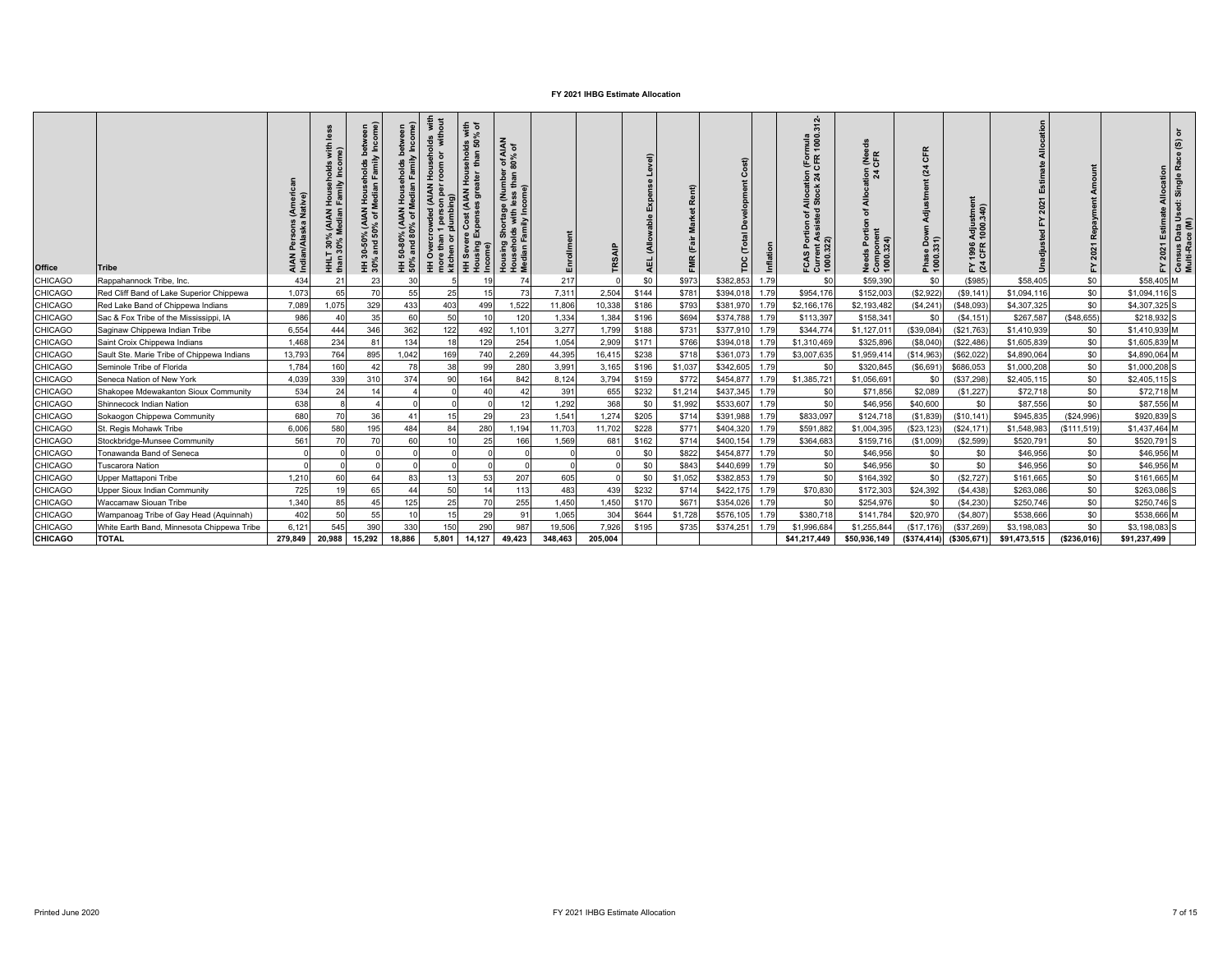| <b>Office</b>  | <b>Tribe</b>                               | AIAN<br>India | Househ<br>Family<br>30% (AIAN I<br>30% Median I<br>HHLT<br>than 3 | yeen<br>ome)<br>l Households betwe<br>Median Family Inco<br><b>ALAN</b><br>% of N<br>្ថី និ<br>ន<br>and<br>ċ<br>ო<br>Ξŝ | HH 50-80% (AIAN Households between<br>50% and 80% of Median Family Income) | Households with<br>room or without<br><b>HH Overcrowded (AIAN F</b><br>more than 1 person per r<br>kitchen or plumbing) | sholds with<br>han 50% of<br>운<br>Cost (AIAN<br>HH Severe Cos<br>Housing Exper<br>Incom | f AIAN<br>% of<br>್ ಎ<br>$\epsilon$<br>l Shortage (Numbe<br>blds with less than<br>Family Income)<br>Housing S<br>Househol<br>Median Fa | Enrollment | TRS.     | $\widehat{a}$<br>ú<br>马 | ent)    | $\widehat{\mathbf{z}}$<br>ó<br>Ë<br>е | $312 -$<br>mula<br>1000.<br>Allocation (Forr<br>I Stock 24 CFR 1<br>tion of A<br>৳ ∢ ส<br>1000.32<br>요 는<br>FCAS<br>ō | $rac{6}{5}$<br>$\frac{5}{24}$<br>₫<br>Porti<br>eds<br>Need<br>Com<br>1000. | $\alpha$<br>$\overline{\mathbf{c}}$<br>Phase<br>1000 | SIMe<br>340)<br>Adjus<br>1000.<br>1996<br>CFR<br>도 잘 |              | Re<br>2021<br>놊 | $\widehat{\mathbf{e}}$<br>$\rm ^{e}$<br>Rã<br>Allocation<br>Single<br>2021 Estimate<br>도. | Census Data Used:<br>Multi-Race (M) |
|----------------|--------------------------------------------|---------------|-------------------------------------------------------------------|-------------------------------------------------------------------------------------------------------------------------|----------------------------------------------------------------------------|-------------------------------------------------------------------------------------------------------------------------|-----------------------------------------------------------------------------------------|-----------------------------------------------------------------------------------------------------------------------------------------|------------|----------|-------------------------|---------|---------------------------------------|-----------------------------------------------------------------------------------------------------------------------|----------------------------------------------------------------------------|------------------------------------------------------|------------------------------------------------------|--------------|-----------------|-------------------------------------------------------------------------------------------|-------------------------------------|
| <b>CHICAGO</b> | Rappahannock Tribe, Inc.                   | 434           | $2^{\circ}$                                                       | 23                                                                                                                      | 30                                                                         |                                                                                                                         |                                                                                         |                                                                                                                                         | 217        |          | \$0                     | \$973   | \$382,853<br>1.79                     | \$C                                                                                                                   | \$59,390                                                                   | \$0                                                  | (\$985)                                              | \$58,405     | \$0             | \$58,405 M                                                                                |                                     |
| <b>CHICAGO</b> | Red Cliff Band of Lake Superior Chippewa   | 1,073         | 65                                                                | 70                                                                                                                      | 55                                                                         | 25                                                                                                                      | 15                                                                                      | 73                                                                                                                                      | 7,311      | 2,504    | \$144                   | \$781   | \$394,018<br>1.79                     | \$954,176                                                                                                             | \$152,003                                                                  | (\$2,922)                                            | (\$9,141                                             | \$1,094,116  | \$0             | \$1,094,116 S                                                                             |                                     |
| <b>CHICAGO</b> | Red Lake Band of Chippewa Indians          | 7.089         | 1.075                                                             | 329                                                                                                                     | 433                                                                        | 403                                                                                                                     | 499                                                                                     | 1.522                                                                                                                                   | 11,806     | 10,338   | \$186                   | \$793   | \$381,970<br>1.79                     | \$2,166,176                                                                                                           | \$2,193,48                                                                 | (\$4,241                                             | (\$48.093                                            | \$4,307,325  | \$0             | \$4,307,325 S                                                                             |                                     |
| <b>CHICAGO</b> | Sac & Fox Tribe of the Mississippi, IA     | 986           | $\Delta$                                                          | 35                                                                                                                      | 60                                                                         | 50                                                                                                                      | 10 <sup>1</sup>                                                                         | 120                                                                                                                                     | 1,334      | 1,384    | \$196                   | \$694   | 1.79<br>\$374,788                     | \$113,397                                                                                                             | \$158,34                                                                   | \$0                                                  | (S4, 151)                                            | \$267,587    | (S48, 655)      | \$218,932 S                                                                               |                                     |
| <b>CHICAGO</b> | Saginaw Chippewa Indian Tribe              | 6,554         | 444                                                               | 346                                                                                                                     | 362                                                                        | 122                                                                                                                     | 492                                                                                     | 1,101                                                                                                                                   | 3,277      | 1,799    | \$188                   | \$731   | 1.79<br>\$377,910                     | \$344,774                                                                                                             | \$1,127,01                                                                 | (\$39,084)                                           | (\$21,763)                                           | \$1,410,939  | \$0             | \$1,410,939 M                                                                             |                                     |
| <b>CHICAGO</b> | Saint Croix Chippewa Indians               | 1.468         | 234                                                               | 81                                                                                                                      | 134                                                                        | 18                                                                                                                      | 129                                                                                     | 254                                                                                                                                     | 1,054      | 2,909    | \$171                   | \$766   | 1.79<br>\$394,018                     | \$1,310,469                                                                                                           | \$325,89                                                                   | (\$8,040                                             | (\$22,486                                            | \$1,605,839  | \$0             | \$1,605,839 M                                                                             |                                     |
| CHICAGO        | Sault Ste. Marie Tribe of Chippewa Indians | 13,793        | 764                                                               | 895                                                                                                                     | 1,042                                                                      | 169                                                                                                                     | 740                                                                                     | 2,269                                                                                                                                   | 44,395     | 16,415   | \$238                   | \$718   | \$361,073<br>1.79                     | \$3,007,635                                                                                                           | \$1,959,41                                                                 | (\$14,963                                            | (\$62,022                                            | \$4,890,064  | \$0             | \$4,890,064 M                                                                             |                                     |
| CHICAGO        | Seminole Tribe of Florida                  | 1,784         | 160                                                               | 42                                                                                                                      | 78                                                                         | 38                                                                                                                      | 99                                                                                      | 280                                                                                                                                     | 3,991      | 3,165    | \$196                   | \$1,037 | 1.79<br>\$342,605                     | \$C                                                                                                                   | \$320,845                                                                  | (\$6,691                                             | \$686,053                                            | \$1,000,208  | \$0             | \$1,000,208 S                                                                             |                                     |
| <b>CHICAGO</b> | Seneca Nation of New York                  | 4,039         | 339                                                               | 310                                                                                                                     | 374                                                                        | 90                                                                                                                      | 164                                                                                     | 842                                                                                                                                     | 8,124      | 3,794    | \$159                   | \$772   | \$454,877<br>1.79                     | \$1,385,721                                                                                                           | \$1,056,69                                                                 | \$0                                                  | (\$37,298                                            | \$2,405,115  | \$0             | \$2,405,115 S                                                                             |                                     |
| <b>CHICAGO</b> | Shakopee Mdewakanton Sioux Community       | 534           | 24                                                                | 14                                                                                                                      |                                                                            |                                                                                                                         | 40                                                                                      | 42                                                                                                                                      | 391        | 655      | \$232                   | \$1,214 | \$437,345<br>1.79                     | \$0                                                                                                                   | \$71,856                                                                   | \$2,089                                              | (\$1,227                                             | \$72,718     | \$0             | \$72,718 M                                                                                |                                     |
| <b>CHICAGO</b> | Shinnecock Indian Nation                   | 638           |                                                                   |                                                                                                                         |                                                                            |                                                                                                                         |                                                                                         |                                                                                                                                         | 1,292      | 368      | \$0                     | \$1,992 | \$533,607<br>1.79                     | \$ <sub>0</sub>                                                                                                       | \$46,956                                                                   | \$40,600                                             | \$0                                                  | \$87,556     | \$0             | \$87,556 M                                                                                |                                     |
| <b>CHICAGO</b> | Sokaogon Chippewa Community                | 680           | 70                                                                | 36                                                                                                                      | 41                                                                         | 15                                                                                                                      | 29                                                                                      | 23                                                                                                                                      | 1,541      | 1,274    | \$205                   | \$714   | 1.79<br>\$391,988                     | \$833,097                                                                                                             | \$124,718                                                                  | (\$1,839)                                            | (\$10, 141                                           | \$945,835    | (S24,996)       | \$920,839 S                                                                               |                                     |
| <b>CHICAGO</b> | St. Regis Mohawk Tribe                     | 6,006         | 580                                                               | 195                                                                                                                     | 484                                                                        | 84                                                                                                                      | 280                                                                                     | 1,194                                                                                                                                   | 11,703     | 11.702   | \$228                   | \$771   | \$404,320<br>1.79                     | \$591,882                                                                                                             | \$1,004,395                                                                | (\$23, 123)                                          | (\$24, 171                                           | \$1,548,983  | (\$111,519)     | \$1,437,464 M                                                                             |                                     |
| <b>CHICAGO</b> | Stockbridge-Munsee Community               | 561           |                                                                   | 70                                                                                                                      | 60                                                                         | 10                                                                                                                      | 25                                                                                      | 166                                                                                                                                     | 1,569      | 681      | \$162                   | \$714   | \$400,154<br>1.79                     | \$364,683                                                                                                             | \$159,716                                                                  | (\$1,009)                                            | (\$2,599)                                            | \$520,79     | \$0             | \$520,791 S                                                                               |                                     |
| CHICAGO        | Tonawanda Band of Seneca                   |               |                                                                   |                                                                                                                         |                                                                            |                                                                                                                         |                                                                                         |                                                                                                                                         |            |          | \$0                     | \$822   | \$454,877<br>1.79                     | \$C                                                                                                                   | \$46,956                                                                   | \$0                                                  | \$0                                                  | \$46,956     | \$0             | \$46,956 M                                                                                |                                     |
| <b>CHICAGO</b> | <b>Tuscarora Nation</b>                    |               |                                                                   |                                                                                                                         |                                                                            |                                                                                                                         |                                                                                         |                                                                                                                                         | $\Omega$   | $\Omega$ | \$0                     | \$843   | \$440,699<br>1.79                     | \$0                                                                                                                   | \$46,956                                                                   | \$0                                                  | \$0                                                  | \$46,956     | \$0             | \$46,956 M                                                                                |                                     |
| <b>CHICAGO</b> | Upper Mattaponi Tribe                      | 1,210         | 60                                                                | 64                                                                                                                      | 83                                                                         | 13                                                                                                                      | 53                                                                                      | 207                                                                                                                                     | 605        |          | \$0                     | \$1,052 | 1.79<br>\$382,853                     | \$0                                                                                                                   | \$164,392                                                                  | \$0                                                  | (\$2,727)                                            | \$161,665    | \$0             | \$161,665 M                                                                               |                                     |
| <b>CHICAGO</b> | Upper Sioux Indian Community               | 725           | 19                                                                | 65                                                                                                                      | 44                                                                         | 50                                                                                                                      |                                                                                         | 113                                                                                                                                     | 483        | 439      | \$232                   | \$714   | \$422,175<br>1.79                     | \$70,830                                                                                                              | \$172,303                                                                  | \$24,392                                             | (S4, 438)                                            | \$263,086    | \$0             | \$263,086 S                                                                               |                                     |
| <b>CHICAGO</b> | Waccamaw Siouan Tribe                      | 1.340         | 85                                                                | 45                                                                                                                      | 125                                                                        | 25                                                                                                                      | 70                                                                                      | 255                                                                                                                                     | 1,450      | 1,450    | \$170                   | \$671   | \$354,026<br>1.79                     | \$C                                                                                                                   | \$254,976                                                                  | \$0                                                  | (S4, 230)                                            | \$250,746    | \$0             | \$250,746 S                                                                               |                                     |
| <b>CHICAGO</b> | Wampanoag Tribe of Gay Head (Aquinnah)     | 402           | 50                                                                | 55                                                                                                                      | 10                                                                         | 15                                                                                                                      | 29                                                                                      | <b>9</b>                                                                                                                                | 1,065      | 304      | \$644                   | \$1,728 | 1.79<br>\$576,105                     | \$380,718                                                                                                             | \$141,78                                                                   | \$20,970                                             | (\$4,807                                             | \$538,666    | \$0             | \$538,666 M                                                                               |                                     |
| <b>CHICAGO</b> | White Earth Band, Minnesota Chippewa Tribe | 6,121         | 545                                                               | 390                                                                                                                     | 330                                                                        | 150                                                                                                                     | 290                                                                                     | 987                                                                                                                                     | 19,506     | 7,926    | \$195                   | \$735   | \$374,251<br>1.79                     | \$1,996,68                                                                                                            | \$1,255.84                                                                 | (S17.176)                                            | (\$37,269                                            | \$3,198,083  | \$0             | \$3,198,083 S                                                                             |                                     |
| <b>CHICAGO</b> | <b>TOTAL</b>                               | 279,849       | 20,988                                                            | 15,292                                                                                                                  | 18,886                                                                     | 5,801                                                                                                                   | 14,127                                                                                  | 49,423                                                                                                                                  | 348,463    | 205,004  |                         |         |                                       | \$41,217,449                                                                                                          | \$50,936,149                                                               | (\$374,414)                                          | (\$305,671)                                          | \$91,473,515 | (\$236,016)     | \$91,237,499                                                                              |                                     |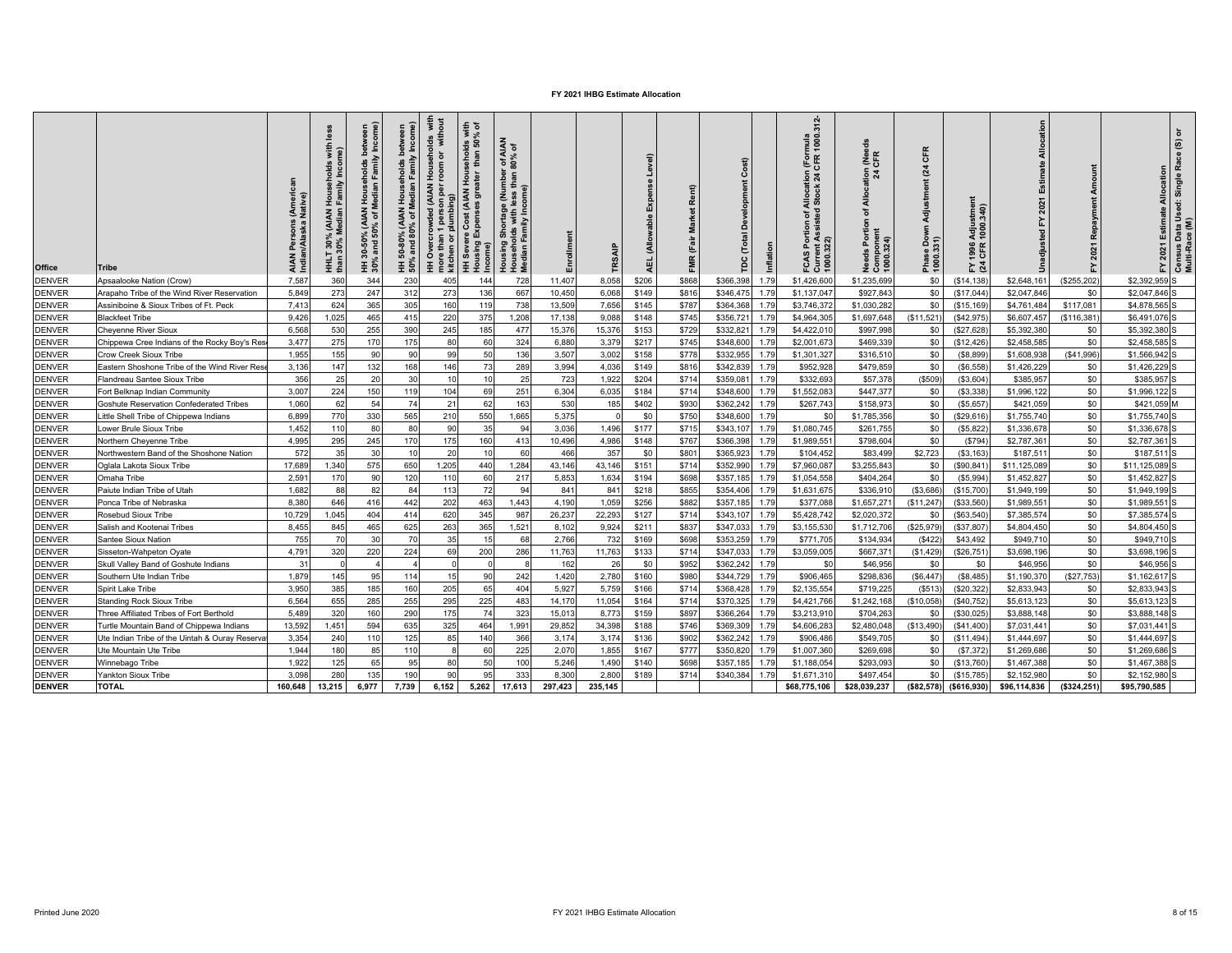| Office        | <b>Tribe</b>                                   | : (Ameri<br>Native)<br>AIAN Persons<br>Indian/Alaska | ≝<br>with<br>i (AIAN Households<br>Median Family Incor<br>T 30% N<br>30% N<br>HHLT<br>than 3 | % (AIAN Households between<br>50% of Median Family Income)<br>$0.50$<br>and<br>нн 30-<br>30% ar | HH 50-80% (AIAN Households between<br>50% and 80% of Median Family Income) | Households with<br>room or without<br>HH Overcrowded (AIAN H<br>more than 1 person per r<br>kitchen or plumbing) | seholds with<br>than 50% of<br>HH Severe Cost (AIAN Hou:<br>Housing Expenses greater<br>Income) | AIAN<br>6 of<br>$10^{4}$<br>$60\%$<br>Housing Shortage (Number<br>Households with less than<br>Median Family Income) | Enrollment | TRSAIF  | Level)<br>ŭ<br>돜<br>AEL. | Rent)<br>Market<br>Ë<br>FMR | å<br>ρc   | Inflation | CAS Portion of Allocation (Formula<br>Jurrent Assisted Stock 24 CFR 1000.312-<br>000.322)<br>FCAS | <b>ABLE</b><br>$\frac{5}{24}$<br><u>a</u><br>ৢ৳<br>Needs Portion<br>Component<br>1000.324) | $\alpha$<br>ზ<br>$\overline{a}$<br>Ë<br>Adjustme<br>Phase Dow<br>1000.331) | Ħ<br>Adjustmer<br>1000.340)<br>1996.<br>CFR<br>$E \times 3$ |              | Repayme<br>2021<br>놊 | ৳<br>Census Data Used: Single Race (S)<br>Multi-Race (M)<br>2021 Estimate Allocation<br>ř |
|---------------|------------------------------------------------|------------------------------------------------------|----------------------------------------------------------------------------------------------|-------------------------------------------------------------------------------------------------|----------------------------------------------------------------------------|------------------------------------------------------------------------------------------------------------------|-------------------------------------------------------------------------------------------------|----------------------------------------------------------------------------------------------------------------------|------------|---------|--------------------------|-----------------------------|-----------|-----------|---------------------------------------------------------------------------------------------------|--------------------------------------------------------------------------------------------|----------------------------------------------------------------------------|-------------------------------------------------------------|--------------|----------------------|-------------------------------------------------------------------------------------------|
| <b>DENVER</b> | Apsaalooke Nation (Crow)                       | 7,587                                                | 360                                                                                          | 344                                                                                             | 230                                                                        | 405                                                                                                              | 144                                                                                             | 728                                                                                                                  | 11,407     | 8,058   | \$206                    | \$868                       | \$366,398 | 1.79      | \$1,426,600                                                                                       | \$1,235,699                                                                                | \$0                                                                        | (\$14, 138)                                                 | \$2,648,16   | (\$255,202)          | \$2,392,959 S                                                                             |
| <b>DENVER</b> | Arapaho Tribe of the Wind River Reservation    | 5,849                                                | 273                                                                                          | 247                                                                                             | 312                                                                        | 273                                                                                                              | 136                                                                                             | 667                                                                                                                  | 10,450     | 6,068   | \$149                    | \$816                       | \$346,47  | 1.79      | \$1,137,047                                                                                       | \$927,843                                                                                  | \$0                                                                        | (\$17,044"                                                  | \$2,047,846  | \$0                  | \$2,047,846 S                                                                             |
| <b>DENVER</b> | Assiniboine & Sioux Tribes of Ft. Peck         | 7.413                                                | 624                                                                                          | 365                                                                                             | 305                                                                        | 160                                                                                                              | 119                                                                                             | 738                                                                                                                  | 13,509     | 7,656   | \$145                    | \$787                       | \$364.368 | 1.79      | \$3,746,372                                                                                       | \$1,030,282                                                                                | \$0                                                                        | (\$15, 169)                                                 | \$4,761,48   | \$117,081            | \$4,878,565 S                                                                             |
| <b>DENVER</b> | <b>Blackfeet Tribe</b>                         | 9,426                                                | 1,025                                                                                        | 465                                                                                             | 415                                                                        | 220                                                                                                              | 375                                                                                             | 1,208                                                                                                                | 17,138     | 9.088   | \$148                    | \$745                       | \$356,72  | 1.79      | \$4,964,30                                                                                        | \$1,697,648                                                                                | (\$11,521                                                                  | (\$42,975                                                   | \$6,607,45   | (\$116,381           | \$6,491,076 S                                                                             |
| <b>DENVER</b> | <b>Cheyenne River Sioux</b>                    | 6,568                                                | 530                                                                                          | 255                                                                                             | 390                                                                        | 245                                                                                                              | 185                                                                                             | 477                                                                                                                  | 15,376     | 15,376  | \$153                    | \$729                       | \$332,82  | 1.79      | \$4,422,010                                                                                       | \$997,998                                                                                  | \$0                                                                        | \$27,628                                                    | \$5,392,38   | \$0                  | \$5,392,380 S                                                                             |
| <b>DENVER</b> | Chippewa Cree Indians of the Rocky Boy's Res   | 3,477                                                | 275                                                                                          | 170                                                                                             | 175                                                                        | 80                                                                                                               | 60                                                                                              | 324                                                                                                                  | 6,880      | 3,379   | \$217                    | \$745                       | \$348,600 | 1.79      | \$2,001,673                                                                                       | \$469,339                                                                                  | \$0                                                                        | (\$12,426                                                   | \$2,458,585  | \$0                  | \$2,458,585 S                                                                             |
| <b>DENVER</b> | Crow Creek Sioux Tribe                         | 1.955                                                | 155                                                                                          | 90                                                                                              | 90                                                                         | 99                                                                                                               | 50                                                                                              | 136                                                                                                                  | 3,507      | 3,002   | \$158                    | \$778                       | \$332,955 | 1.79      | \$1,301,327                                                                                       | \$316,510                                                                                  | \$0                                                                        | (\$8,899                                                    | \$1,608,93   | (\$41,996)           | \$1,566,942 S                                                                             |
| <b>DENVER</b> | Eastern Shoshone Tribe of the Wind River Res   | 3,136                                                | 147                                                                                          | 132                                                                                             | 168                                                                        | 146                                                                                                              | 73                                                                                              | 289                                                                                                                  | 3,994      | 4,036   | \$149                    | \$816                       | \$342,839 | 1.79      | \$952,928                                                                                         | \$479,859                                                                                  | \$0                                                                        | (S6, 558)                                                   | \$1,426,229  | \$0                  | \$1,426,229 S                                                                             |
| <b>DENVER</b> | Flandreau Santee Sioux Tribe                   | 356                                                  | 25                                                                                           | 20                                                                                              | 30                                                                         | 10                                                                                                               | 10                                                                                              | 25                                                                                                                   | 723        | 1,922   | \$204                    | \$714                       | \$359,08  | 1.79      | \$332,693                                                                                         | \$57,378                                                                                   | (\$509                                                                     | (\$3,604)                                                   | \$385,957    | \$0                  | \$385,957 S                                                                               |
| <b>DENVER</b> | Fort Belknap Indian Community                  | 3.007                                                | 224                                                                                          | 150                                                                                             | 119                                                                        | 104                                                                                                              | 69                                                                                              | 251                                                                                                                  | 6.304      | 6,035   | \$184                    | \$714                       | \$348,600 | 1.79      | \$1,552,083                                                                                       | \$447.37                                                                                   | \$0                                                                        | (\$3,338)                                                   | \$1,996,122  | \$0                  | \$1,996,122 S                                                                             |
| <b>DENVER</b> | Goshute Reservation Confederated Tribes        | 1,060                                                | 62                                                                                           | 54                                                                                              | 74                                                                         | 21                                                                                                               | 62                                                                                              | 163                                                                                                                  | 530        | 185     | \$402                    | \$930                       | \$362,242 | 1.79      | \$267,743                                                                                         | \$158,973                                                                                  | \$0                                                                        | (\$5,657                                                    | \$421,059    | \$0                  | \$421,059 M                                                                               |
| <b>DENVER</b> | Little Shell Tribe of Chippewa Indians         | 6,899                                                | 770                                                                                          | 330                                                                                             | 565                                                                        | 210                                                                                                              | 550                                                                                             | 1,665                                                                                                                | 5,375      |         | \$0                      | \$750                       | \$348,600 | 1.79      | \$0                                                                                               | \$1,785,356                                                                                | \$0                                                                        | (\$29,616                                                   | \$1,755,740  | \$0                  | \$1,755,740 S                                                                             |
| <b>DENVER</b> | Lower Brule Sioux Tribe                        | 1.452                                                | 110                                                                                          | 80                                                                                              | 80                                                                         | 90                                                                                                               | 35                                                                                              | 94                                                                                                                   | 3,036      | 1,496   | \$177                    | \$715                       | \$343,107 | 1.79      | \$1,080,745                                                                                       | \$261,755                                                                                  | \$0                                                                        | (\$5,822\$                                                  | \$1,336,678  | \$0                  | \$1,336,678 S                                                                             |
| <b>DENVER</b> | Northern Cheyenne Tribe                        | 4,995                                                | 295                                                                                          | 245                                                                                             | 170                                                                        | 175                                                                                                              | 160                                                                                             | 413                                                                                                                  | 10,496     | 4,986   | \$148                    | \$767                       | \$366,398 | 1.79      | \$1,989,551                                                                                       | \$798,604                                                                                  | \$0                                                                        | (\$794)                                                     | \$2,787,36   | \$0                  | \$2,787,361 S                                                                             |
| <b>DENVER</b> | Northwestern Band of the Shoshone Nation       | 572                                                  | 35                                                                                           | 30                                                                                              | 10                                                                         | 20                                                                                                               | 10                                                                                              | 60                                                                                                                   | 466        | 357     | \$0                      | \$801                       | \$365,923 | 1.79      | \$104,452                                                                                         | \$83,499                                                                                   | \$2,723                                                                    | (\$3, 163)                                                  | \$187,511    | \$0                  | \$187,511 S                                                                               |
| <b>DENVER</b> | Oglala Lakota Sioux Tribe                      | 17,689                                               | 1.340                                                                                        | 575                                                                                             | 650                                                                        | 1,205                                                                                                            | 440                                                                                             | 1,284                                                                                                                | 43,146     | 43.146  | \$151                    | \$714                       | \$352.990 | 1.79      | \$7,960,087                                                                                       | \$3,255,84                                                                                 | \$0                                                                        | (\$90,841                                                   | \$11,125,08  | \$0                  | \$11,125,089 S                                                                            |
| <b>DENVER</b> | Omaha Tribe                                    | 2.591                                                | 170                                                                                          | 90                                                                                              | 120                                                                        | 110                                                                                                              | 60                                                                                              | 217                                                                                                                  | 5,853      | 1,634   | \$194                    | \$698                       | \$357,185 | 1.79      | \$1,054,558                                                                                       | \$404,264                                                                                  | \$0                                                                        | (S5, 994)                                                   | \$1,452,82   | \$0                  | \$1,452,827 S                                                                             |
| <b>DENVER</b> | Paiute Indian Tribe of Utah                    | 1,682                                                | 88                                                                                           | 82                                                                                              | 84                                                                         | 113                                                                                                              | 72                                                                                              | 94                                                                                                                   | 841        | 841     | \$218                    | \$855                       | \$354,406 | 1.79      | \$1,631,675                                                                                       | \$336,91                                                                                   | (\$3,686                                                                   | (\$15,700]                                                  | \$1,949,199  | \$0                  | \$1,949,199 S                                                                             |
| <b>DENVER</b> | Ponca Tribe of Nebraska                        | 8.380                                                | 646                                                                                          | 416                                                                                             | 442                                                                        | 202                                                                                                              | 463                                                                                             | 1,443                                                                                                                | 4,190      | 1.059   | \$256                    | \$882                       | \$357,185 | 1.79      | \$377,088                                                                                         | \$1,657,27                                                                                 | (\$11,247                                                                  | (\$33,560                                                   | \$1,989,55   | \$0                  | \$1,989,551                                                                               |
| <b>DENVER</b> | Rosebud Sioux Tribe                            | 10,729                                               | 1,045                                                                                        | 404                                                                                             | 414                                                                        | 620                                                                                                              | 345                                                                                             | 987                                                                                                                  | 26,237     | 22,293  | \$127                    | \$714                       | \$343,107 | 1.79      | \$5,428,742                                                                                       | \$2,020,372                                                                                | \$0                                                                        | (\$63,540"                                                  | \$7,385,574  | \$0                  | \$7,385,574 S                                                                             |
| <b>DENVER</b> | Salish and Kootenai Tribes                     | 8,455                                                | 845                                                                                          | 465                                                                                             | 625                                                                        | 263                                                                                                              | 365                                                                                             | 1,52                                                                                                                 | 8,102      | 9,924   | \$211                    | \$837                       | \$347,03  | 1.79      | \$3,155,53                                                                                        | \$1,712,706                                                                                | (\$25,979                                                                  | (\$37,807                                                   | \$4,804,45   | \$0                  | \$4,804,450                                                                               |
| <b>DENVER</b> | Santee Sioux Nation                            | 755                                                  | 70                                                                                           | 30                                                                                              | 70                                                                         | 35                                                                                                               | 15                                                                                              | 68                                                                                                                   | 2.766      | 732     | \$169                    | \$698                       | \$353.259 | 1.79      | \$771.705                                                                                         | \$134,934                                                                                  | (S422)                                                                     | \$43,492                                                    | \$949,710    | \$0                  | \$949,710 S                                                                               |
| <b>DENVER</b> | Sisseton-Wahpeton Oyate                        | 4,791                                                | 320                                                                                          | 220                                                                                             | 224                                                                        | 69                                                                                                               | 200                                                                                             | 286                                                                                                                  | 11,763     | 11,763  | \$133                    | \$714                       | \$347,033 | 1.79      | \$3,059,005                                                                                       | \$667,371                                                                                  | (\$1,429)                                                                  | (\$26,751                                                   | \$3,698,196  | \$0                  | \$3,698,196 S                                                                             |
| <b>DENVER</b> | Skull Valley Band of Goshute Indians           | 31                                                   |                                                                                              |                                                                                                 |                                                                            | $\Omega$                                                                                                         | $\Omega$                                                                                        |                                                                                                                      | 162        | 26      | \$0                      | \$952                       | \$362,242 | 1.79      | \$0                                                                                               | \$46,956                                                                                   | \$0                                                                        | \$0                                                         | \$46,956     | \$0                  | \$46,956 S                                                                                |
| <b>DENVER</b> | Southern Ute Indian Tribe                      | 1,879                                                | 145                                                                                          | 95                                                                                              | 114                                                                        | 15                                                                                                               | 90                                                                                              | 242                                                                                                                  | 1,420      | 2,780   | \$160                    | \$980                       | \$344,729 | 1.79      | \$906,465                                                                                         | \$298,836                                                                                  | (\$6,447                                                                   | (\$8,485)                                                   | \$1,190,37   | (\$27,753)           | \$1,162,617                                                                               |
| <b>DENVER</b> | Spirit Lake Tribe                              | 3.950                                                | 385                                                                                          | 185                                                                                             | 160                                                                        | 205                                                                                                              | 65                                                                                              | 404                                                                                                                  | 5,927      | 5,759   | \$166                    | \$714                       | \$368,428 | 1.79      | \$2,135,554                                                                                       | \$719,22                                                                                   | (S513)                                                                     | (\$20,322)                                                  | \$2,833,94   | \$0                  | \$2,833,943 S                                                                             |
| <b>DENVER</b> | <b>Standing Rock Sioux Tribe</b>               | 6,564                                                | 655                                                                                          | 285                                                                                             | 255                                                                        | 295                                                                                                              | 225                                                                                             | 483                                                                                                                  | 14,170     | 11,054  | \$164                    | \$714                       | \$370,325 | 1.79      | \$4,421,766                                                                                       | \$1,242,168                                                                                | (\$10,058                                                                  | (\$40,752                                                   | \$5,613,12   | \$0                  | \$5,613,123 S                                                                             |
| <b>DENVER</b> | Three Affiliated Tribes of Fort Berthold       | 5.489                                                | 320                                                                                          | 160                                                                                             | 290                                                                        | 175                                                                                                              | 74                                                                                              | 323                                                                                                                  | 15,013     | 8,773   | \$159                    | \$897                       | \$366,264 | 1.79      | \$3,213,910                                                                                       | \$704,263                                                                                  | \$0                                                                        | (\$30,025)                                                  | \$3,888,148  | \$0                  | \$3,888,148 S                                                                             |
| <b>DENVER</b> | Furtle Mountain Band of Chippewa Indians       | 13,592                                               | 1.45'                                                                                        | 594                                                                                             | 635                                                                        | 325                                                                                                              | 464                                                                                             | 1,99                                                                                                                 | 29,852     | 34,398  | \$188                    | \$746                       | \$369,309 | 1.79      | \$4,606,283                                                                                       | \$2,480,048                                                                                | (\$13,490                                                                  | (\$41,400                                                   | \$7,031,441  | \$0                  | \$7,031,441 S                                                                             |
| <b>DENVER</b> | Ute Indian Tribe of the Uintah & Ouray Reserva | 3,354                                                | 240                                                                                          | 110                                                                                             | 125                                                                        | 85                                                                                                               | 140                                                                                             | 366                                                                                                                  | 3,174      | 3,174   | \$136                    | \$902                       | \$362,242 | 1.79      | \$906,486                                                                                         | \$549,705                                                                                  | \$0                                                                        | (\$11,494)                                                  | \$1,444,69   | \$0                  | \$1,444,697                                                                               |
| <b>DENVER</b> | Ute Mountain Ute Tribe                         | 1.944                                                | 180                                                                                          | 85                                                                                              | 110                                                                        | 8                                                                                                                | 60                                                                                              | 225                                                                                                                  | 2,070      | 1,855   | \$167                    | \$777                       | \$350,820 | 1.79      | \$1,007,360                                                                                       | \$269,698                                                                                  | \$0                                                                        | (S7, 372)                                                   | \$1,269,686  | \$0                  | \$1,269,686 S                                                                             |
| <b>DENVER</b> | Winnebago Tribe                                | 1.922                                                | 125                                                                                          | 65                                                                                              | 95                                                                         | 80                                                                                                               | 50                                                                                              | 100                                                                                                                  | 5,246      | 1.490   | \$140                    | \$698                       | \$357,185 | 1.79      | \$1,188,054                                                                                       | \$293,09                                                                                   | \$0                                                                        | (\$13,760                                                   | \$1,467,38   | \$0                  | \$1,467,388                                                                               |
| <b>DENVER</b> | Yankton Sioux Tribe                            | 3.098                                                | 280                                                                                          | 135                                                                                             | 190                                                                        | 90                                                                                                               | 95                                                                                              | 333                                                                                                                  | 8.300      | 2,800   | \$189                    | \$714                       | \$340,38  | 1.79      | \$1,671,310                                                                                       | \$497.454                                                                                  | \$0                                                                        | \$15,785                                                    | \$2,152,98   | \$0                  | \$2,152,980 S                                                                             |
| <b>DENVER</b> | <b>TOTAL</b>                                   | 160,648                                              | 13,215                                                                                       | 6,977                                                                                           | 7,739                                                                      | 6,152                                                                                                            | 5,262                                                                                           | 17,613                                                                                                               | 297,423    | 235,145 |                          |                             |           |           | \$68,775,106                                                                                      | \$28,039,237                                                                               | (\$82,578)                                                                 | ( \$616, 930)                                               | \$96,114,836 | (\$324, 251)         | \$95,790,585                                                                              |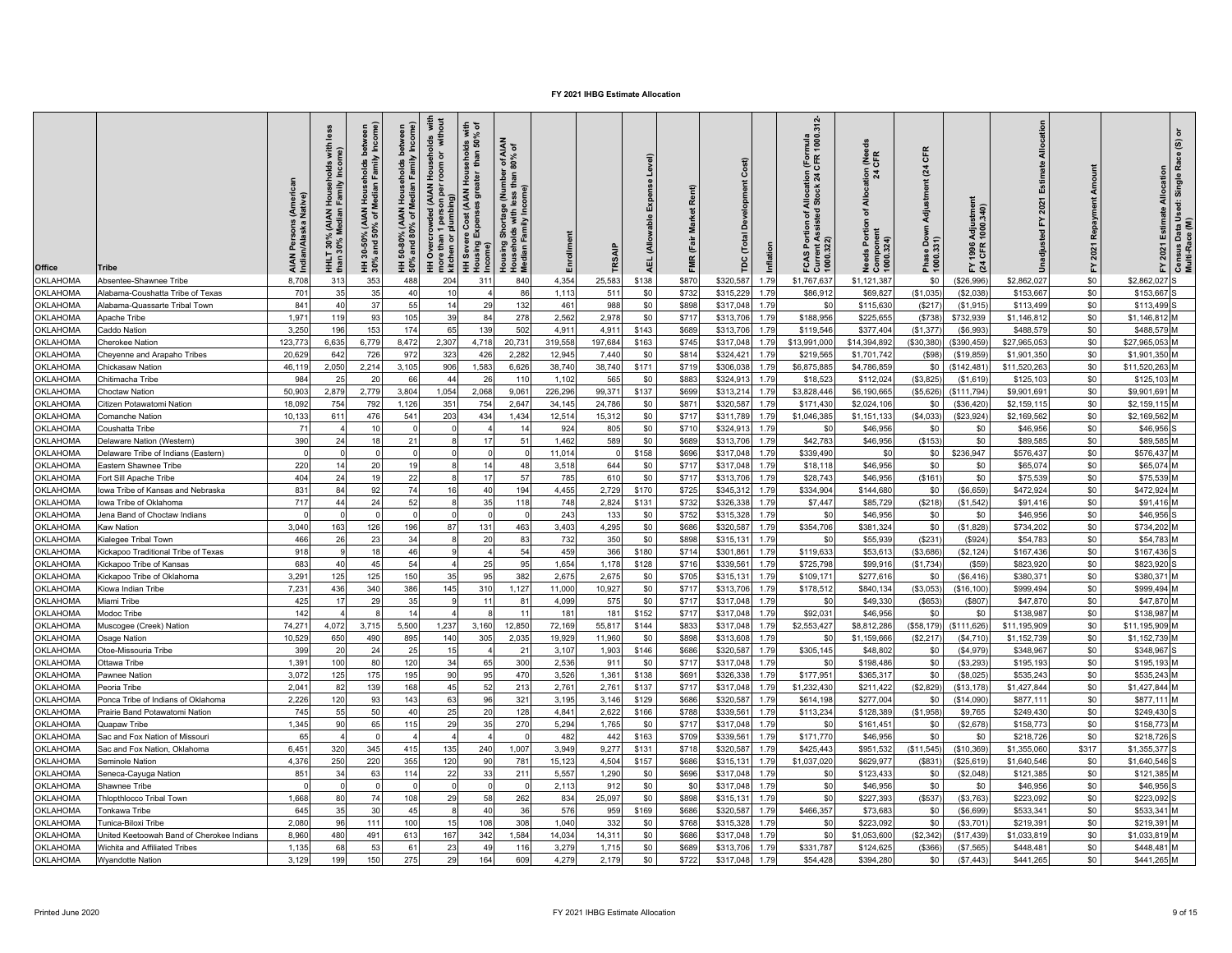| <b>Office</b>                      | Tribe                                     | (Americ<br>Native)<br>AIAN Persons<br>Indian/Alaska I<br>å | <u>ies</u><br>with<br>Househ<br>Family<br>T 30% (AIAN I<br>30% Median I<br>THE<br>H | Median Family Income)<br>bet<br>Households<br><b>AIAN</b><br>% of M<br>្ថី និ<br>$\frac{30-50^{\circ}}{30-50^{\circ}}$<br>HH 30% | HH 50-80% (AIAN Households between<br>50% and 80% of Median Family Income) | with<br>Households v  <br>room or witho<br>HH Overcrowded (AIAN<br>1 person p<br>plumbing)<br>vre than<br>chen or<br>mor<br>kitch | seholds with<br>than 50% of<br>V House<br>eater t<br>HH Severe Cost (AIAN<br>Housing Expenses gre<br>Income | r of AIAN<br>80% of<br>  Shortage (Number<br>blds with less than 8<br>Family Income)<br>Housing<br>Househol<br>Median Fa | Enrollment   | TRSAIP         | Level)<br>Expense<br>(Allowable<br>AEL. | Rent)<br>FMR (Fair Market | å                      | Inflation    | n (Formula<br>  CFR 1000.312-<br>f Allocation (<br>d Stock 24 C<br>tion of A<br>ssisted<br>FCAS Portion<br>Current Assist<br>1000.322) | I (Needs<br>CFR<br>tion<br>ă<br>৳<br>eds Portion<br>Componen<br>1000.324) | CFR<br>$\frac{3}{4}$<br>는<br>इँ<br>Down<br>Phase Do<br>1000.331) | Adjustment<br>1000.340)<br>1996<br>CFR<br>도 죽 | location<br>Estimate<br>걊<br>usted | Repayment<br>2021<br>놊 | 2021 Estimate Allocation<br>노         | Census Data Used: Single Race (S) or<br>Multi-Race (M) |
|------------------------------------|-------------------------------------------|------------------------------------------------------------|-------------------------------------------------------------------------------------|----------------------------------------------------------------------------------------------------------------------------------|----------------------------------------------------------------------------|-----------------------------------------------------------------------------------------------------------------------------------|-------------------------------------------------------------------------------------------------------------|--------------------------------------------------------------------------------------------------------------------------|--------------|----------------|-----------------------------------------|---------------------------|------------------------|--------------|----------------------------------------------------------------------------------------------------------------------------------------|---------------------------------------------------------------------------|------------------------------------------------------------------|-----------------------------------------------|------------------------------------|------------------------|---------------------------------------|--------------------------------------------------------|
| OKLAHOMA                           | Absentee-Shawnee Tribe                    | 8.708                                                      | 31                                                                                  | 353                                                                                                                              | 488                                                                        | 204                                                                                                                               | 31                                                                                                          | 840                                                                                                                      | 4,354        | 25,583         | \$138                                   | \$870                     | \$320,587              | 1.79         | \$1,767,637                                                                                                                            | \$1,121,38                                                                | \$0                                                              | \$26,996                                      | \$2.862.027                        | \$0                    | \$2,862.027                           |                                                        |
| <b>OKLAHOMA</b>                    | Alabama-Coushatta Tribe of Texas          | 701                                                        | 35                                                                                  | 35                                                                                                                               | 40                                                                         | 10                                                                                                                                |                                                                                                             | 86                                                                                                                       | 1.113        | 511            | \$0                                     | \$732                     | \$315,229              | 1.79         | \$86,912                                                                                                                               | \$69,827                                                                  | (\$1,035)                                                        | (\$2,038)                                     | \$153,667                          | \$0                    | \$153,667                             |                                                        |
| <b>OKLAHOMA</b>                    | Alabama-Quassarte Tribal Town             | 841                                                        | 40                                                                                  | 37                                                                                                                               | 55                                                                         | 14                                                                                                                                | 29                                                                                                          | 132                                                                                                                      | 461          | 988            | \$0                                     | \$898                     | \$317,048              | 1.79         | \$0                                                                                                                                    | \$115.63                                                                  | (S217)                                                           | (S1, 915)                                     | \$113,499                          | \$0                    | \$113,499                             |                                                        |
| OKLAHOMA                           | Apache Tribe                              | 1,97                                                       | 119                                                                                 | 93                                                                                                                               | 105                                                                        | 39                                                                                                                                | 84                                                                                                          | 278                                                                                                                      | 2,562        | 2,978          | \$0                                     | \$717                     | \$313,706              | 1.79         | \$188,956                                                                                                                              | \$225,65                                                                  | (S738)                                                           | \$732,939                                     | \$1,146,81                         | \$0                    | \$1,146,812                           |                                                        |
| OKLAHOMA                           | Caddo Nation                              | 3,250                                                      | 196                                                                                 | 153                                                                                                                              | 174                                                                        | 65                                                                                                                                | 139                                                                                                         | 502                                                                                                                      | 4,911        | 4,911          | \$143                                   | \$689                     | \$313,706              | 1.79         | \$119,546                                                                                                                              | \$377,404                                                                 | (\$1,377                                                         | (\$6,993                                      | \$488,57                           | \$0                    | \$488,579                             |                                                        |
| <b>OKLAHOMA</b>                    | <b>Cherokee Nation</b>                    | 123,773                                                    | 6,63                                                                                | 6,779                                                                                                                            | 8,472                                                                      | 2,307                                                                                                                             | 4,718                                                                                                       | 20,73'                                                                                                                   | 319,558      | 197,684        | \$163                                   | \$745                     | \$317,048              | 1.79         | \$13,991,000                                                                                                                           | \$14,394,892                                                              | (\$30,380)                                                       | (\$390,459                                    | \$27,965,05                        | \$0                    | \$27,965,053                          |                                                        |
| OKLAHOMA                           | Cheyenne and Arapaho Tribes               | 20,629                                                     | 642                                                                                 | 726                                                                                                                              | 972                                                                        | 323                                                                                                                               | 426                                                                                                         | 2,282                                                                                                                    | 12,945       | 7,440          | \$0                                     | \$814                     | \$324,421              | 1.79         | \$219,565                                                                                                                              | \$1,701,742                                                               | (\$98)                                                           | (\$19,859                                     | \$1,901,350                        | \$0                    | \$1,901,350 M                         |                                                        |
| <b>OKLAHOMA</b>                    | Chickasaw Nation                          | 46,119                                                     | 2,05                                                                                | 2,214                                                                                                                            | 3,105                                                                      | 906                                                                                                                               | 1,583                                                                                                       | 6,626                                                                                                                    | 38,740       | 38,740         | \$171                                   | \$719                     | \$306,038              | 1.79         | \$6,875,88                                                                                                                             | \$4,786,859                                                               | \$0                                                              | (\$142,481                                    | \$11,520,263                       | \$0                    | \$11,520,263 M                        |                                                        |
| <b>OKLAHOMA</b>                    | Chitimacha Tribe                          | 984                                                        | 25                                                                                  | 20                                                                                                                               | 66                                                                         | 44                                                                                                                                | 26                                                                                                          | 110                                                                                                                      | 1,102        | 565            | \$0                                     | \$883                     | \$324,913              | 1.79         | \$18,52                                                                                                                                | \$112,024                                                                 | (\$3,825)                                                        | (\$1,619                                      | \$125,103                          | \$0                    | \$125,103 M                           |                                                        |
| OKLAHOMA                           | Choctaw Nation                            | 50,903                                                     | 2,879                                                                               | 2,779                                                                                                                            | 3,804                                                                      | 1,054                                                                                                                             | 2,068                                                                                                       | 9,06                                                                                                                     | 226,296      | 99.37          | \$137                                   | \$699                     | \$313,214              | 1.79         | \$3,828,446                                                                                                                            | \$6,190,665                                                               | (\$5,626                                                         | (\$111,794                                    | \$9,901,69                         | \$0                    | \$9,901,691                           |                                                        |
| <b>OKLAHOMA</b>                    | Citizen Potawatomi Nation                 | 18.092                                                     | 754                                                                                 | 792                                                                                                                              | 1.126                                                                      | 351                                                                                                                               | 754                                                                                                         | 2.647                                                                                                                    | 34.145       | 24.786         | \$0                                     | \$871                     | \$320,587              | 1.79         | \$171,430                                                                                                                              | \$2,024,106                                                               | \$0                                                              | (\$36,420                                     | \$2.159.115                        | \$0                    | \$2.159.115 M                         |                                                        |
| OKLAHOMA                           | Comanche Nation                           | 10,133                                                     | 61 <sup>°</sup>                                                                     | 476                                                                                                                              | 541                                                                        | 203                                                                                                                               | 434                                                                                                         | 1,434                                                                                                                    | 12,514       | 15,312         | \$0                                     | \$717                     | \$311,789              | 1.79         | \$1,046,385                                                                                                                            | \$1,151,13                                                                | (\$4,033]                                                        | \$23,924                                      | \$2,169,562                        | \$0                    | \$2,169,562 M                         |                                                        |
| <b>OKLAHOMA</b>                    | Coushatta Tribe                           | 71                                                         |                                                                                     | 10                                                                                                                               |                                                                            |                                                                                                                                   |                                                                                                             |                                                                                                                          | 924          | 805            | \$0                                     | \$710                     | \$324,91               | 1.79         | \$0                                                                                                                                    | \$46,956                                                                  | \$0                                                              | \$0                                           | \$46,95                            | \$0                    | \$46.956                              |                                                        |
| <b>OKLAHOMA</b>                    | Delaware Nation (Western)                 | 390                                                        | 24                                                                                  | 18                                                                                                                               | 21                                                                         |                                                                                                                                   | 17                                                                                                          | 5'                                                                                                                       | 1,462        | 589            | \$0                                     | \$689                     | \$313,706              | 1.79         | \$42,783                                                                                                                               | \$46,956                                                                  | (S153)                                                           | \$0                                           | \$89,585                           | \$0                    | \$89,585 M                            |                                                        |
| <b>OKLAHOMA</b>                    | Delaware Tribe of Indians (Eastern)       | $\cap$                                                     |                                                                                     | $\Omega$                                                                                                                         |                                                                            |                                                                                                                                   | $\Omega$                                                                                                    |                                                                                                                          | 11,014       | $\cap$         | \$158                                   | \$696                     | \$317,048              | 1.79         | \$339,490                                                                                                                              | \$0                                                                       | \$0                                                              | \$236,947                                     | \$576,437                          | \$0                    | \$576,437 M                           |                                                        |
| <b>OKLAHOMA</b>                    | Eastern Shawnee Tribe                     | 220                                                        | 14                                                                                  | 20                                                                                                                               | 19                                                                         |                                                                                                                                   | 14                                                                                                          | $\overline{a}$                                                                                                           | 3,518        | 644            | \$0                                     | \$717                     | \$317,048              | 1.79         | \$18,118                                                                                                                               | \$46,956                                                                  | \$0                                                              | \$0                                           | \$65,074                           | \$0                    | \$65,074 M                            |                                                        |
| <b>OKLAHOMA</b>                    | Fort Sill Apache Tribe                    | 404                                                        | 24                                                                                  | 19                                                                                                                               | 22                                                                         |                                                                                                                                   | 17                                                                                                          | 57                                                                                                                       | 785          | 610            | \$0                                     | \$717                     | \$313,706              | 1.79         | \$28,743                                                                                                                               | \$46,956                                                                  | (S161)                                                           | \$0                                           | \$75,53                            | \$0                    | \$75,539 M                            |                                                        |
| <b>OKLAHOMA</b>                    | Iowa Tribe of Kansas and Nebraska         | 831                                                        | 84                                                                                  | 92                                                                                                                               | 74                                                                         | 16                                                                                                                                | 40                                                                                                          | 194                                                                                                                      | 4.455        | 2.729          | \$170                                   | \$725                     | \$345.31               | 1.79         | \$334.904                                                                                                                              | \$144,680                                                                 | \$0                                                              | (\$6,659)                                     | \$472.92                           | \$0                    | \$472.924 M                           |                                                        |
| <b>OKLAHOMA</b>                    | lowa Tribe of Oklahoma                    | 717                                                        | 44                                                                                  | 24                                                                                                                               | 52                                                                         |                                                                                                                                   | 35                                                                                                          | 118                                                                                                                      | 748          | 2,824          | \$131                                   | \$732                     | \$326,338              | 1.79         | \$7,447                                                                                                                                | \$85,729                                                                  | (S218)                                                           | (\$1,542                                      | \$91,416                           | \$0                    | \$91.416 M                            |                                                        |
| OKLAHOMA                           | lena Band of Choctaw Indians              |                                                            |                                                                                     |                                                                                                                                  |                                                                            |                                                                                                                                   |                                                                                                             |                                                                                                                          | 243          | 133            | \$0                                     | \$752                     | \$315,328              | 1.79         | \$C                                                                                                                                    | \$46,956                                                                  | \$0                                                              | \$0                                           | \$46,95                            | \$0                    | \$46,956                              |                                                        |
| OKLAHOMA                           | Kaw Natior                                | 3,040                                                      | 163                                                                                 | 126                                                                                                                              | 196                                                                        | 87                                                                                                                                | 131                                                                                                         | 463                                                                                                                      | 3,403        | 4,295          | \$0                                     | \$686                     | \$320,587              | 1.79         | \$354,706                                                                                                                              | \$381,324                                                                 | \$0                                                              | (S1.828)                                      | \$734,202                          | \$0                    | \$734,202                             |                                                        |
| <b>OKLAHOMA</b>                    |                                           | 466                                                        | 26                                                                                  | 23                                                                                                                               | 34                                                                         |                                                                                                                                   | 20                                                                                                          | 83                                                                                                                       | 732          | 350            | \$0                                     | \$898                     | \$315,13'              | 1.79         | \$C                                                                                                                                    | \$55,939                                                                  | (\$231                                                           | (\$924                                        | \$54,78                            | \$0                    | \$54,783                              |                                                        |
|                                    | Kialegee Tribal Town                      | 918                                                        |                                                                                     | 18                                                                                                                               | 46                                                                         |                                                                                                                                   | $\boldsymbol{\Lambda}$                                                                                      | 54                                                                                                                       |              |                |                                         |                           |                        | 1.79         |                                                                                                                                        |                                                                           |                                                                  |                                               |                                    | \$0                    |                                       |                                                        |
| <b>OKLAHOMA</b><br><b>OKLAHOMA</b> | Kickapoo Traditional Tribe of Texas       | 683                                                        | 40                                                                                  | 45                                                                                                                               | 54                                                                         |                                                                                                                                   | 25                                                                                                          | 95                                                                                                                       | 459<br>1,654 | 366<br>1,178   | \$180<br>\$128                          | \$714<br>\$716            | \$301,861<br>\$339,56  | 1.79         | \$119,633<br>\$725,798                                                                                                                 | \$53,613<br>\$99,916                                                      | (\$3,686)<br>(\$1,734)                                           | (\$2, 124)                                    | \$167,436<br>\$823,920             | \$0                    | \$167,436<br>\$823,920                |                                                        |
|                                    | Kickapoo Tribe of Kansas                  | 3,291                                                      | 125                                                                                 | 125                                                                                                                              | 150                                                                        | 35                                                                                                                                | 95                                                                                                          | 382                                                                                                                      | 2.675        | 2.675          |                                         |                           |                        |              |                                                                                                                                        |                                                                           |                                                                  | (\$59                                         |                                    | \$0                    | \$380,371 M                           |                                                        |
| OKLAHOMA<br><b>OKLAHOMA</b>        | Kickapoo Tribe of Oklahoma                |                                                            | 436                                                                                 | 340                                                                                                                              | 386                                                                        | 145                                                                                                                               | 310                                                                                                         |                                                                                                                          | 11.000       | 10,927         | \$0<br>\$0                              | \$705<br>\$717            | \$315,131              | 1.79<br>1.79 | \$109,171                                                                                                                              | \$277,616<br>\$840,134                                                    | \$0                                                              | (S6, 416)                                     | \$380,37                           | \$0                    | \$999.494 M                           |                                                        |
| <b>OKLAHOMA</b>                    | Kiowa Indian Tribe                        | 7,23'                                                      | 17                                                                                  |                                                                                                                                  |                                                                            |                                                                                                                                   |                                                                                                             | 1,127                                                                                                                    |              |                |                                         |                           | \$313,706              |              | \$178,512                                                                                                                              |                                                                           | (\$3,053)                                                        | \$16,100                                      | \$999,494                          |                        |                                       |                                                        |
|                                    | Miami Tribe                               | 425                                                        |                                                                                     | 29                                                                                                                               | 35                                                                         |                                                                                                                                   | 11<br>$\mathbf{R}$                                                                                          | 81                                                                                                                       | 4.099        | 575            | \$0                                     | \$717                     | \$317,048              | 1.79         | \$0                                                                                                                                    | \$49.33                                                                   | (S653)                                                           | (\$807                                        | \$47,870                           | \$0                    | \$47,870 M                            |                                                        |
| <b>OKLAHOMA</b>                    | Modoc Tribe                               | 142                                                        |                                                                                     |                                                                                                                                  | 14                                                                         |                                                                                                                                   |                                                                                                             | $\cdot$                                                                                                                  | 181          | 181            | \$152                                   | \$717                     | \$317,048              | 1.79         | \$92,031                                                                                                                               | \$46,956                                                                  | \$0                                                              | \$0                                           | \$138,987                          | \$0                    | \$138,987                             |                                                        |
| OKLAHOMA                           | Muscogee (Creek) Nation                   | 74,271                                                     | 4,072                                                                               | 3.715                                                                                                                            | 5,500                                                                      | 1,237                                                                                                                             | 3,160                                                                                                       | 12,850                                                                                                                   | 72,169       | 55,817         | \$144                                   | \$833                     | \$317,048              | 1.79         | \$2,553,427                                                                                                                            | \$8,812,28                                                                | (\$58,179)                                                       | (\$111,626                                    | \$11,195,909                       | \$0                    | \$11,195,909                          |                                                        |
| OKLAHOMA<br><b>OKLAHOMA</b>        | <b>Osage Nation</b>                       | 10,529                                                     | 650<br>20                                                                           | 490                                                                                                                              | 895                                                                        | 140<br>15                                                                                                                         | 305<br>$\boldsymbol{\Lambda}$                                                                               | 2,035                                                                                                                    | 19,929       | 11,960         | \$0                                     | \$898                     | \$313,608              | 1.79         | \$C                                                                                                                                    | \$1,159,666                                                               | (\$2,217                                                         | (S4, 710)                                     | \$1,152,739                        | \$0<br>\$0             | \$1,152,739                           |                                                        |
|                                    | Otoe-Missouria Tribe                      | 399                                                        |                                                                                     | 24                                                                                                                               | 25                                                                         |                                                                                                                                   |                                                                                                             | 21                                                                                                                       | 3,107        | 1,903          | \$146                                   | \$686                     | \$320,587              | 1.79         | \$305,145                                                                                                                              | \$48,80                                                                   | \$0                                                              | (\$4,979                                      | \$348,967                          |                        | \$348,967                             |                                                        |
| OKLAHOMA<br><b>OKLAHOMA</b>        | Ottawa Tribe                              | 1,391                                                      | 100                                                                                 | 80<br>175                                                                                                                        | 120<br>195                                                                 | 34<br>90                                                                                                                          | 65<br>95                                                                                                    | 300                                                                                                                      | 2,536        | 911            | \$0                                     | \$717                     | \$317,048              | 1.79         | \$0                                                                                                                                    | \$198,486                                                                 | \$0<br>\$0                                                       | (\$3,293                                      | \$195,193                          | \$0                    | \$195,193 <sup>N</sup><br>\$535.243 M |                                                        |
| <b>OKLAHOMA</b>                    | Pawnee Nation                             | 3,072<br>2.041                                             | 125                                                                                 | 139                                                                                                                              |                                                                            |                                                                                                                                   | 52                                                                                                          | 470                                                                                                                      | 3,526        | 1,361<br>2.761 | \$138                                   | \$691                     | \$326,338<br>\$317,048 | 1.79         | \$177,951<br>\$1,232,430                                                                                                               | \$365,31                                                                  |                                                                  | (\$8,025                                      | \$535,24<br>\$1,427,844            | \$0                    | \$1.427.844 M                         |                                                        |
|                                    | Peoria Tribe                              |                                                            | 82                                                                                  |                                                                                                                                  | 168                                                                        | 45                                                                                                                                |                                                                                                             | 213                                                                                                                      | 2.761        |                | \$137                                   | \$717                     |                        | 1.79         |                                                                                                                                        | \$211.422                                                                 | (\$2,829)                                                        | (\$13, 178]                                   |                                    | \$0                    |                                       |                                                        |
| OKLAHOMA<br>OKLAHOMA               | Ponca Tribe of Indians of Oklahoma        | 2,226                                                      | 120                                                                                 | 93                                                                                                                               | 143                                                                        | 63                                                                                                                                | 96                                                                                                          | 32 <sup>2</sup>                                                                                                          | 3,195        | 3,146          | \$129                                   | \$686                     | \$320,587              | 1.79         | \$614,198                                                                                                                              | \$277,004                                                                 | \$0                                                              | \$14,090                                      | \$877,11                           | \$0                    | \$877,111 M                           |                                                        |
|                                    | Prairie Band Potawatomi Nation            | 745                                                        | 55                                                                                  | 50                                                                                                                               | 40                                                                         | 25                                                                                                                                | 20                                                                                                          | 128                                                                                                                      | 4,841        | 2,622          | \$166                                   | \$788                     | \$339,56               | 1.79         | \$113,234                                                                                                                              | \$128,38                                                                  | (\$1,958)                                                        | \$9,765                                       | \$249,430                          | \$0                    | \$249,430                             |                                                        |
| OKLAHOMA                           | Quapaw Tribe                              | 1,345                                                      | 90                                                                                  | 65                                                                                                                               | 115                                                                        | 29                                                                                                                                | 35                                                                                                          | 270                                                                                                                      | 5,294        | 1,765          | \$0                                     | \$717                     | \$317,048              | 1.79         | \$ <sub>0</sub>                                                                                                                        | \$161,45                                                                  | \$0                                                              | (\$2,678)                                     | \$158,77                           | \$0                    | \$158,773                             |                                                        |
| OKLAHOMA                           | Sac and Fox Nation of Missouri            | 65                                                         |                                                                                     |                                                                                                                                  |                                                                            |                                                                                                                                   |                                                                                                             |                                                                                                                          | 482          | 442            | \$163                                   | \$709                     | \$339,56               | 1.79         | \$171,770                                                                                                                              | \$46,95                                                                   | \$0                                                              | \$0                                           | \$218,72                           | \$0                    | \$218,726                             |                                                        |
| <b>OKLAHOMA</b>                    | Sac and Fox Nation, Oklahoma              | 6,451                                                      | 320                                                                                 | 345                                                                                                                              | 415                                                                        | 135                                                                                                                               | 240                                                                                                         | 1,007                                                                                                                    | 3,949        | 9,277          | \$131                                   | \$718                     | \$320,587              | 1.79         | \$425,443                                                                                                                              | \$951,532                                                                 | (\$11,545)                                                       | (\$10,369)                                    | \$1,355,060                        | \$317                  | \$1,355,377                           |                                                        |
| OKLAHOMA                           | Seminole Nation                           | 4,376                                                      | 250                                                                                 | 220                                                                                                                              | 355                                                                        | 120                                                                                                                               | 90                                                                                                          | 781                                                                                                                      | 15,123       | 4,504          | \$157                                   | \$686                     | \$315,131              | 1.79         | \$1,037,020                                                                                                                            | \$629,977                                                                 | (\$831                                                           | \$25,619                                      | \$1,640,546                        | \$0                    | \$1,640,546                           |                                                        |
| <b>OKLAHOMA</b>                    | Seneca-Cayuga Nation                      | 851                                                        | 34                                                                                  | 63                                                                                                                               | 114                                                                        | 22                                                                                                                                | 33                                                                                                          | 211                                                                                                                      | 5,557        | 1,290          | \$0                                     | \$696                     | \$317,048              | 1.79         | \$0                                                                                                                                    | \$123,43                                                                  | \$0                                                              | (\$2,048)                                     | \$121,385                          | \$0                    | \$121,385 M                           |                                                        |
| <b>OKLAHOMA</b>                    | Shawnee Tribe                             |                                                            |                                                                                     | $\Omega$                                                                                                                         |                                                                            | $\Omega$                                                                                                                          | $\Omega$                                                                                                    |                                                                                                                          | 2,113        | 912            | \$0                                     | \$0                       | \$317,048              | 1.79         | \$0                                                                                                                                    | \$46,956                                                                  | \$0                                                              | \$0                                           | \$46,956                           | \$0                    | \$46,956                              |                                                        |
| <b>OKLAHOMA</b>                    | Thlopthlocco Tribal Town                  | 1,668                                                      | 80                                                                                  | 74                                                                                                                               | 108                                                                        | 29                                                                                                                                | 58                                                                                                          | 262                                                                                                                      | 834          | 25,097         | \$0                                     | \$898                     | \$315,13'              | 1.79         | \$0                                                                                                                                    | \$227,393                                                                 | (S537)                                                           | (\$3,763                                      | \$223,092                          | \$0                    | \$223,092                             |                                                        |
| <b>OKLAHOMA</b>                    | <b>Tonkawa Tribe</b>                      | 645                                                        | 35                                                                                  | 30                                                                                                                               | 4 <sub>5</sub>                                                             |                                                                                                                                   | 40                                                                                                          | 36                                                                                                                       | 576          | 959            | \$169                                   | \$686                     | \$320,587              | 1.79         | \$466,357                                                                                                                              | \$73.68                                                                   | \$0                                                              | (\$6,699                                      | \$533.34                           | \$0                    | \$533.341 M                           |                                                        |
| OKLAHOMA                           | Tunica-Biloxi Tribe                       | 2.080                                                      | <b>Qf</b>                                                                           | 111                                                                                                                              | 100                                                                        | 15                                                                                                                                | 108                                                                                                         | 308                                                                                                                      | 1,040        | 332            | \$0                                     | \$768                     | \$315,328              | 1.79         | \$C                                                                                                                                    | \$223,09                                                                  | \$0                                                              | (S3, 701)                                     | \$219,39                           | \$0                    | \$219,391                             |                                                        |
| OKLAHOMA                           | Jnited Keetoowah Band of Cherokee Indians | 8,960                                                      | 480                                                                                 | 491                                                                                                                              | 613                                                                        | 167                                                                                                                               | 342                                                                                                         | 1,584                                                                                                                    | 14,034       | 14,311         | \$0                                     | \$686                     | \$317,048              | 1.79         | \$C                                                                                                                                    | \$1,053,60                                                                | (\$2,342)                                                        | \$17,439                                      | \$1,033,819                        | \$0                    | \$1,033,819 M                         |                                                        |
| <b>OKLAHOMA</b>                    | Wichita and Affiliated Tribes             | 1,135                                                      | 68                                                                                  | 53                                                                                                                               | 61                                                                         | 23                                                                                                                                | 49                                                                                                          | 116                                                                                                                      | 3,279        | 1,715          | \$0                                     | \$689                     | \$313,706              | 1.79         | \$331,787                                                                                                                              | \$124,62                                                                  | (\$366                                                           | (\$7,565                                      | \$448,48                           | \$0                    | \$448,481 M                           |                                                        |
| <b>OKLAHOMA</b>                    | <b>Wyandotte Nation</b>                   | 3,129                                                      | 199                                                                                 | 150                                                                                                                              | 275                                                                        | 29                                                                                                                                | 164                                                                                                         | 609                                                                                                                      | 4,279        | 2,179          | \$0                                     | \$722                     | \$317,048              | 1.79         | \$54,428                                                                                                                               | \$394,280                                                                 | \$0                                                              | (\$7,443)                                     | \$441,265                          | \$0                    | \$441,265 M                           |                                                        |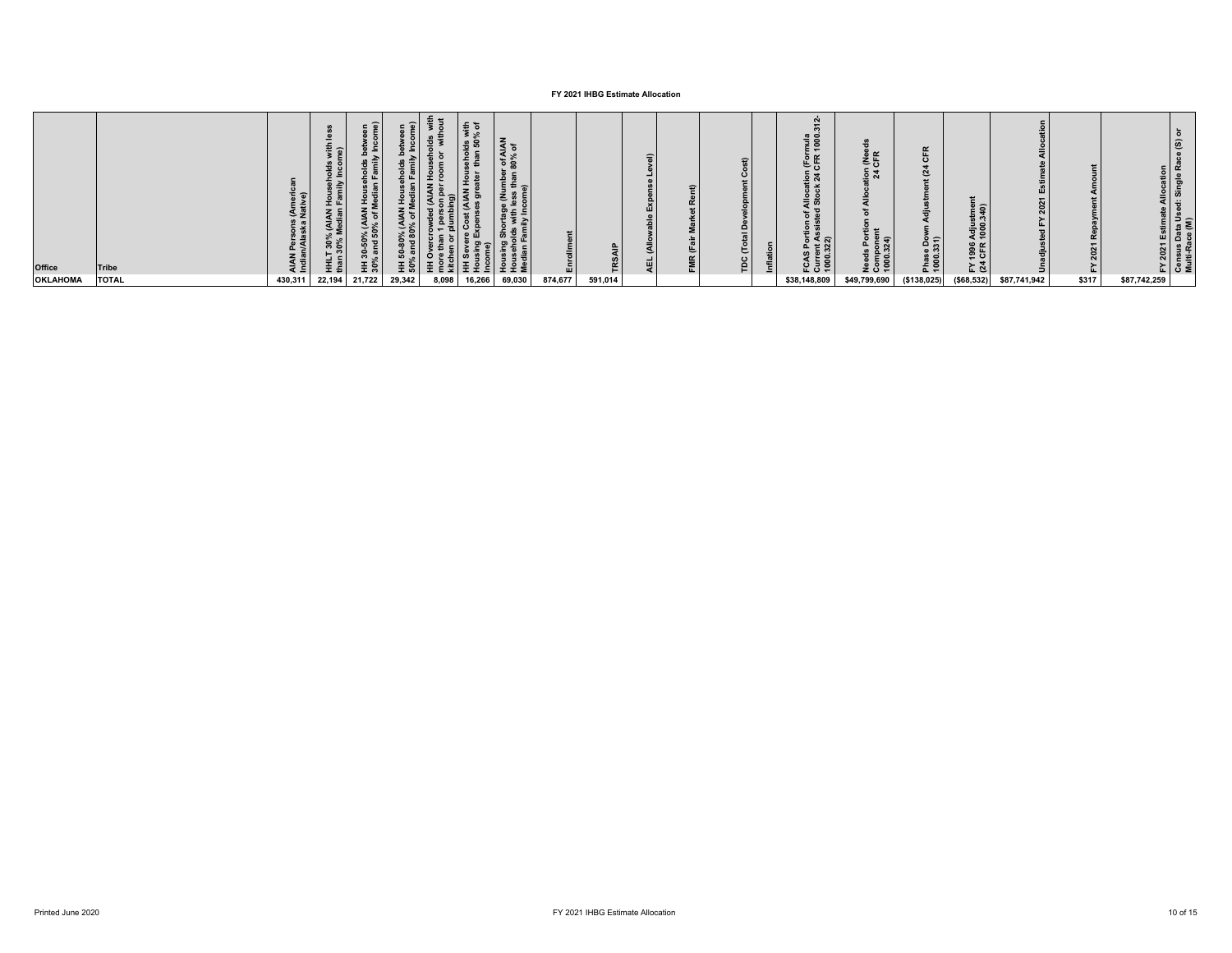| <b>Office</b><br><b>OKLAHOMA</b> | Tribe<br><b>TOTAL</b> | : 드<br>430,311 | នី និ<br>$\epsilon$<br>로 중 | ית ה<br>న బె<br>유ㅎ<br>$\bullet$<br>王 흥<br>22,194 21,722 | 요<br>로 많<br>29,342 | ಾ<br>8,098 | خ ≘<br>$\overline{2}$<br>$\overline{\bullet}$ $\pm$<br>16,266 | f AIAN<br>% of<br>ം ജ<br>- ⊷<br>69,030 | 画<br>874,677 | 591,014 | $\equiv$ |  | $\mathbf{\Omega}$<br>₽ |  | E H<br>نہ ⊆.<br>$E$ $N$<br>\$38,148,809 | <b>ABLE</b><br>ত্ৰ প্ল<br>\$49,799,690 | ∶ ∈<br>Phas<br>1000<br>(\$138,025) | : ຣ<br>$\bullet$<br>도한<br>( \$68, 532) | \$87,741,942 | ۵<br>\$317 | \$87,742,259 |  |
|----------------------------------|-----------------------|----------------|----------------------------|---------------------------------------------------------|--------------------|------------|---------------------------------------------------------------|----------------------------------------|--------------|---------|----------|--|------------------------|--|-----------------------------------------|----------------------------------------|------------------------------------|----------------------------------------|--------------|------------|--------------|--|
|----------------------------------|-----------------------|----------------|----------------------------|---------------------------------------------------------|--------------------|------------|---------------------------------------------------------------|----------------------------------------|--------------|---------|----------|--|------------------------|--|-----------------------------------------|----------------------------------------|------------------------------------|----------------------------------------|--------------|------------|--------------|--|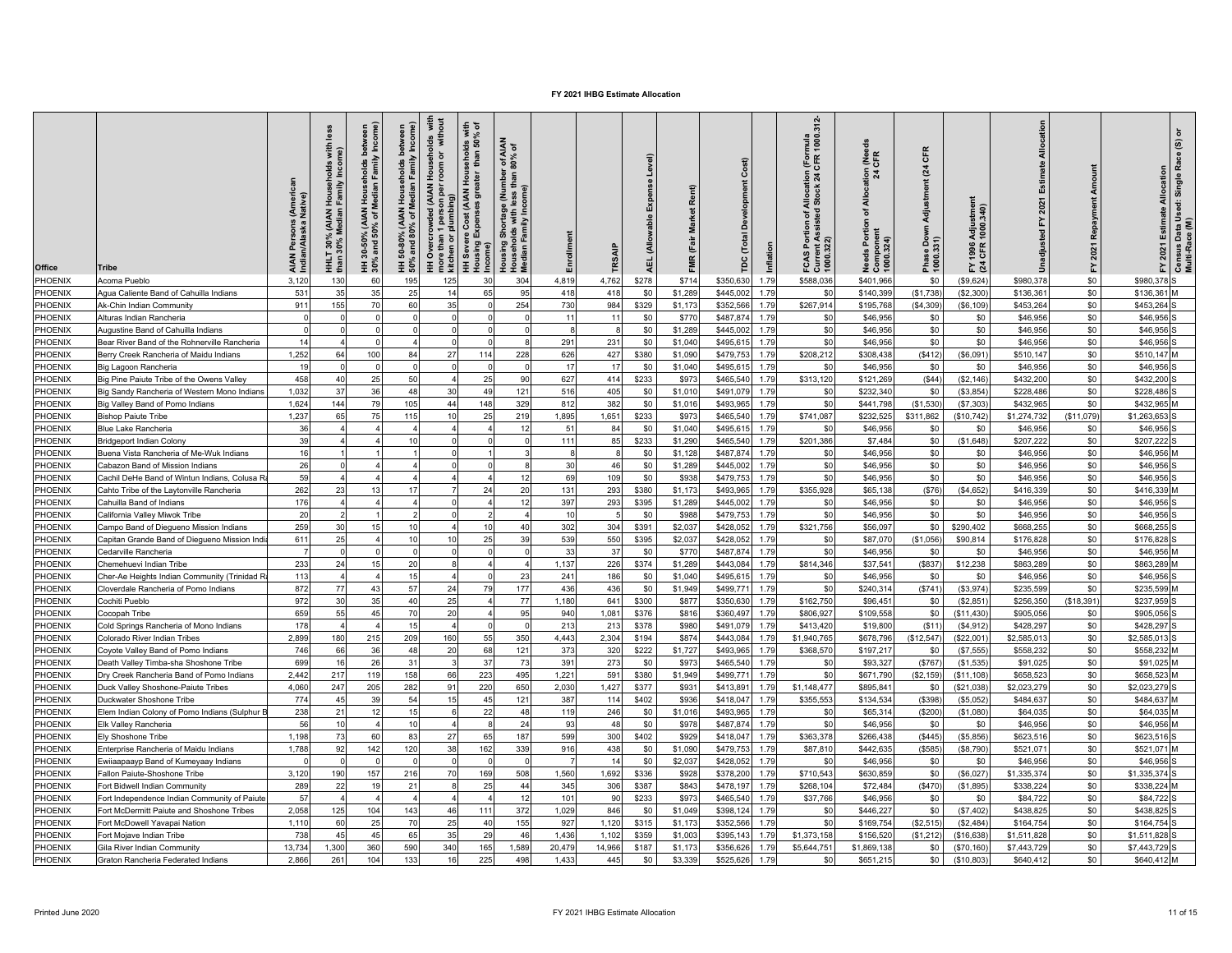| Office         | Tribe                                         | Native)<br><b>Indian/Alaska</b> | less<br>with<br>me)<br>I Households v<br>TFamily Incom<br>30% (AIAN I<br>30% Median I<br>둝 | Median Family Income)<br>bet<br>holds<br>৳<br>-50% (<br>1d 50°<br>and<br>$30 -$ | Median Family Income)<br>ĭ<br>50% and 80% of<br>ន់ | with<br>put<br>Households v<br>room or witho<br>HH Overcrowded (AIAN H<br>more than 1 person per r<br>kitchen or plumbing) | seholds with<br>than 50% of<br>eus<br>Hous<br>eater<br>Cost (AIAN I<br>xpenses grea<br>HH Severe Cost (<br>Housing Expense | r of AIAN<br>80% of<br>  Shortage (Number<br> -<br>  Shortay Income<br>  Tamily Income<br>Housing S<br>Househol<br>Median Fa | Enrollment | TRSAIP       | Level)<br>菡<br>$\frac{a}{6}$<br>(Allow<br>ų. | Rent)<br><b>Market</b><br>FMR (Fair | Cost)<br>å<br>$\overline{\mathbf{c}}$<br>Inflation | $312 -$<br>Allocation (Formula<br>  Stock 24 CFR 1000.<br>tion of A<br>ssisted<br>FCAS Portion<br>Current Assist<br>1000.322) | <b>LNee</b><br>$\frac{1}{2}a$<br>Allocat<br>৳<br>eds Portion<br>Component<br>1000.324) | CFR<br>(24)<br>Adjustment<br>Phase Down<br>1000.331) | Adjustment<br>1000.340)<br>1996<br>CFR<br>도 잘 | cation      | Repayment<br>2021<br>걊 | 2021 Estimate Allocation<br>모 | Census Data Used: Single Race (S) or<br>Multi-Race (M) |
|----------------|-----------------------------------------------|---------------------------------|--------------------------------------------------------------------------------------------|---------------------------------------------------------------------------------|----------------------------------------------------|----------------------------------------------------------------------------------------------------------------------------|----------------------------------------------------------------------------------------------------------------------------|------------------------------------------------------------------------------------------------------------------------------|------------|--------------|----------------------------------------------|-------------------------------------|----------------------------------------------------|-------------------------------------------------------------------------------------------------------------------------------|----------------------------------------------------------------------------------------|------------------------------------------------------|-----------------------------------------------|-------------|------------------------|-------------------------------|--------------------------------------------------------|
| PHOENIX        | Acoma Pueblo                                  | 3.120                           | 130                                                                                        | 60                                                                              | 195                                                | 125                                                                                                                        | 30                                                                                                                         | 304                                                                                                                          | 4,819      | 4,762        | \$278                                        | \$714                               | \$350.63<br>1.79                                   | \$588,036                                                                                                                     | \$401.966                                                                              | \$0                                                  | (\$9,624                                      | \$980.378   | \$0                    | \$980.378                     |                                                        |
| PHOENIX        | Agua Caliente Band of Cahuilla Indians        | 531                             | 35                                                                                         | 35                                                                              | 25                                                 | 14                                                                                                                         | 65                                                                                                                         | 95                                                                                                                           | 418        | 418          | \$0                                          | \$1,289                             | \$445.002<br>1.79                                  | \$ <sub>6</sub>                                                                                                               | \$140,399                                                                              | (\$1,738)                                            | (\$2,300                                      | \$136,361   | \$0                    | \$136,361 M                   |                                                        |
| PHOENIX        | Ak-Chin Indian Community                      | 911                             | 155                                                                                        | 70                                                                              | 60                                                 | 35                                                                                                                         | $\Omega$                                                                                                                   | 254                                                                                                                          | 730        | 984          | \$329                                        | \$1,173                             | \$352.56<br>1.79                                   | \$267.914                                                                                                                     | \$195,768                                                                              | (S4.309)                                             | (S6.109)                                      | \$453.264   | \$0                    | \$453.264                     |                                                        |
| PHOENIX        | Alturas Indian Rancheria                      |                                 |                                                                                            |                                                                                 |                                                    |                                                                                                                            |                                                                                                                            |                                                                                                                              | 11         | 11           | \$0                                          | \$770                               | \$487,874<br>1.79                                  | \$ <sub>0</sub>                                                                                                               | \$46,956                                                                               | \$0                                                  | \$0                                           | \$46,956    | \$0                    | \$46,956                      |                                                        |
| PHOENIX        | Augustine Band of Cahuilla Indians            |                                 |                                                                                            |                                                                                 |                                                    |                                                                                                                            | C                                                                                                                          |                                                                                                                              | £          | 8            | \$0                                          | \$1,289                             | \$445,00<br>1.79                                   | \$0                                                                                                                           | \$46,956                                                                               | \$0                                                  | \$0                                           | \$46,956    | \$0                    | \$46,956                      |                                                        |
| PHOENIX        | Bear River Band of the Rohnerville Rancheria  | 14                              |                                                                                            |                                                                                 |                                                    |                                                                                                                            | $\Omega$                                                                                                                   |                                                                                                                              | 291        | 231          | \$0                                          | \$1,040                             | \$495,61<br>1.79                                   | \$0                                                                                                                           | \$46,956                                                                               | \$0                                                  | \$0                                           | \$46,956    | \$0                    | \$46,956                      |                                                        |
| PHOENIX        | Berry Creek Rancheria of Maidu Indians        | 1,252                           | 64                                                                                         | 100                                                                             | 84                                                 | 27                                                                                                                         | 114                                                                                                                        | 228                                                                                                                          | 626        | 427          | \$380                                        | \$1,090                             | \$479,753<br>1.79                                  | \$208,212                                                                                                                     | \$308,438                                                                              | (\$412)                                              | (\$6,091)                                     | \$510,147   | \$0                    | \$510,147 M                   |                                                        |
| PHOENIX        | Big Lagoon Rancheria                          | 19                              |                                                                                            | $\Omega$                                                                        |                                                    |                                                                                                                            | $\Omega$                                                                                                                   |                                                                                                                              | 17         | 17           | \$0                                          | \$1,040                             | \$495,61<br>1.79                                   | \$0                                                                                                                           | \$46,956                                                                               | \$0                                                  | \$0                                           | \$46,956    | $\$0$                  | \$46,956                      |                                                        |
| PHOENIX        | Big Pine Paiute Tribe of the Owens Valley     | 458                             | 40                                                                                         | 25                                                                              | 50                                                 |                                                                                                                            | 25                                                                                                                         | 90                                                                                                                           | 627        | 414          | \$233                                        | \$973                               | \$465,540<br>1.79                                  | \$313,120                                                                                                                     | \$121,269                                                                              | (S44)                                                | (S2, 146)                                     | \$432,200   | \$0                    | \$432.200                     |                                                        |
| PHOENIX        | Big Sandy Rancheria of Western Mono Indians   | 1,032                           | 37                                                                                         | 36                                                                              | 48                                                 | 30                                                                                                                         | 49                                                                                                                         | 121                                                                                                                          | 516        | 405          | \$0                                          | \$1,010                             | \$491,07<br>1.79                                   | \$0                                                                                                                           | \$232,340                                                                              | \$0                                                  | (\$3,854                                      | \$228,486   | \$0                    | \$228,486                     |                                                        |
| PHOENIX        | Big Valley Band of Pomo Indians               | 1.624                           | 144                                                                                        | 79                                                                              | 105                                                | 44                                                                                                                         | 148                                                                                                                        | 329                                                                                                                          | 812        | 382          | \$0                                          | \$1,016                             | \$493,965<br>1.79                                  | \$ <sub>6</sub>                                                                                                               | \$441.798                                                                              | (S1.530)                                             | (\$7,303                                      | \$432.965   | \$0                    | \$432.965                     |                                                        |
| PHOENIX        | <b>Bishop Paiute Tribe</b>                    | 1,237                           | 65                                                                                         | 75                                                                              | 115                                                | 10                                                                                                                         | 25                                                                                                                         | 219                                                                                                                          | 1,895      | 1,651        | \$233                                        | \$973                               | \$465,540<br>1.79                                  | \$741,087                                                                                                                     | \$232,525                                                                              | \$311,862                                            | \$10,742                                      | \$1,274,732 | (\$11,079)             | \$1,263,653                   |                                                        |
| PHOENIX        | <b>Blue Lake Rancheria</b>                    | 36                              |                                                                                            |                                                                                 |                                                    |                                                                                                                            |                                                                                                                            |                                                                                                                              | 51         | 84           | \$0                                          | \$1,040                             | \$495,61<br>1.79                                   | \$ <sub>6</sub>                                                                                                               | \$46,956                                                                               | \$0                                                  | \$0                                           | \$46.95     | \$0                    | \$46,956                      |                                                        |
| PHOENIX        | <b>Bridgeport Indian Colony</b>               | 39                              |                                                                                            |                                                                                 | 10                                                 |                                                                                                                            | r                                                                                                                          |                                                                                                                              | 111        | 85           | \$233                                        | \$1,290                             | \$465,540<br>1.79                                  | \$201,386                                                                                                                     | \$7,484                                                                                | \$0                                                  | (\$1,648)                                     | \$207,222   | \$0                    | \$207,222                     |                                                        |
| PHOENIX        | Buena Vista Rancheria of Me-Wuk Indians       | 16                              |                                                                                            |                                                                                 |                                                    |                                                                                                                            |                                                                                                                            |                                                                                                                              | 8          | $\mathbf{R}$ | \$0                                          | \$1,128                             | \$487,87<br>1.79                                   | \$0                                                                                                                           | \$46,956                                                                               | \$0                                                  | \$0                                           | \$46,956    | \$0                    | \$46,956 N                    |                                                        |
| PHOENIX        | Cabazon Band of Mission Indians               | 26                              |                                                                                            |                                                                                 |                                                    |                                                                                                                            |                                                                                                                            |                                                                                                                              | 30         | 46           | \$0                                          | \$1,289                             | \$445,002<br>1.79                                  | \$0                                                                                                                           | \$46,956                                                                               | \$0                                                  | \$0                                           | \$46,956    | \$0                    | \$46,956                      |                                                        |
| PHOENIX        | Cachil DeHe Band of Wintun Indians, Colusa R  | 59                              |                                                                                            |                                                                                 |                                                    |                                                                                                                            |                                                                                                                            | 12                                                                                                                           | 69         | 109          | \$0                                          | \$938                               | \$479,75<br>1.79                                   | \$0                                                                                                                           | \$46,956                                                                               | \$0                                                  | \$0                                           | \$46,956    | \$0                    | \$46,956                      |                                                        |
| PHOENIX        | Cahto Tribe of the Laytonville Rancheria      | 262                             | 23                                                                                         | 13                                                                              | 17                                                 |                                                                                                                            | 24                                                                                                                         | 20                                                                                                                           | 131        | 293          | \$380                                        | \$1.173                             | \$493.96<br>1.79                                   | \$355,928                                                                                                                     | \$65,138                                                                               | (\$76)                                               | (\$4,652)                                     | \$416,339   | \$0                    | \$416,339                     |                                                        |
| PHOENIX        | Cahuilla Band of Indians                      | 176                             |                                                                                            |                                                                                 |                                                    |                                                                                                                            |                                                                                                                            | 12                                                                                                                           | 397        | 293          | \$395                                        | \$1,289                             | \$445.00<br>1.79                                   | \$0                                                                                                                           | \$46,956                                                                               | \$0                                                  | \$0                                           | \$46,956    | \$0                    | \$46,956                      |                                                        |
| PHOENIX        | California Valley Miwok Tribe                 | 20                              |                                                                                            |                                                                                 |                                                    |                                                                                                                            |                                                                                                                            |                                                                                                                              | 10         |              | \$0                                          | \$988                               | \$479,753<br>1.79                                  | \$0                                                                                                                           | \$46,956                                                                               | \$0                                                  | \$0                                           | \$46,956    | \$0                    | \$46,956                      |                                                        |
| PHOENIX        | Campo Band of Diegueno Mission Indians        | 259                             | 30                                                                                         | 15                                                                              | 10                                                 |                                                                                                                            | 10                                                                                                                         | 40                                                                                                                           | 302        | 304          | \$391                                        | \$2,037                             | \$428,052<br>1.79                                  | \$321,756                                                                                                                     | \$56,097                                                                               | \$0                                                  | \$290,402                                     | \$668,255   | \$0                    | \$668.255                     |                                                        |
| PHOENIX        | Capitan Grande Band of Diegueno Mission Indi  | 611                             | 25                                                                                         |                                                                                 | 10                                                 | 10                                                                                                                         | 25                                                                                                                         | 39                                                                                                                           | 539        | 550          | \$395                                        | \$2,037                             | \$428,052<br>1.79                                  | \$0                                                                                                                           | \$87,070                                                                               | (\$1,056)                                            | \$90,814                                      | \$176,828   | \$0                    | \$176,828                     |                                                        |
| PHOENIX        | Cedarville Rancheria                          |                                 |                                                                                            |                                                                                 |                                                    |                                                                                                                            | $\Omega$                                                                                                                   |                                                                                                                              | 33         | 37           | \$0                                          | \$770                               | \$487,874<br>1.79                                  | \$0                                                                                                                           | \$46,956                                                                               | \$0                                                  | \$0                                           | \$46,956    | \$0                    | \$46,956 M                    |                                                        |
| PHOENIX        | Chemehuevi Indian Tribe                       | 233                             | 24                                                                                         | 15                                                                              | 20                                                 |                                                                                                                            |                                                                                                                            |                                                                                                                              | 1,137      | 226          | \$374                                        | \$1,289                             | \$443,084<br>1.79                                  | \$814,346                                                                                                                     | \$37,541                                                                               | (\$837)                                              | \$12,238                                      | \$863,289   | \$0                    | \$863,289 M                   |                                                        |
| PHOENIX        | Cher-Ae Heights Indian Community (Trinidad R  | 113                             |                                                                                            |                                                                                 | 15                                                 |                                                                                                                            | C                                                                                                                          | 23                                                                                                                           | 241        | 186          | \$0                                          | \$1,040                             | \$495,61<br>1.79                                   | \$0                                                                                                                           | \$46,956                                                                               | \$0                                                  | \$0                                           | \$46,956    | \$0                    | \$46,956                      |                                                        |
| PHOENIX        | Cloverdale Rancheria of Pomo Indians          | 872                             | 77                                                                                         | 43                                                                              | 57                                                 | 24                                                                                                                         | 79                                                                                                                         | 177                                                                                                                          | 436        | 436          | \$0                                          | \$1,949                             | \$499,77<br>1.79                                   | \$0                                                                                                                           | \$240,314                                                                              | (S741)                                               | (\$3,974)                                     | \$235,599   | \$0                    | \$235,599 M                   |                                                        |
| PHOENIX        | Cochiti Pueblo                                | 972                             | 30                                                                                         | 35                                                                              | 40                                                 | 25                                                                                                                         |                                                                                                                            | 77                                                                                                                           | 1.180      | 641          | \$300                                        | \$877                               | \$350,630<br>1.79                                  | \$162,750                                                                                                                     | \$96,451                                                                               | \$0                                                  | (\$2,851                                      | \$256,350   | (\$18,391              | \$237.959                     |                                                        |
| PHOENIX        | Cocopah Tribe                                 | 659                             | 55                                                                                         | 45                                                                              | 70                                                 | 20                                                                                                                         |                                                                                                                            | 95                                                                                                                           | 940        | 1,081        | \$376                                        | \$816                               | 1.79<br>\$360,497                                  | \$806,927                                                                                                                     | \$109,558                                                                              | \$0                                                  | (\$11,430                                     | \$905,056   | \$0                    | \$905,056                     |                                                        |
| PHOENIX        | Cold Springs Rancheria of Mono Indians        | 178                             |                                                                                            |                                                                                 | 15                                                 |                                                                                                                            |                                                                                                                            |                                                                                                                              | 213        | 213          | \$378                                        | \$980                               | \$491,07<br>1.79                                   | \$413,420                                                                                                                     | \$19,800                                                                               | (S11)                                                | (\$4,912                                      | \$428,297   | \$0                    | \$428,297                     |                                                        |
| PHOENIX        | Colorado River Indian Tribes                  | 2,899                           | 180                                                                                        | 215                                                                             | 209                                                | 160                                                                                                                        | 55                                                                                                                         | 350                                                                                                                          | 4,443      | 2,304        | \$194                                        | \$874                               | \$443,084<br>1.79                                  | \$1,940,765                                                                                                                   | \$678,796                                                                              | (\$12,547)                                           | (\$22,001                                     | \$2,585,013 | \$0                    | \$2,585,013                   |                                                        |
| PHOENIX        | Coyote Valley Band of Pomo Indians            | 746                             | 66                                                                                         | 36                                                                              | 48                                                 | 20                                                                                                                         | 68                                                                                                                         | 12 <sub>1</sub>                                                                                                              | 373        | 320          | \$222                                        | \$1,727                             | \$493,96<br>1.79                                   | \$368,57                                                                                                                      | \$197,217                                                                              | \$0                                                  | (\$7,555                                      | \$558,232   | \$0                    | \$558,232 N                   |                                                        |
| PHOENIX        | Death Valley Timba-sha Shoshone Tribe         | 699                             | 16                                                                                         | 26                                                                              | 31                                                 |                                                                                                                            | 37                                                                                                                         | 73                                                                                                                           | 391        | 273          | \$0                                          | \$973                               | \$465,540<br>1.79                                  | \$ <sub>0</sub>                                                                                                               | \$93,327                                                                               | (S767)                                               | (\$1,535                                      | \$91,025    | \$0                    | \$91,025 M                    |                                                        |
| PHOENIX        | Dry Creek Rancheria Band of Pomo Indians      | 2,442                           | 217                                                                                        | 119                                                                             | 158                                                | 66                                                                                                                         | 223                                                                                                                        | 495                                                                                                                          | 1,221      | 591          | \$380                                        | \$1,949                             | \$499,771<br>1.79                                  | \$0                                                                                                                           | \$671,790                                                                              | (\$2,159)                                            | (\$11,108                                     | \$658,52    | \$0                    | \$658,523                     |                                                        |
| PHOENIX        | Duck Valley Shoshone-Paiute Tribes            | 4.060                           | 247                                                                                        | 205                                                                             | 282                                                | 91                                                                                                                         | 220                                                                                                                        | 650                                                                                                                          | 2,030      | 1,427        | \$377                                        | \$931                               | \$413.891<br>1.79                                  | \$1,148,477                                                                                                                   | \$895.84                                                                               | \$0                                                  | (\$21,038)                                    | \$2.023.279 | \$0                    | \$2,023,279                   |                                                        |
| PHOENIX        | Duckwater Shoshone Tribe                      | 774                             | 45                                                                                         | 39                                                                              | 54                                                 | 15                                                                                                                         | 45                                                                                                                         | 121                                                                                                                          | 387        | 114          | \$402                                        | \$936                               | \$418,047<br>1.79                                  | \$355,553                                                                                                                     | \$134,534                                                                              | (\$398)                                              | (\$5,052                                      | \$484,63    | \$0                    | \$484,637                     |                                                        |
| PHOENIX        | Elem Indian Colony of Pomo Indians (Sulphur E | 238                             | 21                                                                                         | 12                                                                              | 15                                                 |                                                                                                                            | 22                                                                                                                         | 48                                                                                                                           | 119        | 246          | \$0                                          | \$1,016                             | \$493,965<br>1.79                                  | \$ <sub>6</sub>                                                                                                               | \$65,314                                                                               | (\$200)                                              | (\$1,080                                      | \$64,03     | \$0                    | \$64,035                      |                                                        |
| PHOENIX        | Elk Valley Rancheria                          | 56                              | 10                                                                                         |                                                                                 | 10                                                 |                                                                                                                            | 8                                                                                                                          | 24                                                                                                                           | 93         | 48           | \$0                                          | \$978                               | \$487,874<br>1.79                                  | \$0                                                                                                                           | \$46,956                                                                               | \$0                                                  | \$0                                           | \$46,956    | \$0                    | \$46,956                      |                                                        |
| PHOENIX        | Ely Shoshone Tribe                            | 1,198                           | 73                                                                                         | 60                                                                              | 83                                                 | 27                                                                                                                         | 65                                                                                                                         | 187                                                                                                                          | 599        | 300          | \$402                                        | \$929                               | \$418,047<br>1.79                                  | \$363,378                                                                                                                     | \$266,438                                                                              | (S445)                                               | (\$5,856)                                     | \$623,516   | \$0                    | \$623,516                     |                                                        |
| PHOENIX        | Enterprise Rancheria of Maidu Indians         | 1,788                           | 92                                                                                         | 142                                                                             | 120                                                | 38                                                                                                                         | 162                                                                                                                        | 339                                                                                                                          | 916        | 438          | \$0                                          | \$1,090                             | \$479,753<br>1.79                                  | \$87,810                                                                                                                      | \$442,635                                                                              | (S585)                                               | (\$8,790)                                     | \$521,071   | \$0                    | \$521,071 M                   |                                                        |
| PHOENIX        | Ewiiaapaayp Band of Kumeyaay Indians          |                                 | $\sqrt{2}$                                                                                 | $\Omega$                                                                        |                                                    |                                                                                                                            | $\Omega$                                                                                                                   |                                                                                                                              | -7         | 14           | \$0                                          | \$2,037                             | \$428,052<br>1.79                                  | \$0                                                                                                                           | \$46,956                                                                               | \$0                                                  | \$0                                           | \$46,956    | \$0                    | \$46,956                      |                                                        |
| PHOENIX        | Fallon Paiute-Shoshone Tribe                  | 3,120                           | 190                                                                                        | 157                                                                             | 216                                                | 70                                                                                                                         | 169                                                                                                                        | 508                                                                                                                          | 1,560      | 1,692        | \$336                                        | \$928                               | \$378,20<br>1.79                                   | \$710,543                                                                                                                     | \$630,859                                                                              | \$0                                                  | (\$6,027                                      | \$1,335,374 | \$0                    | \$1,335,374                   |                                                        |
| PHOENIX        | Fort Bidwell Indian Community                 | 289                             | 22                                                                                         | 19                                                                              | 21                                                 |                                                                                                                            | 25                                                                                                                         | 44                                                                                                                           | 345        | 306          | \$387                                        | \$843                               | \$478.197<br>1.79                                  | \$268,104                                                                                                                     | \$72,484                                                                               | (S470)                                               | (\$1,895                                      | \$338,224   | \$0                    | \$338,224 M                   |                                                        |
| PHOENIX        | Fort Independence Indian Community of Paiute  | 57                              |                                                                                            |                                                                                 |                                                    |                                                                                                                            |                                                                                                                            | 12                                                                                                                           | 101        | 90           | \$233                                        | \$973                               | \$465,54<br>1.79                                   | \$37,766                                                                                                                      | \$46,956                                                                               | \$0                                                  | \$0                                           | \$84,722    | \$0                    | \$84,722                      |                                                        |
| PHOENIX        | Fort McDermitt Paiute and Shoshone Tribes     | 2.058                           | 125                                                                                        | 104                                                                             | 143                                                | 46                                                                                                                         | 111                                                                                                                        | 372                                                                                                                          | 1.029      | 846          | \$0                                          | \$1,049                             | \$398.124<br>1.79                                  | \$0                                                                                                                           | \$446.22                                                                               | \$0                                                  | (\$7,402                                      | \$438.825   | \$0                    | \$438.825                     |                                                        |
| PHOENIX        | Fort McDowell Yavapai Nation                  | 1.110                           | 60                                                                                         | 25                                                                              | 70                                                 | 25                                                                                                                         | 40                                                                                                                         | 155                                                                                                                          | 927        | 1,120        | \$315                                        | \$1,173                             | \$352,56<br>1.79                                   | \$ <sub>6</sub>                                                                                                               | \$169,754                                                                              | (\$2,515)                                            | (\$2,484                                      | \$164,754   | \$0                    | \$164,754                     |                                                        |
| <b>PHOENIX</b> | Fort Mojave Indian Tribe                      | 738                             | 45                                                                                         | 45                                                                              | 65                                                 | 35                                                                                                                         | 29                                                                                                                         | 46                                                                                                                           | 1,436      | 1,102        | \$359                                        | \$1,003                             | \$395,143<br>1.79                                  | \$1,373,158                                                                                                                   | \$156,520                                                                              | (\$1,212                                             | \$16,638                                      | \$1,511,82  | \$0                    | \$1,511,828                   |                                                        |
| PHOENIX        | Gila River Indian Community                   | 13,734                          | 1,300                                                                                      | 360                                                                             | 590                                                | 340                                                                                                                        | 165                                                                                                                        | 1,589                                                                                                                        | 20,479     | 14,966       | \$187                                        | \$1,173                             | 1.79<br>\$356,62                                   | \$5,644,751                                                                                                                   | \$1,869,13                                                                             | \$0                                                  | (\$70,160                                     | \$7,443,729 | \$0                    | \$7,443,729                   |                                                        |
| PHOENIX        | Graton Rancheria Federated Indians            | 2,866                           | 261                                                                                        | 104                                                                             | 133                                                | 16                                                                                                                         | 225                                                                                                                        | 498                                                                                                                          | 1,433      | 445          | \$0                                          | \$3,339                             | \$525,626<br>1.79                                  | \$0                                                                                                                           | \$651,215                                                                              | \$0                                                  | (\$10,803                                     | \$640,412   | \$0                    | \$640,412 M                   |                                                        |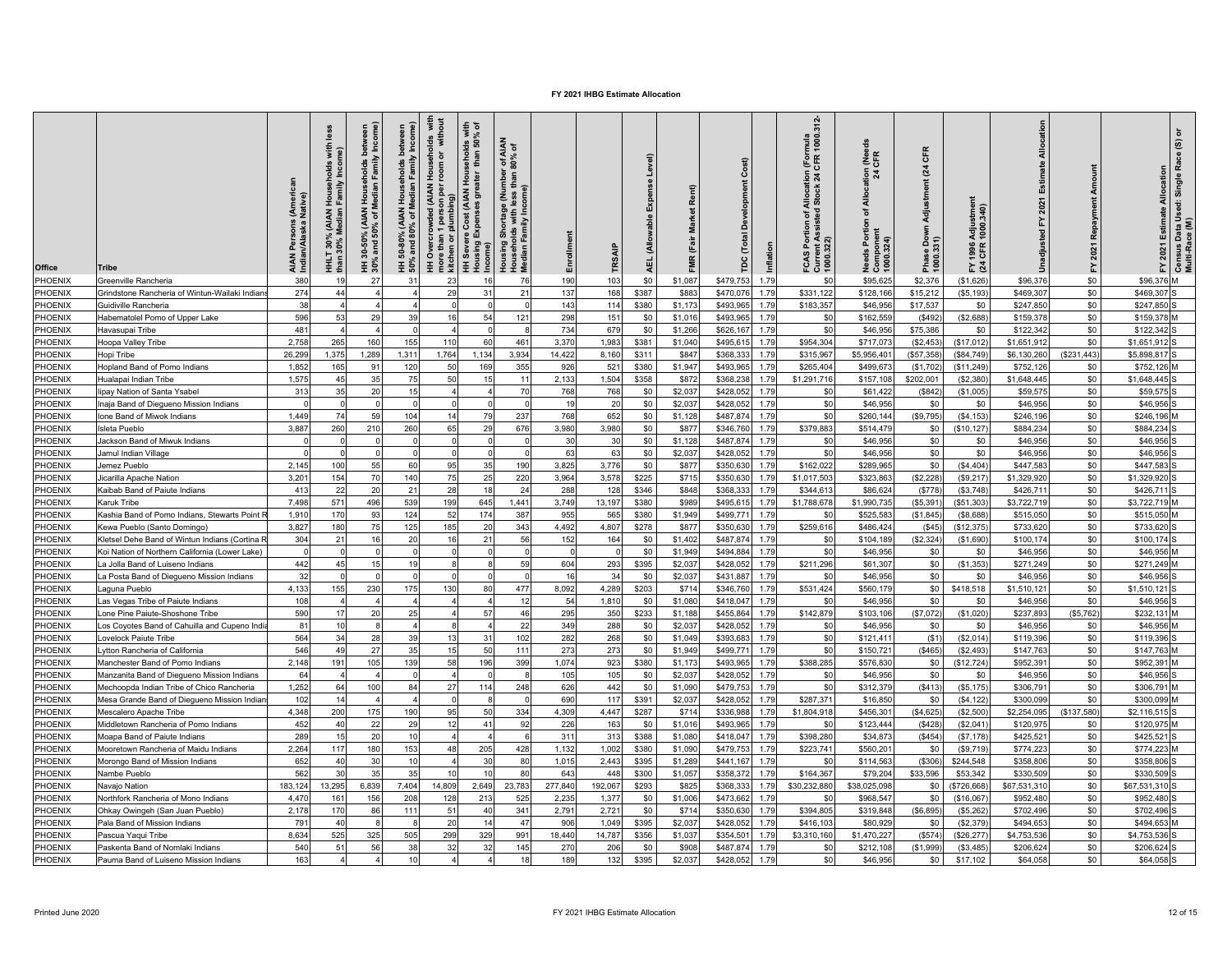| Office  | Tribe                                          | AIAN Persons (Ameri<br>Indian/Alaska Native) | <u>ies</u><br>with<br>me)<br>holds<br>Incor<br>HHLT 30% (AIAN Househ<br>than 30% Median Family | Family Income<br>holds<br>Median I<br><b>AIAN</b><br>$30-50\%$ (<br>% and 50°,<br>and | 50% and 80% of Median Family Income)<br>Households<br>50-80%<br>Ξ | Households with<br>room or without<br>HH Overcrowded (AIAN<br>1 person p<br>plumbing)<br>kitchen or<br>e. | seholds with<br>than 50% of<br>l Hous<br>eater<br>re Cost (AIAN I<br>Expenses grea<br>HH Severe<br>Housing Ex | r of AIAN<br>80% of<br>l Shortage (Number<br>plds with less than 8<br>Family Income)<br>Housing S<br>Househol<br>Median Fa | Enrollment     | TRSAIF   | Level)<br>Expense<br>(Allowable<br><b>AEL</b> | Rent)<br>FMR (Fair Market | ŏ<br><b>Total</b><br>pc | Inflation | rmula<br>1000.312-<br>f Allocation (Forn<br>d Stock 24 CFR 1<br>FCAS Portion of A<br>Current Assisted (<br>1000.322) | <b>Nee</b><br>$\frac{5}{24}$<br>$rac{6}{4}$<br>৳<br><b>Needs Portion</b><br>Compone<br>1000.324) | CFR<br>$\overline{a}$<br>Adjustment<br>e Down<br>.331)<br>Phase<br>1000.3 | Adjustmer<br>1000.340)<br>1996<br>CFR<br>≩ 전 | Allocatio<br>Estimate<br>놊 | Amou<br>Repayment<br>2021<br>놊 | 2021 Estimate Allocation<br>모 | Census Data Used: Single Race (S) or<br>Multi-Race (M) |
|---------|------------------------------------------------|----------------------------------------------|------------------------------------------------------------------------------------------------|---------------------------------------------------------------------------------------|-------------------------------------------------------------------|-----------------------------------------------------------------------------------------------------------|---------------------------------------------------------------------------------------------------------------|----------------------------------------------------------------------------------------------------------------------------|----------------|----------|-----------------------------------------------|---------------------------|-------------------------|-----------|----------------------------------------------------------------------------------------------------------------------|--------------------------------------------------------------------------------------------------|---------------------------------------------------------------------------|----------------------------------------------|----------------------------|--------------------------------|-------------------------------|--------------------------------------------------------|
| PHOENIX | Greenville Rancheria                           | 380                                          | 1 <sup>c</sup>                                                                                 | 27                                                                                    | 31                                                                | 23                                                                                                        |                                                                                                               | 76                                                                                                                         | 190            | 103      | \$0                                           | \$1,087                   | \$479,753               | 1.79      | \$ <sub>0</sub>                                                                                                      | \$95,625                                                                                         | \$2,376                                                                   | (\$1,626)                                    | \$96,376                   | \$0                            | \$96,376                      |                                                        |
| PHOENIX | Grindstone Rancheria of Wintun-Wailaki Indian  | 274                                          | 44                                                                                             |                                                                                       |                                                                   | 29                                                                                                        | 31                                                                                                            | 21                                                                                                                         | 137            | 168      | \$387                                         | \$883                     | \$470,076               | 1.79      | \$331,122                                                                                                            | \$128,166                                                                                        | \$15,212                                                                  | (S5, 193)                                    | \$469,307                  | \$0                            | \$469,307                     |                                                        |
| PHOENIX | Guidiville Rancheria                           | 38                                           |                                                                                                |                                                                                       |                                                                   |                                                                                                           |                                                                                                               |                                                                                                                            | 143            | 114      | \$380                                         | \$1,173                   | \$493,965               | 1.79      | \$183.357                                                                                                            | \$46,956                                                                                         | \$17,537                                                                  | \$0                                          | \$247,850                  | \$0                            | \$247,850                     |                                                        |
| PHOENIX | Habematolel Pomo of Upper Lake                 | 596                                          | 53                                                                                             | 29                                                                                    | 39                                                                |                                                                                                           | 54                                                                                                            | 121                                                                                                                        | 298            | 151      | \$0                                           | \$1,016                   | \$493,965               | 1.79      | \$C                                                                                                                  | \$162,559                                                                                        | (\$492                                                                    | (\$2,688)                                    | \$159,37                   | \$0                            | \$159,378                     |                                                        |
| PHOENIX | Havasupai Tribe                                | 481                                          |                                                                                                |                                                                                       | $\cap$                                                            |                                                                                                           |                                                                                                               |                                                                                                                            | 734            | 679      | \$0                                           | \$1,266                   | \$626,167               | 1.79      | \$0                                                                                                                  | \$46,956                                                                                         | \$75,386                                                                  | \$0                                          | \$122,342                  | \$0                            | \$122,342                     |                                                        |
| PHOENIX | Hoopa Valley Tribe                             | 2,758                                        | 265                                                                                            | 160                                                                                   | 155                                                               | 110                                                                                                       | 60                                                                                                            | 461                                                                                                                        | 3,370          | 1,983    | \$381                                         | \$1,040                   | \$495,61                | 1.79      | \$954,304                                                                                                            | \$717,07                                                                                         | (\$2,453                                                                  | (\$17,012                                    | \$1,651,912                | \$0                            | \$1,651,912                   |                                                        |
| PHOENIX | Hopi Tribe                                     | 26,299                                       | 1,375                                                                                          | 1,289                                                                                 | 1,311                                                             | 1,764                                                                                                     | 1,134                                                                                                         | 3.934                                                                                                                      | 14,422         | 8,160    | \$311                                         | \$847                     | \$368,33                | 1.79      | \$315,967                                                                                                            | \$5,956,40                                                                                       | (\$57,358]                                                                | (\$84,749)                                   | \$6,130,260                | (\$231,443)                    | \$5,898,817                   |                                                        |
| PHOENIX | Hopland Band of Pomo Indians                   | 1.852                                        | 165                                                                                            | 91                                                                                    | 120                                                               | 50                                                                                                        | 169                                                                                                           | 355                                                                                                                        | 926            | 521      | \$380                                         | \$1,947                   | \$493,965               | 1.79      | \$265,404                                                                                                            | \$499,67                                                                                         | (\$1,702)                                                                 | (\$11,249                                    | \$752,126                  | \$0                            | \$752,126 M                   |                                                        |
| PHOENIX | Hualapai Indian Tribe                          | 1,575                                        | 45                                                                                             | 35                                                                                    | 75                                                                | 50                                                                                                        | 15                                                                                                            | $1^{\circ}$                                                                                                                | 2,133          | 1,504    | \$358                                         | \$872                     | \$368,238               | 1.79      | \$1,291,716                                                                                                          | \$157,108                                                                                        | \$202,001                                                                 | (\$2,380                                     | \$1,648,445                | \$0                            | \$1,648,445                   |                                                        |
| PHOENIX | lipay Nation of Santa Ysabel                   | 313                                          | 35                                                                                             | 20                                                                                    | 15                                                                |                                                                                                           |                                                                                                               | 70                                                                                                                         | 768            | 768      | \$0                                           | \$2,037                   | \$428,052               | 1.79      | \$C                                                                                                                  | \$61,422                                                                                         | (S842)                                                                    | (\$1,005                                     | \$59,575                   | \$0                            | \$59,575                      |                                                        |
| PHOENIX | naja Band of Diegueno Mission Indians          |                                              |                                                                                                |                                                                                       |                                                                   |                                                                                                           |                                                                                                               |                                                                                                                            | 19             | 20       | \$0                                           | \$2,037                   | \$428,052               | 1.79      | \$0                                                                                                                  | \$46,956                                                                                         | \$0                                                                       | \$0                                          | \$46,956                   | \$0                            | \$46,956                      |                                                        |
| PHOENIX | Ione Band of Miwok Indians                     | 1.449                                        | 74                                                                                             | 59                                                                                    | 104                                                               | 14                                                                                                        | 79                                                                                                            | 237                                                                                                                        | 768            | 652      | \$0                                           | \$1,128                   | \$487,874               | 1.79      | \$ <sub>0</sub>                                                                                                      | \$260,144                                                                                        | (\$9,795)                                                                 | ( \$4, 153]                                  | \$246,196                  | \$0                            | \$246.196                     |                                                        |
| PHOENIX | sleta Pueblo                                   | 3,887                                        | 260                                                                                            | 210                                                                                   | 260                                                               | 65                                                                                                        | 29                                                                                                            | 676                                                                                                                        | 3,980          | 3,980    | \$0                                           | \$877                     | \$346,760               | 1.79      | \$379,883                                                                                                            | \$514,479                                                                                        | \$0                                                                       | \$10, 127                                    | \$884,23                   | \$0                            | \$884,234                     |                                                        |
| PHOENIX | Jackson Band of Miwuk Indians                  | $\Omega$                                     | $\Omega$                                                                                       |                                                                                       | $\Omega$                                                          |                                                                                                           |                                                                                                               |                                                                                                                            | 30             | 30       | \$0                                           | \$1,128                   | \$487,874               | 1.79      | \$0                                                                                                                  | \$46,956                                                                                         | \$0                                                                       | \$0                                          | \$46,956                   | \$0                            | \$46,956                      |                                                        |
| PHOENIX | Jamul Indian Village                           | $\sqrt{ }$                                   | $\Omega$                                                                                       |                                                                                       | $\Omega$                                                          |                                                                                                           | $\Omega$                                                                                                      |                                                                                                                            | 63             | 63       | \$0                                           | \$2,037                   | \$428,052               | 1.79      | \$0                                                                                                                  | \$46,956                                                                                         | \$0                                                                       | \$0                                          | \$46,956                   | \$0                            | \$46,956                      |                                                        |
| PHOENIX | Jemez Pueblo                                   | 2,145                                        | 100                                                                                            | 55                                                                                    | 60                                                                | 95                                                                                                        | 35                                                                                                            | 190                                                                                                                        | 3,825          | 3.776    | \$0                                           | \$877                     | \$350,630               | 1.79      | \$162,022                                                                                                            | \$289,965                                                                                        | \$0                                                                       | (S4, 404)                                    | \$447,583                  | \$0                            | \$447,583                     |                                                        |
| PHOENIX | Jicarilla Apache Nation                        | 3.201                                        | 154                                                                                            | 70                                                                                    | 140                                                               | 75                                                                                                        | 25                                                                                                            | 220                                                                                                                        | 3.964          | 3.578    | \$225                                         | \$715                     | \$350,630               | 1.79      | \$1,017.503                                                                                                          | \$323.863                                                                                        | (\$2,228)                                                                 | (\$9,217                                     | \$1,329,920                | \$0                            | \$1,329,920                   |                                                        |
| PHOENIX | Kaibab Band of Paiute Indians                  | 413                                          | 22                                                                                             | 20                                                                                    | 21                                                                | 28                                                                                                        | 18                                                                                                            | 24                                                                                                                         | 288            | 128      | \$346                                         | \$848                     | \$368,33                | 1.79      | \$344,61                                                                                                             | \$86,624                                                                                         | (S778)                                                                    | (S3,748)                                     | \$426,71                   | \$0                            | \$426,711                     |                                                        |
| PHOENIX | Karuk Tribe                                    | 7,498                                        | 571                                                                                            | 496                                                                                   | 539                                                               | 199                                                                                                       | 645                                                                                                           | 1,441                                                                                                                      | 3,749          | 13,197   | \$380                                         | \$989                     | \$495,61                | 1.79      | \$1,788,678                                                                                                          | \$1,990,73                                                                                       | (\$5,391                                                                  | (\$51,303                                    | \$3,722,719                | \$0                            | \$3,722,719                   |                                                        |
| PHOENIX | Kashia Band of Pomo Indians, Stewarts Point I  | 1.910                                        | 170                                                                                            | 93                                                                                    | 124                                                               | 52                                                                                                        | 174                                                                                                           | 387                                                                                                                        | 955            | 565      | \$380                                         | \$1,949                   | \$499,77                | 1.79      | \$ <sub>0</sub>                                                                                                      | \$525,58                                                                                         | (\$1,845)                                                                 | (\$8,688                                     | \$515,050                  | \$0                            | \$515,050                     |                                                        |
| PHOENIX | Kewa Pueblo (Santo Domingo)                    | 3,827                                        | 180                                                                                            | 75                                                                                    | 125                                                               | 185                                                                                                       | 20                                                                                                            | 343                                                                                                                        | 4,492          | 4,807    | \$278                                         | \$877                     | \$350,630               | 1.79      | \$259,616                                                                                                            | \$486,424                                                                                        | (S45)                                                                     | (\$12,375                                    | \$733,620                  | \$0                            | \$733,620                     |                                                        |
| PHOENIX | Kletsel Dehe Band of Wintun Indians (Cortina   | 304                                          | 21                                                                                             | 16                                                                                    | 20                                                                | 16                                                                                                        | 21                                                                                                            | 56                                                                                                                         | 152            | 164      | \$0                                           | \$1,402                   | \$487,874               | 1.79      | \$0                                                                                                                  | \$104,189                                                                                        | (\$2,324                                                                  | (\$1,690                                     | \$100,17                   | \$0                            | \$100,174                     |                                                        |
| PHOENIX | Koi Nation of Northern California (Lower Lake) | $\Omega$                                     | $\Omega$                                                                                       |                                                                                       | $\Omega$                                                          |                                                                                                           |                                                                                                               |                                                                                                                            | $\mathfrak{c}$ | $\Omega$ | \$0                                           | \$1,949                   | \$494,884               | 1.79      | \$0                                                                                                                  | \$46,956                                                                                         | \$0                                                                       | \$0                                          | \$46,956                   | \$0                            | \$46,956 M                    |                                                        |
| PHOENIX | La Jolla Band of Luiseno Indians               | 442                                          | 45                                                                                             | 15                                                                                    | 19                                                                |                                                                                                           | <b>R</b>                                                                                                      | 59                                                                                                                         | 604            | 293      | \$395                                         | \$2,037                   | \$428,05                | 1.79      | \$211,296                                                                                                            | \$61,307                                                                                         | \$0                                                                       | (\$1,353                                     | \$271,249                  | \$0                            | \$271,249 M                   |                                                        |
| PHOENIX | La Posta Band of Diegueno Mission Indians      | 32                                           |                                                                                                |                                                                                       |                                                                   |                                                                                                           |                                                                                                               |                                                                                                                            | 16             | 34       | \$0                                           | \$2,037                   | \$431,887               | 1.79      | \$ <sub>0</sub>                                                                                                      | \$46,956                                                                                         | \$0                                                                       | \$0                                          | \$46,956                   | \$0                            | \$46,956                      |                                                        |
| PHOENIX | aguna Pueblo                                   | 4,133                                        | 155                                                                                            | 230                                                                                   | 175                                                               | 130                                                                                                       | 80                                                                                                            | 477                                                                                                                        | 8,092          | 4,289    | \$203                                         | \$714                     | \$346,760               | 1.79      | \$531,424                                                                                                            | \$560,179                                                                                        | \$0                                                                       | \$418,518                                    | \$1,510,12                 | \$0                            | \$1,510,121 S                 |                                                        |
| PHOENIX | as Vegas Tribe of Paiute Indians               | 108                                          |                                                                                                |                                                                                       |                                                                   |                                                                                                           |                                                                                                               | 12                                                                                                                         | 54             | 1.810    | \$0                                           | \$1,080                   | \$418,047               | 1.79      | \$ <sub>0</sub>                                                                                                      | \$46,956                                                                                         | \$0                                                                       | \$0                                          | \$46,956                   | \$0                            | \$46,956                      |                                                        |
| PHOENIX | one Pine Paiute-Shoshone Tribe                 | 590                                          | 17                                                                                             | 20                                                                                    | 25                                                                |                                                                                                           | 57                                                                                                            | 46                                                                                                                         | 295            | 350      | \$233                                         | \$1,188                   | \$455,864               | 1.79      | \$142,879                                                                                                            | \$103,106                                                                                        | (\$7,072)                                                                 | (\$1,020)                                    | \$237,893                  | (\$5,762)                      | \$232,131 M                   |                                                        |
| PHOENIX | os Coyotes Band of Cahuilla and Cupeno India   | 81                                           | 10                                                                                             |                                                                                       |                                                                   |                                                                                                           |                                                                                                               | 22                                                                                                                         | 349            | 288      | \$0                                           | \$2,037                   | \$428,052               | 1.79      | \$ <sub>0</sub>                                                                                                      | \$46,956                                                                                         | \$0                                                                       | \$0                                          | \$46,95                    | \$0                            | \$46,956                      |                                                        |
| PHOENIX | _ovelock Paiute Tribe                          | 564                                          | 34                                                                                             | 28                                                                                    | 39                                                                | 13                                                                                                        | 31                                                                                                            | 102                                                                                                                        | 282            | 268      | \$0                                           | \$1,049                   | \$393,683               | 1.79      | \$0                                                                                                                  | \$121,411                                                                                        | (\$1)                                                                     | (\$2,014)                                    | \$119,396                  | \$0                            | \$119,396                     |                                                        |
| PHOENIX | ytton Rancheria of California                  | 546                                          | 49                                                                                             | 27                                                                                    | 35                                                                | 15                                                                                                        | 50                                                                                                            | 111                                                                                                                        | 273            | 273      | \$0                                           | \$1,949                   | \$499,77                | 1.79      | \$0                                                                                                                  | \$150,72                                                                                         | (\$465]                                                                   | (\$2,493                                     | \$147,763                  | \$0                            | \$147,763 M                   |                                                        |
| PHOENIX | Manchester Band of Pomo Indians                | 2,148                                        | 191                                                                                            | 105                                                                                   | 139                                                               | 58                                                                                                        | 196                                                                                                           | 399                                                                                                                        | 1,074          | 923      | \$380                                         | \$1,173                   | \$493,965               | 1.79      | \$388,285                                                                                                            | \$576,830                                                                                        | \$0                                                                       | (\$12,724)                                   | \$952,39                   | \$0                            | \$952,391 M                   |                                                        |
| PHOENIX | Manzanita Band of Diegueno Mission Indians     | 64                                           | $\overline{a}$                                                                                 |                                                                                       | $\Omega$                                                          |                                                                                                           | $\Omega$                                                                                                      |                                                                                                                            | 105            | 105      | \$0                                           | \$2,037                   | \$428,052               | 1.79      | \$0                                                                                                                  | \$46,956                                                                                         | \$0                                                                       | \$0                                          | \$46,956                   | \$0                            | \$46,956                      |                                                        |
| PHOENIX | Mechoopda Indian Tribe of Chico Rancheria      | 1.252                                        | 64                                                                                             | 100                                                                                   | 84                                                                | 27                                                                                                        | 114                                                                                                           | 248                                                                                                                        | 626            | 442      | \$0                                           | \$1,090                   | \$479,753               | 1.79      | \$0                                                                                                                  | \$312,379                                                                                        | (S413)                                                                    | (S5, 175)                                    | \$306.79                   | \$0                            | \$306,791 M                   |                                                        |
| PHOENIX | Mesa Grande Band of Diegueno Mission India     | 102                                          | 14                                                                                             |                                                                                       |                                                                   |                                                                                                           |                                                                                                               |                                                                                                                            | 690            | 117      | \$391                                         | \$2,037                   | \$428,052               | 1.79      | \$287,371                                                                                                            | \$16,850                                                                                         | \$0                                                                       | (\$4, 122]                                   | \$300,099                  | \$0                            | \$300,099                     |                                                        |
| PHOENIX | <b>Mescalero Apache Tribe</b>                  | 4,348                                        | 200                                                                                            | 175                                                                                   | 190                                                               | 95                                                                                                        | 50                                                                                                            | 334                                                                                                                        | 4,309          | 4,447    | \$287                                         | \$714                     | \$336,988               | 1.79      | \$1,804,918                                                                                                          | \$456,30                                                                                         | (\$4,625)                                                                 | (\$2,500                                     | \$2,254,095                | (\$137,580)                    | \$2,116,515                   |                                                        |
| PHOENIX | Middletown Rancheria of Pomo Indians           | 452                                          | 40                                                                                             | 22                                                                                    | 29                                                                | 12                                                                                                        | 41                                                                                                            | 92                                                                                                                         | 226            | 163      | \$0                                           | \$1,016                   | \$493,965               | 1.79      | \$0                                                                                                                  | \$123,444                                                                                        | (S428)                                                                    | (\$2,041                                     | \$120,975                  | \$0                            | \$120,975                     |                                                        |
| PHOENIX |                                                | 289                                          | 15                                                                                             | 20                                                                                    | 10                                                                |                                                                                                           |                                                                                                               |                                                                                                                            | 311            | 313      | \$388                                         | \$1,080                   |                         | 1.79      | \$398,280                                                                                                            | \$34,87                                                                                          |                                                                           |                                              | \$425,52                   | \$0                            | \$425,521                     |                                                        |
| PHOENIX | Moapa Band of Paiute Indians                   | 2,264                                        | 117                                                                                            | 180                                                                                   | 153                                                               |                                                                                                           | 205                                                                                                           | 428                                                                                                                        | 1,132          | 1,002    | \$380                                         | \$1,090                   | \$418,047<br>\$479,753  | 1.79      | \$223,741                                                                                                            | \$560,201                                                                                        | (S454)<br>\$0                                                             | (\$7, 178)<br>(\$9,719)                      | \$774,223                  | \$0                            | \$774,223                     |                                                        |
| PHOENIX | Mooretown Rancheria of Maidu Indians           | 652                                          | 40                                                                                             | 30                                                                                    | 10                                                                | 48                                                                                                        | 30                                                                                                            | 80                                                                                                                         |                | 2,443    |                                               |                           | \$441,167               | 1.79      | \$0                                                                                                                  | \$114,563                                                                                        | (\$306)                                                                   | \$244,548                                    | \$358,806                  | \$0                            | \$358,806                     |                                                        |
| PHOENIX | Morongo Band of Mission Indians                | 562                                          | 30                                                                                             | 35                                                                                    | 35                                                                | 10                                                                                                        | 10                                                                                                            | 80                                                                                                                         | 1,015<br>643   | 448      | \$395<br>\$300                                | \$1,289                   |                         | 1.79      |                                                                                                                      | \$79,204                                                                                         | \$33,596                                                                  |                                              | \$330,509                  | \$0                            | \$330,509                     |                                                        |
| PHOENIX | Nambe Pueblo                                   | 183,124                                      |                                                                                                |                                                                                       | 7.404                                                             |                                                                                                           | 2,649                                                                                                         | 23,783                                                                                                                     | 277.840        | 192,067  | \$293                                         | \$1,057                   | \$358,372               | 1.79      | \$164,367<br>\$30,232,880                                                                                            | \$38,025,098                                                                                     |                                                                           | \$53,342                                     | \$67,531,310               | \$0                            | \$67,531,310 S                |                                                        |
| PHOENIX | Navajo Nation                                  |                                              | 13,295                                                                                         | 6,839                                                                                 |                                                                   | 14,809                                                                                                    |                                                                                                               |                                                                                                                            |                |          |                                               | \$825                     | \$368,333               |           |                                                                                                                      |                                                                                                  | \$0                                                                       | (\$726,668                                   |                            |                                |                               |                                                        |
|         | Northfork Rancheria of Mono Indians            | 4,470                                        | 161                                                                                            | 156                                                                                   | 208                                                               | 128                                                                                                       | 213                                                                                                           | 525                                                                                                                        | 2,235          | 1,377    | \$0                                           | \$1,006                   | \$473,662               | 1.79      | \$C                                                                                                                  | \$968,547                                                                                        | \$0                                                                       | (\$16,067                                    | \$952,480                  | \$0                            | \$952,480                     |                                                        |
| PHOENIX | Ohkay Owingeh (San Juan Pueblo)                | 2.178                                        | 170                                                                                            | 86                                                                                    | 111                                                               | 51                                                                                                        | 40                                                                                                            | 341                                                                                                                        | 2.79'          | 2.721    | \$0                                           | \$714                     | \$350,630               | 1.79      | \$394,805                                                                                                            | \$319,848                                                                                        | (\$6,895                                                                  | (\$5,262                                     | \$702,496                  | \$0                            | \$702.496                     |                                                        |
| PHOENIX | Pala Band of Mission Indians                   | 791                                          | 40                                                                                             |                                                                                       |                                                                   | 20                                                                                                        | 14                                                                                                            | $\overline{4}$                                                                                                             | 906            | 1,049    | \$395                                         | \$2,037                   | \$428,052               | 1.79      | \$416,103                                                                                                            | \$80,929                                                                                         | \$0                                                                       | (\$2,379)                                    | \$494,65                   | \$0                            | \$494,653                     |                                                        |
| PHOENIX | Pascua Yaqui Tribe                             | 8,634                                        | 525                                                                                            | 325                                                                                   | 505                                                               | 299                                                                                                       | 329                                                                                                           | 991                                                                                                                        | 18,440         | 14,787   | \$356                                         | \$1,037                   | \$354,50                | 1.79      | \$3,310,160                                                                                                          | \$1,470,22                                                                                       | (S574)                                                                    | (\$26, 277                                   | \$4,753,53                 | \$0                            | \$4,753,536                   |                                                        |
| PHOENIX | Paskenta Band of Nomlaki Indians               | 540                                          | 51                                                                                             | 56                                                                                    | 38                                                                | 32                                                                                                        | 32                                                                                                            | 145                                                                                                                        | 270            | 206      | \$0                                           | \$908                     | \$487,87                | 1.79      | \$C                                                                                                                  | \$212,10                                                                                         | (\$1,999                                                                  | (\$3,485                                     | \$206,62                   | \$0                            | \$206,624                     |                                                        |
| PHOENIX | Pauma Band of Luiseno Mission Indians          | 163                                          | $\overline{4}$                                                                                 |                                                                                       | 10                                                                |                                                                                                           |                                                                                                               | 18                                                                                                                         | 189            | 132      | \$395                                         | \$2,037                   | \$428,052               | 1.79      | \$0                                                                                                                  | \$46,956                                                                                         | \$0                                                                       | \$17,102                                     | \$64,058                   | \$0                            | \$64,058                      |                                                        |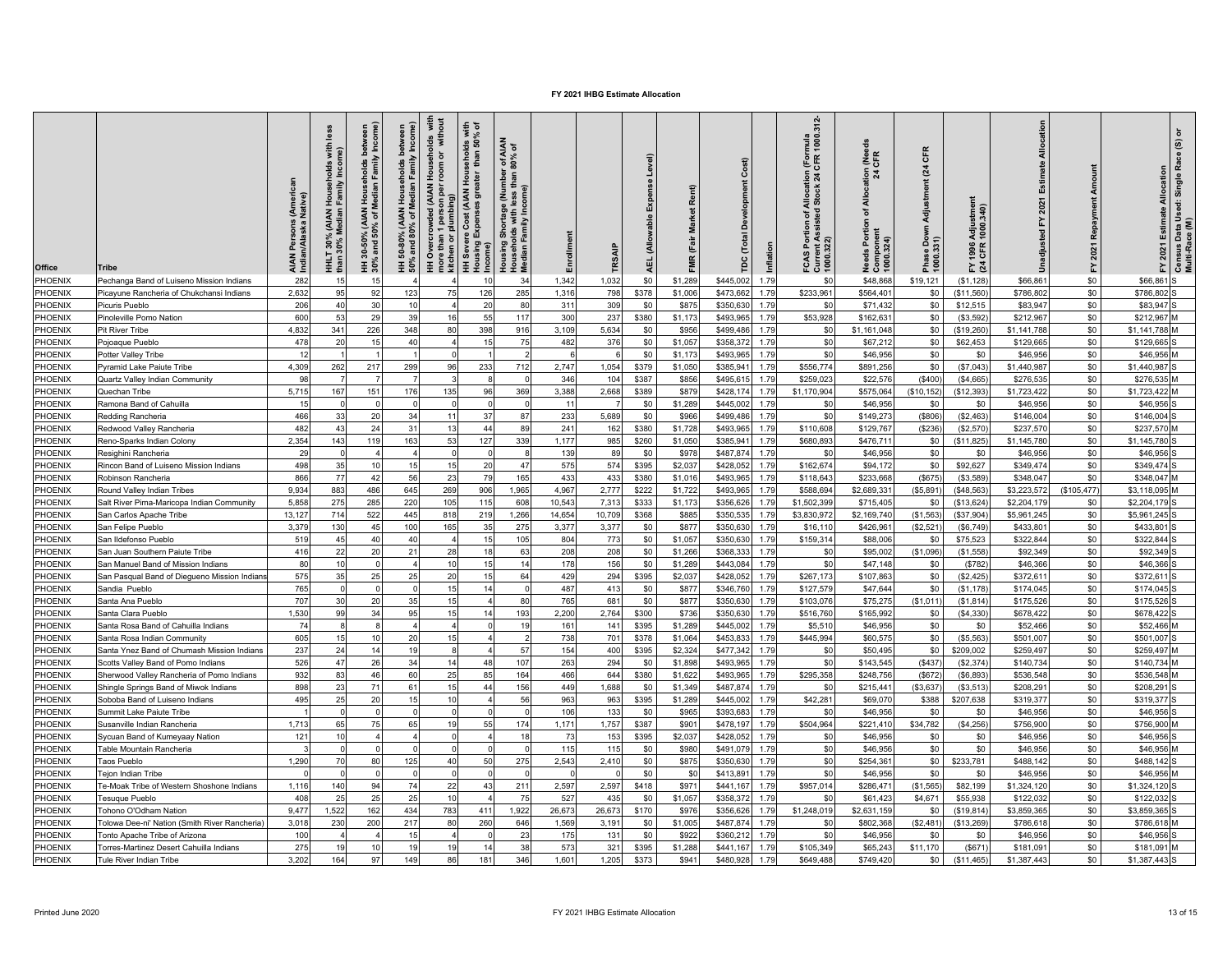| <b>Office</b>  | Tribe                                                           | s (Ameri<br>Native)<br>AIAN Persons<br>Indian/Alaska I | less<br>with<br>ne)<br>I Households<br>1 Family Incom<br>(AIAN<br>Aedian<br><b>HHLT 30% (</b><br>than 30% M | Family Income)<br>holds<br>Median I<br><b>AIAN</b><br>৳<br>-50% (A)<br>nd 50%<br>and<br>$\frac{6}{3}$<br>30% | 50% and 80% of Median Family Income) | Households with<br>room or without<br><b>HH Overcrowded (AIAN</b><br>more than 1 person per<br>1 person p<br>plumbing)<br>than<br>kitchen or | seholds with<br>than 50% of<br>i<br>S<br>HH Severe Cost (AIAN<br>Housing Expenses gre | r of AIAN<br>80% of<br>Housing Shortage (Number<br>Households with less than<br>Median Family Income) | Enrollment | TRSAIF | Level)<br>Expe<br><b>Allowable</b><br>e | Rent)<br><b>Market</b><br>(Fair<br>FMR <sup>1</sup> | $\overline{\mathfrak{m}}$<br>Ĕ<br>Inflation<br>ě | rmula<br>1000.312-<br>Allocation (Forn<br>1 Stock 24 CFR 1<br>FCAS Portion of A<br>Current Assisted<br>1000.322) | <b>LER</b><br>$\frac{5}{24}$<br>$\frac{8}{4}$<br>৳<br>eeds Portion<br>Compone<br>1000 324) | CFR<br>(24)<br>Adjustment<br>e Down<br>.331)<br>Phase<br>1000.3 | Adjustmer<br>1000.340)<br>1996<br>CFR<br>도질 | Allocatio<br>Estir<br>۲. | Amou<br>Repayment<br>2021<br>놊 | 2021 Estimate Allocation<br>고 | Census Data Used: Single Race (S) or<br>Multi-Race (M) |
|----------------|-----------------------------------------------------------------|--------------------------------------------------------|-------------------------------------------------------------------------------------------------------------|--------------------------------------------------------------------------------------------------------------|--------------------------------------|----------------------------------------------------------------------------------------------------------------------------------------------|---------------------------------------------------------------------------------------|-------------------------------------------------------------------------------------------------------|------------|--------|-----------------------------------------|-----------------------------------------------------|--------------------------------------------------|------------------------------------------------------------------------------------------------------------------|--------------------------------------------------------------------------------------------|-----------------------------------------------------------------|---------------------------------------------|--------------------------|--------------------------------|-------------------------------|--------------------------------------------------------|
| PHOENIX        | Pechanga Band of Luiseno Mission Indians                        | 282                                                    | 15                                                                                                          | 15                                                                                                           |                                      |                                                                                                                                              |                                                                                       | 34                                                                                                    | 1,342      | 1,032  | \$0                                     | \$1,289                                             | \$445,002<br>1.79                                | \$ <sub>0</sub>                                                                                                  | \$48,868                                                                                   | \$19,121                                                        | (\$1, 128)                                  | \$66,86                  | \$0                            | \$66,861                      |                                                        |
| PHOENIX        | Picayune Rancheria of Chukchansi Indians                        | 2,632                                                  | 95                                                                                                          | 92                                                                                                           | 123                                  | 75                                                                                                                                           | 126                                                                                   | 285                                                                                                   | 1,316      | 798    | \$378                                   | \$1,006                                             | \$473,662<br>1.79                                | \$233,961                                                                                                        | \$564,401                                                                                  | \$0                                                             | (\$11,560                                   | \$786,802                | \$0                            | \$786,802                     |                                                        |
| PHOENIX        | Picuris Pueblo                                                  | 206                                                    | 40                                                                                                          | 30                                                                                                           | 10                                   |                                                                                                                                              | 20                                                                                    | 80                                                                                                    | 311        | 309    | \$0                                     | \$875                                               | \$350,63<br>1.79                                 | \$ <sub>6</sub>                                                                                                  | \$71,432                                                                                   | \$0                                                             | \$12,515                                    | \$83,947                 | \$0                            | \$83,947                      |                                                        |
| PHOENIX        | Pinoleville Pomo Nation                                         | 600                                                    | 53                                                                                                          | 29                                                                                                           | 39                                   |                                                                                                                                              | 55                                                                                    | 117                                                                                                   | 300        | 237    | \$380                                   | \$1,173                                             | \$493,96<br>1.79                                 | \$53,928                                                                                                         | \$162,63                                                                                   | \$0                                                             | (\$3,592                                    | \$212,967                | \$0                            | \$212,967                     |                                                        |
| PHOENIX        | Pit River Tribe                                                 | 4,832                                                  | 341                                                                                                         | 226                                                                                                          | 348                                  | 80                                                                                                                                           | 398                                                                                   | 916                                                                                                   | 3,109      | 5,634  | \$0                                     | \$956                                               | \$499,486<br>1.79                                | \$0                                                                                                              | \$1,161,048                                                                                | \$0                                                             | (\$19,260                                   | \$1,141,788              | \$0                            | \$1,141,788 M                 |                                                        |
| PHOENIX        | Pojoaque Pueblo                                                 | 478                                                    | 20                                                                                                          | 15                                                                                                           | 40                                   |                                                                                                                                              | 15                                                                                    | 75                                                                                                    | 482        | 376    | \$0                                     | \$1,057                                             | \$358,37<br>1.79                                 | \$0                                                                                                              | \$67,212                                                                                   | \$0                                                             | \$62,453                                    | \$129,665                | \$0                            | \$129,665                     |                                                        |
| PHOENIX        | Potter Valley Tribe                                             | 12                                                     |                                                                                                             |                                                                                                              |                                      |                                                                                                                                              |                                                                                       |                                                                                                       |            |        | \$0                                     | \$1,173                                             | \$493,96<br>1.79                                 | \$0                                                                                                              | \$46,956                                                                                   | \$0                                                             | \$0                                         | \$46,956                 | \$0                            | \$46,956                      |                                                        |
| PHOENIX        | Pyramid Lake Paiute Tribe                                       | 4.309                                                  | 262                                                                                                         | 217                                                                                                          | 299                                  | 96                                                                                                                                           | 233                                                                                   | 712                                                                                                   | 2,747      | 1,054  | \$379                                   | \$1,050                                             | \$385,94<br>1.79                                 | \$556,774                                                                                                        | \$891,256                                                                                  | \$0                                                             | (\$7,043                                    | \$1,440,987              | \$0                            | \$1,440,987                   |                                                        |
| PHOENIX        | Quartz Valley Indian Community                                  | 98                                                     |                                                                                                             |                                                                                                              |                                      |                                                                                                                                              |                                                                                       |                                                                                                       | 346        | 104    | \$387                                   | \$856                                               | \$495,61<br>1.79                                 | \$259,023                                                                                                        | \$22,576                                                                                   | (\$400)                                                         | (\$4,665                                    | \$276,535                | \$0                            | \$276,535                     |                                                        |
| PHOENIX        | Quechan Tribe                                                   | 5,715                                                  | 167                                                                                                         | 151                                                                                                          | 176                                  | 135                                                                                                                                          | 96                                                                                    | 369                                                                                                   | 3,388      | 2,668  | \$389                                   | \$879                                               | \$428,174<br>1.79                                | \$1,170,904                                                                                                      | \$575,064                                                                                  | (\$10, 152)                                                     | (\$12,393                                   | \$1,723,422              | \$0                            | \$1,723,422                   |                                                        |
| PHOENIX        | Ramona Band of Cahuilla                                         | 15                                                     |                                                                                                             |                                                                                                              |                                      |                                                                                                                                              |                                                                                       |                                                                                                       | 11         |        | \$0                                     | \$1,289                                             | \$445,002<br>1.79                                | \$ <sub>0</sub>                                                                                                  | \$46,956                                                                                   | \$0                                                             | \$0                                         | \$46,956                 | \$0                            | \$46,956                      |                                                        |
| PHOENIX        | Redding Rancheria                                               | 466                                                    | 33                                                                                                          | 20                                                                                                           | 34                                   | 11                                                                                                                                           | 37                                                                                    | 87                                                                                                    | 233        | 5,689  | \$0                                     | \$966                                               | \$499,486<br>1.79                                | \$ <sub>6</sub>                                                                                                  | \$149,273                                                                                  | (\$806)                                                         | (\$2,463                                    | \$146,004                | \$0                            | \$146.004                     |                                                        |
| PHOENIX        | Redwood Valley Rancheria                                        | 482                                                    | 43                                                                                                          | 24                                                                                                           | 31                                   | 13                                                                                                                                           | 44                                                                                    | 89                                                                                                    | 241        | 162    | \$380                                   | \$1,728                                             | \$493,96<br>1.79                                 | \$110,608                                                                                                        | \$129,767                                                                                  | (\$236)                                                         | (\$2,570                                    | \$237,570                | \$0                            | \$237,570                     |                                                        |
| PHOENIX        | Reno-Sparks Indian Colony                                       | 2,354                                                  | 143                                                                                                         | 119                                                                                                          | 163                                  | 53                                                                                                                                           | 127                                                                                   | 339                                                                                                   | 1,177      | 985    | \$260                                   | \$1,050                                             | \$385,941<br>1.79                                | \$680,893                                                                                                        | \$476,711                                                                                  | \$0                                                             | (\$11,825                                   | \$1,145,780              | \$0                            | \$1,145,780                   |                                                        |
| PHOENIX        | Resighini Rancheria                                             | 29                                                     |                                                                                                             | $\boldsymbol{\Lambda}$                                                                                       |                                      |                                                                                                                                              | $\Omega$                                                                              |                                                                                                       | 139        | 89     | \$0                                     | \$978                                               | \$487,874<br>1.79                                | \$ <sub>0</sub>                                                                                                  | \$46,956                                                                                   | \$0                                                             | \$0                                         | \$46,956                 | \$0                            | \$46,956                      |                                                        |
| PHOENIX        | Rincon Band of Luiseno Mission Indians                          | 498                                                    | 35                                                                                                          | 10                                                                                                           | 15                                   | 15                                                                                                                                           | 20                                                                                    | 47                                                                                                    | 575        | 574    | \$395                                   | \$2,037                                             | \$428,052<br>1.79                                | \$162,674                                                                                                        | \$94,172                                                                                   | \$0                                                             | \$92,627                                    | \$349,474                | \$0                            | \$349,474                     |                                                        |
| PHOENIX        | Robinson Rancheria                                              | 866                                                    | 77                                                                                                          | 42                                                                                                           | 56                                   | 23                                                                                                                                           | 79                                                                                    | 165                                                                                                   | 433        | 433    | \$380                                   | \$1,016                                             | \$493,965<br>1.79                                | \$118,643                                                                                                        | \$233,668                                                                                  | (\$675)                                                         | (S3.589)                                    | \$348.047                | \$0                            | \$348.047                     |                                                        |
| PHOENIX        | Round Valley Indian Tribes                                      | 9,934                                                  | 883                                                                                                         | 486                                                                                                          | 645                                  | 269                                                                                                                                          | 906                                                                                   | 1,965                                                                                                 | 4,967      | 2,777  | \$222                                   | \$1,722                                             | \$493,96<br>1.79                                 | \$588,694                                                                                                        | \$2,689,33                                                                                 | (\$5,891                                                        | (\$48,563                                   | \$3,223,572              | (\$105,477)                    | \$3,118,095                   |                                                        |
| PHOENIX        | Salt River Pima-Maricopa Indian Community                       | 5,858                                                  | 275                                                                                                         | 285                                                                                                          | 220                                  | 105                                                                                                                                          | 115                                                                                   | 608                                                                                                   | 10,543     | 7,313  | \$333                                   | \$1,173                                             | \$356,62<br>1.79                                 | \$1,502,39                                                                                                       | \$715,405                                                                                  | \$0                                                             | (\$13,624                                   | \$2,204,179              | \$0                            | \$2,204,179                   |                                                        |
| PHOENIX        | San Carlos Apache Tribe                                         | 13.127                                                 | 714                                                                                                         | 522                                                                                                          | 445                                  | 818                                                                                                                                          | 219                                                                                   | 1,266                                                                                                 | 14,654     | 10,709 | \$368                                   | \$885                                               | \$350,53<br>1.79                                 | \$3,830,97                                                                                                       | \$2,169,740                                                                                | (\$1,563)                                                       | (\$37,904                                   | \$5,961,245              | \$0                            | \$5,961,245                   |                                                        |
| PHOENIX        | San Felipe Pueblo                                               | 3,379                                                  | 130                                                                                                         | 45                                                                                                           | 100                                  | 165                                                                                                                                          | 35                                                                                    | 275                                                                                                   | 3,377      | 3,377  | \$0                                     | \$877                                               | \$350,630<br>1.79                                | \$16,110                                                                                                         | \$426,961                                                                                  | (\$2,521                                                        | (\$6,749                                    | \$433,80                 | \$0                            | \$433,801                     |                                                        |
| PHOENIX        | San Ildefonso Pueblo                                            | 519                                                    | 45                                                                                                          | 40                                                                                                           | 40                                   |                                                                                                                                              | 15                                                                                    | 105                                                                                                   | 804        | 773    | \$0                                     | \$1,057                                             | \$350,63<br>1.79                                 | \$159,314                                                                                                        | \$88,006                                                                                   | \$0                                                             | \$75,523                                    | \$322,844                | \$0                            | \$322,844                     |                                                        |
| PHOENIX        | San Juan Southern Paiute Tribe                                  | 416                                                    | 22                                                                                                          | 20                                                                                                           | 21                                   | 28                                                                                                                                           | 18                                                                                    | 63                                                                                                    | 208        | 208    | \$0                                     | \$1,266                                             | \$368,333<br>1.79                                | \$0                                                                                                              | \$95,002                                                                                   | (\$1,096)                                                       | (S1, 558)                                   | \$92,349                 | \$0                            | \$92,349                      |                                                        |
| PHOENIX        | San Manuel Band of Mission Indians                              | 80                                                     | 10                                                                                                          | $\Omega$                                                                                                     |                                      | 10                                                                                                                                           | 15                                                                                    | 14                                                                                                    | 178        | 156    | \$0                                     | \$1,289                                             | \$443,084<br>1.79                                | \$0                                                                                                              | \$47,148                                                                                   | \$0                                                             | (\$782                                      | \$46,366                 | \$0                            | \$46,366                      |                                                        |
| PHOENIX        | San Pasqual Band of Diegueno Mission Indian                     | 575                                                    | 35                                                                                                          | 25                                                                                                           | 25                                   | 20                                                                                                                                           | 15                                                                                    | 64                                                                                                    | 429        | 294    | \$395                                   | \$2,037                                             | \$428,052<br>1.79                                | \$267,173                                                                                                        | \$107,863                                                                                  | \$0                                                             | (\$2,425                                    | \$372,611                | \$0                            | \$372.611                     |                                                        |
| PHOENIX        | Sandia Pueblo                                                   | 765                                                    | $\mathbf{C}$                                                                                                |                                                                                                              | $\Omega$                             | 15                                                                                                                                           | 14                                                                                    |                                                                                                       | 487        | 413    | \$0                                     | \$877                                               | 1.79<br>\$346,760                                | \$127,579                                                                                                        | \$47,644                                                                                   | \$0                                                             | (\$1, 178)                                  | \$174,045                | \$0                            | \$174,045                     |                                                        |
| PHOENIX        | Santa Ana Pueblo                                                | 707                                                    | 30                                                                                                          | 20                                                                                                           | 35                                   | 15                                                                                                                                           |                                                                                       | 80                                                                                                    | 765        | 681    | \$0                                     | \$877                                               | \$350,630<br>1.79                                | \$103,076                                                                                                        | \$75.275                                                                                   | (\$1,011)                                                       | (S1.814)                                    | \$175.526                | \$0                            | \$175,526                     |                                                        |
| PHOENIX        | Santa Clara Pueblo                                              | 1,530                                                  | 99                                                                                                          | 34                                                                                                           | 95                                   | 15                                                                                                                                           | 14                                                                                    | 193                                                                                                   | 2,200      | 2,764  | \$300                                   | \$736                                               | \$350,630<br>1.79                                | \$516,760                                                                                                        | \$165,992                                                                                  | \$0                                                             | (\$4,330                                    | \$678,422                | \$0                            | \$678,422                     |                                                        |
| PHOENIX        | Santa Rosa Band of Cahuilla Indians                             | 74                                                     |                                                                                                             |                                                                                                              |                                      |                                                                                                                                              |                                                                                       | 1 <sup>5</sup>                                                                                        | 161        | 141    | \$395                                   | \$1,289                                             | \$445,002<br>1.79                                | \$5,510                                                                                                          | \$46,956                                                                                   | \$0                                                             | \$0                                         | \$52,466                 | \$0                            | \$52,466                      |                                                        |
| PHOENIX        | Santa Rosa Indian Community                                     | 605                                                    | 15                                                                                                          | 10                                                                                                           | 20                                   | 15                                                                                                                                           |                                                                                       |                                                                                                       | 738        | 701    | \$378                                   | \$1,064                                             | \$453,833<br>1.79                                | \$445,994                                                                                                        | \$60,575                                                                                   | \$0                                                             | (\$5,563                                    | \$501,007                | \$0                            | \$501,007                     |                                                        |
| PHOENIX        | Santa Ynez Band of Chumash Mission Indians                      | 237                                                    | 24                                                                                                          | 14                                                                                                           | 19                                   |                                                                                                                                              |                                                                                       | 57                                                                                                    | 154        | 400    | \$395                                   | \$2,324                                             | \$477,342<br>1.79                                | \$0                                                                                                              | \$50,495                                                                                   | \$0                                                             | \$209,002                                   | \$259,497                | \$0                            | \$259,497 M                   |                                                        |
| PHOENIX        | Scotts Valley Band of Pomo Indians                              | 526                                                    | 47                                                                                                          | 26                                                                                                           | 34                                   | 14                                                                                                                                           | 48                                                                                    | 107                                                                                                   | 263        | 294    | \$0                                     | \$1,898                                             | \$493,965<br>1.79                                | \$0                                                                                                              | \$143,545                                                                                  | (S437)                                                          | (\$2,374)                                   | \$140,734                | \$0                            | \$140,734 M                   |                                                        |
| PHOENIX        | Sherwood Valley Rancheria of Pomo Indians                       | 932                                                    | 83                                                                                                          | 46                                                                                                           | 60                                   | 25                                                                                                                                           | 85                                                                                    | 164                                                                                                   | 466        | 644    | \$380                                   | \$1,622                                             | \$493,965<br>1.79                                | \$295,358                                                                                                        | \$248.756                                                                                  | (S672)                                                          | (\$6,893                                    | \$536,548                | \$0                            | \$536,548 M                   |                                                        |
| PHOENIX        | Shingle Springs Band of Miwok Indians                           | 898                                                    | 23                                                                                                          | 71                                                                                                           | 61                                   | 15                                                                                                                                           | 44                                                                                    | 156                                                                                                   | 449        | 1.688  | \$0                                     | \$1,349                                             | 1.79<br>\$487,874                                | \$0                                                                                                              | \$215.441                                                                                  | (S3.637)                                                        | (\$3,513                                    | \$208.29                 | \$0                            | \$208.291                     |                                                        |
| PHOENIX        | Soboba Band of Luiseno Indians                                  | 495                                                    | 25                                                                                                          | 20                                                                                                           | 15                                   | 10                                                                                                                                           |                                                                                       | 56                                                                                                    | 963        | 963    | \$395                                   | \$1,289                                             | \$445,002<br>1.79                                | \$42,281                                                                                                         | \$69,070                                                                                   | \$388                                                           | \$207,638                                   | \$319,37                 | \$0                            | \$319,377                     |                                                        |
| PHOENIX        | Summit Lake Paiute Tribe                                        |                                                        |                                                                                                             |                                                                                                              |                                      |                                                                                                                                              |                                                                                       |                                                                                                       | 106        | 133    | \$0                                     | \$965                                               | \$393,683<br>1.79                                | \$ <sub>0</sub>                                                                                                  | \$46,956                                                                                   | \$0                                                             | \$0                                         | \$46,956                 | \$0                            | \$46,956                      |                                                        |
| PHOENIX        | Susanville Indian Rancheria                                     | 1.713                                                  | 65                                                                                                          | 75                                                                                                           | 65                                   | 19                                                                                                                                           | 55                                                                                    | 174                                                                                                   | 1,171      | 1,757  | \$387                                   | \$901                                               | \$478,197<br>1.79                                | \$504,964                                                                                                        | \$221,410                                                                                  | \$34,782                                                        | (\$4,256)                                   | \$756,900                | \$0                            | \$756,900 <sup>N</sup>        |                                                        |
| PHOENIX        | Sycuan Band of Kumeyaay Nation                                  | 121                                                    | 10                                                                                                          |                                                                                                              |                                      |                                                                                                                                              |                                                                                       | 18                                                                                                    | 73         | 153    | \$395                                   | \$2,037                                             | \$428,052<br>1.79                                | \$ <sub>0</sub>                                                                                                  | \$46,956                                                                                   | \$0                                                             | \$0                                         | \$46,956                 | \$0                            | \$46,956                      |                                                        |
| PHOENIX        |                                                                 |                                                        |                                                                                                             |                                                                                                              |                                      |                                                                                                                                              | r                                                                                     |                                                                                                       | 115        | 115    | \$0                                     | \$980                                               | \$491,079<br>1.79                                | \$0                                                                                                              | \$46,956                                                                                   | \$0                                                             | \$0                                         | \$46,956                 | \$0                            | \$46,956 <sup>N</sup>         |                                                        |
| PHOENIX        | <b>Fable Mountain Rancheria</b>                                 | 1,290                                                  | 70                                                                                                          | 80                                                                                                           | 125                                  | 40                                                                                                                                           | 50                                                                                    | 275                                                                                                   | 2,543      | 2,410  | \$0                                     | \$875                                               | \$350,63<br>1.79                                 | \$0                                                                                                              | \$254,361                                                                                  | \$0                                                             | \$233,781                                   | \$488,142                | \$0                            | \$488,142                     |                                                        |
| PHOENIX        | Taos Pueblo                                                     |                                                        |                                                                                                             |                                                                                                              |                                      |                                                                                                                                              | $\Omega$                                                                              |                                                                                                       | <b>C</b>   |        | \$0                                     | \$0                                                 | \$413,891<br>1.79                                | \$0                                                                                                              | \$46,956                                                                                   | \$0                                                             | \$0                                         | \$46,956                 | \$0                            | \$46,956                      |                                                        |
| PHOENIX        | Fejon Indian Tribe<br>Te-Moak Tribe of Western Shoshone Indians | 1.116                                                  | 140                                                                                                         | 94                                                                                                           | 74                                   | 22                                                                                                                                           | 43                                                                                    | 211                                                                                                   | 2,597      | 2.597  | \$418                                   | \$971                                               | \$441,167<br>1.79                                | \$957,014                                                                                                        | \$286,471                                                                                  | (\$1,565]                                                       | \$82,199                                    | \$1,324,120              | \$0                            | \$1.324.120                   |                                                        |
| PHOENIX        |                                                                 |                                                        | 25                                                                                                          | 25                                                                                                           | 25                                   |                                                                                                                                              |                                                                                       |                                                                                                       |            |        |                                         |                                                     |                                                  | \$ <sub>0</sub>                                                                                                  |                                                                                            |                                                                 |                                             |                          | \$0                            |                               |                                                        |
|                | esuque Pueblo                                                   | 408                                                    |                                                                                                             |                                                                                                              |                                      | 10                                                                                                                                           |                                                                                       | 75                                                                                                    | 527        | 435    | \$0                                     | \$1,057                                             | \$358,372<br>1.79                                |                                                                                                                  | \$61,423                                                                                   | \$4,671                                                         | \$55,938                                    | \$122,032                |                                | \$122,032                     |                                                        |
| PHOENIX        | <b>Fohono O'Odham Nation</b>                                    | 9.477                                                  | 1.522                                                                                                       | 162                                                                                                          | 434                                  | 783                                                                                                                                          | 41 <sup>°</sup>                                                                       | 1.922                                                                                                 | 26.673     | 26.673 | \$170                                   | \$976                                               | 1.79<br>\$356.62                                 | \$1,248,019                                                                                                      | \$2,631.159                                                                                | \$0                                                             | \$19,814                                    | \$3,859,365              | \$0                            | \$3,859,365                   |                                                        |
| PHOENIX        | olowa Dee-ni' Nation (Smith River Rancheria)                    | 3,018                                                  | 230                                                                                                         | 200                                                                                                          | 217                                  | 80                                                                                                                                           | 260                                                                                   | 646                                                                                                   | 1,569      | 3,191  | \$0                                     | \$1,005                                             | \$487,874<br>1.79                                | \$0                                                                                                              | \$802,368                                                                                  | (\$2,481                                                        | \$13,269                                    | \$786,618                | \$0                            | \$786,618                     |                                                        |
| <b>PHOENIX</b> | <b>Tonto Apache Tribe of Arizona</b>                            | 100                                                    |                                                                                                             |                                                                                                              | 15                                   |                                                                                                                                              | C                                                                                     | 23                                                                                                    | 175        | 131    | \$0                                     | \$922                                               | \$360,21<br>1.79                                 | \$ <sub>0</sub>                                                                                                  | \$46,956                                                                                   | \$0                                                             | \$0                                         | \$46,956                 | \$0                            | \$46,956                      |                                                        |
| PHOENIX        | Forres-Martinez Desert Cahuilla Indians                         | 275                                                    | 1 <sup>c</sup>                                                                                              | 10                                                                                                           | 19                                   |                                                                                                                                              | 14                                                                                    | 38                                                                                                    | 573        | 321    | \$395                                   | \$1,288                                             | \$441,16<br>1.79                                 | \$105,349                                                                                                        | \$65,243                                                                                   | \$11,170                                                        | (\$671                                      | \$181,09                 | \$0                            | \$181,091                     |                                                        |
| PHOENIX        | Tule River Indian Tribe                                         | 3,202                                                  | 164                                                                                                         | 97                                                                                                           | 149                                  | 86                                                                                                                                           | 181                                                                                   | 346                                                                                                   | 1,601      | 1,205  | \$373                                   | \$941                                               | 1.79<br>\$480,928                                | \$649,488                                                                                                        | \$749,420                                                                                  | \$0                                                             | (\$11,465)                                  | \$1,387,443              | \$0                            | \$1,387,443                   |                                                        |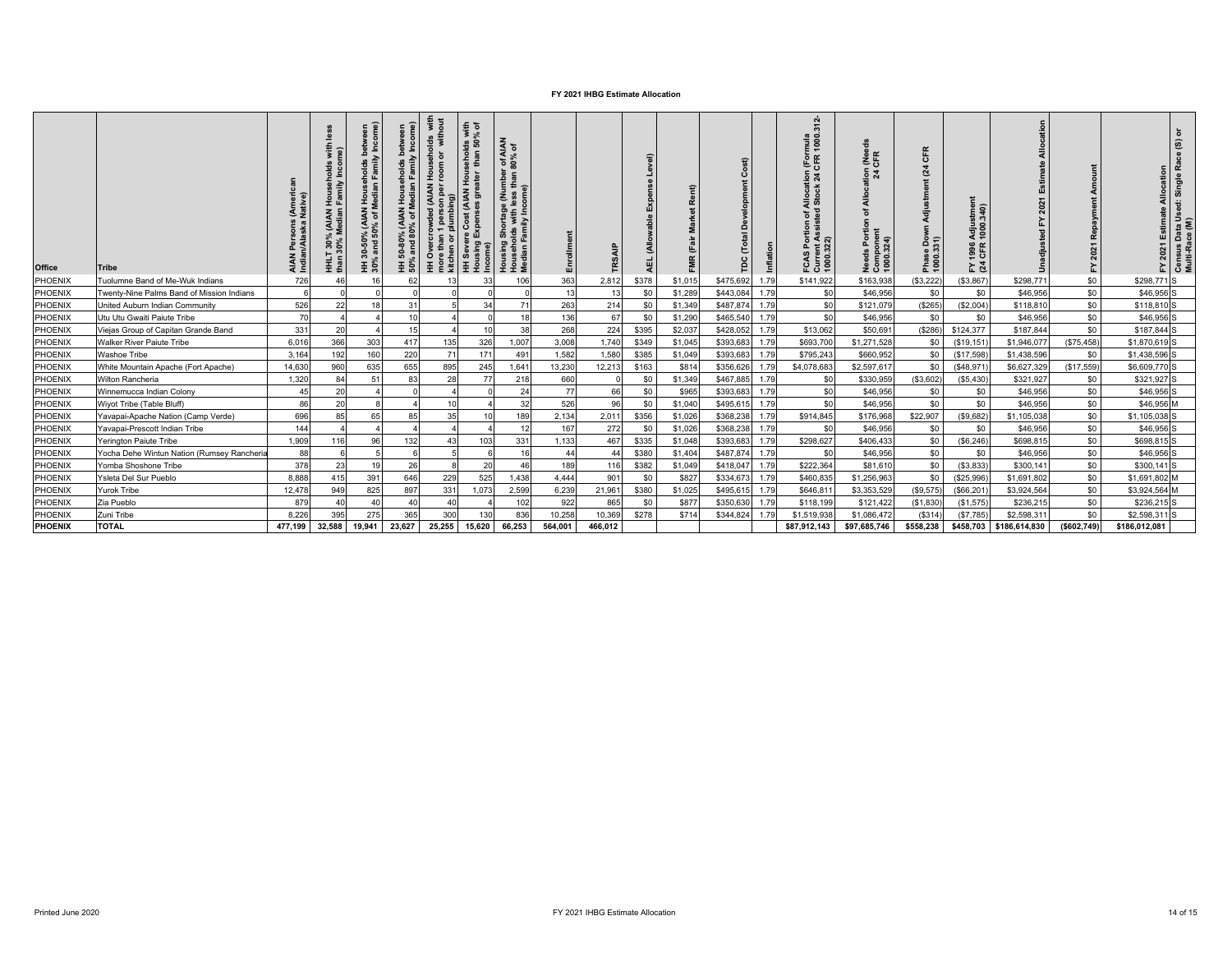| Office  | <b>Tribe</b>                               | AIAN Persons<br>Indian/Alaska I | with<br>ne)<br>30% (AIAN Household<br>0% Median Family Inco<br>HHLT<br>than 3 | veen<br>ome)<br>holds betw<br>Family Inco<br>(AIAN Househ<br>0% of Median F<br>ន<br>0-50<br>and<br>HH 30% | HH 50-80% (AIAN Households between<br>50% and 80% of Median Family Income) | lds with<br>without<br>eholds<br>or witt<br>room<br>$rac{3}{2}$<br><b>HH Overcrowded (AIAN</b><br>more than 1 person per<br>1 person p<br>plumbing)<br>more tha<br>kitchen | seholds with<br>than 50% of<br>HH Severe Cost (AIAN Hou<br>Housing Expenses greater | f AIAN<br>% of<br>ှင် ဦ<br>Housing Shortage (Number<br>Households with less than 8<br>Median Family Income) | Enrollment |         | $\widehat{\bullet}$<br>급 | ent)<br>툆 | Ó<br>$\tilde{c}$<br>pc |      | $\mathbf{a}$<br>$\overline{5}$<br>mula<br>1000.<br>i (För<br>Allocation<br>I Stock 24 C<br>ortion of Assisted<br>ล<br>o.<br>FCAS<br>Curre<br>1000.3 | 훈<br>또<br>$\frac{5}{2}$ $\frac{5}{2}$<br>을<br>৳<br>Portion<br>Needs Porti<br>Component<br>1000.324) | $\alpha$<br>$\overline{O}$<br>$\tilde{\mathbf{z}}$<br>Phase<br>1000 | stme<br>340)<br>Adjus<br>1000.<br>1996<br>CFR<br>≿ 장 |               | Repayment<br>2021<br>놊 | $\circ$<br>$\widehat{\mathfrak{G}}$<br>œ<br>Allocation<br>Single<br>ä<br>2021 Estimate<br>9S<br>Census Data Us<br>Multi-Race (M)<br>≿. |
|---------|--------------------------------------------|---------------------------------|-------------------------------------------------------------------------------|-----------------------------------------------------------------------------------------------------------|----------------------------------------------------------------------------|----------------------------------------------------------------------------------------------------------------------------------------------------------------------------|-------------------------------------------------------------------------------------|-------------------------------------------------------------------------------------------------------------|------------|---------|--------------------------|-----------|------------------------|------|-----------------------------------------------------------------------------------------------------------------------------------------------------|-----------------------------------------------------------------------------------------------------|---------------------------------------------------------------------|------------------------------------------------------|---------------|------------------------|----------------------------------------------------------------------------------------------------------------------------------------|
| PHOENIX | Tuolumne Band of Me-Wuk Indians            | 726                             |                                                                               | 16                                                                                                        | 62                                                                         |                                                                                                                                                                            |                                                                                     | 106                                                                                                         | 363        | 2,812   | \$378                    | \$1,015   | \$475,692              | 1.79 | \$141,922                                                                                                                                           | \$163,938                                                                                           | (\$3,222)                                                           | (S3, 867)                                            | \$298,771     | \$0                    | \$298,771 S                                                                                                                            |
| PHOENIX | Twenty-Nine Palms Band of Mission Indians  | 6                               |                                                                               |                                                                                                           |                                                                            |                                                                                                                                                                            |                                                                                     |                                                                                                             | 13         | 13      | \$0                      | \$1,289   | \$443,084              | 1.79 | \$0                                                                                                                                                 | \$46,956                                                                                            | \$0                                                                 | \$0                                                  | \$46,956      | \$0                    | \$46,956 S                                                                                                                             |
| PHOENIX | United Auburn Indian Community             | 526                             | 22                                                                            | 18                                                                                                        | 31                                                                         |                                                                                                                                                                            | 34                                                                                  | 71                                                                                                          | 263        | 214     | \$0                      | \$1,349   | \$487,874              | 1.79 | \$0                                                                                                                                                 | \$121,07                                                                                            | (S265)                                                              | (\$2,004                                             | \$118,810     | \$0                    | \$118,810 S                                                                                                                            |
| PHOENIX | Utu Utu Gwaiti Paiute Tribe                | 70                              |                                                                               |                                                                                                           | 10                                                                         |                                                                                                                                                                            |                                                                                     | 18                                                                                                          | 136        | 67      | \$0                      | \$1,290   | \$465,540              | 1.79 | \$0                                                                                                                                                 | \$46,956                                                                                            | \$0                                                                 | \$0                                                  | \$46,956      | \$0                    | \$46,956 S                                                                                                                             |
| PHOENIX | Viejas Group of Capitan Grande Band        | 331                             | 20                                                                            |                                                                                                           | 15                                                                         |                                                                                                                                                                            | 10                                                                                  | 38                                                                                                          | 268        | 224     | \$395                    | \$2,037   | \$428,052              | 1.79 | \$13,062                                                                                                                                            | \$50,69                                                                                             | (\$286)                                                             | \$124,377                                            | \$187,844     | \$0                    | \$187,844 S                                                                                                                            |
| PHOENIX | Walker River Paiute Tribe                  | 6.016                           | 366                                                                           | 303                                                                                                       | 417                                                                        | 135                                                                                                                                                                        | 326                                                                                 | 1,007                                                                                                       | 3,008      | 1,740   | \$349                    | \$1,045   | \$393,683              | 1.79 | \$693,700                                                                                                                                           | \$1,271,528                                                                                         | \$0                                                                 | (\$19, 151                                           | \$1,946,077   | (\$75,458)             | \$1,870,619 S                                                                                                                          |
| PHOENIX | <b>Washoe Tribe</b>                        | 3,164                           | 192                                                                           | 160                                                                                                       | 220                                                                        | 71                                                                                                                                                                         | 171                                                                                 | 491                                                                                                         | 1,582      | 1,580   | \$385                    | \$1,049   | \$393,683              | 1.79 | \$795,243                                                                                                                                           | \$660,952                                                                                           | \$0                                                                 | (\$17,598                                            | \$1,438,596   | \$0                    | \$1,438,596 S                                                                                                                          |
| PHOENIX | White Mountain Apache (Fort Apache)        | 14,630                          | 960                                                                           | 635                                                                                                       | 655                                                                        | 895                                                                                                                                                                        | 245                                                                                 | 1,641                                                                                                       | 13,230     | 12,213  | \$163                    | \$814     | \$356,626              | 1.79 | \$4,078,683                                                                                                                                         | \$2,597,617                                                                                         | \$0                                                                 | (\$48,971                                            | \$6,627,329   | (\$17,559)             | \$6,609,770 S                                                                                                                          |
| PHOENIX | Wilton Rancheria                           | 1,320                           | 84                                                                            | 51                                                                                                        | 83                                                                         | 28                                                                                                                                                                         | 77                                                                                  | 218                                                                                                         | 660        |         | \$0                      | \$1,349   | \$467,885              | 1.79 | \$0                                                                                                                                                 | \$330,959                                                                                           | (\$3,602)                                                           | (\$5,430                                             | \$321,927     | \$0                    | \$321,927 S                                                                                                                            |
| PHOENIX | Winnemucca Indian Colony                   | 45                              | 20                                                                            |                                                                                                           |                                                                            |                                                                                                                                                                            |                                                                                     | 24                                                                                                          | 77         | 66      | \$0                      | \$965     | \$393,683              | 1.79 | \$0                                                                                                                                                 | \$46,956                                                                                            | \$0                                                                 | \$0                                                  | \$46,956      | \$0                    | \$46,956 S                                                                                                                             |
| PHOENIX | Wiyot Tribe (Table Bluff)                  | 86                              | 20                                                                            |                                                                                                           |                                                                            | 10                                                                                                                                                                         |                                                                                     | 32                                                                                                          | 526        | 96      | \$0                      | \$1,040   | \$495,61               | 1.79 | \$0                                                                                                                                                 | \$46,956                                                                                            | \$0                                                                 | \$0                                                  | \$46,956      | \$0                    | \$46,956 M                                                                                                                             |
| PHOENIX | Yavapai-Apache Nation (Camp Verde)         | 696                             | 85                                                                            | 65                                                                                                        | 85                                                                         | 35                                                                                                                                                                         | 10                                                                                  | 189                                                                                                         | 2,134      | 2,011   | \$356                    | \$1,026   | \$368,238              | 1.79 | \$914,845                                                                                                                                           | \$176,968                                                                                           | \$22,907                                                            | (\$9,682)                                            | \$1,105,038   | \$0                    | \$1,105,038 S                                                                                                                          |
| PHOENIX | Yavapai-Prescott Indian Tribe              | 144                             |                                                                               |                                                                                                           |                                                                            |                                                                                                                                                                            |                                                                                     | 12                                                                                                          | 167        | 272     | \$0                      | \$1,026   | \$368,238              | 1.79 | \$0                                                                                                                                                 | \$46,956                                                                                            | \$0                                                                 | \$0                                                  | \$46,956      | \$0                    | \$46,956 S                                                                                                                             |
| PHOENIX | Yerington Paiute Tribe                     | 1,909                           | 116                                                                           | 96                                                                                                        | 132                                                                        | 43                                                                                                                                                                         | 103                                                                                 | 331                                                                                                         | 1,133      | 467     | \$335                    | \$1,048   | \$393,683              | 1.79 | \$298,627                                                                                                                                           | \$406,433                                                                                           | \$0                                                                 | (S6, 246)                                            | \$698,815     | \$0                    | \$698,815 S                                                                                                                            |
| PHOENIX | Yocha Dehe Wintun Nation (Rumsey Rancheria | 88                              |                                                                               |                                                                                                           |                                                                            |                                                                                                                                                                            |                                                                                     | 16                                                                                                          | 44         | 44      | \$380                    | \$1,404   | \$487,874              | 1.79 | \$0                                                                                                                                                 | \$46,956                                                                                            | \$0                                                                 | \$0                                                  | \$46,956      | \$0                    | \$46,956 S                                                                                                                             |
| PHOENIX | Yomba Shoshone Tribe                       | 378                             | 23                                                                            | 19                                                                                                        | 26                                                                         |                                                                                                                                                                            | 20                                                                                  | 46                                                                                                          | 189        | 116     | \$382                    | \$1,049   | \$418,047              | 1.79 | \$222,364                                                                                                                                           | \$81,610                                                                                            | \$0                                                                 | (\$3,833                                             | \$300,141     | \$0                    | \$300,141 S                                                                                                                            |
| PHOENIX | Ysleta Del Sur Pueblo                      | 8.888                           | 415                                                                           | 391                                                                                                       | 646                                                                        | 229                                                                                                                                                                        | 525                                                                                 | 1,438                                                                                                       | 4.444      | 901     | \$0                      | \$827     | \$334,673              | 1.79 | \$460,835                                                                                                                                           | \$1,256,963                                                                                         | \$0                                                                 | (\$25,996                                            | \$1,691,802   | \$0                    | \$1,691,802 M                                                                                                                          |
| PHOENIX | <b>Yurok Tribe</b>                         | 12,478                          | 949                                                                           | 825                                                                                                       | 897                                                                        | 331                                                                                                                                                                        | 1,073                                                                               | 2,599                                                                                                       | 6,239      | 21,961  | \$380                    | \$1,025   | \$495,615              | 1.79 | \$646,81                                                                                                                                            | \$3,353,529                                                                                         | (\$9,575)                                                           | (\$66,20"                                            | \$3,924,564   | \$0                    | \$3,924,564 M                                                                                                                          |
| PHOENIX | Zia Pueblo                                 | 879                             | $\Delta$                                                                      | $\overline{4}$                                                                                            | 40                                                                         |                                                                                                                                                                            |                                                                                     | 102                                                                                                         | 922        | 865     | \$0                      | \$877     | \$350,630              | 1.79 | \$118,199                                                                                                                                           | \$121,422                                                                                           | (\$1,830                                                            | (\$1,575)                                            | \$236,215     | \$0                    | \$236,215 S                                                                                                                            |
| PHOENIX | Zuni Tribe                                 | 8,226                           | 395                                                                           | 275                                                                                                       | 365                                                                        | 300                                                                                                                                                                        | 130                                                                                 | 836                                                                                                         | 10,258     | 10,369  | \$278                    | \$714     | \$344,824              | 1.79 | \$1,519,938                                                                                                                                         | \$1,086,472                                                                                         | (S314)                                                              | (S7,785)                                             | \$2,598,311   | \$0                    | \$2,598,311 S                                                                                                                          |
| PHOENIX | <b>TOTAL</b>                               | 477,199                         | 32,588                                                                        | 19,941                                                                                                    | 23,627                                                                     | 25,255                                                                                                                                                                     | 15,620                                                                              | 66,253                                                                                                      | 564,001    | 466,012 |                          |           |                        |      | \$87,912,143                                                                                                                                        | \$97,685,746                                                                                        | \$558,238                                                           | \$458,703                                            | \$186,614,830 | (\$602,749)            | \$186,012,081                                                                                                                          |